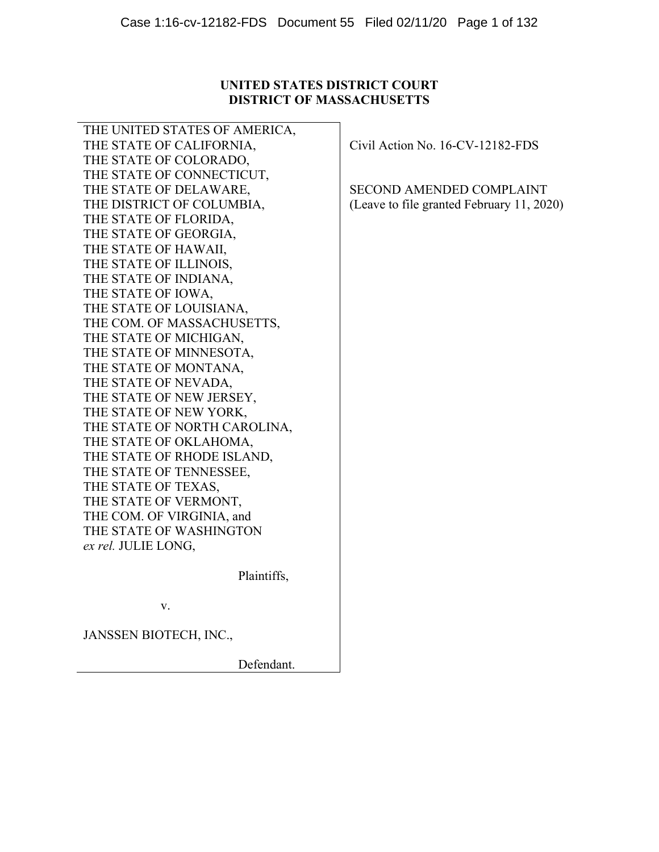## **UNITED STATES DISTRICT COURT DISTRICT OF MASSACHUSETTS**

THE UNITED STATES OF AMERICA, THE STATE OF CALIFORNIA, THE STATE OF COLORADO, THE STATE OF CONNECTICUT, THE STATE OF DELAWARE, THE DISTRICT OF COLUMBIA, THE STATE OF FLORIDA, THE STATE OF GEORGIA, THE STATE OF HAWAII, THE STATE OF ILLINOIS, THE STATE OF INDIANA, THE STATE OF IOWA, THE STATE OF LOUISIANA, THE COM. OF MASSACHUSETTS, THE STATE OF MICHIGAN, THE STATE OF MINNESOTA, THE STATE OF MONTANA, THE STATE OF NEVADA, THE STATE OF NEW JERSEY, THE STATE OF NEW YORK, THE STATE OF NORTH CAROLINA, THE STATE OF OKLAHOMA, THE STATE OF RHODE ISLAND, THE STATE OF TENNESSEE, THE STATE OF TEXAS, THE STATE OF VERMONT, THE COM. OF VIRGINIA, and THE STATE OF WASHINGTON *ex rel.* JULIE LONG,

Civil Action No. 16-CV-12182-FDS

SECOND AMENDED COMPLAINT (Leave to file granted February 11, 2020)

v.

JANSSEN BIOTECH, INC.,

Defendant.

Plaintiffs,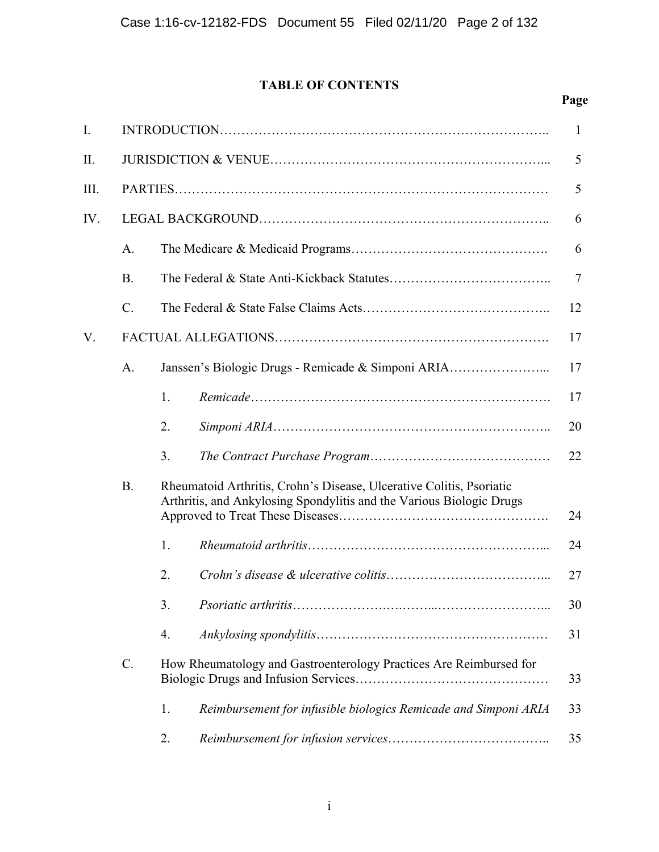# **TABLE OF CONTENTS**

# **Page**

| I.  |                 |    |                                                                                                                                              | 1      |
|-----|-----------------|----|----------------------------------------------------------------------------------------------------------------------------------------------|--------|
| Π.  |                 |    |                                                                                                                                              | 5      |
| Ш.  |                 |    |                                                                                                                                              | 5      |
| IV. |                 |    |                                                                                                                                              | 6      |
|     | A.              |    |                                                                                                                                              | 6      |
|     | <b>B.</b>       |    |                                                                                                                                              | $\tau$ |
|     | $\mathcal{C}$ . |    |                                                                                                                                              | 12     |
| V.  |                 |    |                                                                                                                                              | 17     |
|     | A.              |    | Janssen's Biologic Drugs - Remicade & Simponi ARIA                                                                                           | 17     |
|     |                 | 1. |                                                                                                                                              | 17     |
|     |                 | 2. |                                                                                                                                              | 20     |
|     |                 | 3. |                                                                                                                                              | 22     |
|     | <b>B.</b>       |    | Rheumatoid Arthritis, Crohn's Disease, Ulcerative Colitis, Psoriatic<br>Arthritis, and Ankylosing Spondylitis and the Various Biologic Drugs | 24     |
|     |                 | 1. |                                                                                                                                              | 24     |
|     |                 | 2. |                                                                                                                                              | 27     |
|     |                 | 3. |                                                                                                                                              | 30     |
|     |                 | 4. |                                                                                                                                              | 31     |
|     | $\mathcal{C}$ . |    | How Rheumatology and Gastroenterology Practices Are Reimbursed for                                                                           | 33     |
|     |                 | 1. | Reimbursement for infusible biologics Remicade and Simponi ARIA                                                                              | 33     |
|     |                 | 2. |                                                                                                                                              | 35     |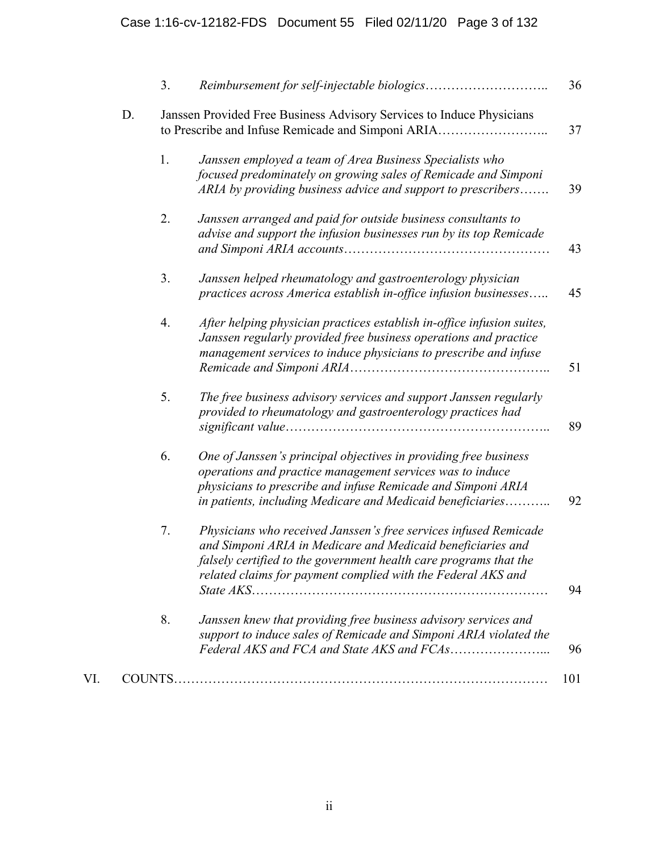|    | 3. |                                                                                                                                                                                                                                                                      | 36 |
|----|----|----------------------------------------------------------------------------------------------------------------------------------------------------------------------------------------------------------------------------------------------------------------------|----|
| D. |    | Janssen Provided Free Business Advisory Services to Induce Physicians<br>to Prescribe and Infuse Remicade and Simponi ARIA                                                                                                                                           | 37 |
|    | 1. | Janssen employed a team of Area Business Specialists who<br>focused predominately on growing sales of Remicade and Simponi<br>ARIA by providing business advice and support to prescribers                                                                           | 39 |
|    | 2. | Janssen arranged and paid for outside business consultants to<br>advise and support the infusion businesses run by its top Remicade                                                                                                                                  | 43 |
|    | 3. | Janssen helped rheumatology and gastroenterology physician<br>practices across America establish in-office infusion businesses                                                                                                                                       | 45 |
|    | 4. | After helping physician practices establish in-office infusion suites,<br>Janssen regularly provided free business operations and practice<br>management services to induce physicians to prescribe and infuse                                                       | 51 |
|    | 5. | The free business advisory services and support Janssen regularly<br>provided to rheumatology and gastroenterology practices had                                                                                                                                     | 89 |
|    | 6. | One of Janssen's principal objectives in providing free business<br>operations and practice management services was to induce<br>physicians to prescribe and infuse Remicade and Simponi ARIA<br>in patients, including Medicare and Medicaid beneficiaries          | 92 |
|    | 7. | Physicians who received Janssen's free services infused Remicade<br>and Simponi ARIA in Medicare and Medicaid beneficiaries and<br>falsely certified to the government health care programs that the<br>related claims for payment complied with the Federal AKS and | 94 |
|    | 8. | Janssen knew that providing free business advisory services and<br>support to induce sales of Remicade and Simponi ARIA violated the                                                                                                                                 | 96 |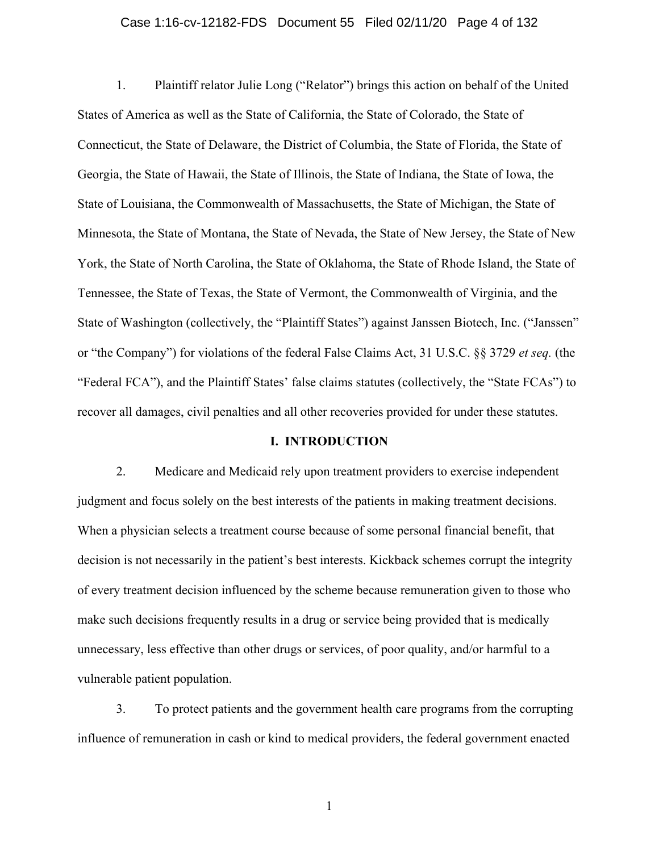### Case 1:16-cv-12182-FDS Document 55 Filed 02/11/20 Page 4 of 132

1. Plaintiff relator Julie Long ("Relator") brings this action on behalf of the United States of America as well as the State of California, the State of Colorado, the State of Connecticut, the State of Delaware, the District of Columbia, the State of Florida, the State of Georgia, the State of Hawaii, the State of Illinois, the State of Indiana, the State of Iowa, the State of Louisiana, the Commonwealth of Massachusetts, the State of Michigan, the State of Minnesota, the State of Montana, the State of Nevada, the State of New Jersey, the State of New York, the State of North Carolina, the State of Oklahoma, the State of Rhode Island, the State of Tennessee, the State of Texas, the State of Vermont, the Commonwealth of Virginia, and the State of Washington (collectively, the "Plaintiff States") against Janssen Biotech, Inc. ("Janssen" or "the Company") for violations of the federal False Claims Act, 31 U.S.C. §§ 3729 *et seq.* (the "Federal FCA"), and the Plaintiff States' false claims statutes (collectively, the "State FCAs") to recover all damages, civil penalties and all other recoveries provided for under these statutes.

### **I. INTRODUCTION**

2. Medicare and Medicaid rely upon treatment providers to exercise independent judgment and focus solely on the best interests of the patients in making treatment decisions. When a physician selects a treatment course because of some personal financial benefit, that decision is not necessarily in the patient's best interests. Kickback schemes corrupt the integrity of every treatment decision influenced by the scheme because remuneration given to those who make such decisions frequently results in a drug or service being provided that is medically unnecessary, less effective than other drugs or services, of poor quality, and/or harmful to a vulnerable patient population.

3. To protect patients and the government health care programs from the corrupting influence of remuneration in cash or kind to medical providers, the federal government enacted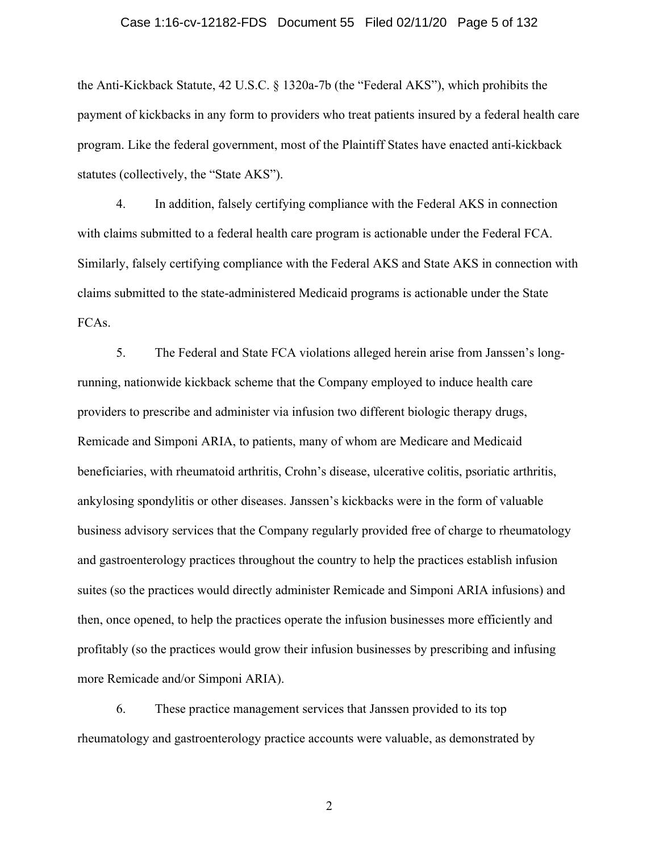### Case 1:16-cv-12182-FDS Document 55 Filed 02/11/20 Page 5 of 132

the Anti-Kickback Statute, 42 U.S.C. § 1320a-7b (the "Federal AKS"), which prohibits the payment of kickbacks in any form to providers who treat patients insured by a federal health care program. Like the federal government, most of the Plaintiff States have enacted anti-kickback statutes (collectively, the "State AKS").

4. In addition, falsely certifying compliance with the Federal AKS in connection with claims submitted to a federal health care program is actionable under the Federal FCA. Similarly, falsely certifying compliance with the Federal AKS and State AKS in connection with claims submitted to the state-administered Medicaid programs is actionable under the State FCAs.

5. The Federal and State FCA violations alleged herein arise from Janssen's longrunning, nationwide kickback scheme that the Company employed to induce health care providers to prescribe and administer via infusion two different biologic therapy drugs, Remicade and Simponi ARIA, to patients, many of whom are Medicare and Medicaid beneficiaries, with rheumatoid arthritis, Crohn's disease, ulcerative colitis, psoriatic arthritis, ankylosing spondylitis or other diseases. Janssen's kickbacks were in the form of valuable business advisory services that the Company regularly provided free of charge to rheumatology and gastroenterology practices throughout the country to help the practices establish infusion suites (so the practices would directly administer Remicade and Simponi ARIA infusions) and then, once opened, to help the practices operate the infusion businesses more efficiently and profitably (so the practices would grow their infusion businesses by prescribing and infusing more Remicade and/or Simponi ARIA).

6. These practice management services that Janssen provided to its top rheumatology and gastroenterology practice accounts were valuable, as demonstrated by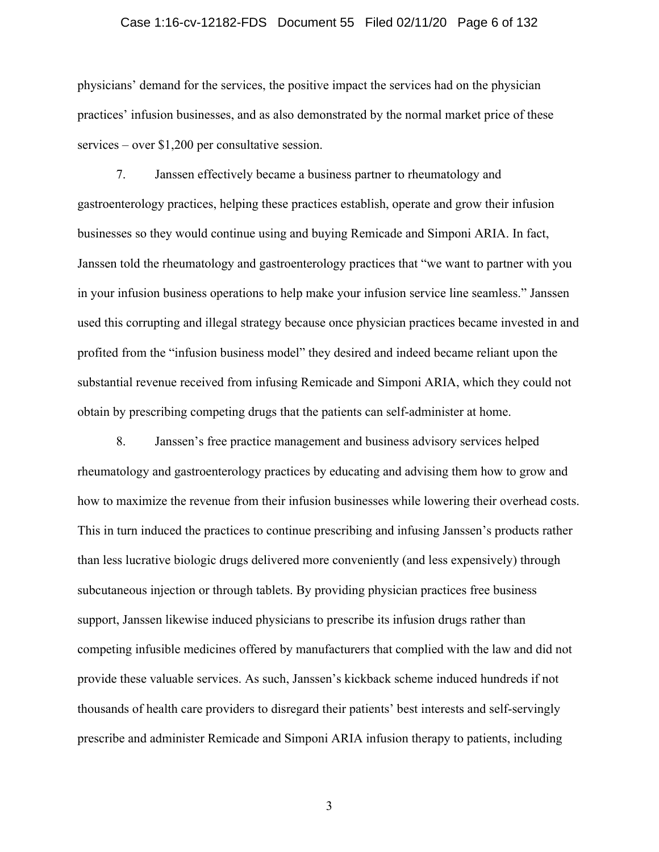### Case 1:16-cv-12182-FDS Document 55 Filed 02/11/20 Page 6 of 132

physicians' demand for the services, the positive impact the services had on the physician practices' infusion businesses, and as also demonstrated by the normal market price of these services – over \$1,200 per consultative session.

7. Janssen effectively became a business partner to rheumatology and gastroenterology practices, helping these practices establish, operate and grow their infusion businesses so they would continue using and buying Remicade and Simponi ARIA. In fact, Janssen told the rheumatology and gastroenterology practices that "we want to partner with you in your infusion business operations to help make your infusion service line seamless." Janssen used this corrupting and illegal strategy because once physician practices became invested in and profited from the "infusion business model" they desired and indeed became reliant upon the substantial revenue received from infusing Remicade and Simponi ARIA, which they could not obtain by prescribing competing drugs that the patients can self-administer at home.

8. Janssen's free practice management and business advisory services helped rheumatology and gastroenterology practices by educating and advising them how to grow and how to maximize the revenue from their infusion businesses while lowering their overhead costs. This in turn induced the practices to continue prescribing and infusing Janssen's products rather than less lucrative biologic drugs delivered more conveniently (and less expensively) through subcutaneous injection or through tablets. By providing physician practices free business support, Janssen likewise induced physicians to prescribe its infusion drugs rather than competing infusible medicines offered by manufacturers that complied with the law and did not provide these valuable services. As such, Janssen's kickback scheme induced hundreds if not thousands of health care providers to disregard their patients' best interests and self-servingly prescribe and administer Remicade and Simponi ARIA infusion therapy to patients, including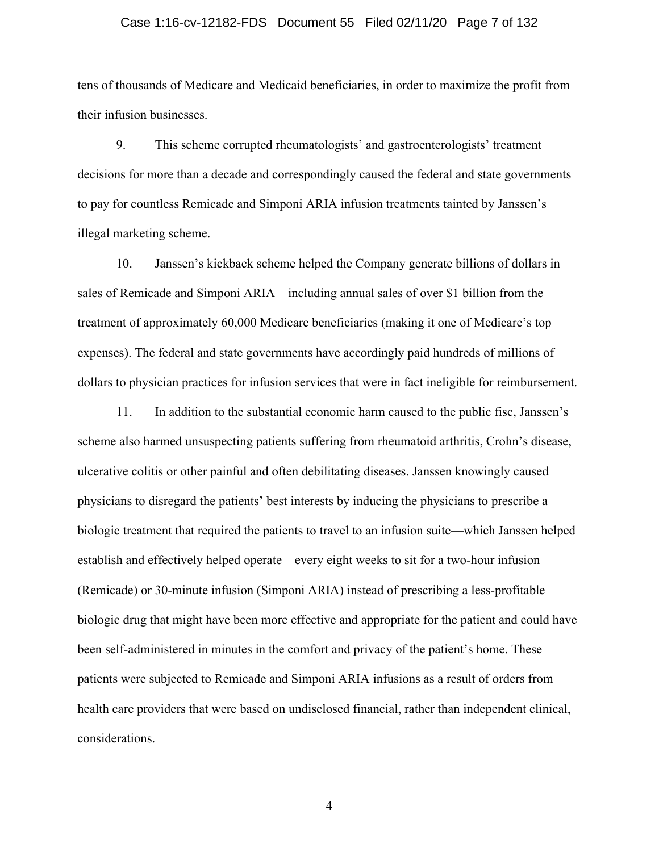### Case 1:16-cv-12182-FDS Document 55 Filed 02/11/20 Page 7 of 132

tens of thousands of Medicare and Medicaid beneficiaries, in order to maximize the profit from their infusion businesses.

9. This scheme corrupted rheumatologists' and gastroenterologists' treatment decisions for more than a decade and correspondingly caused the federal and state governments to pay for countless Remicade and Simponi ARIA infusion treatments tainted by Janssen's illegal marketing scheme.

10. Janssen's kickback scheme helped the Company generate billions of dollars in sales of Remicade and Simponi ARIA – including annual sales of over \$1 billion from the treatment of approximately 60,000 Medicare beneficiaries (making it one of Medicare's top expenses). The federal and state governments have accordingly paid hundreds of millions of dollars to physician practices for infusion services that were in fact ineligible for reimbursement.

11. In addition to the substantial economic harm caused to the public fisc, Janssen's scheme also harmed unsuspecting patients suffering from rheumatoid arthritis, Crohn's disease, ulcerative colitis or other painful and often debilitating diseases. Janssen knowingly caused physicians to disregard the patients' best interests by inducing the physicians to prescribe a biologic treatment that required the patients to travel to an infusion suite—which Janssen helped establish and effectively helped operate—every eight weeks to sit for a two-hour infusion (Remicade) or 30-minute infusion (Simponi ARIA) instead of prescribing a less-profitable biologic drug that might have been more effective and appropriate for the patient and could have been self-administered in minutes in the comfort and privacy of the patient's home. These patients were subjected to Remicade and Simponi ARIA infusions as a result of orders from health care providers that were based on undisclosed financial, rather than independent clinical, considerations.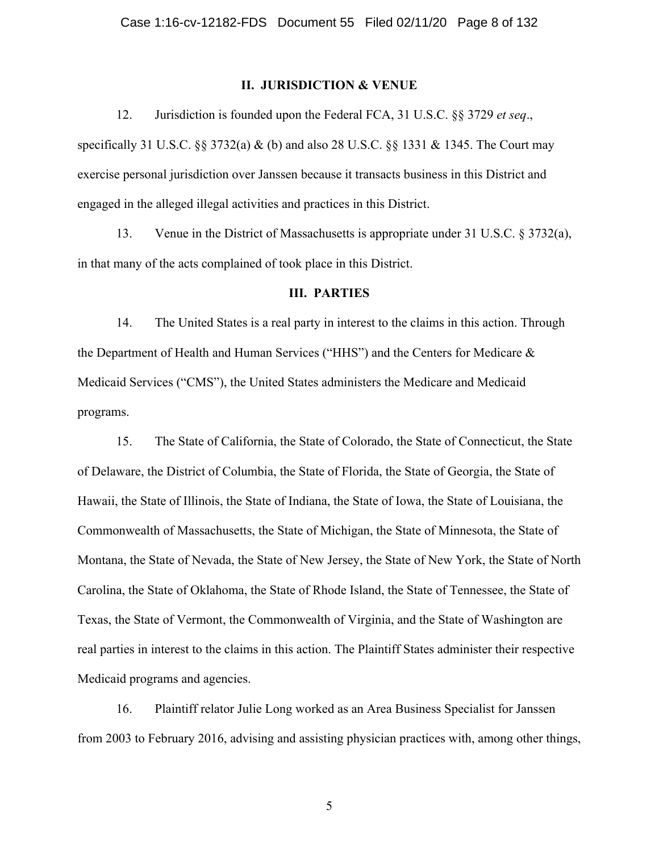### **II. JURISDICTION & VENUE**

12. Jurisdiction is founded upon the Federal FCA, 31 U.S.C. §§ 3729 *et seq*., specifically 31 U.S.C. §§ 3732(a) & (b) and also 28 U.S.C. §§ 1331 & 1345. The Court may exercise personal jurisdiction over Janssen because it transacts business in this District and engaged in the alleged illegal activities and practices in this District.

13. Venue in the District of Massachusetts is appropriate under 31 U.S.C. § 3732(a), in that many of the acts complained of took place in this District.

#### **III. PARTIES**

14. The United States is a real party in interest to the claims in this action. Through the Department of Health and Human Services ("HHS") and the Centers for Medicare & Medicaid Services ("CMS"), the United States administers the Medicare and Medicaid programs.

15. The State of California, the State of Colorado, the State of Connecticut, the State of Delaware, the District of Columbia, the State of Florida, the State of Georgia, the State of Hawaii, the State of Illinois, the State of Indiana, the State of Iowa, the State of Louisiana, the Commonwealth of Massachusetts, the State of Michigan, the State of Minnesota, the State of Montana, the State of Nevada, the State of New Jersey, the State of New York, the State of North Carolina, the State of Oklahoma, the State of Rhode Island, the State of Tennessee, the State of Texas, the State of Vermont, the Commonwealth of Virginia, and the State of Washington are real parties in interest to the claims in this action. The Plaintiff States administer their respective Medicaid programs and agencies.

16. Plaintiff relator Julie Long worked as an Area Business Specialist for Janssen from 2003 to February 2016, advising and assisting physician practices with, among other things,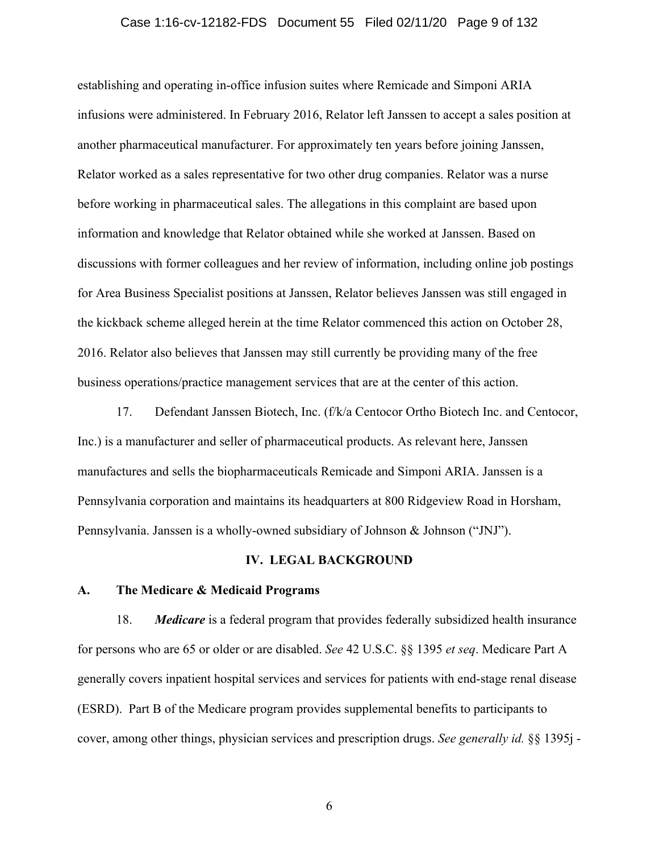### Case 1:16-cv-12182-FDS Document 55 Filed 02/11/20 Page 9 of 132

establishing and operating in-office infusion suites where Remicade and Simponi ARIA infusions were administered. In February 2016, Relator left Janssen to accept a sales position at another pharmaceutical manufacturer. For approximately ten years before joining Janssen, Relator worked as a sales representative for two other drug companies. Relator was a nurse before working in pharmaceutical sales. The allegations in this complaint are based upon information and knowledge that Relator obtained while she worked at Janssen. Based on discussions with former colleagues and her review of information, including online job postings for Area Business Specialist positions at Janssen, Relator believes Janssen was still engaged in the kickback scheme alleged herein at the time Relator commenced this action on October 28, 2016. Relator also believes that Janssen may still currently be providing many of the free business operations/practice management services that are at the center of this action.

17. Defendant Janssen Biotech, Inc. (f/k/a Centocor Ortho Biotech Inc. and Centocor, Inc.) is a manufacturer and seller of pharmaceutical products. As relevant here, Janssen manufactures and sells the biopharmaceuticals Remicade and Simponi ARIA. Janssen is a Pennsylvania corporation and maintains its headquarters at 800 Ridgeview Road in Horsham, Pennsylvania. Janssen is a wholly-owned subsidiary of Johnson & Johnson ("JNJ").

#### **IV. LEGAL BACKGROUND**

### **A. The Medicare & Medicaid Programs**

18. *Medicare* is a federal program that provides federally subsidized health insurance for persons who are 65 or older or are disabled. *See* 42 U.S.C. §§ 1395 *et seq*. Medicare Part A generally covers inpatient hospital services and services for patients with end-stage renal disease (ESRD). Part B of the Medicare program provides supplemental benefits to participants to cover, among other things, physician services and prescription drugs. *See generally id.* §§ 1395j -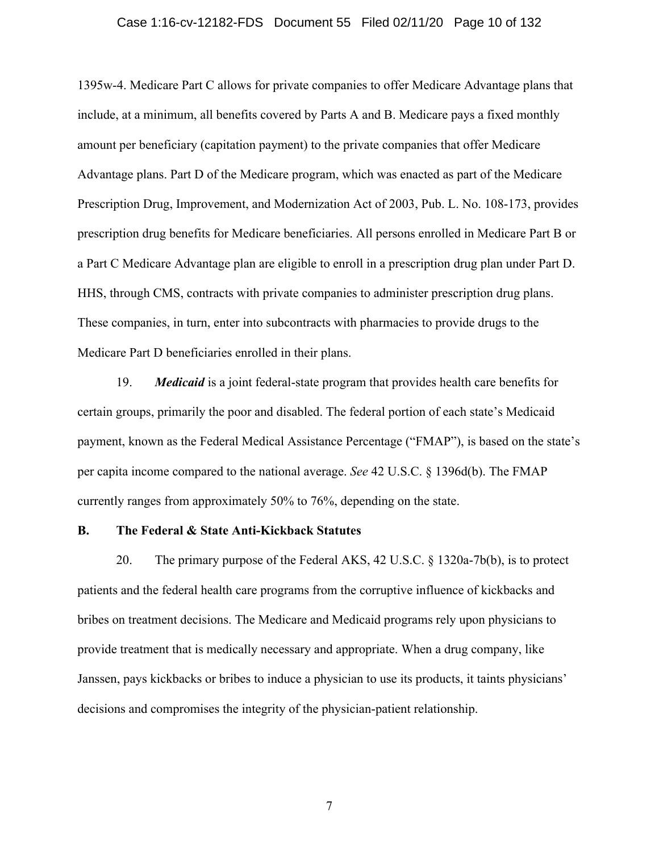### Case 1:16-cv-12182-FDS Document 55 Filed 02/11/20 Page 10 of 132

1395w-4. Medicare Part C allows for private companies to offer Medicare Advantage plans that include, at a minimum, all benefits covered by Parts A and B. Medicare pays a fixed monthly amount per beneficiary (capitation payment) to the private companies that offer Medicare Advantage plans. Part D of the Medicare program, which was enacted as part of the Medicare Prescription Drug, Improvement, and Modernization Act of 2003, Pub. L. No. 108-173, provides prescription drug benefits for Medicare beneficiaries. All persons enrolled in Medicare Part B or a Part C Medicare Advantage plan are eligible to enroll in a prescription drug plan under Part D. HHS, through CMS, contracts with private companies to administer prescription drug plans. These companies, in turn, enter into subcontracts with pharmacies to provide drugs to the Medicare Part D beneficiaries enrolled in their plans.

19. *Medicaid* is a joint federal-state program that provides health care benefits for certain groups, primarily the poor and disabled. The federal portion of each state's Medicaid payment, known as the Federal Medical Assistance Percentage ("FMAP"), is based on the state's per capita income compared to the national average. *See* 42 U.S.C. § 1396d(b). The FMAP currently ranges from approximately 50% to 76%, depending on the state.

### **B. The Federal & State Anti-Kickback Statutes**

20. The primary purpose of the Federal AKS, 42 U.S.C. § 1320a-7b(b), is to protect patients and the federal health care programs from the corruptive influence of kickbacks and bribes on treatment decisions. The Medicare and Medicaid programs rely upon physicians to provide treatment that is medically necessary and appropriate. When a drug company, like Janssen, pays kickbacks or bribes to induce a physician to use its products, it taints physicians' decisions and compromises the integrity of the physician-patient relationship.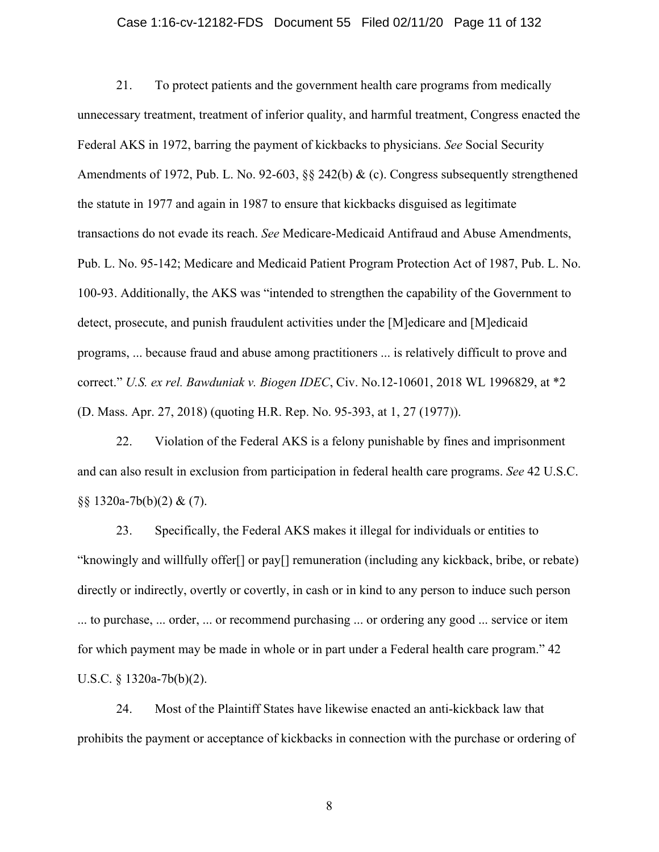### Case 1:16-cv-12182-FDS Document 55 Filed 02/11/20 Page 11 of 132

21. To protect patients and the government health care programs from medically unnecessary treatment, treatment of inferior quality, and harmful treatment, Congress enacted the Federal AKS in 1972, barring the payment of kickbacks to physicians. *See* Social Security Amendments of 1972, Pub. L. No. 92-603, §§ 242(b) & (c). Congress subsequently strengthened the statute in 1977 and again in 1987 to ensure that kickbacks disguised as legitimate transactions do not evade its reach. *See* Medicare-Medicaid Antifraud and Abuse Amendments, Pub. L. No. 95-142; Medicare and Medicaid Patient Program Protection Act of 1987, Pub. L. No. 100-93. Additionally, the AKS was "intended to strengthen the capability of the Government to detect, prosecute, and punish fraudulent activities under the [M]edicare and [M]edicaid programs, ... because fraud and abuse among practitioners ... is relatively difficult to prove and correct." *U.S. ex rel. Bawduniak v. Biogen IDEC*, Civ. No.12-10601, 2018 WL 1996829, at \*2 (D. Mass. Apr. 27, 2018) (quoting H.R. Rep. No. 95-393, at 1, 27 (1977)).

22. Violation of the Federal AKS is a felony punishable by fines and imprisonment and can also result in exclusion from participation in federal health care programs. *See* 42 U.S.C.  $\S$ § 1320a-7b(b)(2) & (7).

23. Specifically, the Federal AKS makes it illegal for individuals or entities to "knowingly and willfully offer[] or pay[] remuneration (including any kickback, bribe, or rebate) directly or indirectly, overtly or covertly, in cash or in kind to any person to induce such person ... to purchase, ... order, ... or recommend purchasing ... or ordering any good ... service or item for which payment may be made in whole or in part under a Federal health care program." 42 U.S.C. § 1320a-7b(b)(2).

24. Most of the Plaintiff States have likewise enacted an anti-kickback law that prohibits the payment or acceptance of kickbacks in connection with the purchase or ordering of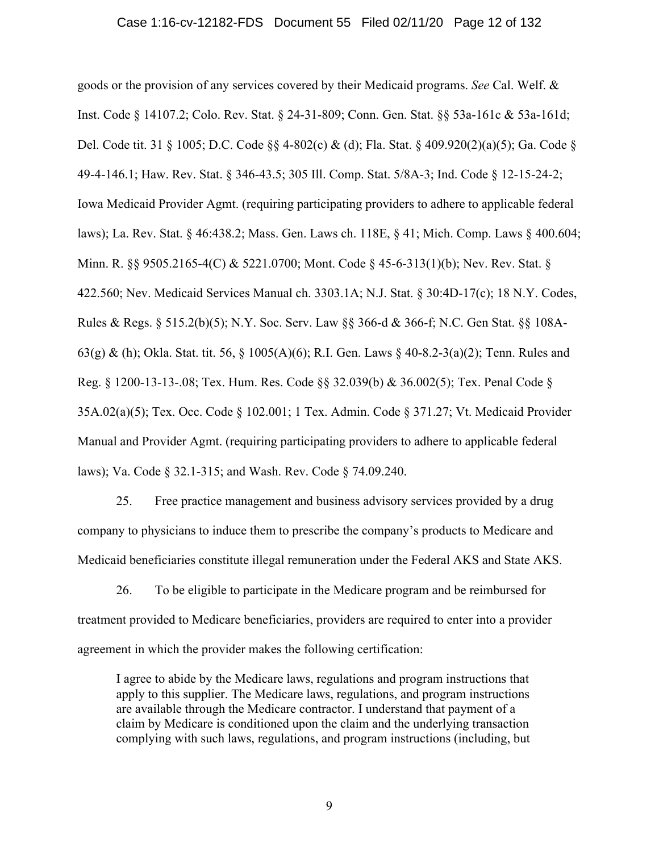goods or the provision of any services covered by their Medicaid programs. *See* Cal. Welf. & Inst. Code § 14107.2; Colo. Rev. Stat. § 24-31-809; Conn. Gen. Stat. §§ 53a-161c & 53a-161d; Del. Code tit. 31 § 1005; D.C. Code §§ 4-802(c) & (d); Fla. Stat. § 409.920(2)(a)(5); Ga. Code § 49-4-146.1; Haw. Rev. Stat. § 346-43.5; 305 Ill. Comp. Stat. 5/8A-3; Ind. Code § 12-15-24-2; Iowa Medicaid Provider Agmt. (requiring participating providers to adhere to applicable federal laws); La. Rev. Stat. § 46:438.2; Mass. Gen. Laws ch. 118E, § 41; Mich. Comp. Laws § 400.604; Minn. R. §§ 9505.2165-4(C) & 5221.0700; Mont. Code § 45-6-313(1)(b); Nev. Rev. Stat. § 422.560; Nev. Medicaid Services Manual ch. 3303.1A; N.J. Stat. § 30:4D-17(c); 18 N.Y. Codes, Rules & Regs. § 515.2(b)(5); N.Y. Soc. Serv. Law §§ 366-d & 366-f; N.C. Gen Stat. §§ 108A-63(g) & (h); Okla. Stat. tit. 56, § 1005(A)(6); R.I. Gen. Laws § 40-8.2-3(a)(2); Tenn. Rules and Reg. § 1200-13-13-.08; Tex. Hum. Res. Code §§ 32.039(b) & 36.002(5); Tex. Penal Code § 35A.02(a)(5); Tex. Occ. Code § 102.001; 1 Tex. Admin. Code § 371.27; Vt. Medicaid Provider Manual and Provider Agmt. (requiring participating providers to adhere to applicable federal laws); Va. Code § 32.1-315; and Wash. Rev. Code § 74.09.240.

25. Free practice management and business advisory services provided by a drug company to physicians to induce them to prescribe the company's products to Medicare and Medicaid beneficiaries constitute illegal remuneration under the Federal AKS and State AKS.

26. To be eligible to participate in the Medicare program and be reimbursed for treatment provided to Medicare beneficiaries, providers are required to enter into a provider agreement in which the provider makes the following certification:

I agree to abide by the Medicare laws, regulations and program instructions that apply to this supplier. The Medicare laws, regulations, and program instructions are available through the Medicare contractor. I understand that payment of a claim by Medicare is conditioned upon the claim and the underlying transaction complying with such laws, regulations, and program instructions (including, but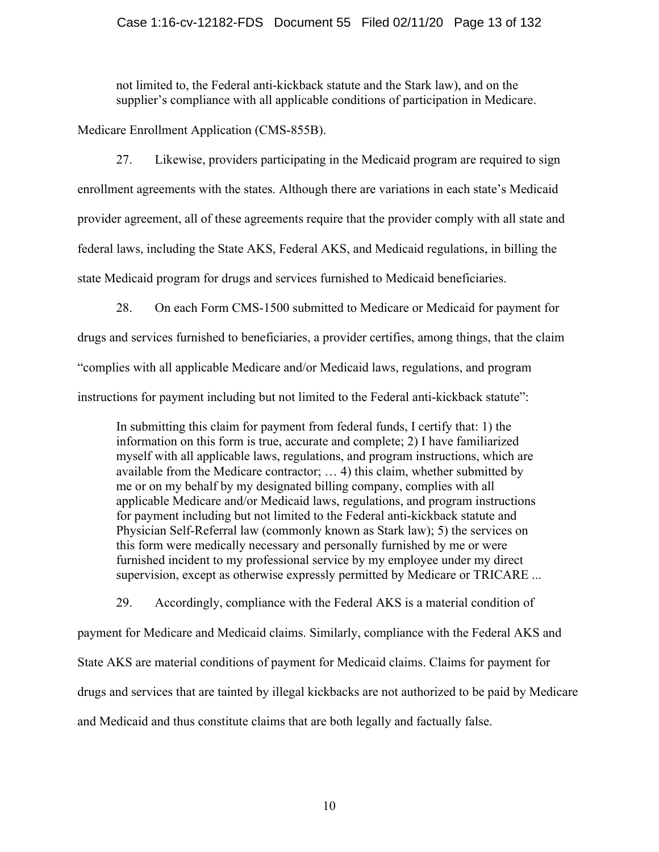### Case 1:16-cv-12182-FDS Document 55 Filed 02/11/20 Page 13 of 132

not limited to, the Federal anti-kickback statute and the Stark law), and on the supplier's compliance with all applicable conditions of participation in Medicare.

Medicare Enrollment Application (CMS-855B).

27. Likewise, providers participating in the Medicaid program are required to sign enrollment agreements with the states. Although there are variations in each state's Medicaid provider agreement, all of these agreements require that the provider comply with all state and federal laws, including the State AKS, Federal AKS, and Medicaid regulations, in billing the state Medicaid program for drugs and services furnished to Medicaid beneficiaries.

28. On each Form CMS-1500 submitted to Medicare or Medicaid for payment for drugs and services furnished to beneficiaries, a provider certifies, among things, that the claim "complies with all applicable Medicare and/or Medicaid laws, regulations, and program instructions for payment including but not limited to the Federal anti-kickback statute":

In submitting this claim for payment from federal funds, I certify that: 1) the information on this form is true, accurate and complete; 2) I have familiarized myself with all applicable laws, regulations, and program instructions, which are available from the Medicare contractor; … 4) this claim, whether submitted by me or on my behalf by my designated billing company, complies with all applicable Medicare and/or Medicaid laws, regulations, and program instructions for payment including but not limited to the Federal anti-kickback statute and Physician Self-Referral law (commonly known as Stark law); 5) the services on this form were medically necessary and personally furnished by me or were furnished incident to my professional service by my employee under my direct supervision, except as otherwise expressly permitted by Medicare or TRICARE ...

29. Accordingly, compliance with the Federal AKS is a material condition of payment for Medicare and Medicaid claims. Similarly, compliance with the Federal AKS and State AKS are material conditions of payment for Medicaid claims. Claims for payment for drugs and services that are tainted by illegal kickbacks are not authorized to be paid by Medicare and Medicaid and thus constitute claims that are both legally and factually false.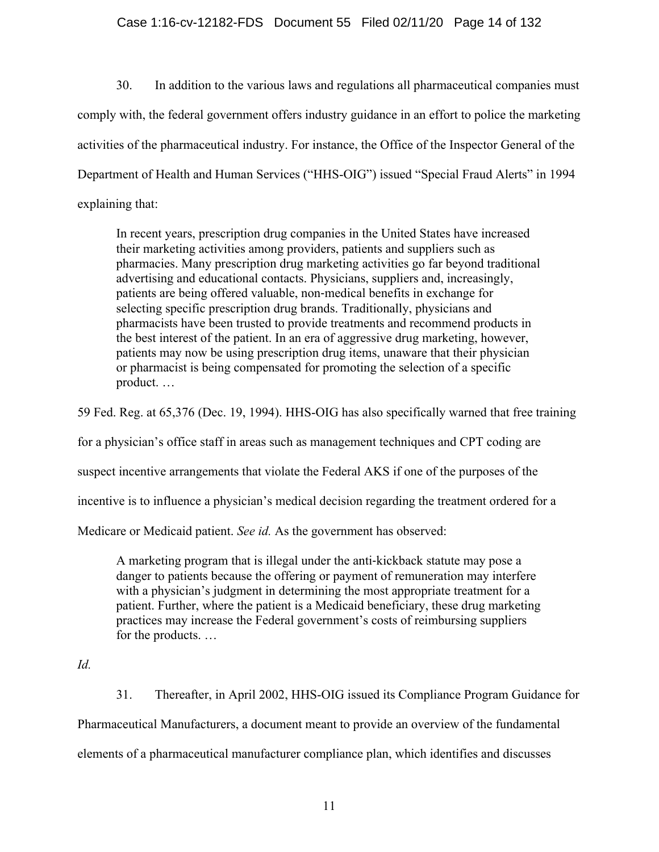### Case 1:16-cv-12182-FDS Document 55 Filed 02/11/20 Page 14 of 132

30. In addition to the various laws and regulations all pharmaceutical companies must comply with, the federal government offers industry guidance in an effort to police the marketing activities of the pharmaceutical industry. For instance, the Office of the Inspector General of the Department of Health and Human Services ("HHS-OIG") issued "Special Fraud Alerts" in 1994 explaining that:

In recent years, prescription drug companies in the United States have increased their marketing activities among providers, patients and suppliers such as pharmacies. Many prescription drug marketing activities go far beyond traditional advertising and educational contacts. Physicians, suppliers and, increasingly, patients are being offered valuable, non‐medical benefits in exchange for selecting specific prescription drug brands. Traditionally, physicians and pharmacists have been trusted to provide treatments and recommend products in the best interest of the patient. In an era of aggressive drug marketing, however, patients may now be using prescription drug items, unaware that their physician or pharmacist is being compensated for promoting the selection of a specific product. …

59 Fed. Reg. at 65,376 (Dec. 19, 1994). HHS-OIG has also specifically warned that free training

for a physician's office staff in areas such as management techniques and CPT coding are

suspect incentive arrangements that violate the Federal AKS if one of the purposes of the

incentive is to influence a physician's medical decision regarding the treatment ordered for a

Medicare or Medicaid patient. *See id.* As the government has observed:

A marketing program that is illegal under the anti‐kickback statute may pose a danger to patients because the offering or payment of remuneration may interfere with a physician's judgment in determining the most appropriate treatment for a patient. Further, where the patient is a Medicaid beneficiary, these drug marketing practices may increase the Federal government's costs of reimbursing suppliers for the products. …

### *Id.*

31. Thereafter, in April 2002, HHS-OIG issued its Compliance Program Guidance for Pharmaceutical Manufacturers, a document meant to provide an overview of the fundamental elements of a pharmaceutical manufacturer compliance plan, which identifies and discusses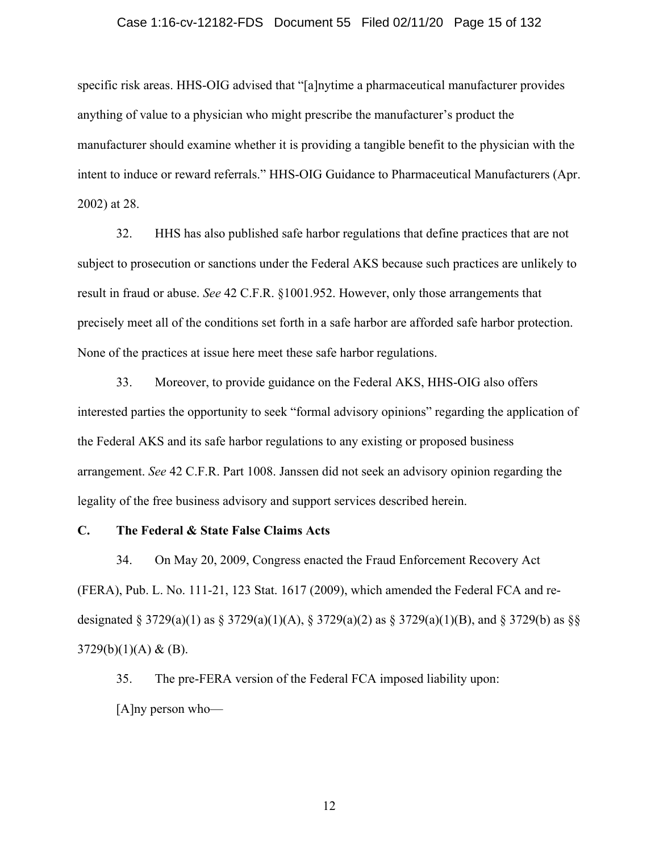### Case 1:16-cv-12182-FDS Document 55 Filed 02/11/20 Page 15 of 132

specific risk areas. HHS-OIG advised that "[a]nytime a pharmaceutical manufacturer provides anything of value to a physician who might prescribe the manufacturer's product the manufacturer should examine whether it is providing a tangible benefit to the physician with the intent to induce or reward referrals." HHS-OIG Guidance to Pharmaceutical Manufacturers (Apr. 2002) at 28.

32. HHS has also published safe harbor regulations that define practices that are not subject to prosecution or sanctions under the Federal AKS because such practices are unlikely to result in fraud or abuse. *See* 42 C.F.R. §1001.952. However, only those arrangements that precisely meet all of the conditions set forth in a safe harbor are afforded safe harbor protection. None of the practices at issue here meet these safe harbor regulations.

33. Moreover, to provide guidance on the Federal AKS, HHS-OIG also offers interested parties the opportunity to seek "formal advisory opinions" regarding the application of the Federal AKS and its safe harbor regulations to any existing or proposed business arrangement. *See* 42 C.F.R. Part 1008. Janssen did not seek an advisory opinion regarding the legality of the free business advisory and support services described herein.

### **C. The Federal & State False Claims Acts**

34. On May 20, 2009, Congress enacted the Fraud Enforcement Recovery Act (FERA), Pub. L. No. 111-21, 123 Stat. 1617 (2009), which amended the Federal FCA and redesignated § 3729(a)(1) as § 3729(a)(1)(A), § 3729(a)(2) as § 3729(a)(1)(B), and § 3729(b) as §§  $3729(b)(1)(A) & (B).$ 

35. The pre-FERA version of the Federal FCA imposed liability upon: [A]ny person who—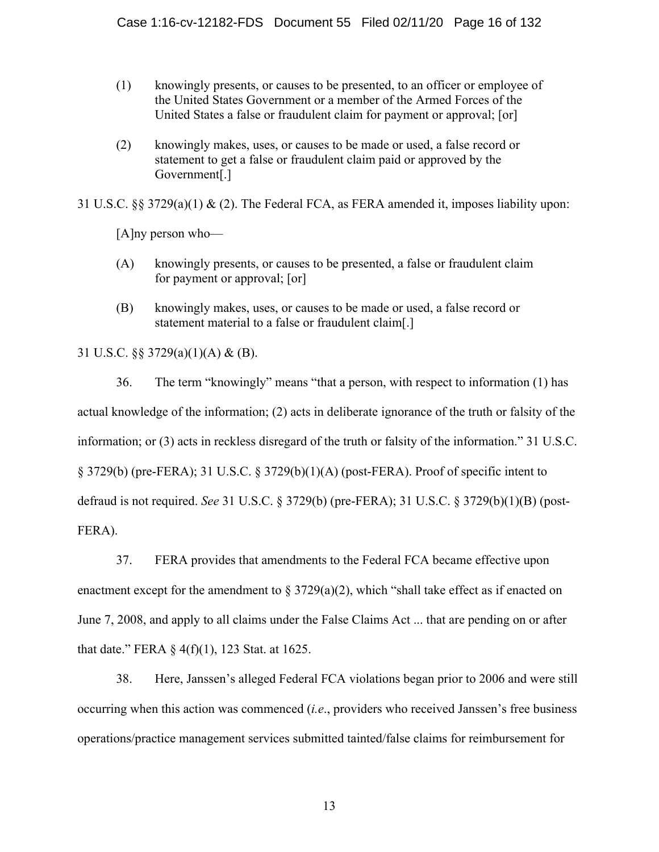- (1) knowingly presents, or causes to be presented, to an officer or employee of the United States Government or a member of the Armed Forces of the United States a false or fraudulent claim for payment or approval; [or]
- (2) knowingly makes, uses, or causes to be made or used, a false record or statement to get a false or fraudulent claim paid or approved by the Government[.]

31 U.S.C.  $\S 3729(a)(1) \& (2)$ . The Federal FCA, as FERA amended it, imposes liability upon:

[A]ny person who—

- (A) knowingly presents, or causes to be presented, a false or fraudulent claim for payment or approval; [or]
- (B) knowingly makes, uses, or causes to be made or used, a false record or statement material to a false or fraudulent claim[.]

31 U.S.C. §§ 3729(a)(1)(A) & (B).

36. The term "knowingly" means "that a person, with respect to information (1) has actual knowledge of the information; (2) acts in deliberate ignorance of the truth or falsity of the information; or (3) acts in reckless disregard of the truth or falsity of the information." 31 U.S.C. § 3729(b) (pre-FERA); 31 U.S.C. § 3729(b)(1)(A) (post-FERA). Proof of specific intent to defraud is not required. *See* 31 U.S.C. § 3729(b) (pre-FERA); 31 U.S.C. § 3729(b)(1)(B) (post-FERA).

37. FERA provides that amendments to the Federal FCA became effective upon enactment except for the amendment to  $\S 3729(a)(2)$ , which "shall take effect as if enacted on June 7, 2008, and apply to all claims under the False Claims Act ... that are pending on or after that date." FERA § 4(f)(1), 123 Stat. at 1625.

38. Here, Janssen's alleged Federal FCA violations began prior to 2006 and were still occurring when this action was commenced (*i.e*., providers who received Janssen's free business operations/practice management services submitted tainted/false claims for reimbursement for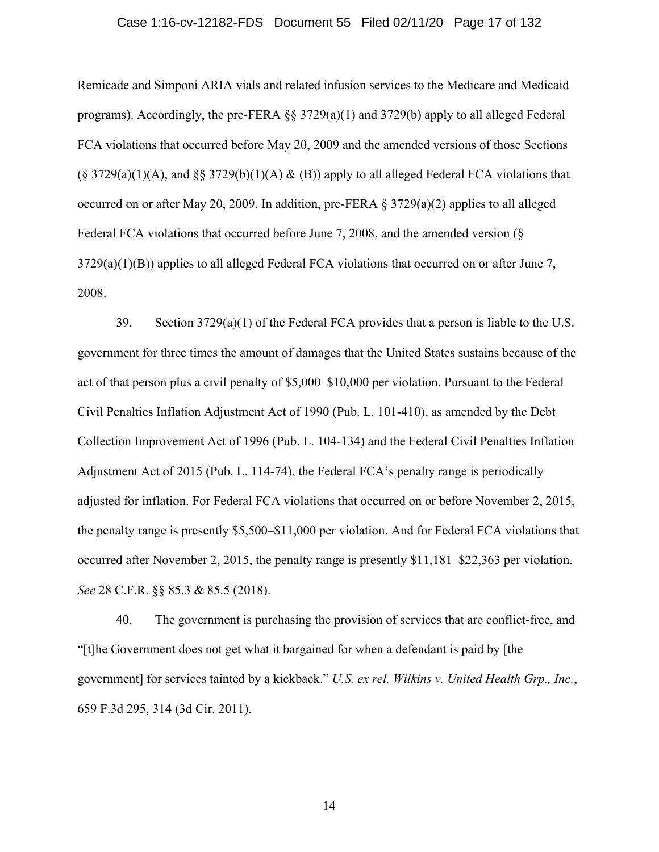### Case 1:16-cv-12182-FDS Document 55 Filed 02/11/20 Page 17 of 132

Remicade and Simponi ARIA vials and related infusion services to the Medicare and Medicaid programs). Accordingly, the pre-FERA §§ 3729(a)(1) and 3729(b) apply to all alleged Federal FCA violations that occurred before May 20, 2009 and the amended versions of those Sections  $(\S 3729(a)(1)(A)$ , and  $\S \S 3729(b)(1)(A) \& (B)$  apply to all alleged Federal FCA violations that occurred on or after May 20, 2009. In addition, pre-FERA § 3729(a)(2) applies to all alleged Federal FCA violations that occurred before June 7, 2008, and the amended version (§  $3729(a)(1)(B)$ ) applies to all alleged Federal FCA violations that occurred on or after June 7, 2008.

39. Section 3729(a)(1) of the Federal FCA provides that a person is liable to the U.S. government for three times the amount of damages that the United States sustains because of the act of that person plus a civil penalty of \$5,000–\$10,000 per violation. Pursuant to the Federal Civil Penalties Inflation Adjustment Act of 1990 (Pub. L. 101-410), as amended by the Debt Collection Improvement Act of 1996 (Pub. L. 104-134) and the Federal Civil Penalties Inflation Adjustment Act of 2015 (Pub. L. 114-74), the Federal FCA's penalty range is periodically adjusted for inflation. For Federal FCA violations that occurred on or before November 2, 2015, the penalty range is presently \$5,500–\$11,000 per violation. And for Federal FCA violations that occurred after November 2, 2015, the penalty range is presently \$11,181–\$22,363 per violation. *See* 28 C.F.R. §§ 85.3 & 85.5 (2018).

40. The government is purchasing the provision of services that are conflict-free, and "[t]he Government does not get what it bargained for when a defendant is paid by [the government] for services tainted by a kickback." *U.S. ex rel. Wilkins v. United Health Grp., Inc.*, 659 F.3d 295, 314 (3d Cir. 2011).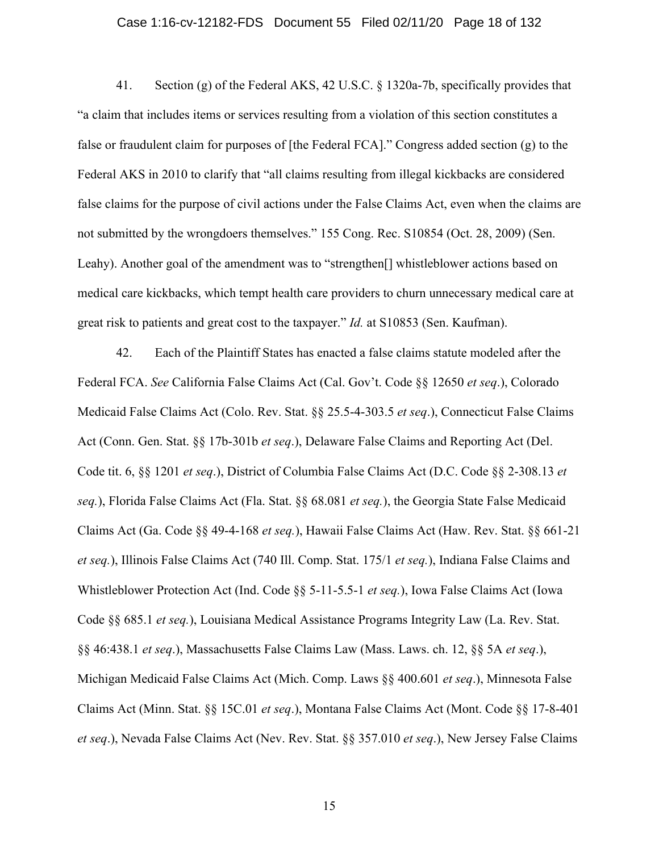### Case 1:16-cv-12182-FDS Document 55 Filed 02/11/20 Page 18 of 132

41. Section (g) of the Federal AKS, 42 U.S.C. § 1320a-7b, specifically provides that "a claim that includes items or services resulting from a violation of this section constitutes a false or fraudulent claim for purposes of [the Federal FCA]." Congress added section (g) to the Federal AKS in 2010 to clarify that "all claims resulting from illegal kickbacks are considered false claims for the purpose of civil actions under the False Claims Act, even when the claims are not submitted by the wrongdoers themselves." 155 Cong. Rec. S10854 (Oct. 28, 2009) (Sen. Leahy). Another goal of the amendment was to "strengthen<sup>[]</sup> whistleblower actions based on medical care kickbacks, which tempt health care providers to churn unnecessary medical care at great risk to patients and great cost to the taxpayer." *Id.* at S10853 (Sen. Kaufman).

42. Each of the Plaintiff States has enacted a false claims statute modeled after the Federal FCA. *See* California False Claims Act (Cal. Gov't. Code §§ 12650 *et seq*.), Colorado Medicaid False Claims Act (Colo. Rev. Stat. §§ 25.5-4-303.5 *et seq*.), Connecticut False Claims Act (Conn. Gen. Stat. §§ 17b-301b *et seq*.), Delaware False Claims and Reporting Act (Del. Code tit. 6, §§ 1201 *et seq*.), District of Columbia False Claims Act (D.C. Code §§ 2-308.13 *et seq.*), Florida False Claims Act (Fla. Stat. §§ 68.081 *et seq.*), the Georgia State False Medicaid Claims Act (Ga. Code §§ 49-4-168 *et seq.*), Hawaii False Claims Act (Haw. Rev. Stat. §§ 661-21 *et seq.*), Illinois False Claims Act (740 Ill. Comp. Stat. 175/1 *et seq.*), Indiana False Claims and Whistleblower Protection Act (Ind. Code §§ 5-11-5.5-1 *et seq.*), Iowa False Claims Act (Iowa Code §§ 685.1 *et seq.*), Louisiana Medical Assistance Programs Integrity Law (La. Rev. Stat. §§ 46:438.1 *et seq*.), Massachusetts False Claims Law (Mass. Laws. ch. 12, §§ 5A *et seq*.), Michigan Medicaid False Claims Act (Mich. Comp. Laws §§ 400.601 *et seq*.), Minnesota False Claims Act (Minn. Stat. §§ 15C.01 *et seq*.), Montana False Claims Act (Mont. Code §§ 17-8-401 *et seq*.), Nevada False Claims Act (Nev. Rev. Stat. §§ 357.010 *et seq*.), New Jersey False Claims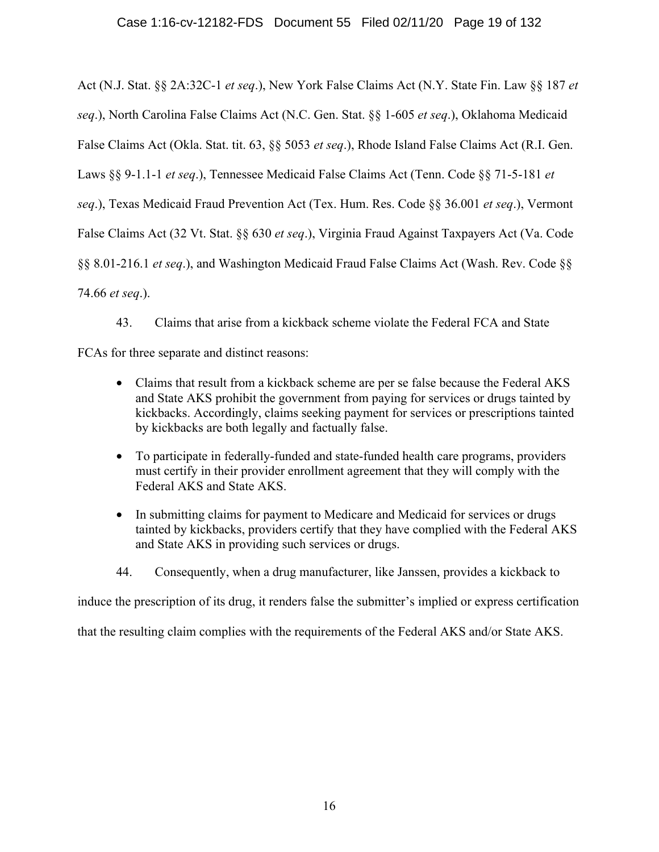Act (N.J. Stat. §§ 2A:32C-1 *et seq*.), New York False Claims Act (N.Y. State Fin. Law §§ 187 *et seq*.), North Carolina False Claims Act (N.C. Gen. Stat. §§ 1-605 *et seq*.), Oklahoma Medicaid False Claims Act (Okla. Stat. tit. 63, §§ 5053 *et seq*.), Rhode Island False Claims Act (R.I. Gen. Laws §§ 9-1.1-1 *et seq*.), Tennessee Medicaid False Claims Act (Tenn. Code §§ 71-5-181 *et seq*.), Texas Medicaid Fraud Prevention Act (Tex. Hum. Res. Code §§ 36.001 *et seq*.), Vermont False Claims Act (32 Vt. Stat. §§ 630 *et seq*.), Virginia Fraud Against Taxpayers Act (Va. Code §§ 8.01-216.1 *et seq*.), and Washington Medicaid Fraud False Claims Act (Wash. Rev. Code §§ 74.66 *et seq*.).

43. Claims that arise from a kickback scheme violate the Federal FCA and State

FCAs for three separate and distinct reasons:

- Claims that result from a kickback scheme are per se false because the Federal AKS and State AKS prohibit the government from paying for services or drugs tainted by kickbacks. Accordingly, claims seeking payment for services or prescriptions tainted by kickbacks are both legally and factually false.
- To participate in federally-funded and state-funded health care programs, providers must certify in their provider enrollment agreement that they will comply with the Federal AKS and State AKS.
- In submitting claims for payment to Medicare and Medicaid for services or drugs tainted by kickbacks, providers certify that they have complied with the Federal AKS and State AKS in providing such services or drugs.
- 44. Consequently, when a drug manufacturer, like Janssen, provides a kickback to

induce the prescription of its drug, it renders false the submitter's implied or express certification

that the resulting claim complies with the requirements of the Federal AKS and/or State AKS.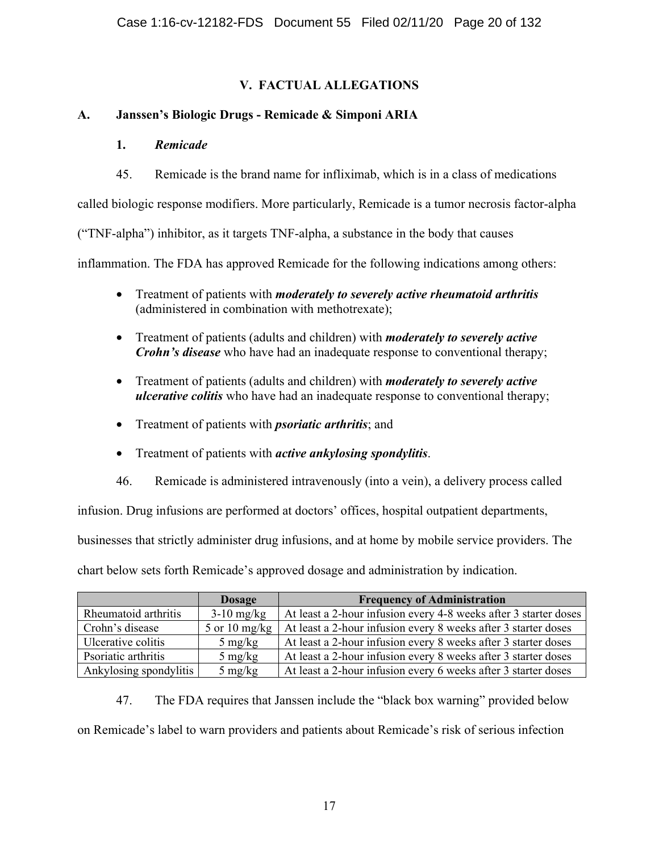# **V. FACTUAL ALLEGATIONS**

# **A. Janssen's Biologic Drugs - Remicade & Simponi ARIA**

## **1.** *Remicade*

45. Remicade is the brand name for infliximab, which is in a class of medications

called biologic response modifiers. More particularly, Remicade is a tumor necrosis factor-alpha

("TNF-alpha") inhibitor, as it targets TNF-alpha, a substance in the body that causes

inflammation. The FDA has approved Remicade for the following indications among others:

- Treatment of patients with *moderately to severely active rheumatoid arthritis* (administered in combination with methotrexate);
- Treatment of patients (adults and children) with *moderately to severely active Crohn's disease* who have had an inadequate response to conventional therapy;
- Treatment of patients (adults and children) with *moderately to severely active ulcerative colitis* who have had an inadequate response to conventional therapy;
- Treatment of patients with *psoriatic arthritis*; and
- Treatment of patients with *active ankylosing spondylitis*.
- 46. Remicade is administered intravenously (into a vein), a delivery process called

infusion. Drug infusions are performed at doctors' offices, hospital outpatient departments,

businesses that strictly administer drug infusions, and at home by mobile service providers. The

chart below sets forth Remicade's approved dosage and administration by indication.

|                        | <b>Dosage</b>     | <b>Frequency of Administration</b>                               |
|------------------------|-------------------|------------------------------------------------------------------|
| Rheumatoid arthritis   | $3-10$ mg/kg      | At least a 2-hour infusion every 4-8 weeks after 3 starter doses |
| Crohn's disease        | 5 or 10 mg/kg     | At least a 2-hour infusion every 8 weeks after 3 starter doses   |
| Ulcerative colitis     | $5 \text{ mg/kg}$ | At least a 2-hour infusion every 8 weeks after 3 starter doses   |
| Psoriatic arthritis    | $5 \text{ mg/kg}$ | At least a 2-hour infusion every 8 weeks after 3 starter doses   |
| Ankylosing spondylitis | $5 \text{ mg/kg}$ | At least a 2-hour infusion every 6 weeks after 3 starter doses   |

47. The FDA requires that Janssen include the "black box warning" provided below on Remicade's label to warn providers and patients about Remicade's risk of serious infection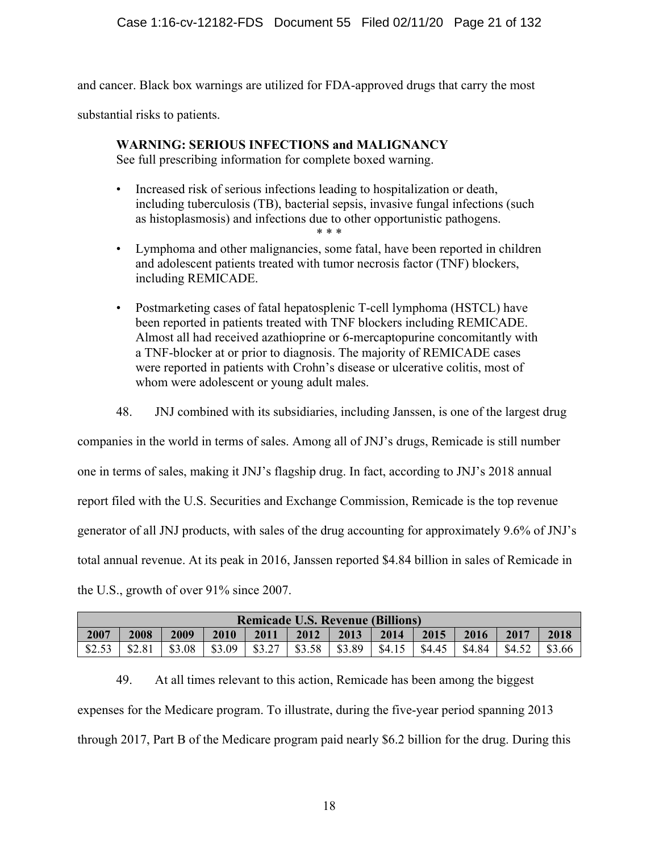and cancer. Black box warnings are utilized for FDA-approved drugs that carry the most

substantial risks to patients.

# **WARNING: SERIOUS INFECTIONS and MALIGNANCY**

See full prescribing information for complete boxed warning.

- Increased risk of serious infections leading to hospitalization or death, including tuberculosis (TB), bacterial sepsis, invasive fungal infections (such as histoplasmosis) and infections due to other opportunistic pathogens. \* \* \*
- Lymphoma and other malignancies, some fatal, have been reported in children and adolescent patients treated with tumor necrosis factor (TNF) blockers, including REMICADE.
- Postmarketing cases of fatal hepatosplenic T-cell lymphoma (HSTCL) have been reported in patients treated with TNF blockers including REMICADE. Almost all had received azathioprine or 6-mercaptopurine concomitantly with a TNF-blocker at or prior to diagnosis. The majority of REMICADE cases were reported in patients with Crohn's disease or ulcerative colitis, most of whom were adolescent or young adult males.
- 48. JNJ combined with its subsidiaries, including Janssen, is one of the largest drug

companies in the world in terms of sales. Among all of JNJ's drugs, Remicade is still number one in terms of sales, making it JNJ's flagship drug. In fact, according to JNJ's 2018 annual report filed with the U.S. Securities and Exchange Commission, Remicade is the top revenue generator of all JNJ products, with sales of the drug accounting for approximately 9.6% of JNJ's total annual revenue. At its peak in 2016, Janssen reported \$4.84 billion in sales of Remicade in the U.S., growth of over 91% since 2007.

| <b>Remicade U.S. Revenue (Billions)</b> |        |        |        |        |        |        |        |        |        |        |        |
|-----------------------------------------|--------|--------|--------|--------|--------|--------|--------|--------|--------|--------|--------|
| 2007                                    | 2008   | 2009   | 2010   | 2011   | 2012   | 2013   | 2014   | 2015   | 2016   | 2017   | 2018   |
| \$2.53                                  | \$2.81 | \$3.08 | \$3.09 | \$3.27 | \$3.58 | \$3.89 | \$4.15 | \$4.45 | \$4.84 | \$4.52 | \$3.66 |

49. At all times relevant to this action, Remicade has been among the biggest expenses for the Medicare program. To illustrate, during the five-year period spanning 2013 through 2017, Part B of the Medicare program paid nearly \$6.2 billion for the drug. During this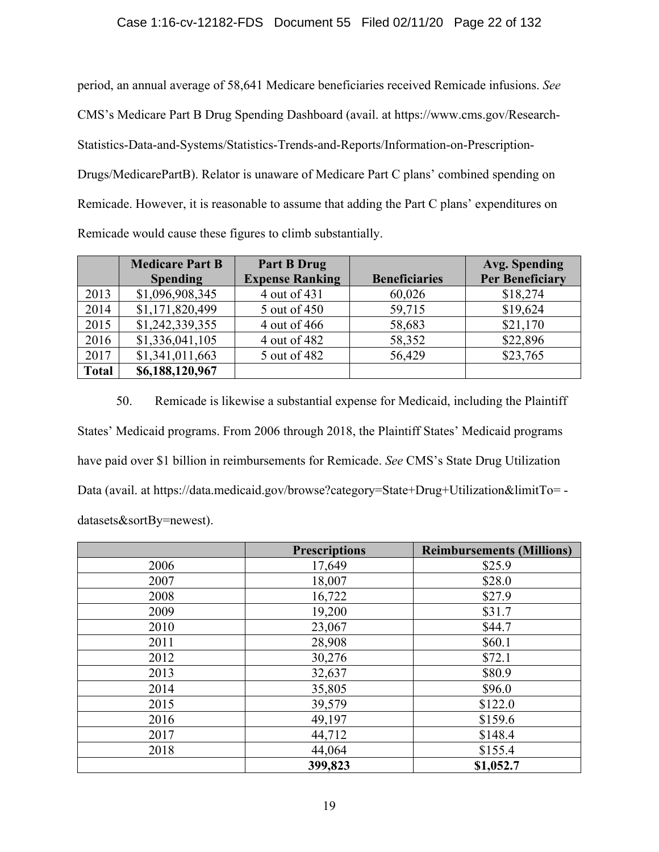### Case 1:16-cv-12182-FDS Document 55 Filed 02/11/20 Page 22 of 132

period, an annual average of 58,641 Medicare beneficiaries received Remicade infusions. *See* CMS's Medicare Part B Drug Spending Dashboard (avail. at https://www.cms.gov/Research-Statistics-Data-and-Systems/Statistics-Trends-and-Reports/Information-on-Prescription-Drugs/MedicarePartB). Relator is unaware of Medicare Part C plans' combined spending on Remicade. However, it is reasonable to assume that adding the Part C plans' expenditures on Remicade would cause these figures to climb substantially.

|              | <b>Medicare Part B</b> | Part B Drug            |                      | <b>Avg. Spending</b>   |
|--------------|------------------------|------------------------|----------------------|------------------------|
|              | <b>Spending</b>        | <b>Expense Ranking</b> | <b>Beneficiaries</b> | <b>Per Beneficiary</b> |
| 2013         | \$1,096,908,345        | 4 out of 431           | 60,026               | \$18,274               |
| 2014         | \$1,171,820,499        | 5 out of 450           | 59,715               | \$19,624               |
| 2015         | \$1,242,339,355        | 4 out of 466           | 58,683               | \$21,170               |
| 2016         | \$1,336,041,105        | 4 out of 482           | 58,352               | \$22,896               |
| 2017         | \$1,341,011,663        | 5 out of 482           | 56,429               | \$23,765               |
| <b>Total</b> | \$6,188,120,967        |                        |                      |                        |

50. Remicade is likewise a substantial expense for Medicaid, including the Plaintiff States' Medicaid programs. From 2006 through 2018, the Plaintiff States' Medicaid programs have paid over \$1 billion in reimbursements for Remicade. *See* CMS's State Drug Utilization Data (avail. at https://data.medicaid.gov/browse?category=State+Drug+Utilization&limitTo= datasets&sortBy=newest).

|      | <b>Prescriptions</b> | <b>Reimbursements (Millions)</b> |
|------|----------------------|----------------------------------|
| 2006 | 17,649               | \$25.9                           |
| 2007 | 18,007               | \$28.0                           |
| 2008 | 16,722               | \$27.9                           |
| 2009 | 19,200               | \$31.7                           |
| 2010 | 23,067               | \$44.7                           |
| 2011 | 28,908               | \$60.1                           |
| 2012 | 30,276               | \$72.1                           |
| 2013 | 32,637               | \$80.9                           |
| 2014 | 35,805               | \$96.0                           |
| 2015 | 39,579               | \$122.0                          |
| 2016 | 49,197               | \$159.6                          |
| 2017 | 44,712               | \$148.4                          |
| 2018 | 44,064               | \$155.4                          |
|      | 399,823              | \$1,052.7                        |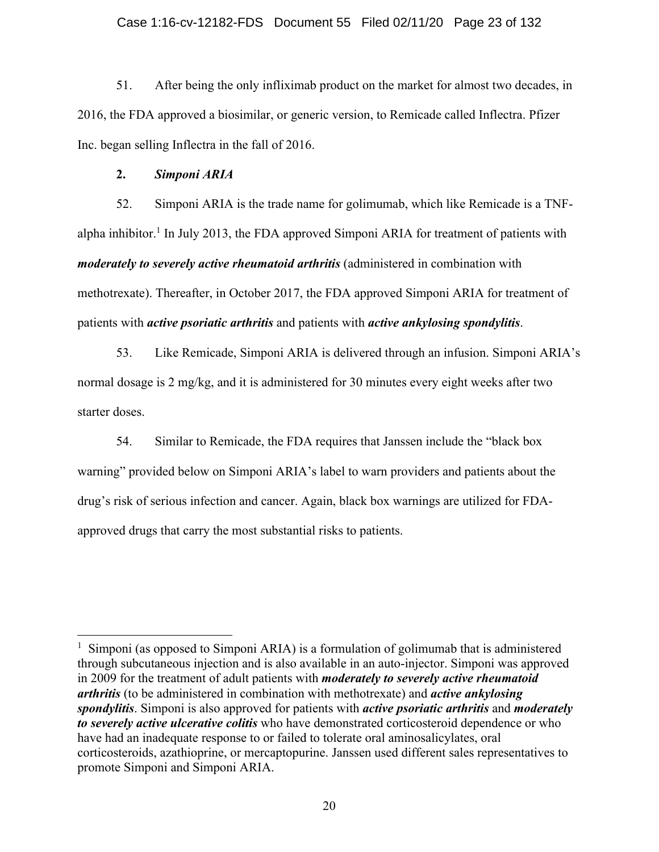### Case 1:16-cv-12182-FDS Document 55 Filed 02/11/20 Page 23 of 132

51. After being the only infliximab product on the market for almost two decades, in 2016, the FDA approved a biosimilar, or generic version, to Remicade called Inflectra. Pfizer Inc. began selling Inflectra in the fall of 2016.

#### **2.** *Simponi ARIA*

52. Simponi ARIA is the trade name for golimumab, which like Remicade is a TNFalpha inhibitor.<sup>1</sup> In July 2013, the FDA approved Simponi ARIA for treatment of patients with *moderately to severely active rheumatoid arthritis* (administered in combination with methotrexate). Thereafter, in October 2017, the FDA approved Simponi ARIA for treatment of patients with *active psoriatic arthritis* and patients with *active ankylosing spondylitis*.

53. Like Remicade, Simponi ARIA is delivered through an infusion. Simponi ARIA's normal dosage is 2 mg/kg, and it is administered for 30 minutes every eight weeks after two starter doses.

54. Similar to Remicade, the FDA requires that Janssen include the "black box warning" provided below on Simponi ARIA's label to warn providers and patients about the drug's risk of serious infection and cancer. Again, black box warnings are utilized for FDAapproved drugs that carry the most substantial risks to patients.

<sup>&</sup>lt;sup>1</sup> Simponi (as opposed to Simponi ARIA) is a formulation of golimumab that is administered through subcutaneous injection and is also available in an auto-injector. Simponi was approved in 2009 for the treatment of adult patients with *moderately to severely active rheumatoid arthritis* (to be administered in combination with methotrexate) and *active ankylosing spondylitis*. Simponi is also approved for patients with *active psoriatic arthritis* and *moderately to severely active ulcerative colitis* who have demonstrated corticosteroid dependence or who have had an inadequate response to or failed to tolerate oral aminosalicylates, oral corticosteroids, azathioprine, or mercaptopurine. Janssen used different sales representatives to promote Simponi and Simponi ARIA.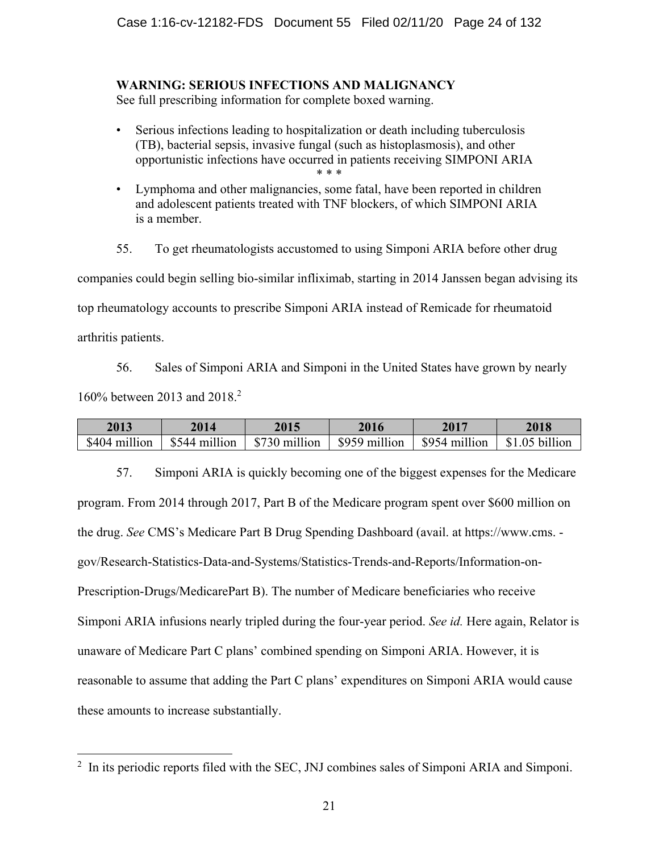# **WARNING: SERIOUS INFECTIONS AND MALIGNANCY**

See full prescribing information for complete boxed warning.

- Serious infections leading to hospitalization or death including tuberculosis (TB), bacterial sepsis, invasive fungal (such as histoplasmosis), and other opportunistic infections have occurred in patients receiving SIMPONI ARIA \* \* \*
- Lymphoma and other malignancies, some fatal, have been reported in children and adolescent patients treated with TNF blockers, of which SIMPONI ARIA is a member.

55. To get rheumatologists accustomed to using Simponi ARIA before other drug companies could begin selling bio-similar infliximab, starting in 2014 Janssen began advising its top rheumatology accounts to prescribe Simponi ARIA instead of Remicade for rheumatoid arthritis patients.

56. Sales of Simponi ARIA and Simponi in the United States have grown by nearly 160% between 2013 and 2018.2

| 2013          | 2014          | 2015                        | 2016                      | 2017         | 2018           |
|---------------|---------------|-----------------------------|---------------------------|--------------|----------------|
| \$404 million | \$544 million | $\frac{1}{2}$ \$730 million | $\parallel$ \$959 million | S954 million | \$1.05 billion |

57. Simponi ARIA is quickly becoming one of the biggest expenses for the Medicare program. From 2014 through 2017, Part B of the Medicare program spent over \$600 million on the drug. *See* CMS's Medicare Part B Drug Spending Dashboard (avail. at https://www.cms. gov/Research-Statistics-Data-and-Systems/Statistics-Trends-and-Reports/Information-on-Prescription-Drugs/MedicarePart B). The number of Medicare beneficiaries who receive Simponi ARIA infusions nearly tripled during the four-year period. *See id.* Here again, Relator is unaware of Medicare Part C plans' combined spending on Simponi ARIA. However, it is reasonable to assume that adding the Part C plans' expenditures on Simponi ARIA would cause these amounts to increase substantially.

<sup>&</sup>lt;sup>2</sup> In its periodic reports filed with the SEC, JNJ combines sales of Simponi ARIA and Simponi.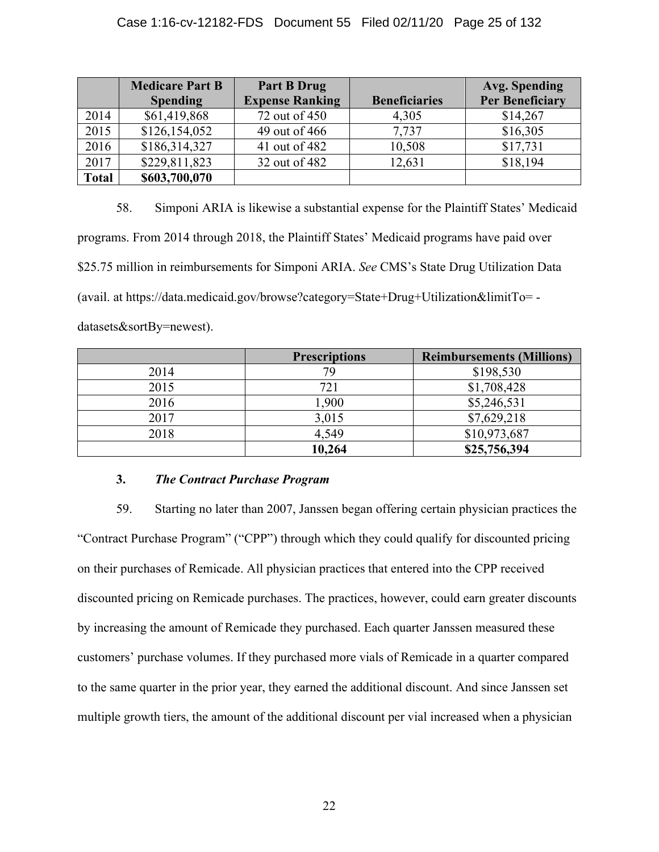|              | <b>Medicare Part B</b> | <b>Part B Drug</b>     |                      | <b>Avg. Spending</b>   |
|--------------|------------------------|------------------------|----------------------|------------------------|
|              | <b>Spending</b>        | <b>Expense Ranking</b> | <b>Beneficiaries</b> | <b>Per Beneficiary</b> |
| 2014         | \$61,419,868           | 72 out of 450          | 4,305                | \$14,267               |
| 2015         | \$126,154,052          | 49 out of 466          | 7,737                | \$16,305               |
| 2016         | \$186,314,327          | 41 out of 482          | 10,508               | \$17,731               |
| 2017         | \$229,811,823          | 32 out of 482          | 12,631               | \$18,194               |
| <b>Total</b> | \$603,700,070          |                        |                      |                        |

58. Simponi ARIA is likewise a substantial expense for the Plaintiff States' Medicaid programs. From 2014 through 2018, the Plaintiff States' Medicaid programs have paid over \$25.75 million in reimbursements for Simponi ARIA. *See* CMS's State Drug Utilization Data (avail. at https://data.medicaid.gov/browse?category=State+Drug+Utilization&limitTo= datasets&sortBy=newest).

|      | <b>Prescriptions</b> | <b>Reimbursements (Millions)</b> |
|------|----------------------|----------------------------------|
| 2014 | 79                   | \$198,530                        |
| 2015 | 721                  | \$1,708,428                      |
| 2016 | 1,900                | \$5,246,531                      |
| 2017 | 3,015                | \$7,629,218                      |
| 2018 | 4,549                | \$10,973,687                     |
|      | 10,264               | \$25,756,394                     |

# **3.** *The Contract Purchase Program*

59. Starting no later than 2007, Janssen began offering certain physician practices the "Contract Purchase Program" ("CPP") through which they could qualify for discounted pricing on their purchases of Remicade. All physician practices that entered into the CPP received discounted pricing on Remicade purchases. The practices, however, could earn greater discounts by increasing the amount of Remicade they purchased. Each quarter Janssen measured these customers' purchase volumes. If they purchased more vials of Remicade in a quarter compared to the same quarter in the prior year, they earned the additional discount. And since Janssen set multiple growth tiers, the amount of the additional discount per vial increased when a physician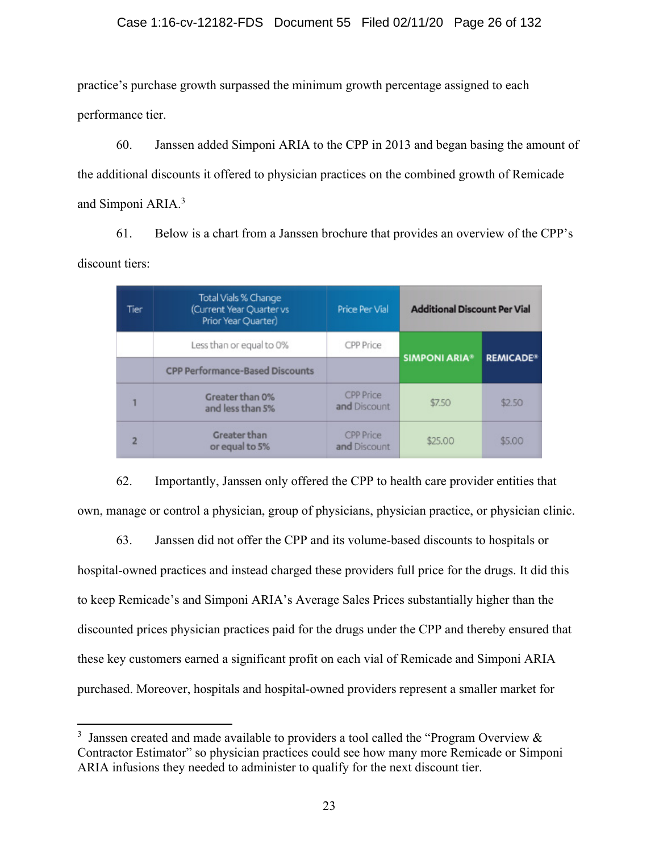practice's purchase growth surpassed the minimum growth percentage assigned to each performance tier.

60. Janssen added Simponi ARIA to the CPP in 2013 and began basing the amount of the additional discounts it offered to physician practices on the combined growth of Remicade and Simponi ARIA.<sup>3</sup>

61. Below is a chart from a Janssen brochure that provides an overview of the CPP's discount tiers:

| Tier | Total Vials % Change<br>(Current Year Quarter vs<br>Prior Year Quarter) | Price Per Vial                   | <b>Additional Discount Per Vial</b> |                  |
|------|-------------------------------------------------------------------------|----------------------------------|-------------------------------------|------------------|
|      | Less than or equal to 0%                                                | CPP Price                        | <b>SIMPONI ARIA®</b>                | <b>REMICADE®</b> |
|      | <b>CPP Performance-Based Discounts</b>                                  |                                  |                                     |                  |
|      | Greater than 0%<br>and less than 5%                                     | <b>CPP Price</b><br>and Discount | \$7.50                              | \$2.50           |
|      | <b>Greater than</b><br>or equal to 5%                                   | <b>CPP Price</b><br>and Discount | \$25.00                             | \$5.00           |

62. Importantly, Janssen only offered the CPP to health care provider entities that own, manage or control a physician, group of physicians, physician practice, or physician clinic.

63. Janssen did not offer the CPP and its volume-based discounts to hospitals or hospital-owned practices and instead charged these providers full price for the drugs. It did this to keep Remicade's and Simponi ARIA's Average Sales Prices substantially higher than the discounted prices physician practices paid for the drugs under the CPP and thereby ensured that these key customers earned a significant profit on each vial of Remicade and Simponi ARIA purchased. Moreover, hospitals and hospital-owned providers represent a smaller market for

<sup>&</sup>lt;sup>3</sup> Janssen created and made available to providers a tool called the "Program Overview  $\&$ Contractor Estimator" so physician practices could see how many more Remicade or Simponi ARIA infusions they needed to administer to qualify for the next discount tier.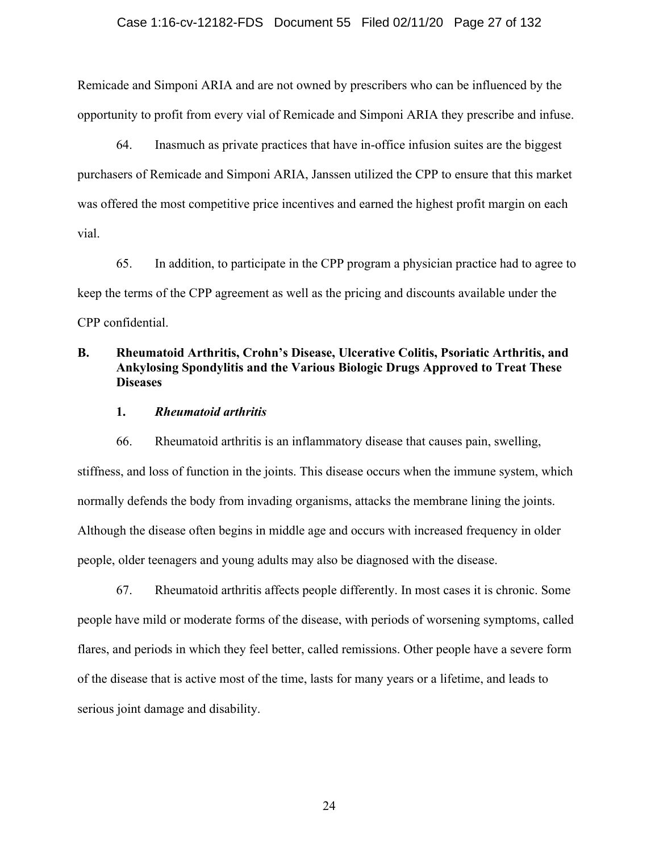### Case 1:16-cv-12182-FDS Document 55 Filed 02/11/20 Page 27 of 132

Remicade and Simponi ARIA and are not owned by prescribers who can be influenced by the opportunity to profit from every vial of Remicade and Simponi ARIA they prescribe and infuse.

64. Inasmuch as private practices that have in-office infusion suites are the biggest purchasers of Remicade and Simponi ARIA, Janssen utilized the CPP to ensure that this market was offered the most competitive price incentives and earned the highest profit margin on each vial.

65. In addition, to participate in the CPP program a physician practice had to agree to keep the terms of the CPP agreement as well as the pricing and discounts available under the CPP confidential.

# **B. Rheumatoid Arthritis, Crohn's Disease, Ulcerative Colitis, Psoriatic Arthritis, and Ankylosing Spondylitis and the Various Biologic Drugs Approved to Treat These Diseases**

### **1.** *Rheumatoid arthritis*

66. Rheumatoid arthritis is an inflammatory disease that causes pain, swelling, stiffness, and loss of function in the joints. This disease occurs when the immune system, which normally defends the body from invading organisms, attacks the membrane lining the joints. Although the disease often begins in middle age and occurs with increased frequency in older people, older teenagers and young adults may also be diagnosed with the disease.

67. Rheumatoid arthritis affects people differently. In most cases it is chronic. Some people have mild or moderate forms of the disease, with periods of worsening symptoms, called flares, and periods in which they feel better, called remissions. Other people have a severe form of the disease that is active most of the time, lasts for many years or a lifetime, and leads to serious joint damage and disability.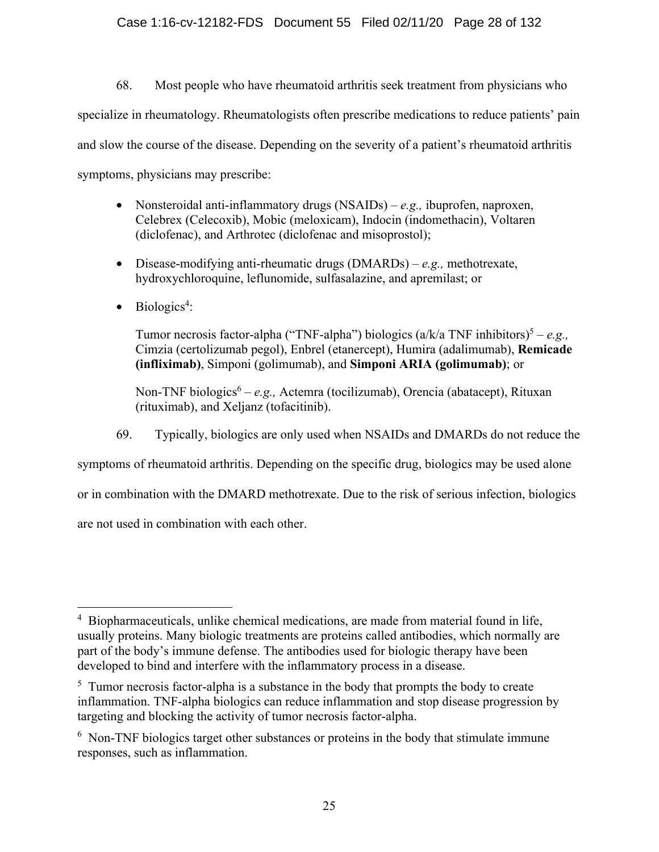### Case 1:16-cv-12182-FDS Document 55 Filed 02/11/20 Page 28 of 132

68. Most people who have rheumatoid arthritis seek treatment from physicians who specialize in rheumatology. Rheumatologists often prescribe medications to reduce patients' pain and slow the course of the disease. Depending on the severity of a patient's rheumatoid arthritis symptoms, physicians may prescribe:

- Nonsteroidal anti-inflammatory drugs (NSAIDs) *e.g.,* ibuprofen, naproxen, Celebrex (Celecoxib), Mobic (meloxicam), Indocin (indomethacin), Voltaren (diclofenac), and Arthrotec (diclofenac and misoprostol);
- Disease-modifying anti-rheumatic drugs (DMARDs) *e.g.,* methotrexate, hydroxychloroquine, leflunomide, sulfasalazine, and apremilast; or
- $\bullet$  Biologics<sup>4</sup>:

Tumor necrosis factor-alpha ("TNF-alpha") biologics  $(a/k/a)$  TNF inhibitors)<sup>5</sup> – *e.g.*, Cimzia (certolizumab pegol), Enbrel (etanercept), Humira (adalimumab), **Remicade (infliximab)**, Simponi (golimumab), and **Simponi ARIA (golimumab)**; or

Non-TNF biologics<sup>6</sup> – e.g., Actemra (tocilizumab), Orencia (abatacept), Rituxan (rituximab), and Xeljanz (tofacitinib).

69. Typically, biologics are only used when NSAIDs and DMARDs do not reduce the

symptoms of rheumatoid arthritis. Depending on the specific drug, biologics may be used alone

or in combination with the DMARD methotrexate. Due to the risk of serious infection, biologics

are not used in combination with each other.

<sup>&</sup>lt;sup>4</sup> Biopharmaceuticals, unlike chemical medications, are made from material found in life, usually proteins. Many biologic treatments are proteins called antibodies, which normally are part of the body's immune defense. The antibodies used for biologic therapy have been developed to bind and interfere with the inflammatory process in a disease.

 $5$  Tumor necrosis factor-alpha is a substance in the body that prompts the body to create inflammation. TNF-alpha biologics can reduce inflammation and stop disease progression by targeting and blocking the activity of tumor necrosis factor-alpha.

 $6$  Non-TNF biologics target other substances or proteins in the body that stimulate immune responses, such as inflammation.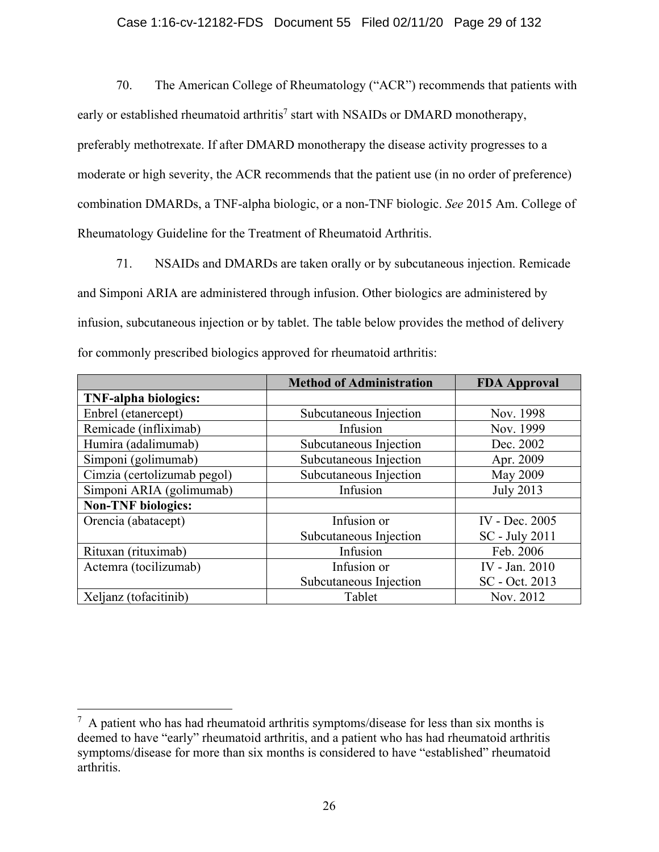### Case 1:16-cv-12182-FDS Document 55 Filed 02/11/20 Page 29 of 132

70. The American College of Rheumatology ("ACR") recommends that patients with early or established rheumatoid arthritis<sup>7</sup> start with NSAIDs or DMARD monotherapy, preferably methotrexate. If after DMARD monotherapy the disease activity progresses to a moderate or high severity, the ACR recommends that the patient use (in no order of preference) combination DMARDs, a TNF-alpha biologic, or a non-TNF biologic. *See* 2015 Am. College of Rheumatology Guideline for the Treatment of Rheumatoid Arthritis.

71. NSAIDs and DMARDs are taken orally or by subcutaneous injection. Remicade and Simponi ARIA are administered through infusion. Other biologics are administered by infusion, subcutaneous injection or by tablet. The table below provides the method of delivery for commonly prescribed biologics approved for rheumatoid arthritis:

|                             | <b>Method of Administration</b> | <b>FDA Approval</b> |
|-----------------------------|---------------------------------|---------------------|
| <b>TNF-alpha biologics:</b> |                                 |                     |
| Enbrel (etanercept)         | Subcutaneous Injection          | Nov. 1998           |
| Remicade (infliximab)       | Infusion                        | Nov. 1999           |
| Humira (adalimumab)         | Subcutaneous Injection          | Dec. 2002           |
| Simponi (golimumab)         | Subcutaneous Injection          | Apr. 2009           |
| Cimzia (certolizumab pegol) | Subcutaneous Injection          | May 2009            |
| Simponi ARIA (golimumab)    | Infusion                        | <b>July 2013</b>    |
| <b>Non-TNF</b> biologics:   |                                 |                     |
| Orencia (abatacept)         | Infusion or                     | IV - Dec. 2005      |
|                             | Subcutaneous Injection          | SC - July 2011      |
| Rituxan (rituximab)         | Infusion                        | Feb. 2006           |
| Actemra (tocilizumab)       | Infusion or                     | IV - Jan. 2010      |
|                             | Subcutaneous Injection          | SC - Oct. 2013      |
| Xeljanz (tofacitinib)       | Tablet                          | Nov. 2012           |

 $<sup>7</sup>$  A patient who has had rheumatoid arthritis symptoms/disease for less than six months is</sup> deemed to have "early" rheumatoid arthritis, and a patient who has had rheumatoid arthritis symptoms/disease for more than six months is considered to have "established" rheumatoid arthritis.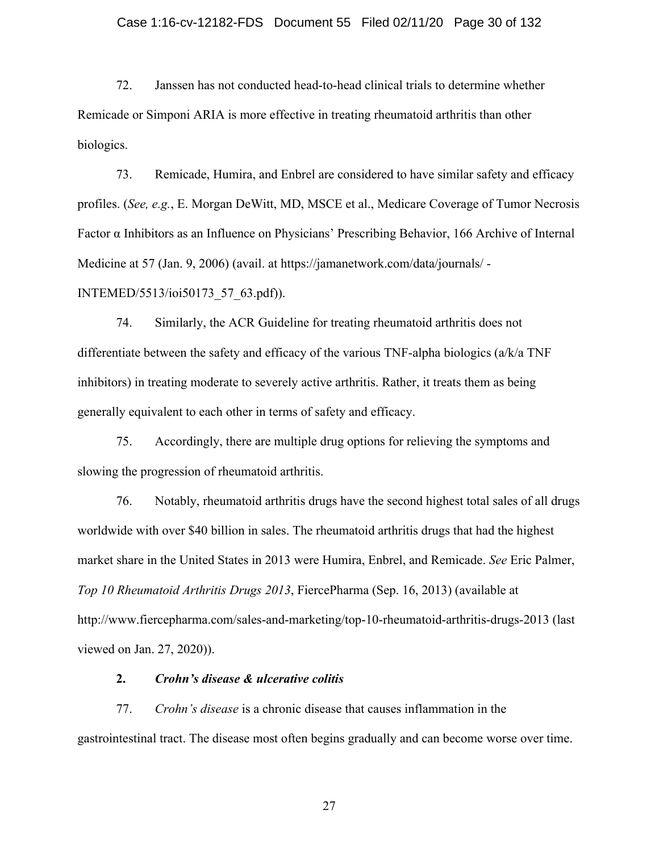### Case 1:16-cv-12182-FDS Document 55 Filed 02/11/20 Page 30 of 132

72. Janssen has not conducted head-to-head clinical trials to determine whether Remicade or Simponi ARIA is more effective in treating rheumatoid arthritis than other biologics.

73. Remicade, Humira, and Enbrel are considered to have similar safety and efficacy profiles. (*See, e.g.*, E. Morgan DeWitt, MD, MSCE et al., Medicare Coverage of Tumor Necrosis Factor α Inhibitors as an Influence on Physicians' Prescribing Behavior, 166 Archive of Internal Medicine at 57 (Jan. 9, 2006) (avail. at https://jamanetwork.com/data/journals/ -

INTEMED/5513/ioi50173\_57\_63.pdf)).

74. Similarly, the ACR Guideline for treating rheumatoid arthritis does not differentiate between the safety and efficacy of the various TNF-alpha biologics (a/k/a TNF inhibitors) in treating moderate to severely active arthritis. Rather, it treats them as being generally equivalent to each other in terms of safety and efficacy.

75. Accordingly, there are multiple drug options for relieving the symptoms and slowing the progression of rheumatoid arthritis.

76. Notably, rheumatoid arthritis drugs have the second highest total sales of all drugs worldwide with over \$40 billion in sales. The rheumatoid arthritis drugs that had the highest market share in the United States in 2013 were Humira, Enbrel, and Remicade. *See* Eric Palmer, *Top 10 Rheumatoid Arthritis Drugs 2013*, FiercePharma (Sep. 16, 2013) (available at http://www.fiercepharma.com/sales-and-marketing/top-10-rheumatoid-arthritis-drugs-2013 (last viewed on Jan. 27, 2020)).

### **2.** *Crohn's disease & ulcerative colitis*

77. *Crohn's disease* is a chronic disease that causes inflammation in the gastrointestinal tract. The disease most often begins gradually and can become worse over time.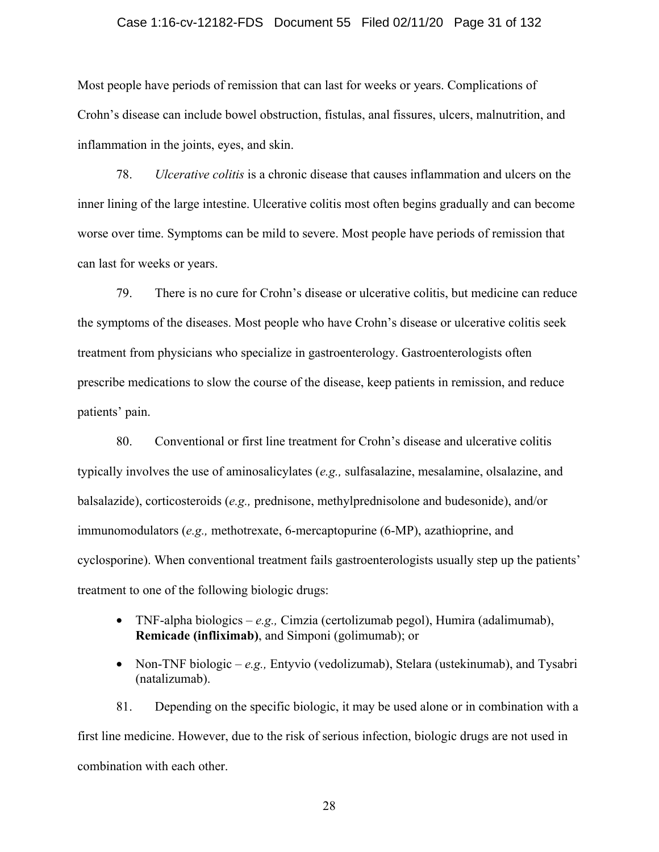#### Case 1:16-cv-12182-FDS Document 55 Filed 02/11/20 Page 31 of 132

Most people have periods of remission that can last for weeks or years. Complications of Crohn's disease can include bowel obstruction, fistulas, anal fissures, ulcers, malnutrition, and inflammation in the joints, eyes, and skin.

78. *Ulcerative colitis* is a chronic disease that causes inflammation and ulcers on the inner lining of the large intestine. Ulcerative colitis most often begins gradually and can become worse over time. Symptoms can be mild to severe. Most people have periods of remission that can last for weeks or years.

79. There is no cure for Crohn's disease or ulcerative colitis, but medicine can reduce the symptoms of the diseases. Most people who have Crohn's disease or ulcerative colitis seek treatment from physicians who specialize in gastroenterology. Gastroenterologists often prescribe medications to slow the course of the disease, keep patients in remission, and reduce patients' pain.

80. Conventional or first line treatment for Crohn's disease and ulcerative colitis typically involves the use of aminosalicylates (*e.g.,* sulfasalazine, mesalamine, olsalazine, and balsalazide), corticosteroids (*e.g.,* prednisone, methylprednisolone and budesonide), and/or immunomodulators (*e.g.,* methotrexate, 6-mercaptopurine (6-MP), azathioprine, and cyclosporine). When conventional treatment fails gastroenterologists usually step up the patients' treatment to one of the following biologic drugs:

- TNF-alpha biologics *e.g.,* Cimzia (certolizumab pegol), Humira (adalimumab), **Remicade (infliximab)**, and Simponi (golimumab); or
- Non-TNF biologic *e.g.*, Entyvio (vedolizumab), Stelara (ustekinumab), and Tysabri (natalizumab).

81. Depending on the specific biologic, it may be used alone or in combination with a first line medicine. However, due to the risk of serious infection, biologic drugs are not used in combination with each other.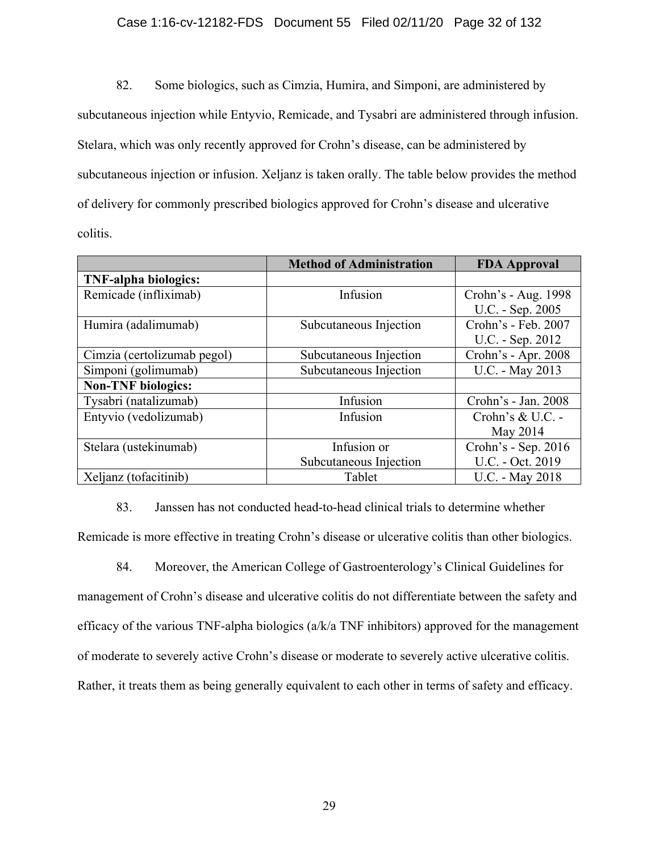### Case 1:16-cv-12182-FDS Document 55 Filed 02/11/20 Page 32 of 132

82. Some biologics, such as Cimzia, Humira, and Simponi, are administered by subcutaneous injection while Entyvio, Remicade, and Tysabri are administered through infusion. Stelara, which was only recently approved for Crohn's disease, can be administered by subcutaneous injection or infusion. Xeljanz is taken orally. The table below provides the method of delivery for commonly prescribed biologics approved for Crohn's disease and ulcerative colitis.

|                             | <b>Method of Administration</b> | <b>FDA</b> Approval |
|-----------------------------|---------------------------------|---------------------|
| <b>TNF-alpha biologics:</b> |                                 |                     |
| Remicade (infliximab)       | Infusion                        | Crohn's - Aug. 1998 |
|                             |                                 | U.C. - Sep. 2005    |
| Humira (adalimumab)         | Subcutaneous Injection          | Crohn's - Feb. 2007 |
|                             |                                 | U.C. - Sep. 2012    |
| Cimzia (certolizumab pegol) | Subcutaneous Injection          | Crohn's - Apr. 2008 |
| Simponi (golimumab)         | Subcutaneous Injection          | U.C. - May 2013     |
| <b>Non-TNF</b> biologics:   |                                 |                     |
| Tysabri (natalizumab)       | Infusion                        | Crohn's - Jan. 2008 |
| Entyvio (vedolizumab)       | Infusion                        | Crohn's & U.C. -    |
|                             |                                 | May 2014            |
| Stelara (ustekinumab)       | Infusion or                     | Crohn's - Sep. 2016 |
|                             | Subcutaneous Injection          | U.C. - Oct. 2019    |
| Xeljanz (tofacitinib)       | Tablet                          | U.C. - May 2018     |

83. Janssen has not conducted head-to-head clinical trials to determine whether Remicade is more effective in treating Crohn's disease or ulcerative colitis than other biologics.

84. Moreover, the American College of Gastroenterology's Clinical Guidelines for management of Crohn's disease and ulcerative colitis do not differentiate between the safety and efficacy of the various TNF-alpha biologics (a/k/a TNF inhibitors) approved for the management of moderate to severely active Crohn's disease or moderate to severely active ulcerative colitis. Rather, it treats them as being generally equivalent to each other in terms of safety and efficacy.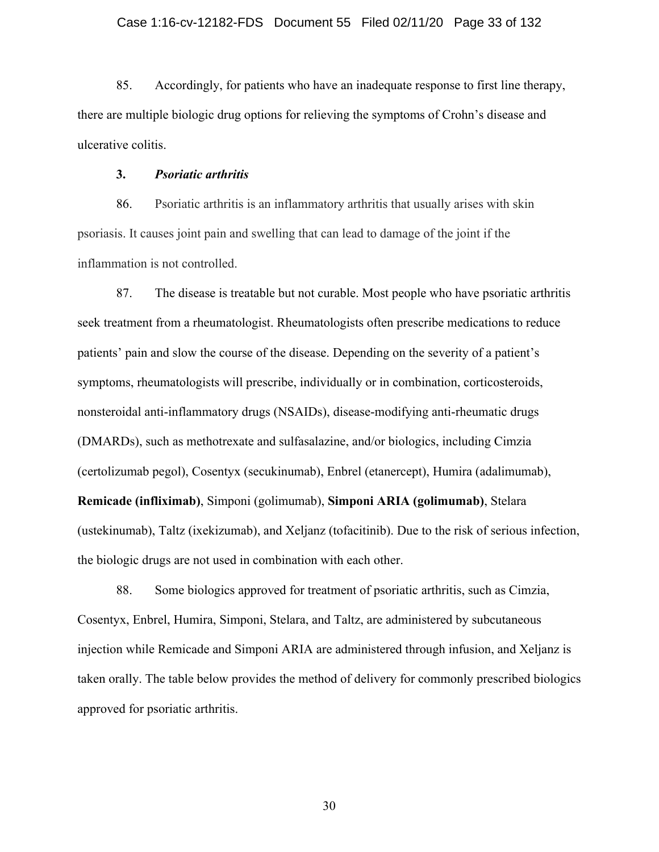85. Accordingly, for patients who have an inadequate response to first line therapy, there are multiple biologic drug options for relieving the symptoms of Crohn's disease and ulcerative colitis.

### **3.** *Psoriatic arthritis*

86. Psoriatic arthritis is an inflammatory arthritis that usually arises with skin psoriasis. It causes joint pain and swelling that can lead to damage of the joint if the inflammation is not controlled.

87. The disease is treatable but not curable. Most people who have psoriatic arthritis seek treatment from a rheumatologist. Rheumatologists often prescribe medications to reduce patients' pain and slow the course of the disease. Depending on the severity of a patient's symptoms, rheumatologists will prescribe, individually or in combination, corticosteroids, nonsteroidal anti-inflammatory drugs (NSAIDs), disease-modifying anti-rheumatic drugs (DMARDs), such as methotrexate and sulfasalazine, and/or biologics, including Cimzia (certolizumab pegol), Cosentyx (secukinumab), Enbrel (etanercept), Humira (adalimumab), **Remicade (infliximab)**, Simponi (golimumab), **Simponi ARIA (golimumab)**, Stelara (ustekinumab), Taltz (ixekizumab), and Xeljanz (tofacitinib). Due to the risk of serious infection, the biologic drugs are not used in combination with each other.

88. Some biologics approved for treatment of psoriatic arthritis, such as Cimzia, Cosentyx, Enbrel, Humira, Simponi, Stelara, and Taltz, are administered by subcutaneous injection while Remicade and Simponi ARIA are administered through infusion, and Xeljanz is taken orally. The table below provides the method of delivery for commonly prescribed biologics approved for psoriatic arthritis.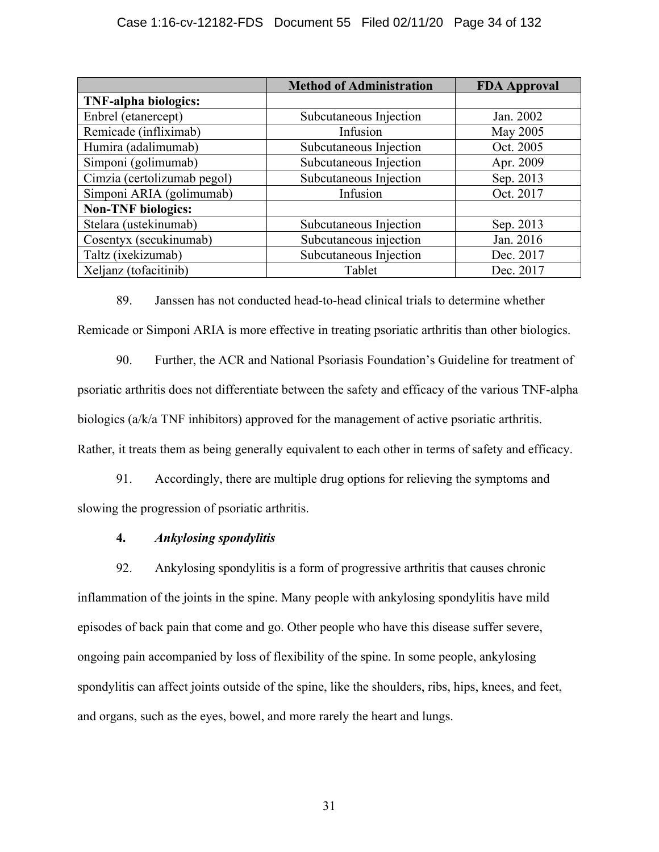|                             | <b>Method of Administration</b> | <b>FDA</b> Approval |
|-----------------------------|---------------------------------|---------------------|
| <b>TNF-alpha biologics:</b> |                                 |                     |
| Enbrel (etanercept)         | Subcutaneous Injection          | Jan. 2002           |
| Remicade (infliximab)       | Infusion                        | May 2005            |
| Humira (adalimumab)         | Subcutaneous Injection          | Oct. 2005           |
| Simponi (golimumab)         | Subcutaneous Injection          | Apr. 2009           |
| Cimzia (certolizumab pegol) | Subcutaneous Injection          | Sep. 2013           |
| Simponi ARIA (golimumab)    | Infusion                        | Oct. 2017           |
| <b>Non-TNF</b> biologics:   |                                 |                     |
| Stelara (ustekinumab)       | Subcutaneous Injection          | Sep. 2013           |
| Cosentyx (secukinumab)      | Subcutaneous injection          | Jan. 2016           |
| Taltz (ixekizumab)          | Subcutaneous Injection          | Dec. 2017           |
| Xeljanz (tofacitinib)       | Tablet                          | Dec. 2017           |

89. Janssen has not conducted head-to-head clinical trials to determine whether Remicade or Simponi ARIA is more effective in treating psoriatic arthritis than other biologics.

90. Further, the ACR and National Psoriasis Foundation's Guideline for treatment of psoriatic arthritis does not differentiate between the safety and efficacy of the various TNF-alpha biologics (a/k/a TNF inhibitors) approved for the management of active psoriatic arthritis. Rather, it treats them as being generally equivalent to each other in terms of safety and efficacy.

91. Accordingly, there are multiple drug options for relieving the symptoms and slowing the progression of psoriatic arthritis.

# **4.** *Ankylosing spondylitis*

92. Ankylosing spondylitis is a form of progressive arthritis that causes chronic inflammation of the joints in the spine. Many people with ankylosing spondylitis have mild episodes of back pain that come and go. Other people who have this disease suffer severe, ongoing pain accompanied by loss of flexibility of the spine. In some people, ankylosing spondylitis can affect joints outside of the spine, like the shoulders, ribs, hips, knees, and feet, and organs, such as the eyes, bowel, and more rarely the heart and lungs.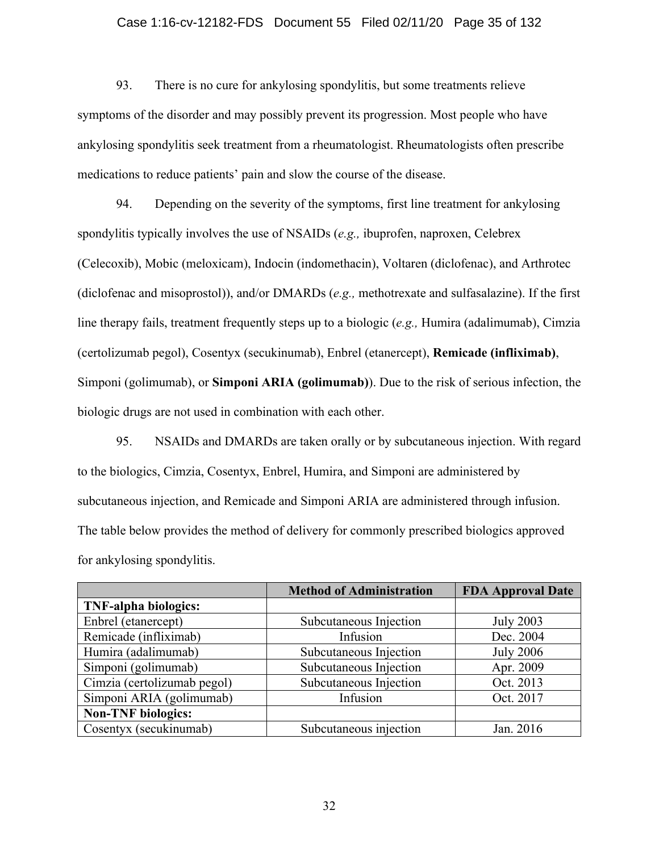### Case 1:16-cv-12182-FDS Document 55 Filed 02/11/20 Page 35 of 132

93. There is no cure for ankylosing spondylitis, but some treatments relieve symptoms of the disorder and may possibly prevent its progression. Most people who have ankylosing spondylitis seek treatment from a rheumatologist. Rheumatologists often prescribe medications to reduce patients' pain and slow the course of the disease.

94. Depending on the severity of the symptoms, first line treatment for ankylosing spondylitis typically involves the use of NSAIDs (*e.g.,* ibuprofen, naproxen, Celebrex (Celecoxib), Mobic (meloxicam), Indocin (indomethacin), Voltaren (diclofenac), and Arthrotec (diclofenac and misoprostol)), and/or DMARDs (*e.g.,* methotrexate and sulfasalazine). If the first line therapy fails, treatment frequently steps up to a biologic (*e.g.,* Humira (adalimumab), Cimzia (certolizumab pegol), Cosentyx (secukinumab), Enbrel (etanercept), **Remicade (infliximab)**, Simponi (golimumab), or **Simponi ARIA (golimumab)**). Due to the risk of serious infection, the biologic drugs are not used in combination with each other.

95. NSAIDs and DMARDs are taken orally or by subcutaneous injection. With regard to the biologics, Cimzia, Cosentyx, Enbrel, Humira, and Simponi are administered by subcutaneous injection, and Remicade and Simponi ARIA are administered through infusion. The table below provides the method of delivery for commonly prescribed biologics approved for ankylosing spondylitis.

|                             | <b>Method of Administration</b> | <b>FDA Approval Date</b> |
|-----------------------------|---------------------------------|--------------------------|
| <b>TNF-alpha biologics:</b> |                                 |                          |
| Enbrel (etanercept)         | Subcutaneous Injection          | <b>July 2003</b>         |
| Remicade (infliximab)       | Infusion                        | Dec. 2004                |
| Humira (adalimumab)         | Subcutaneous Injection          | <b>July 2006</b>         |
| Simponi (golimumab)         | Subcutaneous Injection          | Apr. 2009                |
| Cimzia (certolizumab pegol) | Subcutaneous Injection          | Oct. 2013                |
| Simponi ARIA (golimumab)    | Infusion                        | Oct. 2017                |
| <b>Non-TNF</b> biologics:   |                                 |                          |
| Cosentyx (secukinumab)      | Subcutaneous injection          | Jan. 2016                |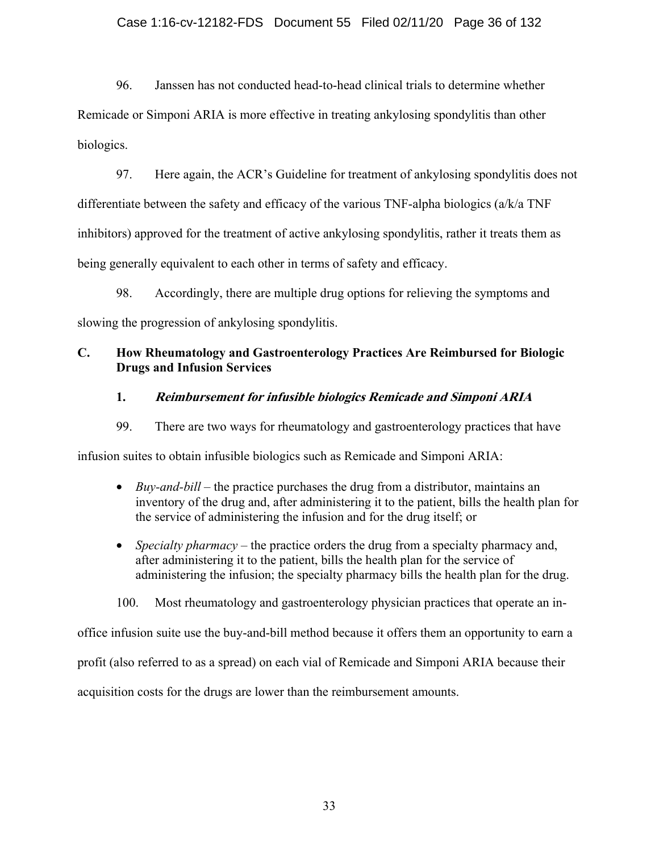### Case 1:16-cv-12182-FDS Document 55 Filed 02/11/20 Page 36 of 132

96. Janssen has not conducted head-to-head clinical trials to determine whether Remicade or Simponi ARIA is more effective in treating ankylosing spondylitis than other biologics.

97. Here again, the ACR's Guideline for treatment of ankylosing spondylitis does not differentiate between the safety and efficacy of the various TNF-alpha biologics (a/k/a TNF inhibitors) approved for the treatment of active ankylosing spondylitis, rather it treats them as being generally equivalent to each other in terms of safety and efficacy.

98. Accordingly, there are multiple drug options for relieving the symptoms and slowing the progression of ankylosing spondylitis.

## **C. How Rheumatology and Gastroenterology Practices Are Reimbursed for Biologic Drugs and Infusion Services**

### **1. Reimbursement for infusible biologics Remicade and Simponi ARIA**

99. There are two ways for rheumatology and gastroenterology practices that have

infusion suites to obtain infusible biologics such as Remicade and Simponi ARIA:

- *Buy-and-bill* the practice purchases the drug from a distributor, maintains an inventory of the drug and, after administering it to the patient, bills the health plan for the service of administering the infusion and for the drug itself; or
- *Specialty pharmacy* the practice orders the drug from a specialty pharmacy and, after administering it to the patient, bills the health plan for the service of administering the infusion; the specialty pharmacy bills the health plan for the drug.
- 100. Most rheumatology and gastroenterology physician practices that operate an in-

office infusion suite use the buy-and-bill method because it offers them an opportunity to earn a

profit (also referred to as a spread) on each vial of Remicade and Simponi ARIA because their

acquisition costs for the drugs are lower than the reimbursement amounts.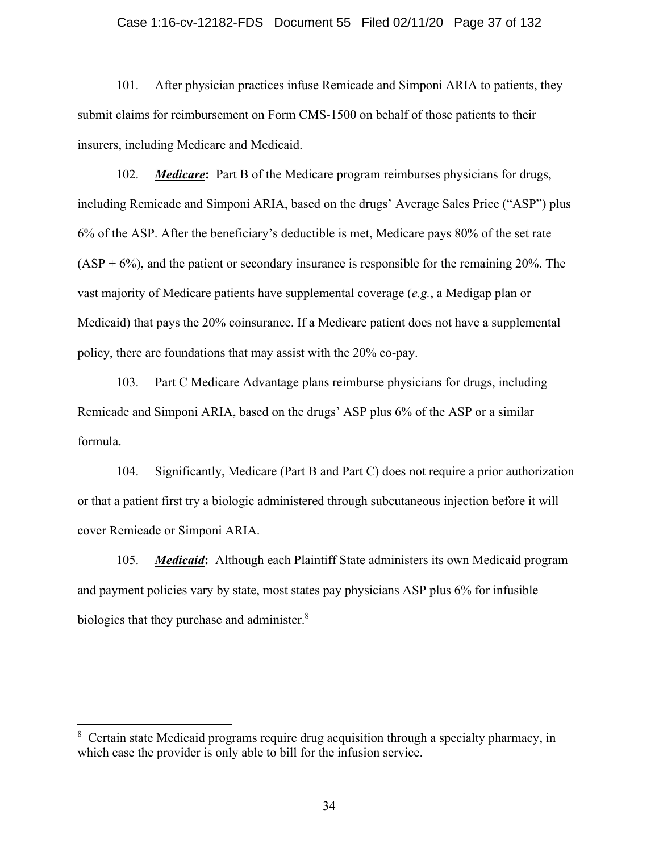#### Case 1:16-cv-12182-FDS Document 55 Filed 02/11/20 Page 37 of 132

101. After physician practices infuse Remicade and Simponi ARIA to patients, they submit claims for reimbursement on Form CMS-1500 on behalf of those patients to their insurers, including Medicare and Medicaid.

102. *Medicare***:** Part B of the Medicare program reimburses physicians for drugs, including Remicade and Simponi ARIA, based on the drugs' Average Sales Price ("ASP") plus 6% of the ASP. After the beneficiary's deductible is met, Medicare pays 80% of the set rate  $(ASP + 6\%)$ , and the patient or secondary insurance is responsible for the remaining 20%. The vast majority of Medicare patients have supplemental coverage (*e.g.*, a Medigap plan or Medicaid) that pays the 20% coinsurance. If a Medicare patient does not have a supplemental policy, there are foundations that may assist with the 20% co-pay.

103. Part C Medicare Advantage plans reimburse physicians for drugs, including Remicade and Simponi ARIA, based on the drugs' ASP plus 6% of the ASP or a similar formula.

104. Significantly, Medicare (Part B and Part C) does not require a prior authorization or that a patient first try a biologic administered through subcutaneous injection before it will cover Remicade or Simponi ARIA.

105. *Medicaid***:** Although each Plaintiff State administers its own Medicaid program and payment policies vary by state, most states pay physicians ASP plus 6% for infusible biologics that they purchase and administer.<sup>8</sup>

<sup>&</sup>lt;sup>8</sup> Certain state Medicaid programs require drug acquisition through a specialty pharmacy, in which case the provider is only able to bill for the infusion service.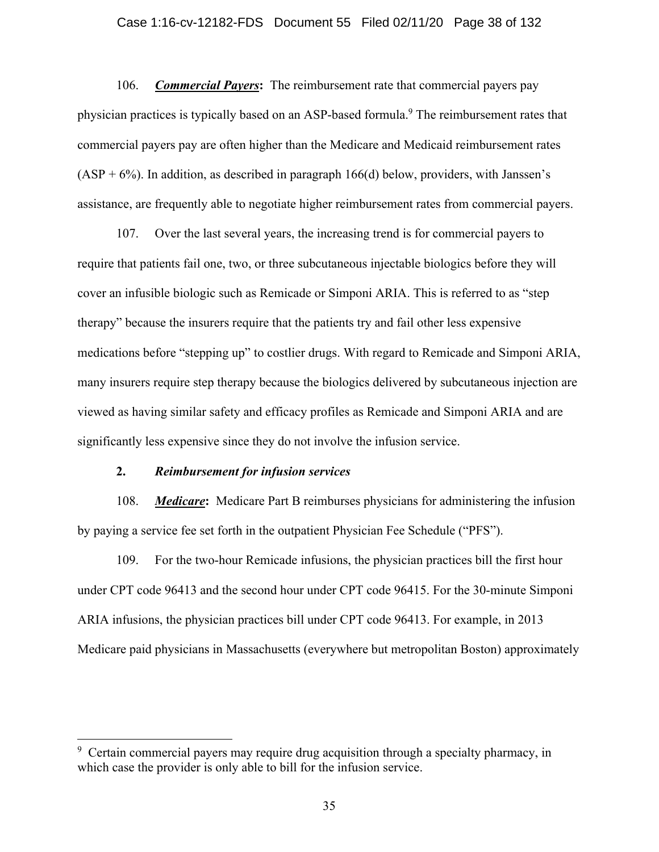## Case 1:16-cv-12182-FDS Document 55 Filed 02/11/20 Page 38 of 132

106. *Commercial Payers***:** The reimbursement rate that commercial payers pay physician practices is typically based on an ASP-based formula.<sup>9</sup> The reimbursement rates that commercial payers pay are often higher than the Medicare and Medicaid reimbursement rates  $(ASP + 6\%)$ . In addition, as described in paragraph 166(d) below, providers, with Janssen's assistance, are frequently able to negotiate higher reimbursement rates from commercial payers.

107. Over the last several years, the increasing trend is for commercial payers to require that patients fail one, two, or three subcutaneous injectable biologics before they will cover an infusible biologic such as Remicade or Simponi ARIA. This is referred to as "step therapy" because the insurers require that the patients try and fail other less expensive medications before "stepping up" to costlier drugs. With regard to Remicade and Simponi ARIA, many insurers require step therapy because the biologics delivered by subcutaneous injection are viewed as having similar safety and efficacy profiles as Remicade and Simponi ARIA and are significantly less expensive since they do not involve the infusion service.

## **2.** *Reimbursement for infusion services*

108. *Medicare***:** Medicare Part B reimburses physicians for administering the infusion by paying a service fee set forth in the outpatient Physician Fee Schedule ("PFS").

109. For the two-hour Remicade infusions, the physician practices bill the first hour under CPT code 96413 and the second hour under CPT code 96415. For the 30-minute Simponi ARIA infusions, the physician practices bill under CPT code 96413. For example, in 2013 Medicare paid physicians in Massachusetts (everywhere but metropolitan Boston) approximately

<sup>&</sup>lt;sup>9</sup> Certain commercial payers may require drug acquisition through a specialty pharmacy, in which case the provider is only able to bill for the infusion service.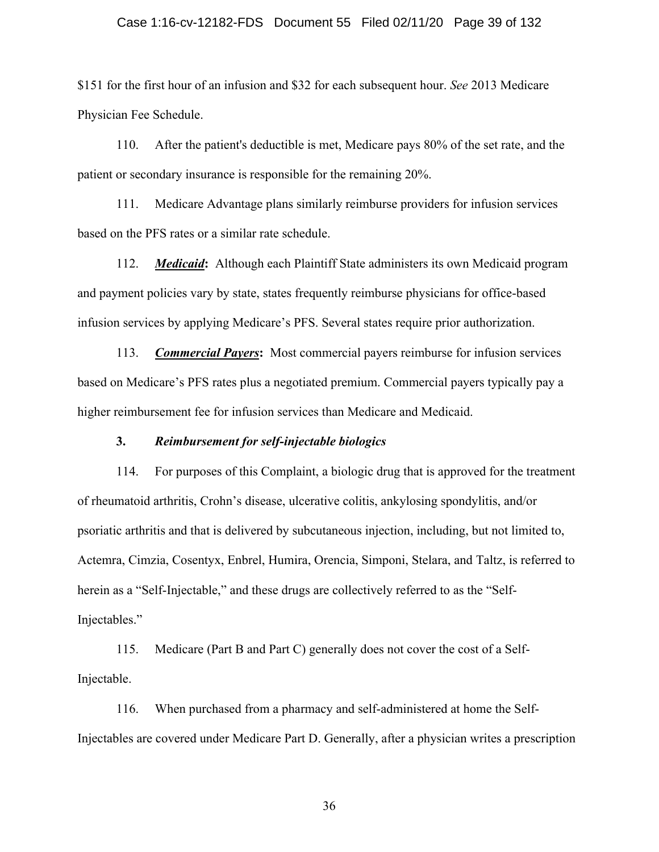## Case 1:16-cv-12182-FDS Document 55 Filed 02/11/20 Page 39 of 132

\$151 for the first hour of an infusion and \$32 for each subsequent hour. *See* 2013 Medicare Physician Fee Schedule.

110. After the patient's deductible is met, Medicare pays 80% of the set rate, and the patient or secondary insurance is responsible for the remaining 20%.

111. Medicare Advantage plans similarly reimburse providers for infusion services based on the PFS rates or a similar rate schedule.

112. *Medicaid***:** Although each Plaintiff State administers its own Medicaid program and payment policies vary by state, states frequently reimburse physicians for office-based infusion services by applying Medicare's PFS. Several states require prior authorization.

113. *Commercial Payers***:** Most commercial payers reimburse for infusion services based on Medicare's PFS rates plus a negotiated premium. Commercial payers typically pay a higher reimbursement fee for infusion services than Medicare and Medicaid.

## **3.** *Reimbursement for self-injectable biologics*

114. For purposes of this Complaint, a biologic drug that is approved for the treatment of rheumatoid arthritis, Crohn's disease, ulcerative colitis, ankylosing spondylitis, and/or psoriatic arthritis and that is delivered by subcutaneous injection, including, but not limited to, Actemra, Cimzia, Cosentyx, Enbrel, Humira, Orencia, Simponi, Stelara, and Taltz, is referred to herein as a "Self-Injectable," and these drugs are collectively referred to as the "Self-Injectables."

115. Medicare (Part B and Part C) generally does not cover the cost of a Self-Injectable.

116. When purchased from a pharmacy and self-administered at home the Self-Injectables are covered under Medicare Part D. Generally, after a physician writes a prescription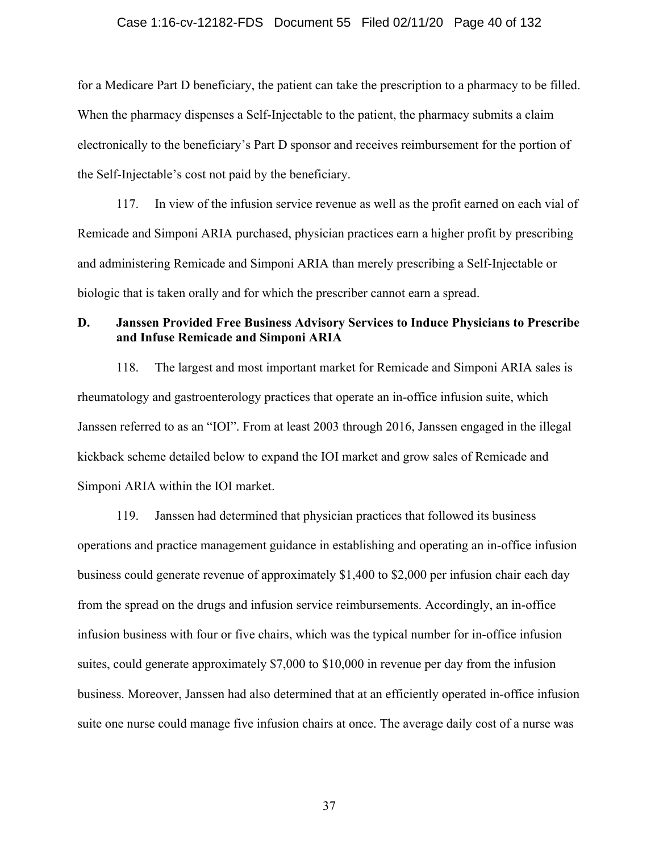## Case 1:16-cv-12182-FDS Document 55 Filed 02/11/20 Page 40 of 132

for a Medicare Part D beneficiary, the patient can take the prescription to a pharmacy to be filled. When the pharmacy dispenses a Self-Injectable to the patient, the pharmacy submits a claim electronically to the beneficiary's Part D sponsor and receives reimbursement for the portion of the Self-Injectable's cost not paid by the beneficiary.

117. In view of the infusion service revenue as well as the profit earned on each vial of Remicade and Simponi ARIA purchased, physician practices earn a higher profit by prescribing and administering Remicade and Simponi ARIA than merely prescribing a Self-Injectable or biologic that is taken orally and for which the prescriber cannot earn a spread.

# **D. Janssen Provided Free Business Advisory Services to Induce Physicians to Prescribe and Infuse Remicade and Simponi ARIA**

118. The largest and most important market for Remicade and Simponi ARIA sales is rheumatology and gastroenterology practices that operate an in-office infusion suite, which Janssen referred to as an "IOI". From at least 2003 through 2016, Janssen engaged in the illegal kickback scheme detailed below to expand the IOI market and grow sales of Remicade and Simponi ARIA within the IOI market.

119. Janssen had determined that physician practices that followed its business operations and practice management guidance in establishing and operating an in-office infusion business could generate revenue of approximately \$1,400 to \$2,000 per infusion chair each day from the spread on the drugs and infusion service reimbursements. Accordingly, an in-office infusion business with four or five chairs, which was the typical number for in-office infusion suites, could generate approximately \$7,000 to \$10,000 in revenue per day from the infusion business. Moreover, Janssen had also determined that at an efficiently operated in-office infusion suite one nurse could manage five infusion chairs at once. The average daily cost of a nurse was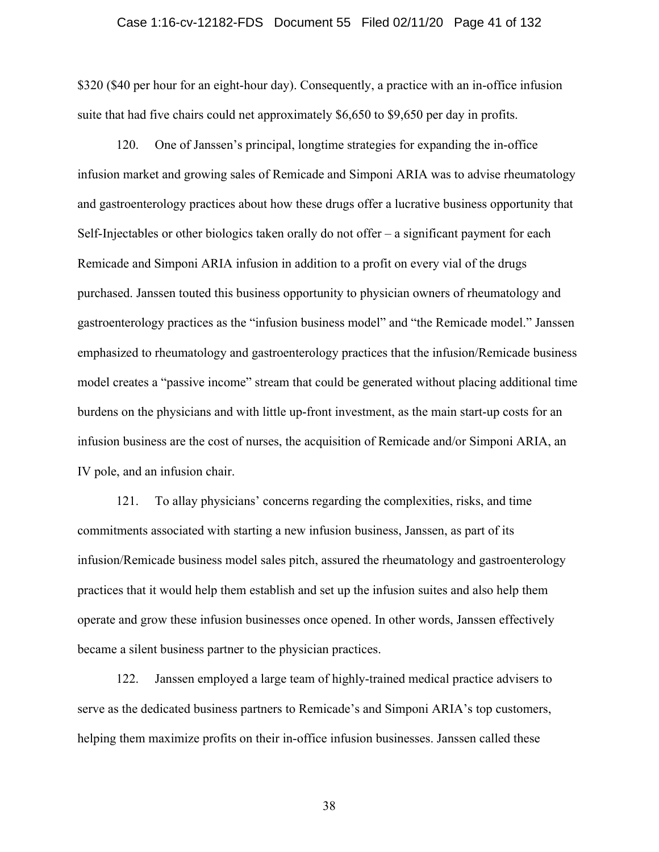## Case 1:16-cv-12182-FDS Document 55 Filed 02/11/20 Page 41 of 132

\$320 (\$40 per hour for an eight-hour day). Consequently, a practice with an in-office infusion suite that had five chairs could net approximately \$6,650 to \$9,650 per day in profits.

120. One of Janssen's principal, longtime strategies for expanding the in-office infusion market and growing sales of Remicade and Simponi ARIA was to advise rheumatology and gastroenterology practices about how these drugs offer a lucrative business opportunity that Self-Injectables or other biologics taken orally do not offer – a significant payment for each Remicade and Simponi ARIA infusion in addition to a profit on every vial of the drugs purchased. Janssen touted this business opportunity to physician owners of rheumatology and gastroenterology practices as the "infusion business model" and "the Remicade model." Janssen emphasized to rheumatology and gastroenterology practices that the infusion/Remicade business model creates a "passive income" stream that could be generated without placing additional time burdens on the physicians and with little up-front investment, as the main start-up costs for an infusion business are the cost of nurses, the acquisition of Remicade and/or Simponi ARIA, an IV pole, and an infusion chair.

121. To allay physicians' concerns regarding the complexities, risks, and time commitments associated with starting a new infusion business, Janssen, as part of its infusion/Remicade business model sales pitch, assured the rheumatology and gastroenterology practices that it would help them establish and set up the infusion suites and also help them operate and grow these infusion businesses once opened. In other words, Janssen effectively became a silent business partner to the physician practices.

122. Janssen employed a large team of highly-trained medical practice advisers to serve as the dedicated business partners to Remicade's and Simponi ARIA's top customers, helping them maximize profits on their in-office infusion businesses. Janssen called these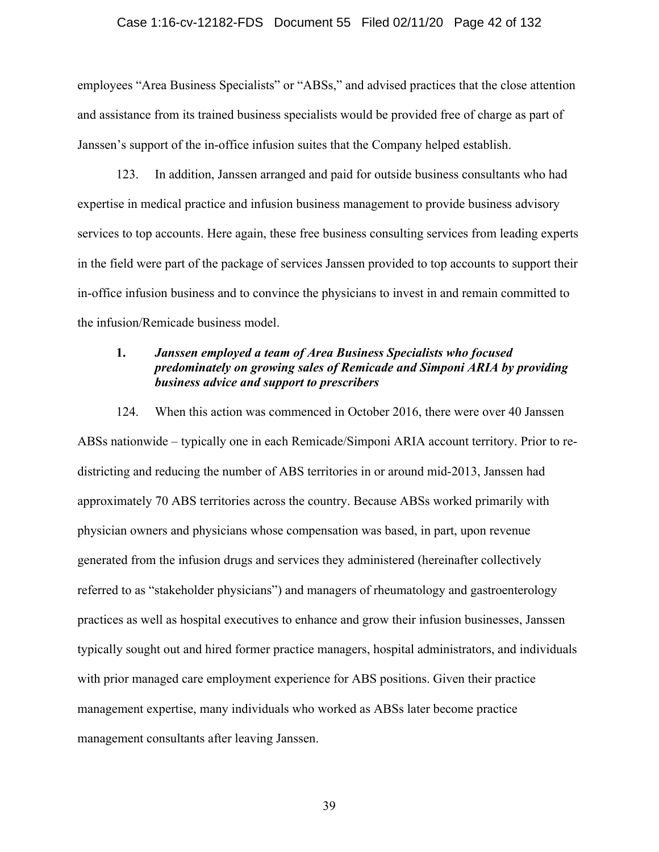## Case 1:16-cv-12182-FDS Document 55 Filed 02/11/20 Page 42 of 132

employees "Area Business Specialists" or "ABSs," and advised practices that the close attention and assistance from its trained business specialists would be provided free of charge as part of Janssen's support of the in-office infusion suites that the Company helped establish.

123. In addition, Janssen arranged and paid for outside business consultants who had expertise in medical practice and infusion business management to provide business advisory services to top accounts. Here again, these free business consulting services from leading experts in the field were part of the package of services Janssen provided to top accounts to support their in-office infusion business and to convince the physicians to invest in and remain committed to the infusion/Remicade business model.

# **1.** *Janssen employed a team of Area Business Specialists who focused predominately on growing sales of Remicade and Simponi ARIA by providing business advice and support to prescribers*

124. When this action was commenced in October 2016, there were over 40 Janssen ABSs nationwide – typically one in each Remicade/Simponi ARIA account territory. Prior to redistricting and reducing the number of ABS territories in or around mid-2013, Janssen had approximately 70 ABS territories across the country. Because ABSs worked primarily with physician owners and physicians whose compensation was based, in part, upon revenue generated from the infusion drugs and services they administered (hereinafter collectively referred to as "stakeholder physicians") and managers of rheumatology and gastroenterology practices as well as hospital executives to enhance and grow their infusion businesses, Janssen typically sought out and hired former practice managers, hospital administrators, and individuals with prior managed care employment experience for ABS positions. Given their practice management expertise, many individuals who worked as ABSs later become practice management consultants after leaving Janssen.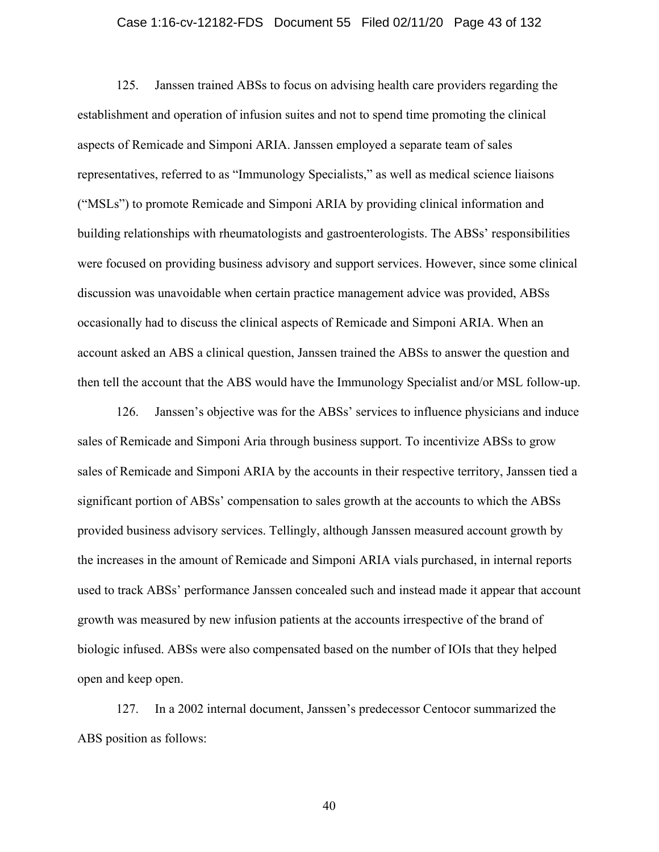## Case 1:16-cv-12182-FDS Document 55 Filed 02/11/20 Page 43 of 132

125. Janssen trained ABSs to focus on advising health care providers regarding the establishment and operation of infusion suites and not to spend time promoting the clinical aspects of Remicade and Simponi ARIA. Janssen employed a separate team of sales representatives, referred to as "Immunology Specialists," as well as medical science liaisons ("MSLs") to promote Remicade and Simponi ARIA by providing clinical information and building relationships with rheumatologists and gastroenterologists. The ABSs' responsibilities were focused on providing business advisory and support services. However, since some clinical discussion was unavoidable when certain practice management advice was provided, ABSs occasionally had to discuss the clinical aspects of Remicade and Simponi ARIA. When an account asked an ABS a clinical question, Janssen trained the ABSs to answer the question and then tell the account that the ABS would have the Immunology Specialist and/or MSL follow-up.

126. Janssen's objective was for the ABSs' services to influence physicians and induce sales of Remicade and Simponi Aria through business support. To incentivize ABSs to grow sales of Remicade and Simponi ARIA by the accounts in their respective territory, Janssen tied a significant portion of ABSs' compensation to sales growth at the accounts to which the ABSs provided business advisory services. Tellingly, although Janssen measured account growth by the increases in the amount of Remicade and Simponi ARIA vials purchased, in internal reports used to track ABSs' performance Janssen concealed such and instead made it appear that account growth was measured by new infusion patients at the accounts irrespective of the brand of biologic infused. ABSs were also compensated based on the number of IOIs that they helped open and keep open.

127. In a 2002 internal document, Janssen's predecessor Centocor summarized the ABS position as follows: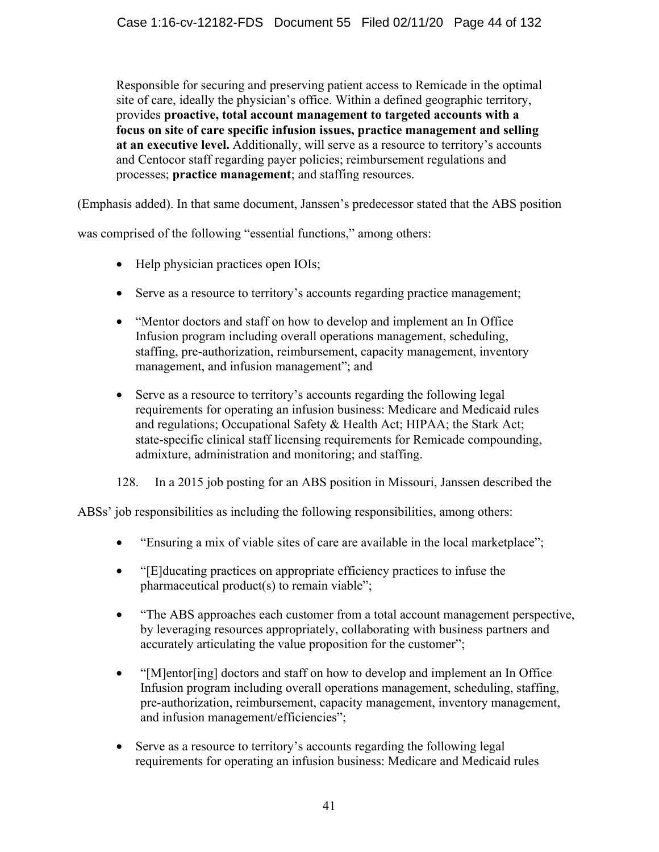Responsible for securing and preserving patient access to Remicade in the optimal site of care, ideally the physician's office. Within a defined geographic territory, provides **proactive, total account management to targeted accounts with a focus on site of care specific infusion issues, practice management and selling at an executive level.** Additionally, will serve as a resource to territory's accounts and Centocor staff regarding payer policies; reimbursement regulations and processes; **practice management**; and staffing resources.

(Emphasis added). In that same document, Janssen's predecessor stated that the ABS position

was comprised of the following "essential functions," among others:

- Help physician practices open IOIs;
- Serve as a resource to territory's accounts regarding practice management;
- "Mentor doctors and staff on how to develop and implement an In Office Infusion program including overall operations management, scheduling, staffing, pre-authorization, reimbursement, capacity management, inventory management, and infusion management"; and
- Serve as a resource to territory's accounts regarding the following legal requirements for operating an infusion business: Medicare and Medicaid rules and regulations; Occupational Safety & Health Act; HIPAA; the Stark Act; state-specific clinical staff licensing requirements for Remicade compounding, admixture, administration and monitoring; and staffing.

128. In a 2015 job posting for an ABS position in Missouri, Janssen described the

ABSs' job responsibilities as including the following responsibilities, among others:

- "Ensuring a mix of viable sites of care are available in the local marketplace";
- "[E]ducating practices on appropriate efficiency practices to infuse the pharmaceutical product(s) to remain viable";
- "The ABS approaches each customer from a total account management perspective, by leveraging resources appropriately, collaborating with business partners and accurately articulating the value proposition for the customer";
- "[M]entor[ing] doctors and staff on how to develop and implement an In Office Infusion program including overall operations management, scheduling, staffing, pre-authorization, reimbursement, capacity management, inventory management, and infusion management/efficiencies";
- Serve as a resource to territory's accounts regarding the following legal requirements for operating an infusion business: Medicare and Medicaid rules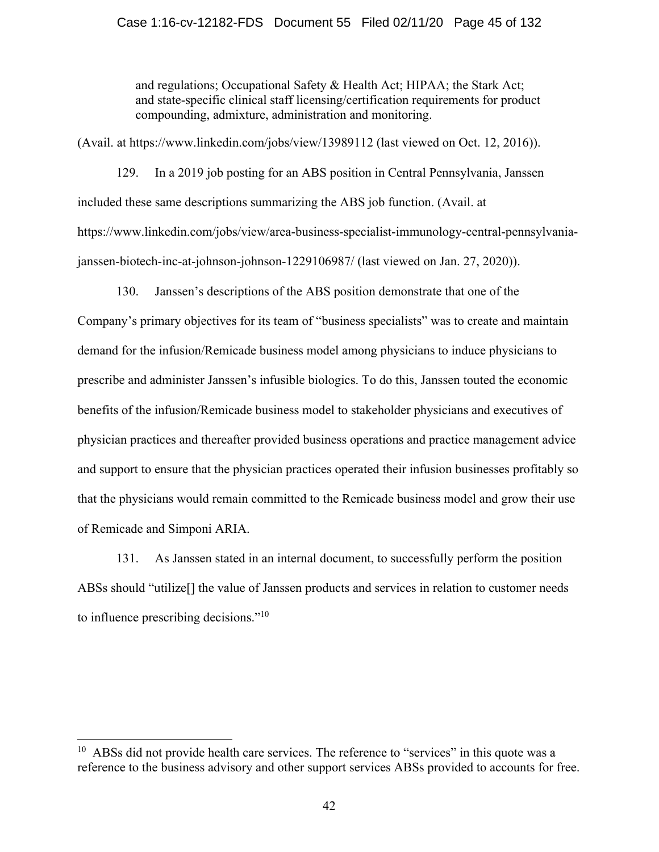## Case 1:16-cv-12182-FDS Document 55 Filed 02/11/20 Page 45 of 132

and regulations; Occupational Safety & Health Act; HIPAA; the Stark Act; and state-specific clinical staff licensing/certification requirements for product compounding, admixture, administration and monitoring.

(Avail. at https://www.linkedin.com/jobs/view/13989112 (last viewed on Oct. 12, 2016)).

129. In a 2019 job posting for an ABS position in Central Pennsylvania, Janssen included these same descriptions summarizing the ABS job function. (Avail. at https://www.linkedin.com/jobs/view/area-business-specialist-immunology-central-pennsylvaniajanssen-biotech-inc-at-johnson-johnson-1229106987/ (last viewed on Jan. 27, 2020)).

130. Janssen's descriptions of the ABS position demonstrate that one of the Company's primary objectives for its team of "business specialists" was to create and maintain demand for the infusion/Remicade business model among physicians to induce physicians to prescribe and administer Janssen's infusible biologics. To do this, Janssen touted the economic benefits of the infusion/Remicade business model to stakeholder physicians and executives of physician practices and thereafter provided business operations and practice management advice and support to ensure that the physician practices operated their infusion businesses profitably so that the physicians would remain committed to the Remicade business model and grow their use of Remicade and Simponi ARIA.

131. As Janssen stated in an internal document, to successfully perform the position ABSs should "utilize[] the value of Janssen products and services in relation to customer needs to influence prescribing decisions."10

 $10$  ABSs did not provide health care services. The reference to "services" in this quote was a reference to the business advisory and other support services ABSs provided to accounts for free.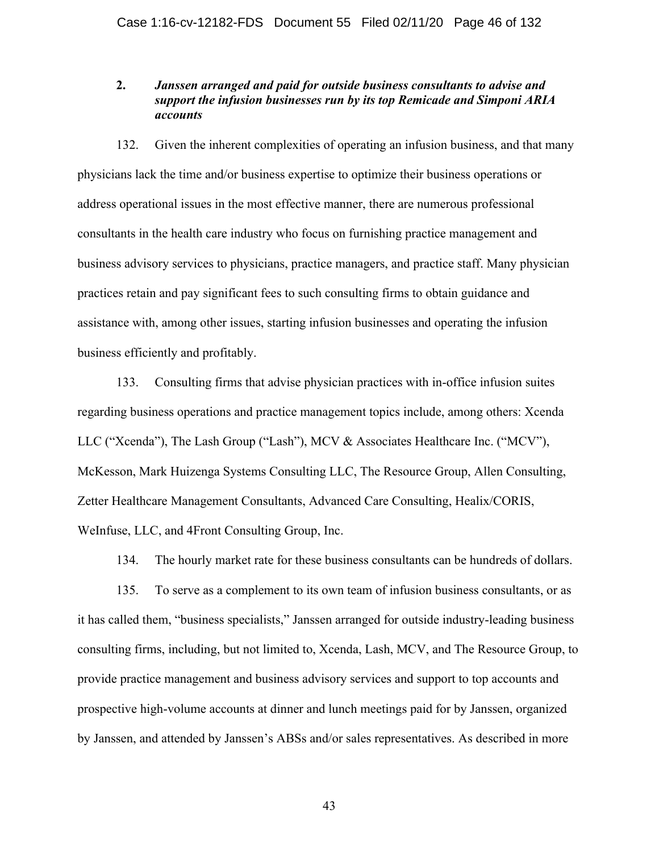# **2.** *Janssen arranged and paid for outside business consultants to advise and support the infusion businesses run by its top Remicade and Simponi ARIA accounts*

132. Given the inherent complexities of operating an infusion business, and that many physicians lack the time and/or business expertise to optimize their business operations or address operational issues in the most effective manner, there are numerous professional consultants in the health care industry who focus on furnishing practice management and business advisory services to physicians, practice managers, and practice staff. Many physician practices retain and pay significant fees to such consulting firms to obtain guidance and assistance with, among other issues, starting infusion businesses and operating the infusion business efficiently and profitably.

133. Consulting firms that advise physician practices with in-office infusion suites regarding business operations and practice management topics include, among others: Xcenda LLC ("Xcenda"), The Lash Group ("Lash"), MCV & Associates Healthcare Inc. ("MCV"), McKesson, Mark Huizenga Systems Consulting LLC, The Resource Group, Allen Consulting, Zetter Healthcare Management Consultants, Advanced Care Consulting, Healix/CORIS, WeInfuse, LLC, and 4Front Consulting Group, Inc.

134. The hourly market rate for these business consultants can be hundreds of dollars.

135. To serve as a complement to its own team of infusion business consultants, or as it has called them, "business specialists," Janssen arranged for outside industry-leading business consulting firms, including, but not limited to, Xcenda, Lash, MCV, and The Resource Group, to provide practice management and business advisory services and support to top accounts and prospective high-volume accounts at dinner and lunch meetings paid for by Janssen, organized by Janssen, and attended by Janssen's ABSs and/or sales representatives. As described in more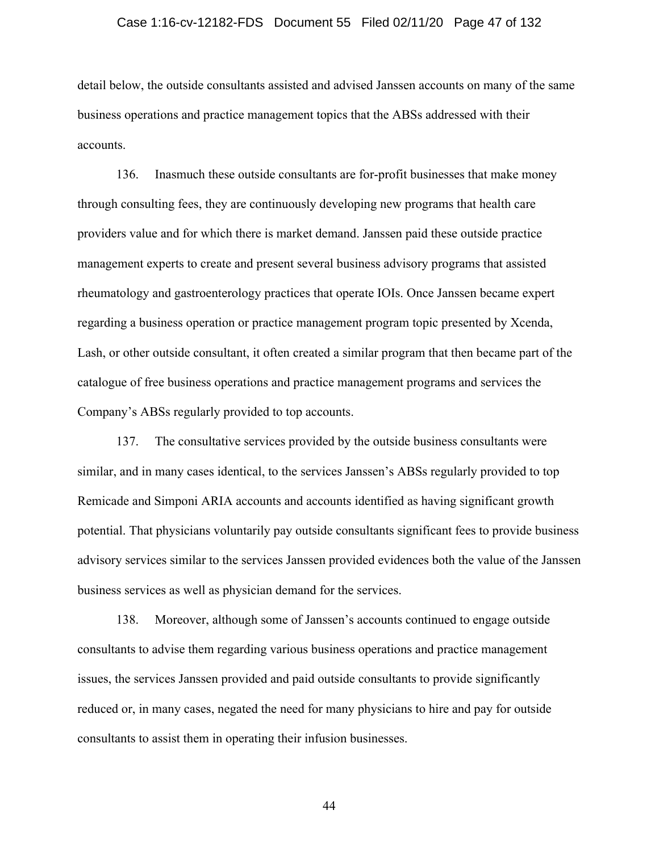## Case 1:16-cv-12182-FDS Document 55 Filed 02/11/20 Page 47 of 132

detail below, the outside consultants assisted and advised Janssen accounts on many of the same business operations and practice management topics that the ABSs addressed with their accounts.

136. Inasmuch these outside consultants are for-profit businesses that make money through consulting fees, they are continuously developing new programs that health care providers value and for which there is market demand. Janssen paid these outside practice management experts to create and present several business advisory programs that assisted rheumatology and gastroenterology practices that operate IOIs. Once Janssen became expert regarding a business operation or practice management program topic presented by Xcenda, Lash, or other outside consultant, it often created a similar program that then became part of the catalogue of free business operations and practice management programs and services the Company's ABSs regularly provided to top accounts.

137. The consultative services provided by the outside business consultants were similar, and in many cases identical, to the services Janssen's ABSs regularly provided to top Remicade and Simponi ARIA accounts and accounts identified as having significant growth potential. That physicians voluntarily pay outside consultants significant fees to provide business advisory services similar to the services Janssen provided evidences both the value of the Janssen business services as well as physician demand for the services.

138. Moreover, although some of Janssen's accounts continued to engage outside consultants to advise them regarding various business operations and practice management issues, the services Janssen provided and paid outside consultants to provide significantly reduced or, in many cases, negated the need for many physicians to hire and pay for outside consultants to assist them in operating their infusion businesses.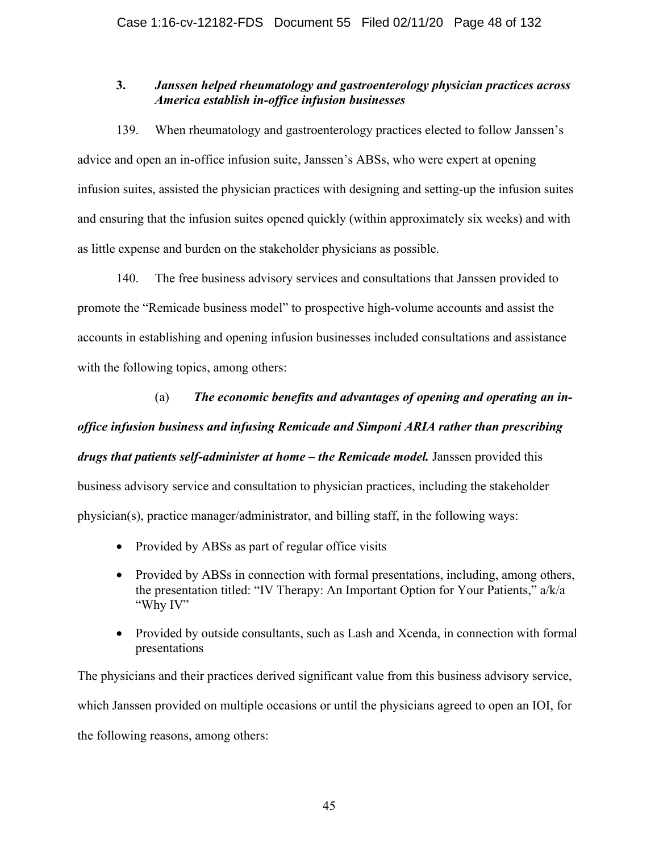# **3.** *Janssen helped rheumatology and gastroenterology physician practices across America establish in-office infusion businesses*

139. When rheumatology and gastroenterology practices elected to follow Janssen's advice and open an in-office infusion suite, Janssen's ABSs, who were expert at opening infusion suites, assisted the physician practices with designing and setting-up the infusion suites and ensuring that the infusion suites opened quickly (within approximately six weeks) and with as little expense and burden on the stakeholder physicians as possible.

140. The free business advisory services and consultations that Janssen provided to promote the "Remicade business model" to prospective high-volume accounts and assist the accounts in establishing and opening infusion businesses included consultations and assistance with the following topics, among others:

(a) *The economic benefits and advantages of opening and operating an inoffice infusion business and infusing Remicade and Simponi ARIA rather than prescribing drugs that patients self-administer at home – the Remicade model.* Janssen provided this business advisory service and consultation to physician practices, including the stakeholder physician(s), practice manager/administrator, and billing staff, in the following ways:

- Provided by ABSs as part of regular office visits
- Provided by ABSs in connection with formal presentations, including, among others, the presentation titled: "IV Therapy: An Important Option for Your Patients," a/k/a "Why IV"
- Provided by outside consultants, such as Lash and Xcenda, in connection with formal presentations

The physicians and their practices derived significant value from this business advisory service, which Janssen provided on multiple occasions or until the physicians agreed to open an IOI, for the following reasons, among others: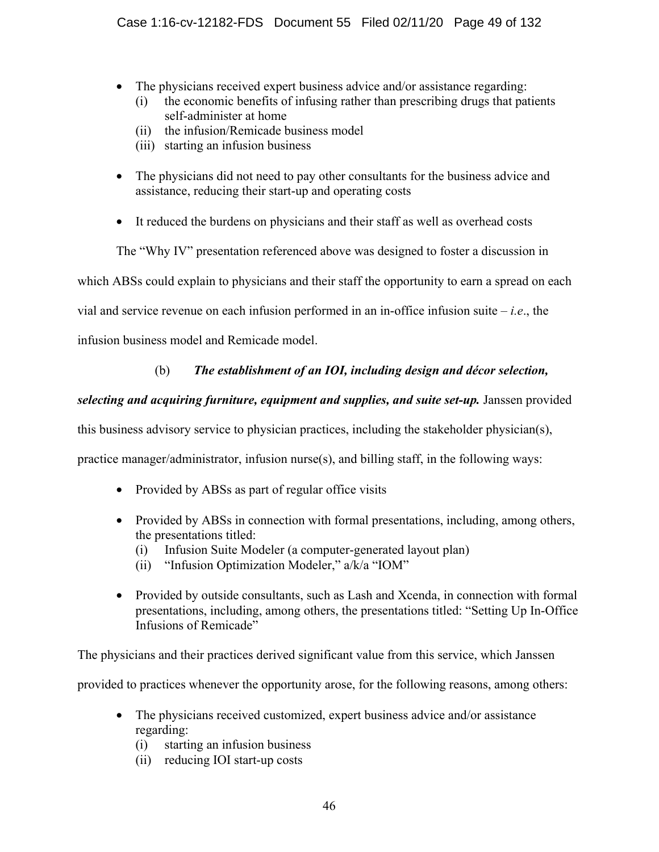- The physicians received expert business advice and/or assistance regarding:
	- (i) the economic benefits of infusing rather than prescribing drugs that patients self-administer at home
	- (ii) the infusion/Remicade business model
	- (iii) starting an infusion business
- The physicians did not need to pay other consultants for the business advice and assistance, reducing their start-up and operating costs
- It reduced the burdens on physicians and their staff as well as overhead costs

The "Why IV" presentation referenced above was designed to foster a discussion in

which ABSs could explain to physicians and their staff the opportunity to earn a spread on each

vial and service revenue on each infusion performed in an in-office infusion suite – *i.e*., the

infusion business model and Remicade model.

# (b) *The establishment of an IOI, including design and décor selection,*

# selecting and acquiring furniture, equipment and supplies, and suite set-up. Janssen provided

this business advisory service to physician practices, including the stakeholder physician(s),

practice manager/administrator, infusion nurse(s), and billing staff, in the following ways:

- Provided by ABSs as part of regular office visits
- Provided by ABSs in connection with formal presentations, including, among others, the presentations titled:
	- (i) Infusion Suite Modeler (a computer-generated layout plan)
	- (ii) "Infusion Optimization Modeler," a/k/a "IOM"
- Provided by outside consultants, such as Lash and Xcenda, in connection with formal presentations, including, among others, the presentations titled: "Setting Up In-Office Infusions of Remicade"

The physicians and their practices derived significant value from this service, which Janssen

provided to practices whenever the opportunity arose, for the following reasons, among others:

- The physicians received customized, expert business advice and/or assistance regarding:
	- (i) starting an infusion business
	- (ii) reducing IOI start-up costs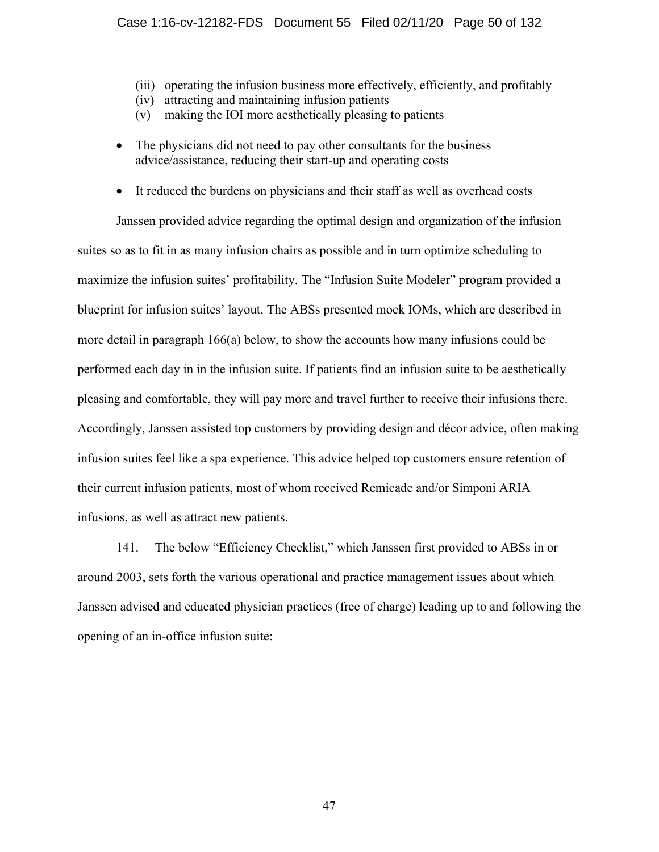- (iii) operating the infusion business more effectively, efficiently, and profitably
- (iv) attracting and maintaining infusion patients
- (v) making the IOI more aesthetically pleasing to patients
- The physicians did not need to pay other consultants for the business advice/assistance, reducing their start-up and operating costs
- It reduced the burdens on physicians and their staff as well as overhead costs

Janssen provided advice regarding the optimal design and organization of the infusion suites so as to fit in as many infusion chairs as possible and in turn optimize scheduling to maximize the infusion suites' profitability. The "Infusion Suite Modeler" program provided a blueprint for infusion suites' layout. The ABSs presented mock IOMs, which are described in more detail in paragraph 166(a) below, to show the accounts how many infusions could be performed each day in in the infusion suite. If patients find an infusion suite to be aesthetically pleasing and comfortable, they will pay more and travel further to receive their infusions there. Accordingly, Janssen assisted top customers by providing design and décor advice, often making infusion suites feel like a spa experience. This advice helped top customers ensure retention of their current infusion patients, most of whom received Remicade and/or Simponi ARIA infusions, as well as attract new patients.

141. The below "Efficiency Checklist," which Janssen first provided to ABSs in or around 2003, sets forth the various operational and practice management issues about which Janssen advised and educated physician practices (free of charge) leading up to and following the opening of an in-office infusion suite: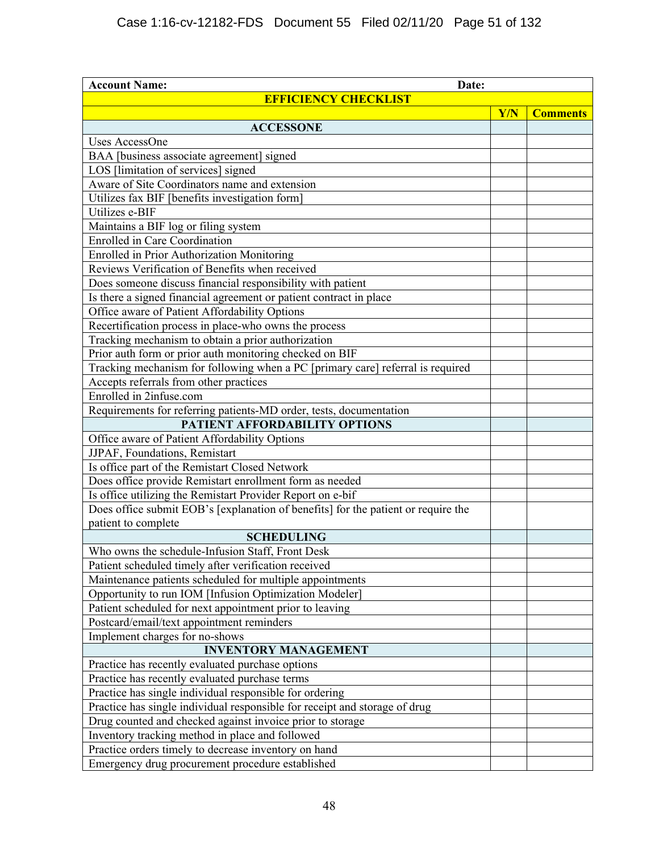| <b>Account Name:</b><br>Date:                                                     |            |                 |  |  |
|-----------------------------------------------------------------------------------|------------|-----------------|--|--|
| <b>EFFICIENCY CHECKLIST</b>                                                       |            |                 |  |  |
|                                                                                   | <b>Y/N</b> | <b>Comments</b> |  |  |
| <b>ACCESSONE</b>                                                                  |            |                 |  |  |
| Uses AccessOne                                                                    |            |                 |  |  |
| BAA [business associate agreement] signed                                         |            |                 |  |  |
| LOS [limitation of services] signed                                               |            |                 |  |  |
| Aware of Site Coordinators name and extension                                     |            |                 |  |  |
| Utilizes fax BIF [benefits investigation form]                                    |            |                 |  |  |
| Utilizes e-BIF                                                                    |            |                 |  |  |
| Maintains a BIF log or filing system                                              |            |                 |  |  |
| <b>Enrolled</b> in Care Coordination                                              |            |                 |  |  |
| <b>Enrolled in Prior Authorization Monitoring</b>                                 |            |                 |  |  |
| Reviews Verification of Benefits when received                                    |            |                 |  |  |
| Does someone discuss financial responsibility with patient                        |            |                 |  |  |
| Is there a signed financial agreement or patient contract in place                |            |                 |  |  |
| Office aware of Patient Affordability Options                                     |            |                 |  |  |
| Recertification process in place-who owns the process                             |            |                 |  |  |
| Tracking mechanism to obtain a prior authorization                                |            |                 |  |  |
| Prior auth form or prior auth monitoring checked on BIF                           |            |                 |  |  |
| Tracking mechanism for following when a PC [primary care] referral is required    |            |                 |  |  |
| Accepts referrals from other practices                                            |            |                 |  |  |
| Enrolled in 2infuse.com                                                           |            |                 |  |  |
| Requirements for referring patients-MD order, tests, documentation                |            |                 |  |  |
| PATIENT AFFORDABILITY OPTIONS                                                     |            |                 |  |  |
| Office aware of Patient Affordability Options                                     |            |                 |  |  |
| JJPAF, Foundations, Remistart                                                     |            |                 |  |  |
| Is office part of the Remistart Closed Network                                    |            |                 |  |  |
| Does office provide Remistart enrollment form as needed                           |            |                 |  |  |
| Is office utilizing the Remistart Provider Report on e-bif                        |            |                 |  |  |
| Does office submit EOB's [explanation of benefits] for the patient or require the |            |                 |  |  |
| patient to complete                                                               |            |                 |  |  |
| <b>SCHEDULING</b>                                                                 |            |                 |  |  |
| Who owns the schedule-Infusion Staff, Front Desk                                  |            |                 |  |  |
| Patient scheduled timely after verification received                              |            |                 |  |  |
| Maintenance patients scheduled for multiple appointments                          |            |                 |  |  |
| Opportunity to run IOM [Infusion Optimization Modeler]                            |            |                 |  |  |
| Patient scheduled for next appointment prior to leaving                           |            |                 |  |  |
| Postcard/email/text appointment reminders                                         |            |                 |  |  |
| Implement charges for no-shows                                                    |            |                 |  |  |
| <b>INVENTORY MANAGEMENT</b>                                                       |            |                 |  |  |
| Practice has recently evaluated purchase options                                  |            |                 |  |  |
| Practice has recently evaluated purchase terms                                    |            |                 |  |  |
| Practice has single individual responsible for ordering                           |            |                 |  |  |
| Practice has single individual responsible for receipt and storage of drug        |            |                 |  |  |
| Drug counted and checked against invoice prior to storage                         |            |                 |  |  |
| Inventory tracking method in place and followed                                   |            |                 |  |  |
| Practice orders timely to decrease inventory on hand                              |            |                 |  |  |
| Emergency drug procurement procedure established                                  |            |                 |  |  |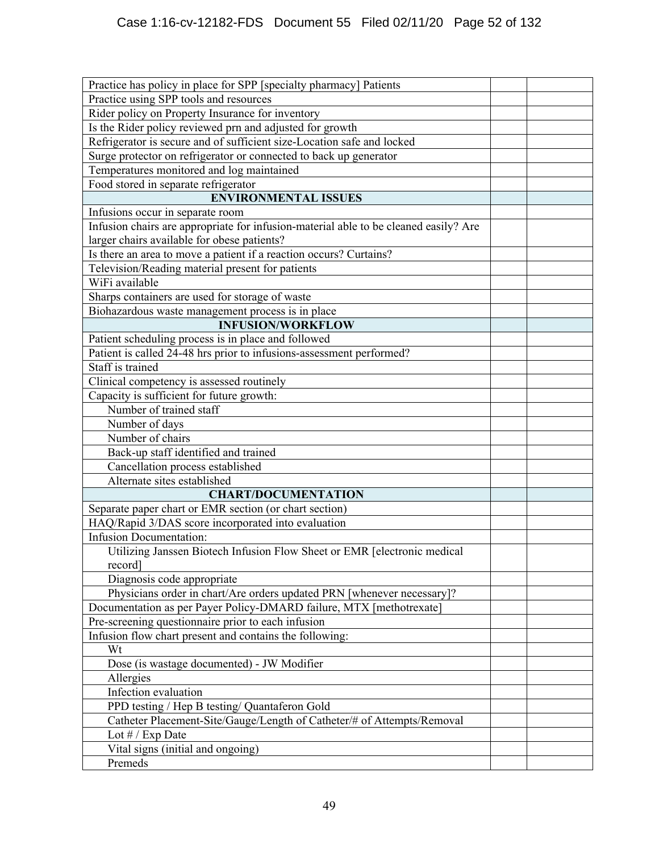| Practice has policy in place for SPP [specialty pharmacy] Patients                   |  |
|--------------------------------------------------------------------------------------|--|
| Practice using SPP tools and resources                                               |  |
| Rider policy on Property Insurance for inventory                                     |  |
| Is the Rider policy reviewed prn and adjusted for growth                             |  |
| Refrigerator is secure and of sufficient size-Location safe and locked               |  |
| Surge protector on refrigerator or connected to back up generator                    |  |
| Temperatures monitored and log maintained                                            |  |
| Food stored in separate refrigerator                                                 |  |
| <b>ENVIRONMENTAL ISSUES</b>                                                          |  |
| Infusions occur in separate room                                                     |  |
| Infusion chairs are appropriate for infusion-material able to be cleaned easily? Are |  |
| larger chairs available for obese patients?                                          |  |
| Is there an area to move a patient if a reaction occurs? Curtains?                   |  |
| Television/Reading material present for patients                                     |  |
| WiFi available                                                                       |  |
| Sharps containers are used for storage of waste                                      |  |
| Biohazardous waste management process is in place                                    |  |
| <b>INFUSION/WORKFLOW</b>                                                             |  |
| Patient scheduling process is in place and followed                                  |  |
| Patient is called 24-48 hrs prior to infusions-assessment performed?                 |  |
| Staff is trained                                                                     |  |
| Clinical competency is assessed routinely                                            |  |
| Capacity is sufficient for future growth:                                            |  |
| Number of trained staff                                                              |  |
| Number of days                                                                       |  |
| Number of chairs                                                                     |  |
| Back-up staff identified and trained                                                 |  |
| Cancellation process established                                                     |  |
| Alternate sites established                                                          |  |
| <b>CHART/DOCUMENTATION</b>                                                           |  |
| Separate paper chart or EMR section (or chart section)                               |  |
| HAQ/Rapid 3/DAS score incorporated into evaluation                                   |  |
| <b>Infusion Documentation:</b>                                                       |  |
| Utilizing Janssen Biotech Infusion Flow Sheet or EMR [electronic medical<br>record]  |  |
| Diagnosis code appropriate                                                           |  |
| Physicians order in chart/Are orders updated PRN [whenever necessary]?               |  |
| Documentation as per Payer Policy-DMARD failure, MTX [methotrexate]                  |  |
| Pre-screening questionnaire prior to each infusion                                   |  |
| Infusion flow chart present and contains the following:                              |  |
| Wt                                                                                   |  |
| Dose (is wastage documented) - JW Modifier                                           |  |
| Allergies                                                                            |  |
| Infection evaluation                                                                 |  |
| PPD testing / Hep B testing/ Quantaferon Gold                                        |  |
| Catheter Placement-Site/Gauge/Length of Catheter/# of Attempts/Removal               |  |
| Lot # / Exp Date                                                                     |  |
| Vital signs (initial and ongoing)                                                    |  |
| Premeds                                                                              |  |
|                                                                                      |  |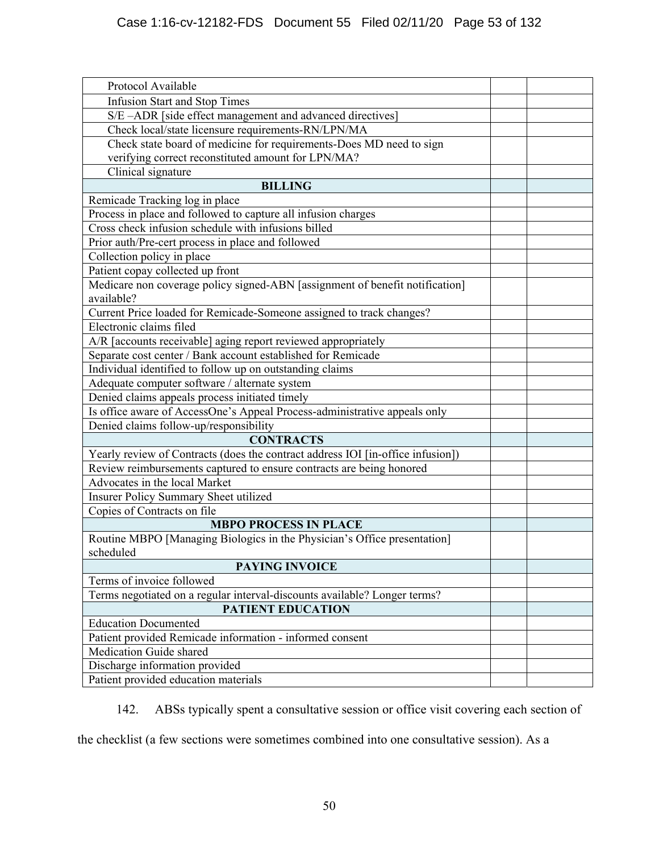| Protocol Available                                                              |  |
|---------------------------------------------------------------------------------|--|
| <b>Infusion Start and Stop Times</b>                                            |  |
| S/E-ADR [side effect management and advanced directives]                        |  |
| Check local/state licensure requirements-RN/LPN/MA                              |  |
| Check state board of medicine for requirements-Does MD need to sign             |  |
| verifying correct reconstituted amount for LPN/MA?                              |  |
| Clinical signature                                                              |  |
| <b>BILLING</b>                                                                  |  |
| Remicade Tracking log in place                                                  |  |
| Process in place and followed to capture all infusion charges                   |  |
| Cross check infusion schedule with infusions billed                             |  |
| Prior auth/Pre-cert process in place and followed                               |  |
| Collection policy in place                                                      |  |
| Patient copay collected up front                                                |  |
| Medicare non coverage policy signed-ABN [assignment of benefit notification]    |  |
| available?                                                                      |  |
| Current Price loaded for Remicade-Someone assigned to track changes?            |  |
| Electronic claims filed                                                         |  |
| A/R [accounts receivable] aging report reviewed appropriately                   |  |
| Separate cost center / Bank account established for Remicade                    |  |
| Individual identified to follow up on outstanding claims                        |  |
| Adequate computer software / alternate system                                   |  |
| Denied claims appeals process initiated timely                                  |  |
| Is office aware of AccessOne's Appeal Process-administrative appeals only       |  |
| Denied claims follow-up/responsibility                                          |  |
| <b>CONTRACTS</b>                                                                |  |
| Yearly review of Contracts (does the contract address IOI [in-office infusion]) |  |
| Review reimbursements captured to ensure contracts are being honored            |  |
| Advocates in the local Market                                                   |  |
| Insurer Policy Summary Sheet utilized                                           |  |
| Copies of Contracts on file                                                     |  |
| <b>MBPO PROCESS IN PLACE</b>                                                    |  |
| Routine MBPO [Managing Biologics in the Physician's Office presentation]        |  |
| scheduled                                                                       |  |
| <b>PAYING INVOICE</b>                                                           |  |
| Terms of invoice followed                                                       |  |
| Terms negotiated on a regular interval-discounts available? Longer terms?       |  |
| <b>PATIENT EDUCATION</b>                                                        |  |
| <b>Education Documented</b>                                                     |  |
| Patient provided Remicade information - informed consent                        |  |
| Medication Guide shared                                                         |  |
| Discharge information provided                                                  |  |
| Patient provided education materials                                            |  |

142. ABSs typically spent a consultative session or office visit covering each section of

the checklist (a few sections were sometimes combined into one consultative session). As a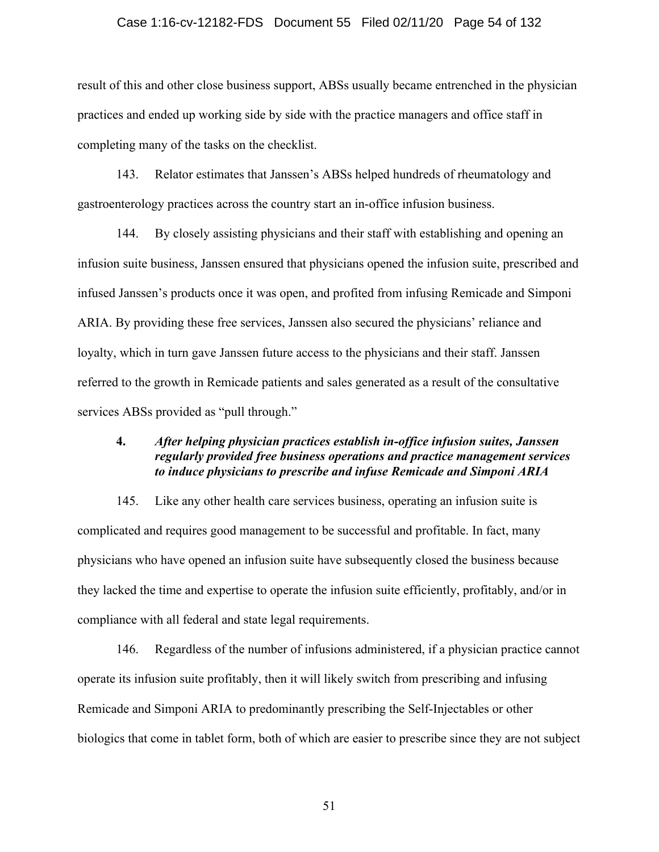### Case 1:16-cv-12182-FDS Document 55 Filed 02/11/20 Page 54 of 132

result of this and other close business support, ABSs usually became entrenched in the physician practices and ended up working side by side with the practice managers and office staff in completing many of the tasks on the checklist.

143. Relator estimates that Janssen's ABSs helped hundreds of rheumatology and gastroenterology practices across the country start an in-office infusion business.

144. By closely assisting physicians and their staff with establishing and opening an infusion suite business, Janssen ensured that physicians opened the infusion suite, prescribed and infused Janssen's products once it was open, and profited from infusing Remicade and Simponi ARIA. By providing these free services, Janssen also secured the physicians' reliance and loyalty, which in turn gave Janssen future access to the physicians and their staff. Janssen referred to the growth in Remicade patients and sales generated as a result of the consultative services ABSs provided as "pull through."

## **4.** *After helping physician practices establish in-office infusion suites, Janssen regularly provided free business operations and practice management services to induce physicians to prescribe and infuse Remicade and Simponi ARIA*

145. Like any other health care services business, operating an infusion suite is complicated and requires good management to be successful and profitable. In fact, many physicians who have opened an infusion suite have subsequently closed the business because they lacked the time and expertise to operate the infusion suite efficiently, profitably, and/or in compliance with all federal and state legal requirements.

146. Regardless of the number of infusions administered, if a physician practice cannot operate its infusion suite profitably, then it will likely switch from prescribing and infusing Remicade and Simponi ARIA to predominantly prescribing the Self-Injectables or other biologics that come in tablet form, both of which are easier to prescribe since they are not subject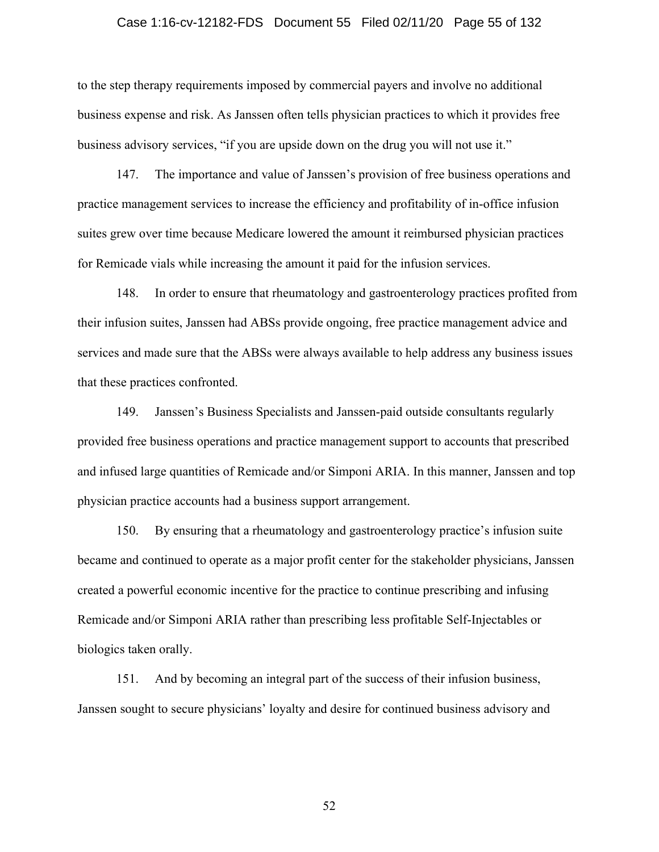#### Case 1:16-cv-12182-FDS Document 55 Filed 02/11/20 Page 55 of 132

to the step therapy requirements imposed by commercial payers and involve no additional business expense and risk. As Janssen often tells physician practices to which it provides free business advisory services, "if you are upside down on the drug you will not use it."

147. The importance and value of Janssen's provision of free business operations and practice management services to increase the efficiency and profitability of in-office infusion suites grew over time because Medicare lowered the amount it reimbursed physician practices for Remicade vials while increasing the amount it paid for the infusion services.

148. In order to ensure that rheumatology and gastroenterology practices profited from their infusion suites, Janssen had ABSs provide ongoing, free practice management advice and services and made sure that the ABSs were always available to help address any business issues that these practices confronted.

149. Janssen's Business Specialists and Janssen-paid outside consultants regularly provided free business operations and practice management support to accounts that prescribed and infused large quantities of Remicade and/or Simponi ARIA. In this manner, Janssen and top physician practice accounts had a business support arrangement.

150. By ensuring that a rheumatology and gastroenterology practice's infusion suite became and continued to operate as a major profit center for the stakeholder physicians, Janssen created a powerful economic incentive for the practice to continue prescribing and infusing Remicade and/or Simponi ARIA rather than prescribing less profitable Self-Injectables or biologics taken orally.

151. And by becoming an integral part of the success of their infusion business, Janssen sought to secure physicians' loyalty and desire for continued business advisory and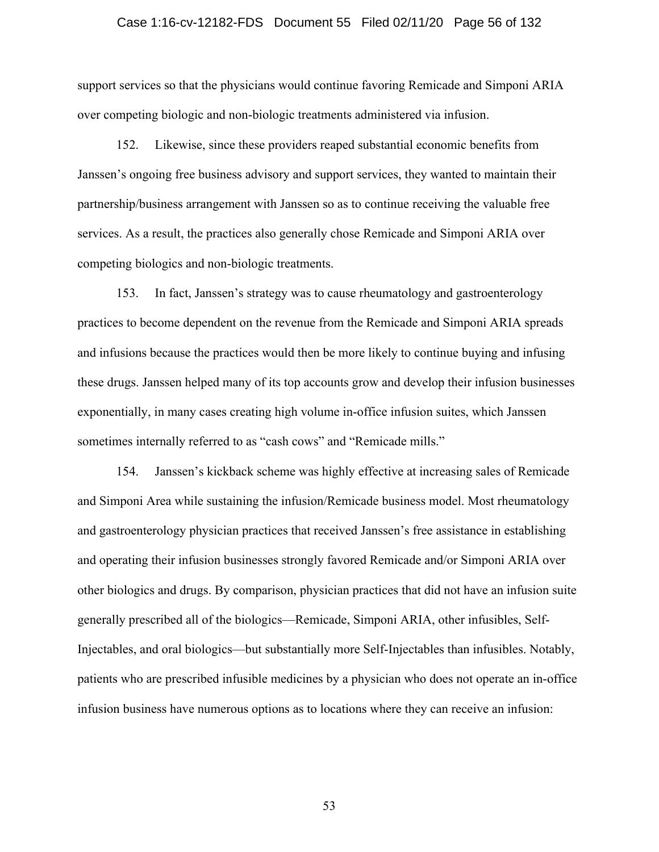#### Case 1:16-cv-12182-FDS Document 55 Filed 02/11/20 Page 56 of 132

support services so that the physicians would continue favoring Remicade and Simponi ARIA over competing biologic and non-biologic treatments administered via infusion.

152. Likewise, since these providers reaped substantial economic benefits from Janssen's ongoing free business advisory and support services, they wanted to maintain their partnership/business arrangement with Janssen so as to continue receiving the valuable free services. As a result, the practices also generally chose Remicade and Simponi ARIA over competing biologics and non-biologic treatments.

153. In fact, Janssen's strategy was to cause rheumatology and gastroenterology practices to become dependent on the revenue from the Remicade and Simponi ARIA spreads and infusions because the practices would then be more likely to continue buying and infusing these drugs. Janssen helped many of its top accounts grow and develop their infusion businesses exponentially, in many cases creating high volume in-office infusion suites, which Janssen sometimes internally referred to as "cash cows" and "Remicade mills."

154. Janssen's kickback scheme was highly effective at increasing sales of Remicade and Simponi Area while sustaining the infusion/Remicade business model. Most rheumatology and gastroenterology physician practices that received Janssen's free assistance in establishing and operating their infusion businesses strongly favored Remicade and/or Simponi ARIA over other biologics and drugs. By comparison, physician practices that did not have an infusion suite generally prescribed all of the biologics—Remicade, Simponi ARIA, other infusibles, Self-Injectables, and oral biologics—but substantially more Self-Injectables than infusibles. Notably, patients who are prescribed infusible medicines by a physician who does not operate an in-office infusion business have numerous options as to locations where they can receive an infusion: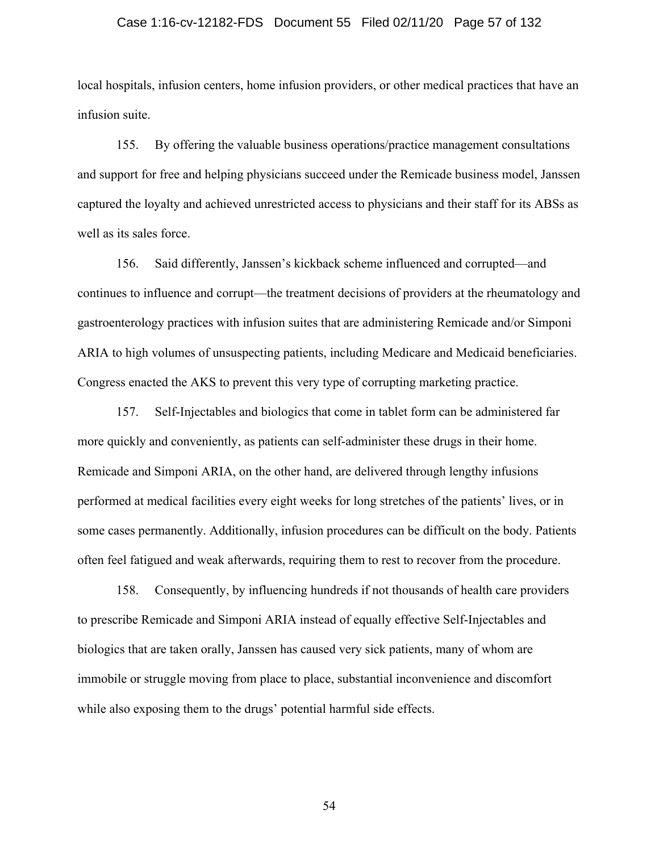## Case 1:16-cv-12182-FDS Document 55 Filed 02/11/20 Page 57 of 132

local hospitals, infusion centers, home infusion providers, or other medical practices that have an infusion suite.

155. By offering the valuable business operations/practice management consultations and support for free and helping physicians succeed under the Remicade business model, Janssen captured the loyalty and achieved unrestricted access to physicians and their staff for its ABSs as well as its sales force.

156. Said differently, Janssen's kickback scheme influenced and corrupted—and continues to influence and corrupt—the treatment decisions of providers at the rheumatology and gastroenterology practices with infusion suites that are administering Remicade and/or Simponi ARIA to high volumes of unsuspecting patients, including Medicare and Medicaid beneficiaries. Congress enacted the AKS to prevent this very type of corrupting marketing practice.

157. Self-Injectables and biologics that come in tablet form can be administered far more quickly and conveniently, as patients can self-administer these drugs in their home. Remicade and Simponi ARIA, on the other hand, are delivered through lengthy infusions performed at medical facilities every eight weeks for long stretches of the patients' lives, or in some cases permanently. Additionally, infusion procedures can be difficult on the body. Patients often feel fatigued and weak afterwards, requiring them to rest to recover from the procedure.

158. Consequently, by influencing hundreds if not thousands of health care providers to prescribe Remicade and Simponi ARIA instead of equally effective Self-Injectables and biologics that are taken orally, Janssen has caused very sick patients, many of whom are immobile or struggle moving from place to place, substantial inconvenience and discomfort while also exposing them to the drugs' potential harmful side effects.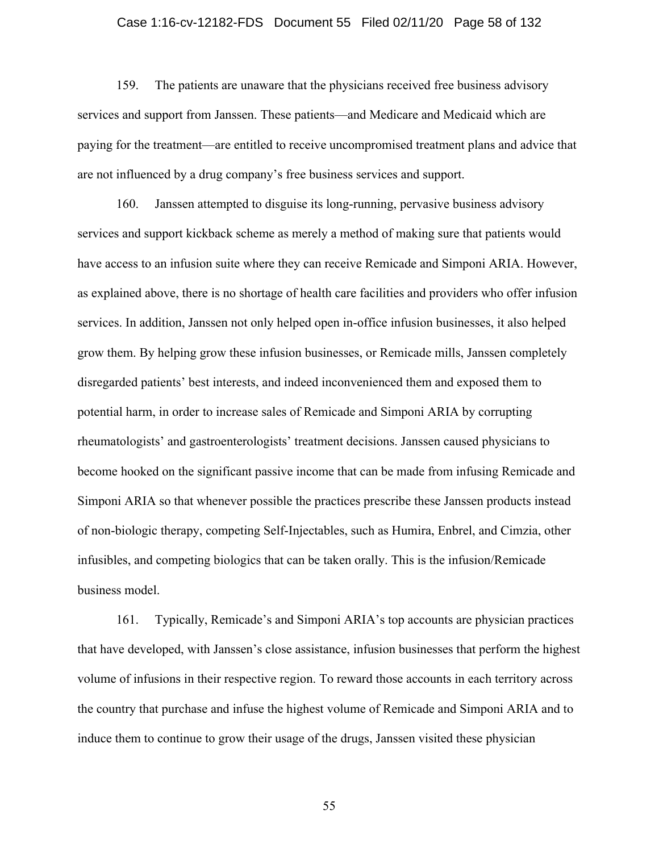## Case 1:16-cv-12182-FDS Document 55 Filed 02/11/20 Page 58 of 132

159. The patients are unaware that the physicians received free business advisory services and support from Janssen. These patients—and Medicare and Medicaid which are paying for the treatment—are entitled to receive uncompromised treatment plans and advice that are not influenced by a drug company's free business services and support.

160. Janssen attempted to disguise its long-running, pervasive business advisory services and support kickback scheme as merely a method of making sure that patients would have access to an infusion suite where they can receive Remicade and Simponi ARIA. However, as explained above, there is no shortage of health care facilities and providers who offer infusion services. In addition, Janssen not only helped open in-office infusion businesses, it also helped grow them. By helping grow these infusion businesses, or Remicade mills, Janssen completely disregarded patients' best interests, and indeed inconvenienced them and exposed them to potential harm, in order to increase sales of Remicade and Simponi ARIA by corrupting rheumatologists' and gastroenterologists' treatment decisions. Janssen caused physicians to become hooked on the significant passive income that can be made from infusing Remicade and Simponi ARIA so that whenever possible the practices prescribe these Janssen products instead of non-biologic therapy, competing Self-Injectables, such as Humira, Enbrel, and Cimzia, other infusibles, and competing biologics that can be taken orally. This is the infusion/Remicade business model.

161. Typically, Remicade's and Simponi ARIA's top accounts are physician practices that have developed, with Janssen's close assistance, infusion businesses that perform the highest volume of infusions in their respective region. To reward those accounts in each territory across the country that purchase and infuse the highest volume of Remicade and Simponi ARIA and to induce them to continue to grow their usage of the drugs, Janssen visited these physician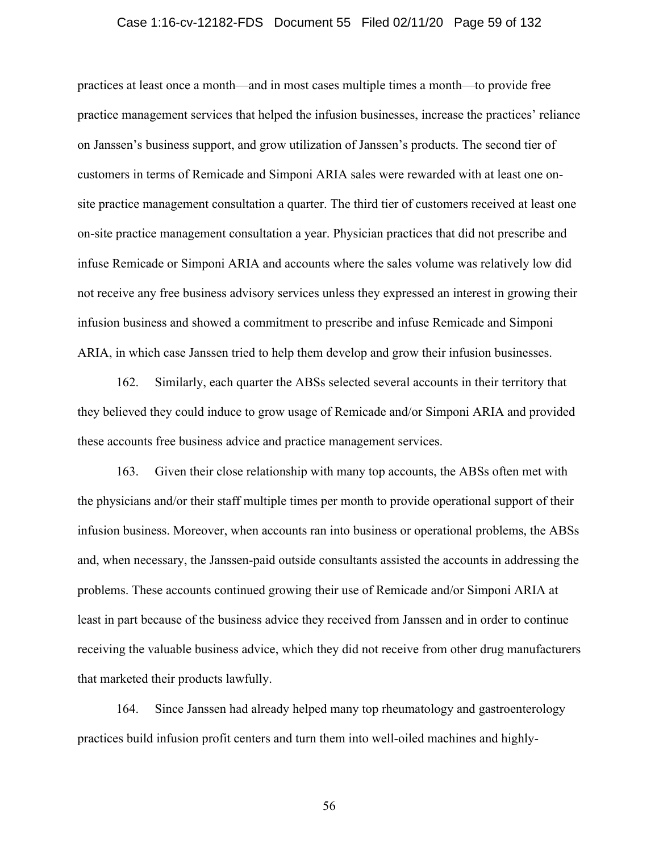## Case 1:16-cv-12182-FDS Document 55 Filed 02/11/20 Page 59 of 132

practices at least once a month—and in most cases multiple times a month—to provide free practice management services that helped the infusion businesses, increase the practices' reliance on Janssen's business support, and grow utilization of Janssen's products. The second tier of customers in terms of Remicade and Simponi ARIA sales were rewarded with at least one onsite practice management consultation a quarter. The third tier of customers received at least one on-site practice management consultation a year. Physician practices that did not prescribe and infuse Remicade or Simponi ARIA and accounts where the sales volume was relatively low did not receive any free business advisory services unless they expressed an interest in growing their infusion business and showed a commitment to prescribe and infuse Remicade and Simponi ARIA, in which case Janssen tried to help them develop and grow their infusion businesses.

162. Similarly, each quarter the ABSs selected several accounts in their territory that they believed they could induce to grow usage of Remicade and/or Simponi ARIA and provided these accounts free business advice and practice management services.

163. Given their close relationship with many top accounts, the ABSs often met with the physicians and/or their staff multiple times per month to provide operational support of their infusion business. Moreover, when accounts ran into business or operational problems, the ABSs and, when necessary, the Janssen-paid outside consultants assisted the accounts in addressing the problems. These accounts continued growing their use of Remicade and/or Simponi ARIA at least in part because of the business advice they received from Janssen and in order to continue receiving the valuable business advice, which they did not receive from other drug manufacturers that marketed their products lawfully.

164. Since Janssen had already helped many top rheumatology and gastroenterology practices build infusion profit centers and turn them into well-oiled machines and highly-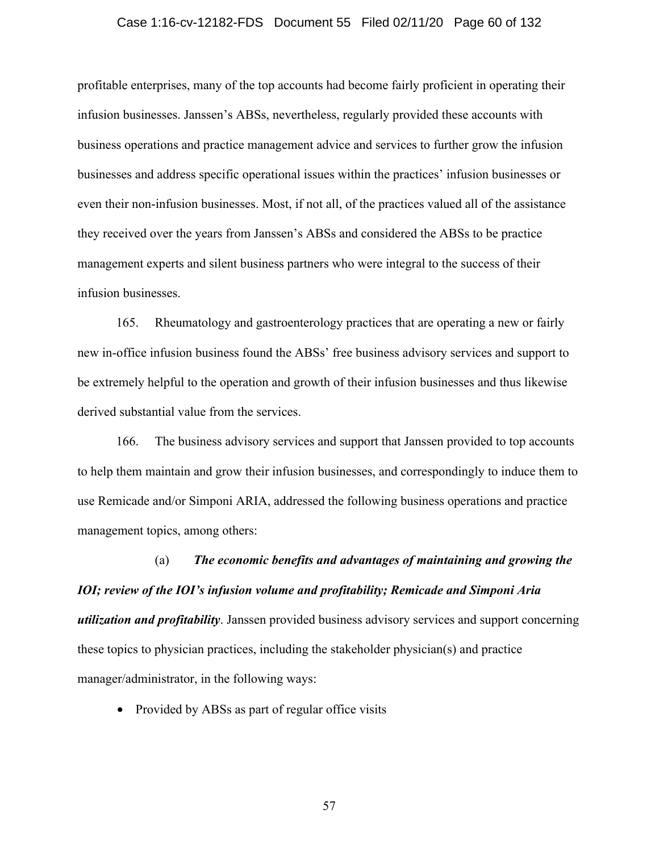#### Case 1:16-cv-12182-FDS Document 55 Filed 02/11/20 Page 60 of 132

profitable enterprises, many of the top accounts had become fairly proficient in operating their infusion businesses. Janssen's ABSs, nevertheless, regularly provided these accounts with business operations and practice management advice and services to further grow the infusion businesses and address specific operational issues within the practices' infusion businesses or even their non-infusion businesses. Most, if not all, of the practices valued all of the assistance they received over the years from Janssen's ABSs and considered the ABSs to be practice management experts and silent business partners who were integral to the success of their infusion businesses.

165. Rheumatology and gastroenterology practices that are operating a new or fairly new in-office infusion business found the ABSs' free business advisory services and support to be extremely helpful to the operation and growth of their infusion businesses and thus likewise derived substantial value from the services.

166. The business advisory services and support that Janssen provided to top accounts to help them maintain and grow their infusion businesses, and correspondingly to induce them to use Remicade and/or Simponi ARIA, addressed the following business operations and practice management topics, among others:

(a) *The economic benefits and advantages of maintaining and growing the IOI; review of the IOI's infusion volume and profitability; Remicade and Simponi Aria utilization and profitability*. Janssen provided business advisory services and support concerning these topics to physician practices, including the stakeholder physician(s) and practice manager/administrator, in the following ways:

• Provided by ABSs as part of regular office visits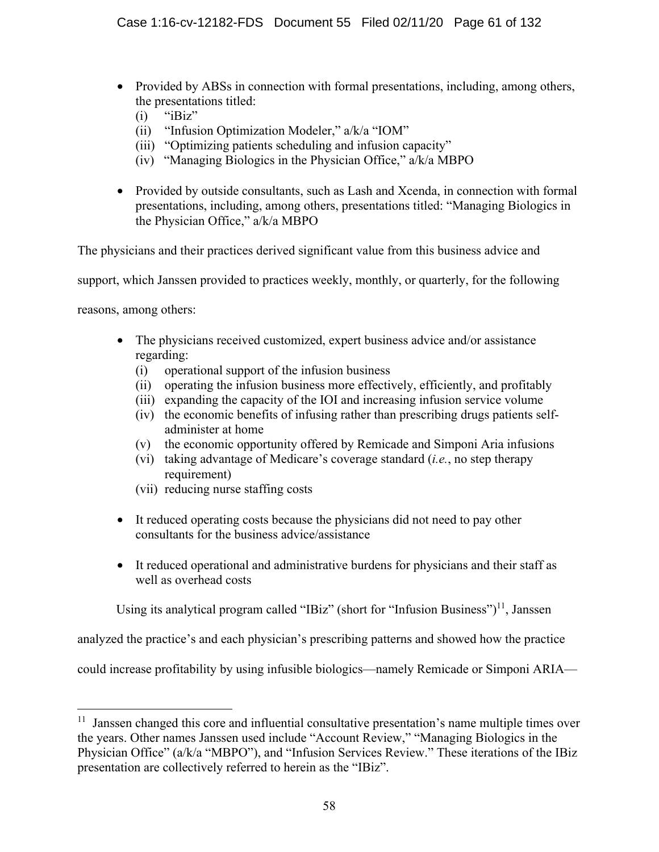- Provided by ABSs in connection with formal presentations, including, among others, the presentations titled:
	- $(i)$  "iBiz"
	- (ii) "Infusion Optimization Modeler," a/k/a "IOM"
	- (iii) "Optimizing patients scheduling and infusion capacity"
	- (iv) "Managing Biologics in the Physician Office," a/k/a MBPO
- Provided by outside consultants, such as Lash and Xcenda, in connection with formal presentations, including, among others, presentations titled: "Managing Biologics in the Physician Office," a/k/a MBPO

The physicians and their practices derived significant value from this business advice and

support, which Janssen provided to practices weekly, monthly, or quarterly, for the following

reasons, among others:

- The physicians received customized, expert business advice and/or assistance regarding:
	- (i) operational support of the infusion business
	- (ii) operating the infusion business more effectively, efficiently, and profitably
	- (iii) expanding the capacity of the IOI and increasing infusion service volume
	- (iv) the economic benefits of infusing rather than prescribing drugs patients selfadminister at home
	- (v) the economic opportunity offered by Remicade and Simponi Aria infusions
	- (vi) taking advantage of Medicare's coverage standard (*i.e.*, no step therapy requirement)
	- (vii) reducing nurse staffing costs
- It reduced operating costs because the physicians did not need to pay other consultants for the business advice/assistance
- It reduced operational and administrative burdens for physicians and their staff as well as overhead costs

Using its analytical program called "IBiz" (short for "Infusion Business") $^{11}$ , Janssen

analyzed the practice's and each physician's prescribing patterns and showed how the practice

could increase profitability by using infusible biologics—namely Remicade or Simponi ARIA—

<sup>&</sup>lt;sup>11</sup> Janssen changed this core and influential consultative presentation's name multiple times over the years. Other names Janssen used include "Account Review," "Managing Biologics in the Physician Office" (a/k/a "MBPO"), and "Infusion Services Review." These iterations of the IBiz presentation are collectively referred to herein as the "IBiz".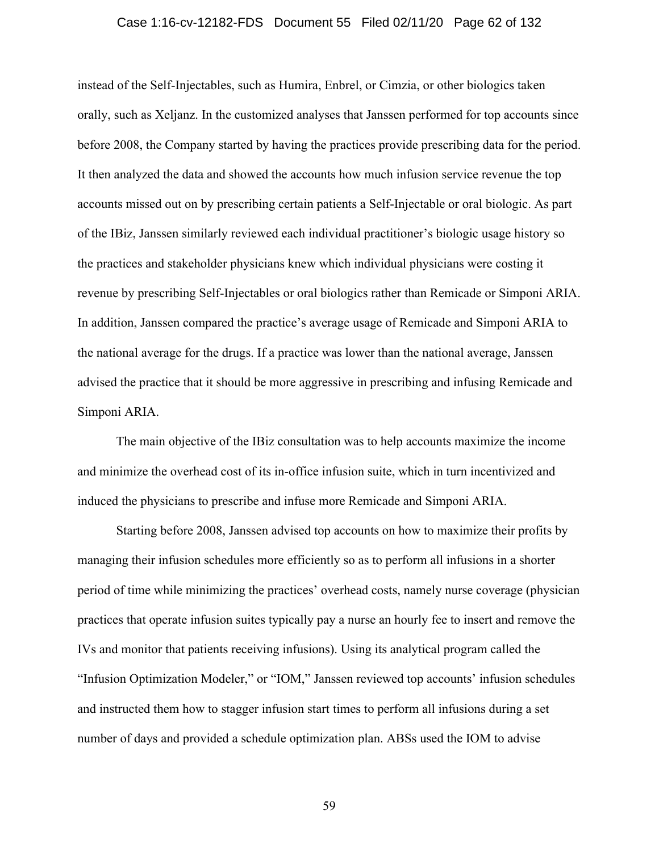## Case 1:16-cv-12182-FDS Document 55 Filed 02/11/20 Page 62 of 132

instead of the Self-Injectables, such as Humira, Enbrel, or Cimzia, or other biologics taken orally, such as Xeljanz. In the customized analyses that Janssen performed for top accounts since before 2008, the Company started by having the practices provide prescribing data for the period. It then analyzed the data and showed the accounts how much infusion service revenue the top accounts missed out on by prescribing certain patients a Self-Injectable or oral biologic. As part of the IBiz, Janssen similarly reviewed each individual practitioner's biologic usage history so the practices and stakeholder physicians knew which individual physicians were costing it revenue by prescribing Self-Injectables or oral biologics rather than Remicade or Simponi ARIA. In addition, Janssen compared the practice's average usage of Remicade and Simponi ARIA to the national average for the drugs. If a practice was lower than the national average, Janssen advised the practice that it should be more aggressive in prescribing and infusing Remicade and Simponi ARIA.

The main objective of the IBiz consultation was to help accounts maximize the income and minimize the overhead cost of its in-office infusion suite, which in turn incentivized and induced the physicians to prescribe and infuse more Remicade and Simponi ARIA.

Starting before 2008, Janssen advised top accounts on how to maximize their profits by managing their infusion schedules more efficiently so as to perform all infusions in a shorter period of time while minimizing the practices' overhead costs, namely nurse coverage (physician practices that operate infusion suites typically pay a nurse an hourly fee to insert and remove the IVs and monitor that patients receiving infusions). Using its analytical program called the "Infusion Optimization Modeler," or "IOM," Janssen reviewed top accounts' infusion schedules and instructed them how to stagger infusion start times to perform all infusions during a set number of days and provided a schedule optimization plan. ABSs used the IOM to advise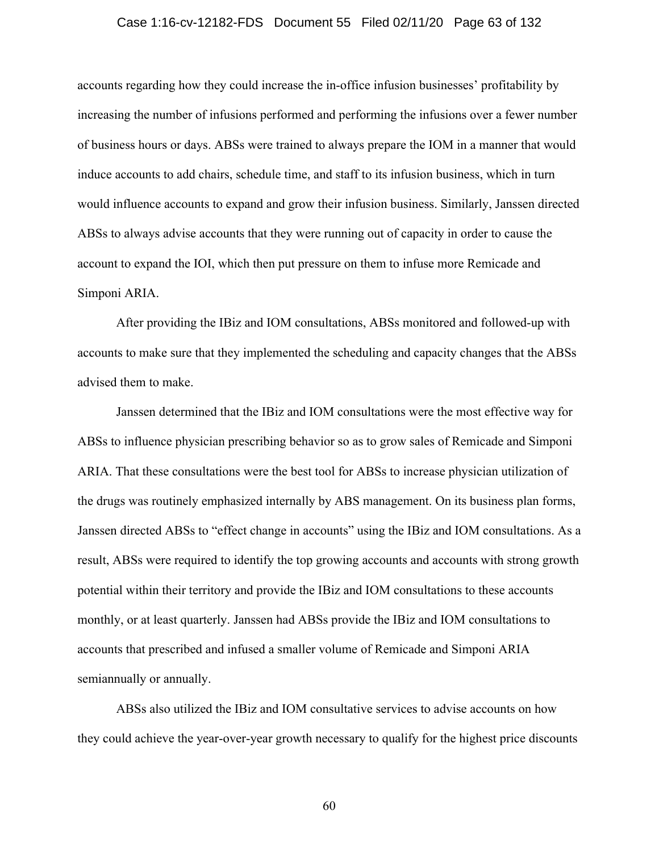## Case 1:16-cv-12182-FDS Document 55 Filed 02/11/20 Page 63 of 132

accounts regarding how they could increase the in-office infusion businesses' profitability by increasing the number of infusions performed and performing the infusions over a fewer number of business hours or days. ABSs were trained to always prepare the IOM in a manner that would induce accounts to add chairs, schedule time, and staff to its infusion business, which in turn would influence accounts to expand and grow their infusion business. Similarly, Janssen directed ABSs to always advise accounts that they were running out of capacity in order to cause the account to expand the IOI, which then put pressure on them to infuse more Remicade and Simponi ARIA.

After providing the IBiz and IOM consultations, ABSs monitored and followed-up with accounts to make sure that they implemented the scheduling and capacity changes that the ABSs advised them to make.

Janssen determined that the IBiz and IOM consultations were the most effective way for ABSs to influence physician prescribing behavior so as to grow sales of Remicade and Simponi ARIA. That these consultations were the best tool for ABSs to increase physician utilization of the drugs was routinely emphasized internally by ABS management. On its business plan forms, Janssen directed ABSs to "effect change in accounts" using the IBiz and IOM consultations. As a result, ABSs were required to identify the top growing accounts and accounts with strong growth potential within their territory and provide the IBiz and IOM consultations to these accounts monthly, or at least quarterly. Janssen had ABSs provide the IBiz and IOM consultations to accounts that prescribed and infused a smaller volume of Remicade and Simponi ARIA semiannually or annually.

ABSs also utilized the IBiz and IOM consultative services to advise accounts on how they could achieve the year-over-year growth necessary to qualify for the highest price discounts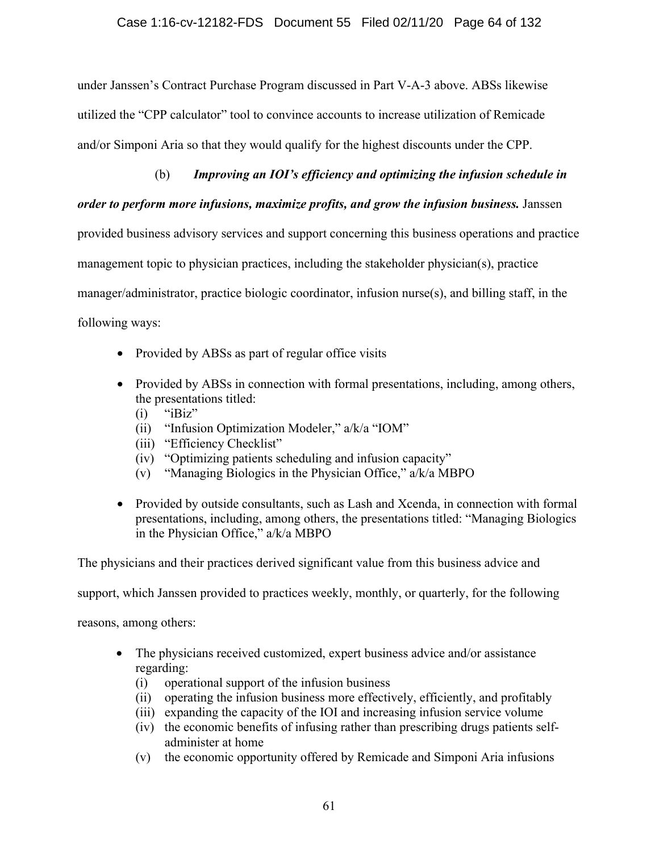under Janssen's Contract Purchase Program discussed in Part V-A-3 above. ABSs likewise utilized the "CPP calculator" tool to convince accounts to increase utilization of Remicade and/or Simponi Aria so that they would qualify for the highest discounts under the CPP.

# (b) *Improving an IOI's efficiency and optimizing the infusion schedule in*

# *order to perform more infusions, maximize profits, and grow the infusion business.* Janssen

provided business advisory services and support concerning this business operations and practice management topic to physician practices, including the stakeholder physician(s), practice manager/administrator, practice biologic coordinator, infusion nurse(s), and billing staff, in the following ways:

- Provided by ABSs as part of regular office visits
- Provided by ABSs in connection with formal presentations, including, among others, the presentations titled:
	- $(i)$  "iBiz"
	- (ii) "Infusion Optimization Modeler," a/k/a "IOM"
	- (iii) "Efficiency Checklist"
	- (iv) "Optimizing patients scheduling and infusion capacity"
	- (v) "Managing Biologics in the Physician Office," a/k/a MBPO
- Provided by outside consultants, such as Lash and Xcenda, in connection with formal presentations, including, among others, the presentations titled: "Managing Biologics in the Physician Office," a/k/a MBPO

The physicians and their practices derived significant value from this business advice and

support, which Janssen provided to practices weekly, monthly, or quarterly, for the following

reasons, among others:

- The physicians received customized, expert business advice and/or assistance regarding:
	- (i) operational support of the infusion business
	- (ii) operating the infusion business more effectively, efficiently, and profitably
	- (iii) expanding the capacity of the IOI and increasing infusion service volume
	- (iv) the economic benefits of infusing rather than prescribing drugs patients selfadminister at home
	- (v) the economic opportunity offered by Remicade and Simponi Aria infusions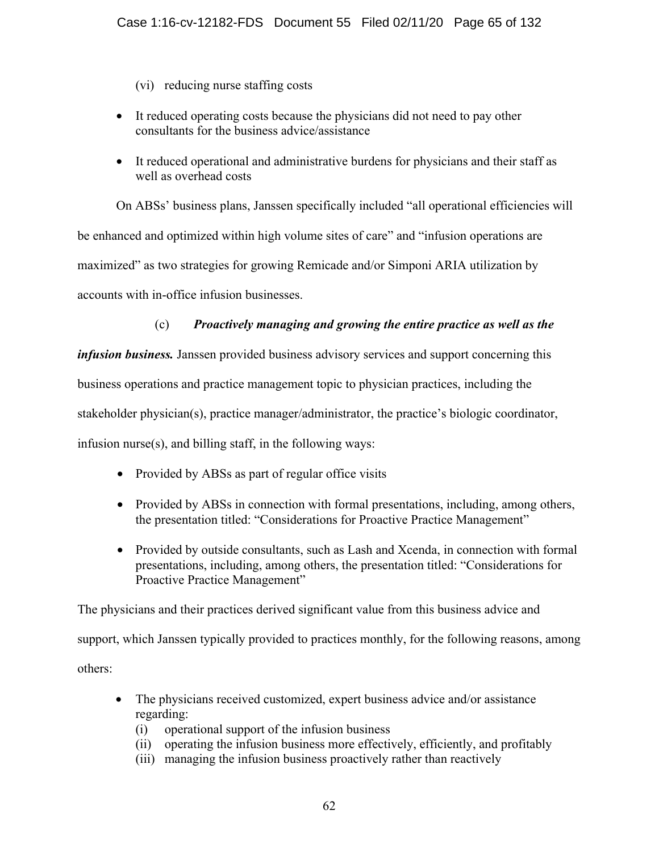(vi) reducing nurse staffing costs

- It reduced operating costs because the physicians did not need to pay other consultants for the business advice/assistance
- It reduced operational and administrative burdens for physicians and their staff as well as overhead costs

On ABSs' business plans, Janssen specifically included "all operational efficiencies will be enhanced and optimized within high volume sites of care" and "infusion operations are maximized" as two strategies for growing Remicade and/or Simponi ARIA utilization by accounts with in-office infusion businesses.

# (c) *Proactively managing and growing the entire practice as well as the*

*infusion business.* Janssen provided business advisory services and support concerning this business operations and practice management topic to physician practices, including the stakeholder physician(s), practice manager/administrator, the practice's biologic coordinator, infusion nurse(s), and billing staff, in the following ways:

- Provided by ABSs as part of regular office visits
- Provided by ABSs in connection with formal presentations, including, among others, the presentation titled: "Considerations for Proactive Practice Management"
- Provided by outside consultants, such as Lash and Xcenda, in connection with formal presentations, including, among others, the presentation titled: "Considerations for Proactive Practice Management"

The physicians and their practices derived significant value from this business advice and support, which Janssen typically provided to practices monthly, for the following reasons, among others:

- The physicians received customized, expert business advice and/or assistance regarding:
	- (i) operational support of the infusion business
	- (ii) operating the infusion business more effectively, efficiently, and profitably
	- (iii) managing the infusion business proactively rather than reactively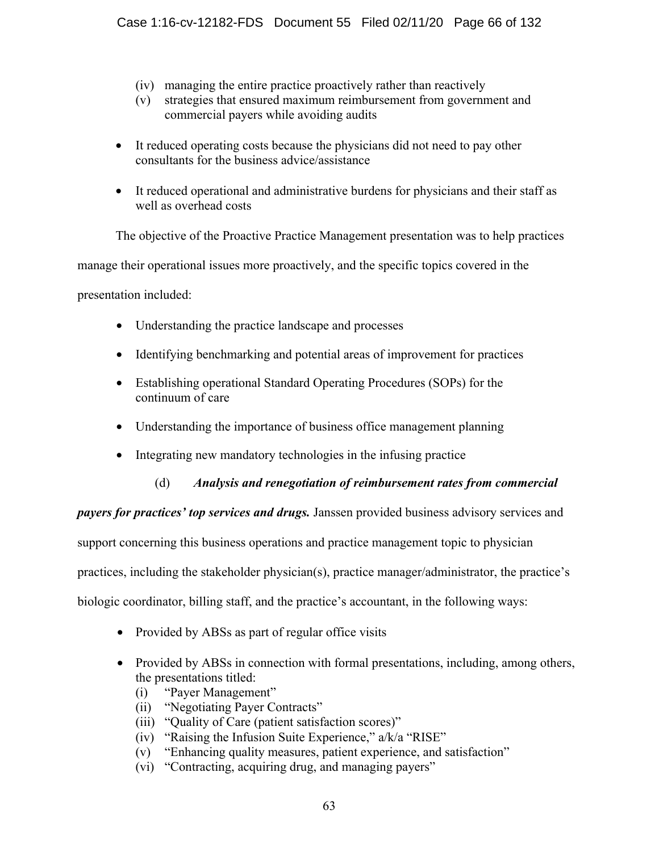- (iv) managing the entire practice proactively rather than reactively
- (v) strategies that ensured maximum reimbursement from government and commercial payers while avoiding audits
- It reduced operating costs because the physicians did not need to pay other consultants for the business advice/assistance
- It reduced operational and administrative burdens for physicians and their staff as well as overhead costs

The objective of the Proactive Practice Management presentation was to help practices

manage their operational issues more proactively, and the specific topics covered in the

presentation included:

- Understanding the practice landscape and processes
- Identifying benchmarking and potential areas of improvement for practices
- Establishing operational Standard Operating Procedures (SOPs) for the continuum of care
- Understanding the importance of business office management planning
- Integrating new mandatory technologies in the infusing practice

# (d) *Analysis and renegotiation of reimbursement rates from commercial*

*payers for practices' top services and drugs.* Janssen provided business advisory services and support concerning this business operations and practice management topic to physician practices, including the stakeholder physician(s), practice manager/administrator, the practice's biologic coordinator, billing staff, and the practice's accountant, in the following ways:

- Provided by ABSs as part of regular office visits
- Provided by ABSs in connection with formal presentations, including, among others, the presentations titled:
	- (i) "Payer Management"
	- (ii) "Negotiating Payer Contracts"
	- (iii) "Quality of Care (patient satisfaction scores)"
	- (iv) "Raising the Infusion Suite Experience," a/k/a "RISE"
	- (v) "Enhancing quality measures, patient experience, and satisfaction"
	- (vi) "Contracting, acquiring drug, and managing payers"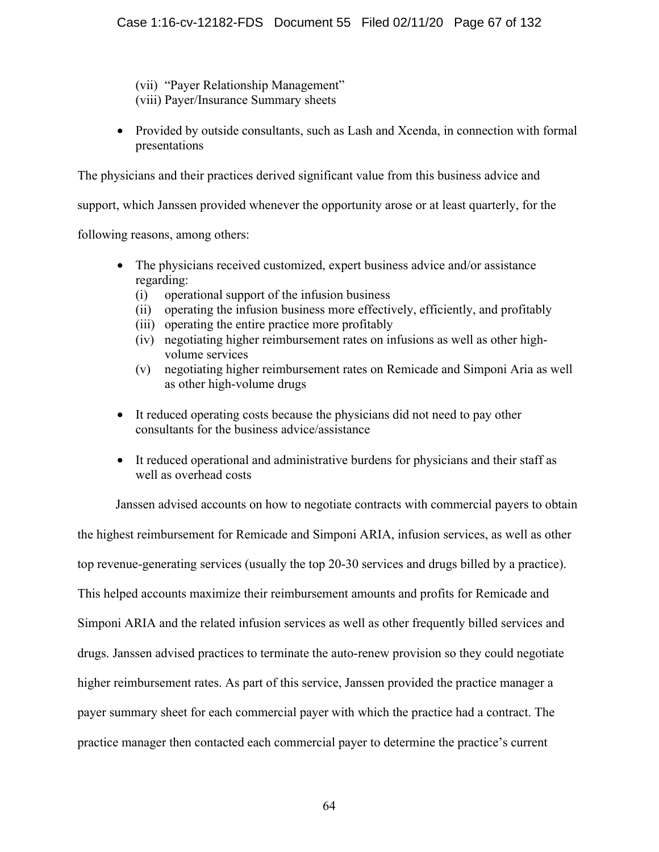(vii) "Payer Relationship Management" (viii) Payer/Insurance Summary sheets

• Provided by outside consultants, such as Lash and Xcenda, in connection with formal presentations

The physicians and their practices derived significant value from this business advice and

support, which Janssen provided whenever the opportunity arose or at least quarterly, for the

following reasons, among others:

- The physicians received customized, expert business advice and/or assistance regarding:
	- (i) operational support of the infusion business
	- (ii) operating the infusion business more effectively, efficiently, and profitably
	- (iii) operating the entire practice more profitably
	- (iv) negotiating higher reimbursement rates on infusions as well as other highvolume services
	- (v) negotiating higher reimbursement rates on Remicade and Simponi Aria as well as other high-volume drugs
- It reduced operating costs because the physicians did not need to pay other consultants for the business advice/assistance
- It reduced operational and administrative burdens for physicians and their staff as well as overhead costs

Janssen advised accounts on how to negotiate contracts with commercial payers to obtain the highest reimbursement for Remicade and Simponi ARIA, infusion services, as well as other top revenue-generating services (usually the top 20-30 services and drugs billed by a practice). This helped accounts maximize their reimbursement amounts and profits for Remicade and Simponi ARIA and the related infusion services as well as other frequently billed services and drugs. Janssen advised practices to terminate the auto-renew provision so they could negotiate higher reimbursement rates. As part of this service, Janssen provided the practice manager a payer summary sheet for each commercial payer with which the practice had a contract. The practice manager then contacted each commercial payer to determine the practice's current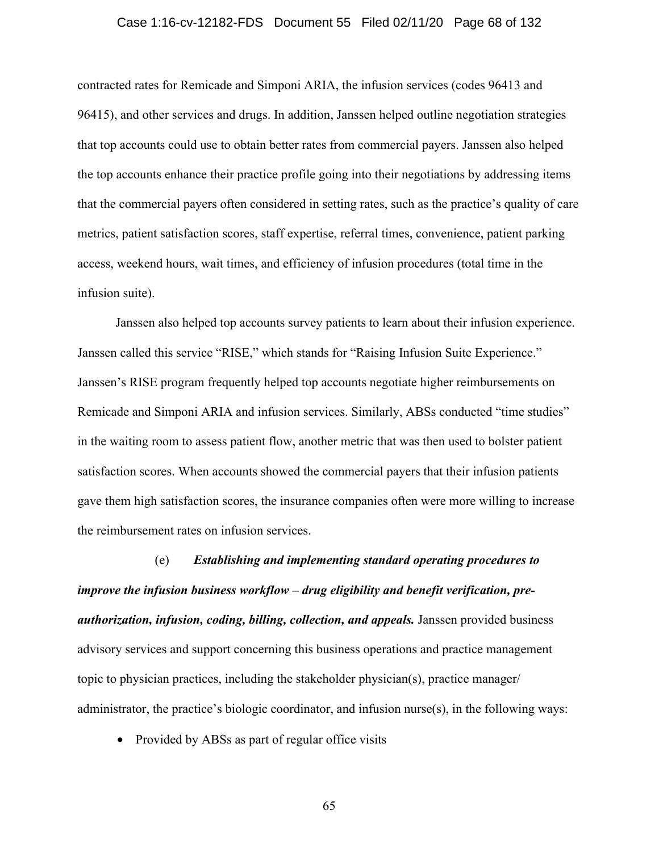## Case 1:16-cv-12182-FDS Document 55 Filed 02/11/20 Page 68 of 132

contracted rates for Remicade and Simponi ARIA, the infusion services (codes 96413 and 96415), and other services and drugs. In addition, Janssen helped outline negotiation strategies that top accounts could use to obtain better rates from commercial payers. Janssen also helped the top accounts enhance their practice profile going into their negotiations by addressing items that the commercial payers often considered in setting rates, such as the practice's quality of care metrics, patient satisfaction scores, staff expertise, referral times, convenience, patient parking access, weekend hours, wait times, and efficiency of infusion procedures (total time in the infusion suite).

Janssen also helped top accounts survey patients to learn about their infusion experience. Janssen called this service "RISE," which stands for "Raising Infusion Suite Experience." Janssen's RISE program frequently helped top accounts negotiate higher reimbursements on Remicade and Simponi ARIA and infusion services. Similarly, ABSs conducted "time studies" in the waiting room to assess patient flow, another metric that was then used to bolster patient satisfaction scores. When accounts showed the commercial payers that their infusion patients gave them high satisfaction scores, the insurance companies often were more willing to increase the reimbursement rates on infusion services.

(e) *Establishing and implementing standard operating procedures to improve the infusion business workflow – drug eligibility and benefit verification, preauthorization, infusion, coding, billing, collection, and appeals.* Janssen provided business advisory services and support concerning this business operations and practice management topic to physician practices, including the stakeholder physician(s), practice manager/ administrator, the practice's biologic coordinator, and infusion nurse(s), in the following ways:

• Provided by ABSs as part of regular office visits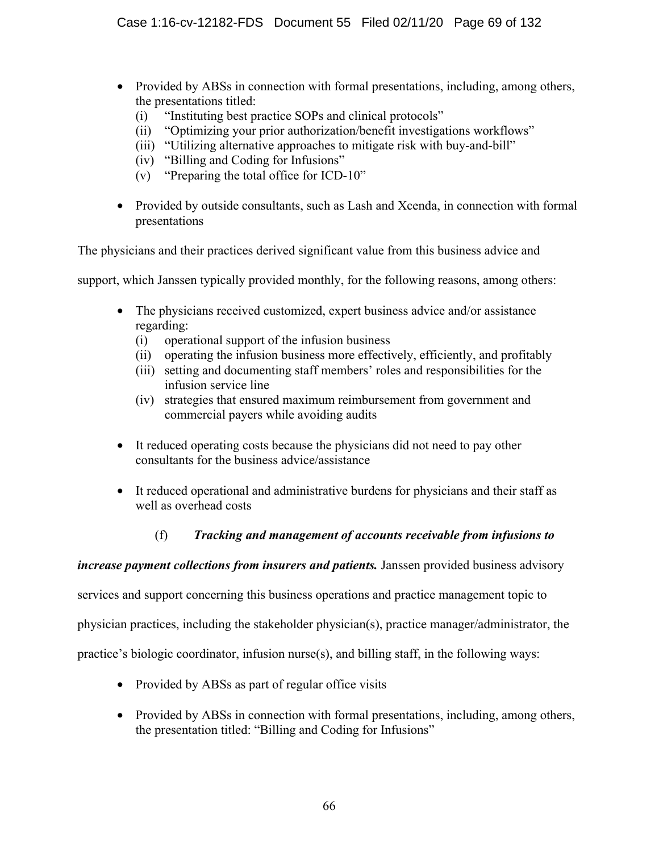- Provided by ABSs in connection with formal presentations, including, among others, the presentations titled:
	- (i) "Instituting best practice SOPs and clinical protocols"
	- (ii) "Optimizing your prior authorization/benefit investigations workflows"
	- (iii) "Utilizing alternative approaches to mitigate risk with buy-and-bill"
	- (iv) "Billing and Coding for Infusions"
	- (v) "Preparing the total office for ICD-10"
- Provided by outside consultants, such as Lash and Xcenda, in connection with formal presentations

The physicians and their practices derived significant value from this business advice and

support, which Janssen typically provided monthly, for the following reasons, among others:

- The physicians received customized, expert business advice and/or assistance regarding:
	- (i) operational support of the infusion business
	- (ii) operating the infusion business more effectively, efficiently, and profitably
	- (iii) setting and documenting staff members' roles and responsibilities for the infusion service line
	- (iv) strategies that ensured maximum reimbursement from government and commercial payers while avoiding audits
- It reduced operating costs because the physicians did not need to pay other consultants for the business advice/assistance
- It reduced operational and administrative burdens for physicians and their staff as well as overhead costs

# (f) *Tracking and management of accounts receivable from infusions to*

# *increase payment collections from insurers and patients.* Janssen provided business advisory

services and support concerning this business operations and practice management topic to

physician practices, including the stakeholder physician(s), practice manager/administrator, the

practice's biologic coordinator, infusion nurse(s), and billing staff, in the following ways:

- Provided by ABSs as part of regular office visits
- Provided by ABSs in connection with formal presentations, including, among others, the presentation titled: "Billing and Coding for Infusions"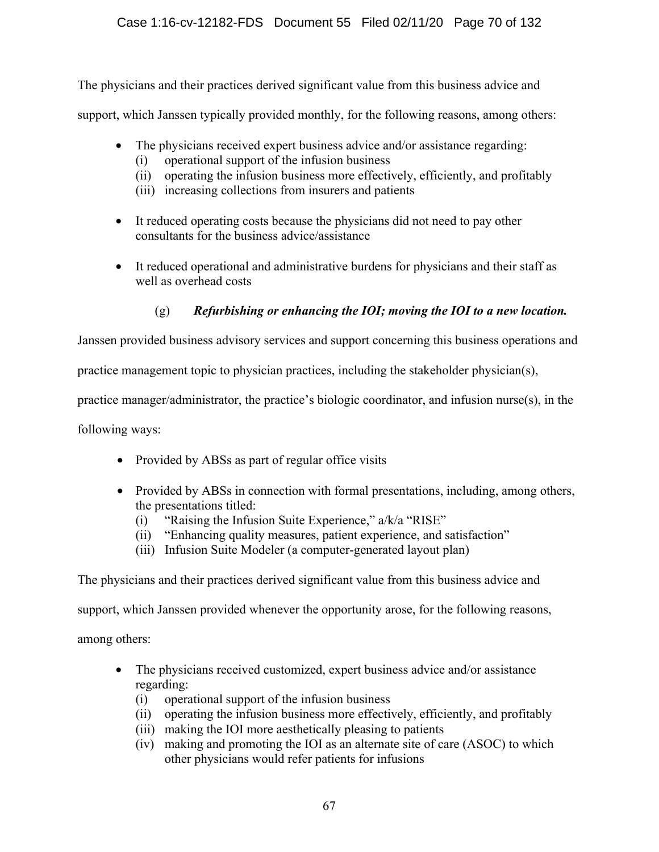The physicians and their practices derived significant value from this business advice and

support, which Janssen typically provided monthly, for the following reasons, among others:

- The physicians received expert business advice and/or assistance regarding:
	- (i) operational support of the infusion business
	- (ii) operating the infusion business more effectively, efficiently, and profitably
	- (iii) increasing collections from insurers and patients
- It reduced operating costs because the physicians did not need to pay other consultants for the business advice/assistance
- It reduced operational and administrative burdens for physicians and their staff as well as overhead costs

# (g) *Refurbishing or enhancing the IOI; moving the IOI to a new location.*

Janssen provided business advisory services and support concerning this business operations and

practice management topic to physician practices, including the stakeholder physician(s),

practice manager/administrator, the practice's biologic coordinator, and infusion nurse(s), in the

following ways:

- Provided by ABSs as part of regular office visits
- Provided by ABSs in connection with formal presentations, including, among others, the presentations titled:
	- (i) "Raising the Infusion Suite Experience," a/k/a "RISE"
	- (ii) "Enhancing quality measures, patient experience, and satisfaction"
	- (iii) Infusion Suite Modeler (a computer-generated layout plan)

The physicians and their practices derived significant value from this business advice and

support, which Janssen provided whenever the opportunity arose, for the following reasons,

among others:

- The physicians received customized, expert business advice and/or assistance regarding:
	- (i) operational support of the infusion business
	- (ii) operating the infusion business more effectively, efficiently, and profitably
	- (iii) making the IOI more aesthetically pleasing to patients
	- (iv) making and promoting the IOI as an alternate site of care (ASOC) to which other physicians would refer patients for infusions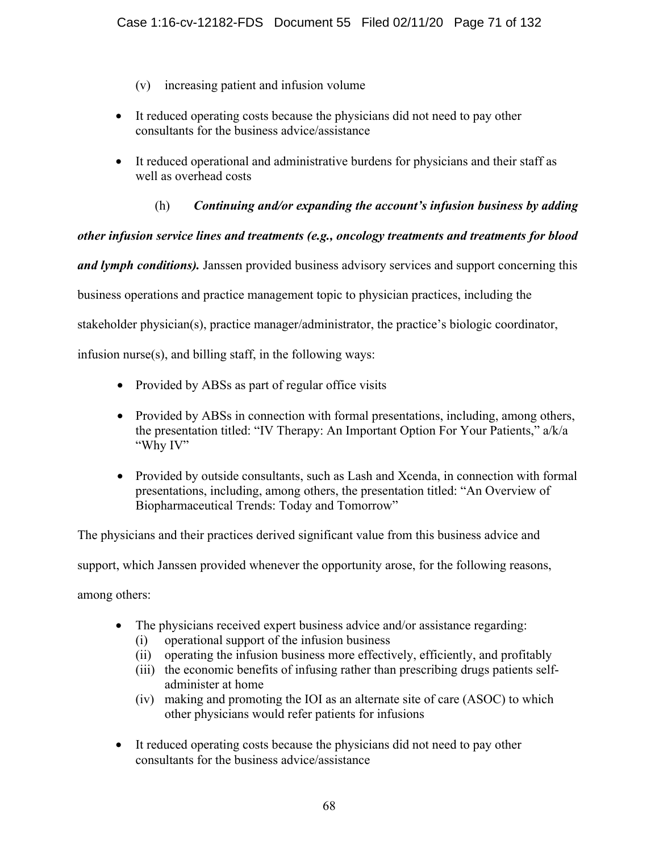- (v) increasing patient and infusion volume
- It reduced operating costs because the physicians did not need to pay other consultants for the business advice/assistance
- It reduced operational and administrative burdens for physicians and their staff as well as overhead costs
	- (h) *Continuing and/or expanding the account's infusion business by adding*

# *other infusion service lines and treatments (e.g., oncology treatments and treatments for blood*

*and lymph conditions).* Janssen provided business advisory services and support concerning this

business operations and practice management topic to physician practices, including the

stakeholder physician(s), practice manager/administrator, the practice's biologic coordinator,

infusion nurse(s), and billing staff, in the following ways:

- Provided by ABSs as part of regular office visits
- Provided by ABSs in connection with formal presentations, including, among others, the presentation titled: "IV Therapy: An Important Option For Your Patients," a/k/a "Why IV"
- Provided by outside consultants, such as Lash and Xcenda, in connection with formal presentations, including, among others, the presentation titled: "An Overview of Biopharmaceutical Trends: Today and Tomorrow"

The physicians and their practices derived significant value from this business advice and support, which Janssen provided whenever the opportunity arose, for the following reasons, among others:

- The physicians received expert business advice and/or assistance regarding:
	- (i) operational support of the infusion business
	- (ii) operating the infusion business more effectively, efficiently, and profitably
	- (iii) the economic benefits of infusing rather than prescribing drugs patients selfadminister at home
	- (iv) making and promoting the IOI as an alternate site of care (ASOC) to which other physicians would refer patients for infusions
- It reduced operating costs because the physicians did not need to pay other consultants for the business advice/assistance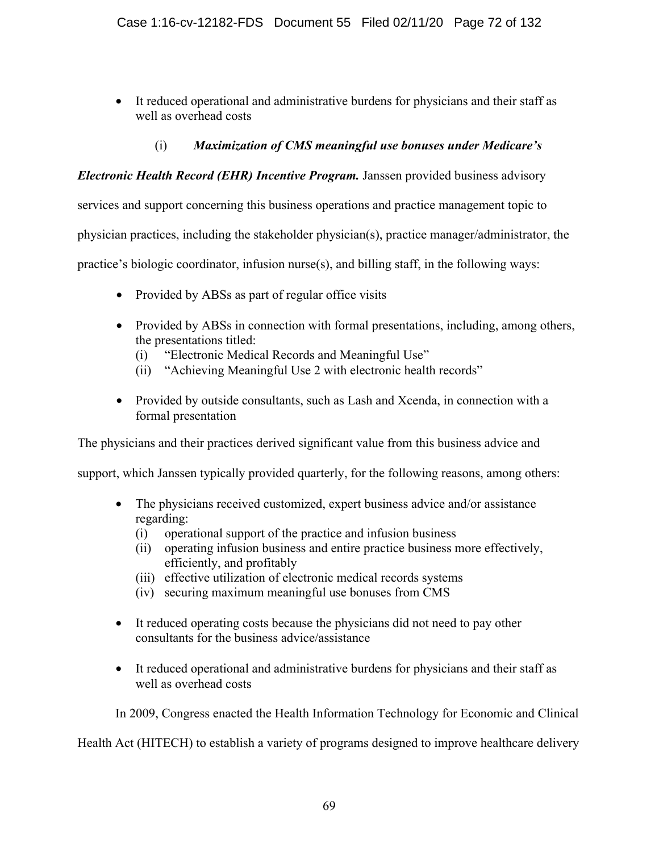• It reduced operational and administrative burdens for physicians and their staff as well as overhead costs

# (i) *Maximization of CMS meaningful use bonuses under Medicare's*

# *Electronic Health Record (EHR) Incentive Program.* Janssen provided business advisory

services and support concerning this business operations and practice management topic to

physician practices, including the stakeholder physician(s), practice manager/administrator, the

practice's biologic coordinator, infusion nurse(s), and billing staff, in the following ways:

- Provided by ABSs as part of regular office visits
- Provided by ABSs in connection with formal presentations, including, among others, the presentations titled:
	- (i) "Electronic Medical Records and Meaningful Use"
	- (ii) "Achieving Meaningful Use 2 with electronic health records"
- Provided by outside consultants, such as Lash and Xcenda, in connection with a formal presentation

The physicians and their practices derived significant value from this business advice and

support, which Janssen typically provided quarterly, for the following reasons, among others:

- The physicians received customized, expert business advice and/or assistance regarding:
	- (i) operational support of the practice and infusion business
	- (ii) operating infusion business and entire practice business more effectively, efficiently, and profitably
	- (iii) effective utilization of electronic medical records systems
	- (iv) securing maximum meaningful use bonuses from CMS
- It reduced operating costs because the physicians did not need to pay other consultants for the business advice/assistance
- It reduced operational and administrative burdens for physicians and their staff as well as overhead costs

In 2009, Congress enacted the Health Information Technology for Economic and Clinical

Health Act (HITECH) to establish a variety of programs designed to improve healthcare delivery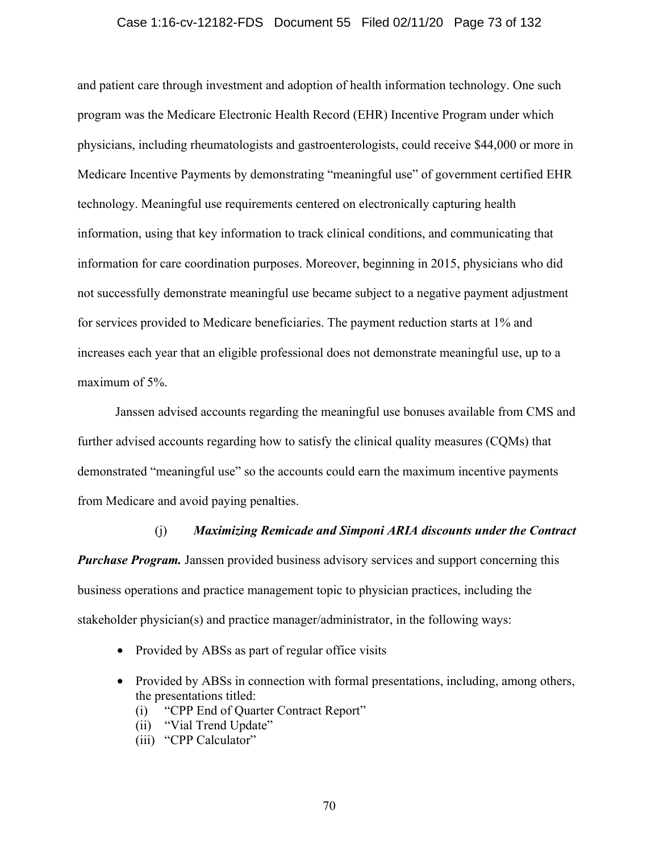### Case 1:16-cv-12182-FDS Document 55 Filed 02/11/20 Page 73 of 132

and patient care through investment and adoption of health information technology. One such program was the Medicare Electronic Health Record (EHR) Incentive Program under which physicians, including rheumatologists and gastroenterologists, could receive \$44,000 or more in Medicare Incentive Payments by demonstrating "meaningful use" of government certified EHR technology. Meaningful use requirements centered on electronically capturing health information, using that key information to track clinical conditions, and communicating that information for care coordination purposes. Moreover, beginning in 2015, physicians who did not successfully demonstrate meaningful use became subject to a negative payment adjustment for services provided to Medicare beneficiaries. The payment reduction starts at 1% and increases each year that an eligible professional does not demonstrate meaningful use, up to a maximum of 5%.

Janssen advised accounts regarding the meaningful use bonuses available from CMS and further advised accounts regarding how to satisfy the clinical quality measures (CQMs) that demonstrated "meaningful use" so the accounts could earn the maximum incentive payments from Medicare and avoid paying penalties.

#### (j) *Maximizing Remicade and Simponi ARIA discounts under the Contract*

*Purchase Program.* Janssen provided business advisory services and support concerning this business operations and practice management topic to physician practices, including the stakeholder physician(s) and practice manager/administrator, in the following ways:

- Provided by ABSs as part of regular office visits
- Provided by ABSs in connection with formal presentations, including, among others, the presentations titled:
	- (i) "CPP End of Quarter Contract Report"
	- (ii) "Vial Trend Update"
	- (iii) "CPP Calculator"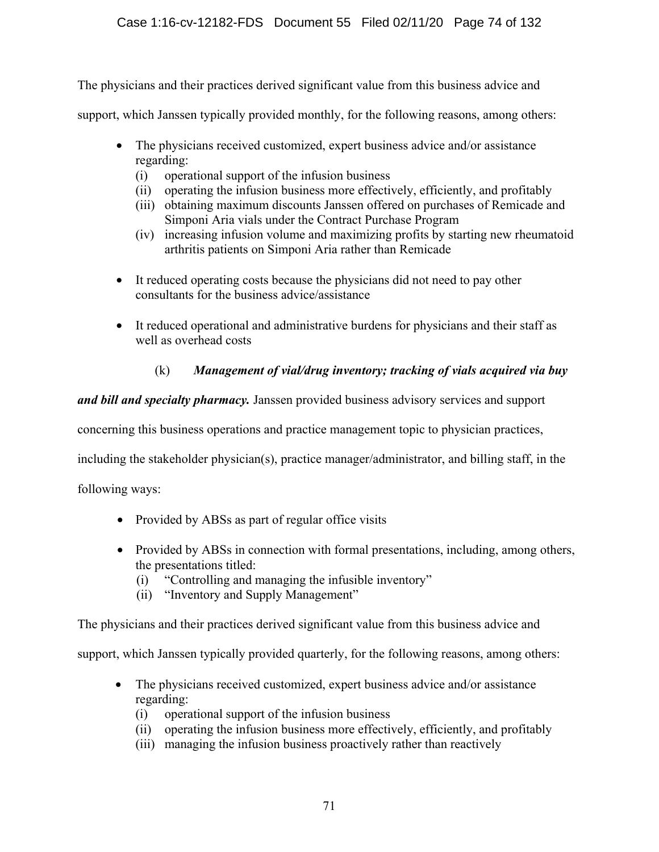The physicians and their practices derived significant value from this business advice and

support, which Janssen typically provided monthly, for the following reasons, among others:

- The physicians received customized, expert business advice and/or assistance regarding:
	- (i) operational support of the infusion business
	- (ii) operating the infusion business more effectively, efficiently, and profitably
	- (iii) obtaining maximum discounts Janssen offered on purchases of Remicade and Simponi Aria vials under the Contract Purchase Program
	- (iv) increasing infusion volume and maximizing profits by starting new rheumatoid arthritis patients on Simponi Aria rather than Remicade
- It reduced operating costs because the physicians did not need to pay other consultants for the business advice/assistance
- It reduced operational and administrative burdens for physicians and their staff as well as overhead costs

# (k) *Management of vial/drug inventory; tracking of vials acquired via buy*

*and bill and specialty pharmacy.* Janssen provided business advisory services and support

concerning this business operations and practice management topic to physician practices,

including the stakeholder physician(s), practice manager/administrator, and billing staff, in the

following ways:

- Provided by ABSs as part of regular office visits
- Provided by ABSs in connection with formal presentations, including, among others, the presentations titled:
	- (i) "Controlling and managing the infusible inventory"
	- (ii) "Inventory and Supply Management"

The physicians and their practices derived significant value from this business advice and

support, which Janssen typically provided quarterly, for the following reasons, among others:

- The physicians received customized, expert business advice and/or assistance regarding:
	- (i) operational support of the infusion business
	- (ii) operating the infusion business more effectively, efficiently, and profitably
	- (iii) managing the infusion business proactively rather than reactively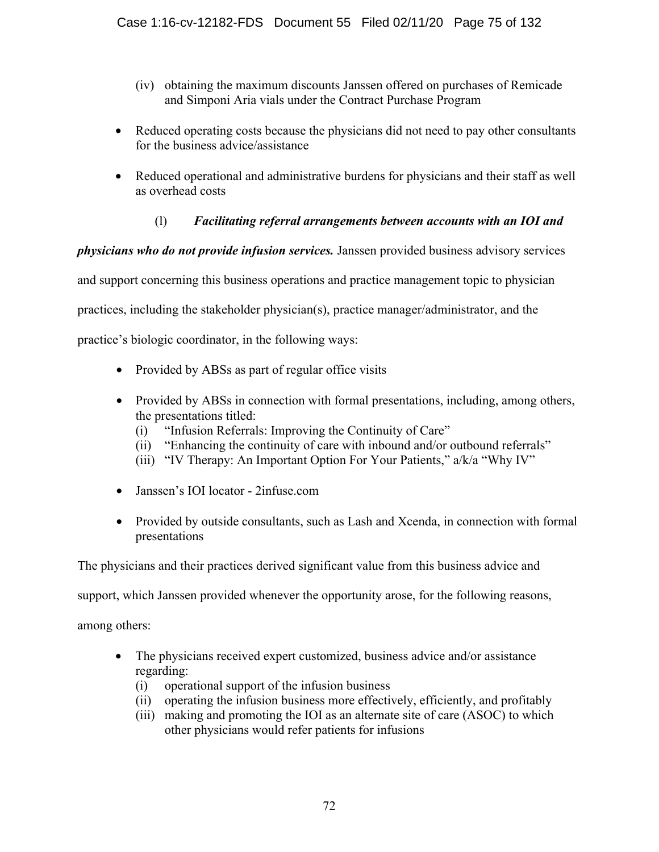- (iv) obtaining the maximum discounts Janssen offered on purchases of Remicade and Simponi Aria vials under the Contract Purchase Program
- Reduced operating costs because the physicians did not need to pay other consultants for the business advice/assistance
- Reduced operational and administrative burdens for physicians and their staff as well as overhead costs

# (l) *Facilitating referral arrangements between accounts with an IOI and*

*physicians who do not provide infusion services.* Janssen provided business advisory services

and support concerning this business operations and practice management topic to physician

practices, including the stakeholder physician(s), practice manager/administrator, and the

practice's biologic coordinator, in the following ways:

- Provided by ABSs as part of regular office visits
- Provided by ABSs in connection with formal presentations, including, among others, the presentations titled:
	- (i) "Infusion Referrals: Improving the Continuity of Care"
	- (ii) "Enhancing the continuity of care with inbound and/or outbound referrals"
	- (iii) "IV Therapy: An Important Option For Your Patients," a/k/a "Why IV"
- Janssen's IOI locator 2infuse.com
- Provided by outside consultants, such as Lash and Xcenda, in connection with formal presentations

The physicians and their practices derived significant value from this business advice and

support, which Janssen provided whenever the opportunity arose, for the following reasons,

among others:

- The physicians received expert customized, business advice and/or assistance regarding:
	- (i) operational support of the infusion business
	- (ii) operating the infusion business more effectively, efficiently, and profitably
	- (iii) making and promoting the IOI as an alternate site of care (ASOC) to which other physicians would refer patients for infusions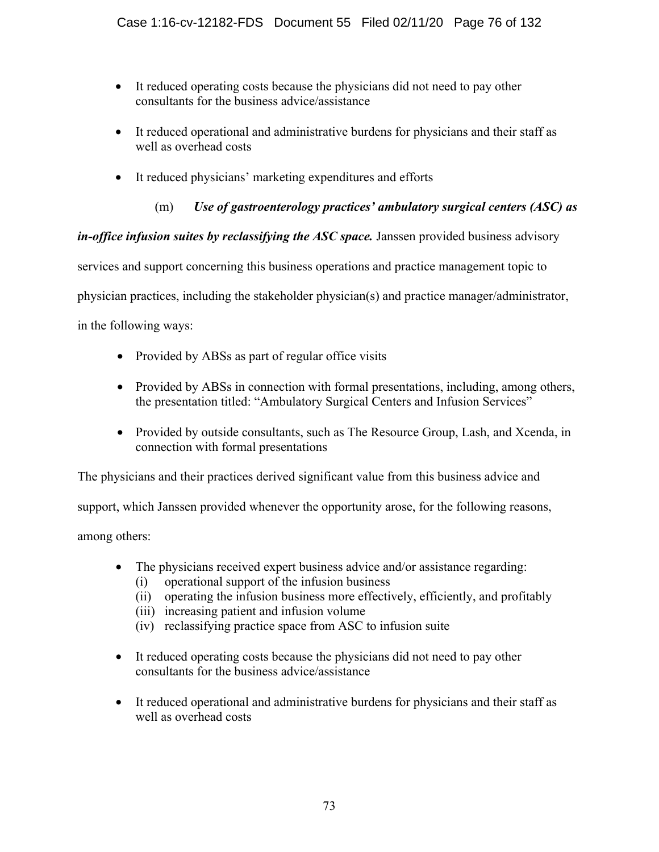- It reduced operating costs because the physicians did not need to pay other consultants for the business advice/assistance
- It reduced operational and administrative burdens for physicians and their staff as well as overhead costs
- It reduced physicians' marketing expenditures and efforts
	- (m) *Use of gastroenterology practices' ambulatory surgical centers (ASC) as*

*in-office infusion suites by reclassifying the ASC space.* Janssen provided business advisory

services and support concerning this business operations and practice management topic to

physician practices, including the stakeholder physician(s) and practice manager/administrator,

in the following ways:

- Provided by ABSs as part of regular office visits
- Provided by ABSs in connection with formal presentations, including, among others, the presentation titled: "Ambulatory Surgical Centers and Infusion Services"
- Provided by outside consultants, such as The Resource Group, Lash, and Xcenda, in connection with formal presentations

The physicians and their practices derived significant value from this business advice and

support, which Janssen provided whenever the opportunity arose, for the following reasons,

among others:

- The physicians received expert business advice and/or assistance regarding:
	- (i) operational support of the infusion business
	- (ii) operating the infusion business more effectively, efficiently, and profitably
	- (iii) increasing patient and infusion volume
	- (iv) reclassifying practice space from ASC to infusion suite
- It reduced operating costs because the physicians did not need to pay other consultants for the business advice/assistance
- It reduced operational and administrative burdens for physicians and their staff as well as overhead costs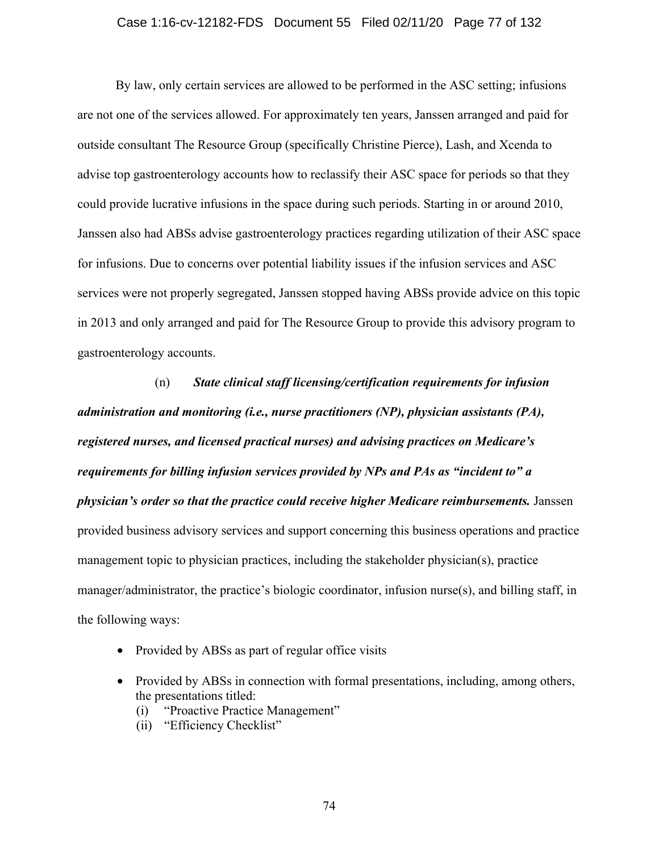### Case 1:16-cv-12182-FDS Document 55 Filed 02/11/20 Page 77 of 132

By law, only certain services are allowed to be performed in the ASC setting; infusions are not one of the services allowed. For approximately ten years, Janssen arranged and paid for outside consultant The Resource Group (specifically Christine Pierce), Lash, and Xcenda to advise top gastroenterology accounts how to reclassify their ASC space for periods so that they could provide lucrative infusions in the space during such periods. Starting in or around 2010, Janssen also had ABSs advise gastroenterology practices regarding utilization of their ASC space for infusions. Due to concerns over potential liability issues if the infusion services and ASC services were not properly segregated, Janssen stopped having ABSs provide advice on this topic in 2013 and only arranged and paid for The Resource Group to provide this advisory program to gastroenterology accounts.

(n) *State clinical staff licensing/certification requirements for infusion administration and monitoring (i.e., nurse practitioners (NP), physician assistants (PA), registered nurses, and licensed practical nurses) and advising practices on Medicare's requirements for billing infusion services provided by NPs and PAs as "incident to" a physician's order so that the practice could receive higher Medicare reimbursements.* Janssen provided business advisory services and support concerning this business operations and practice management topic to physician practices, including the stakeholder physician(s), practice manager/administrator, the practice's biologic coordinator, infusion nurse(s), and billing staff, in the following ways:

- Provided by ABSs as part of regular office visits
- Provided by ABSs in connection with formal presentations, including, among others, the presentations titled:
	- (i) "Proactive Practice Management"
	- (ii) "Efficiency Checklist"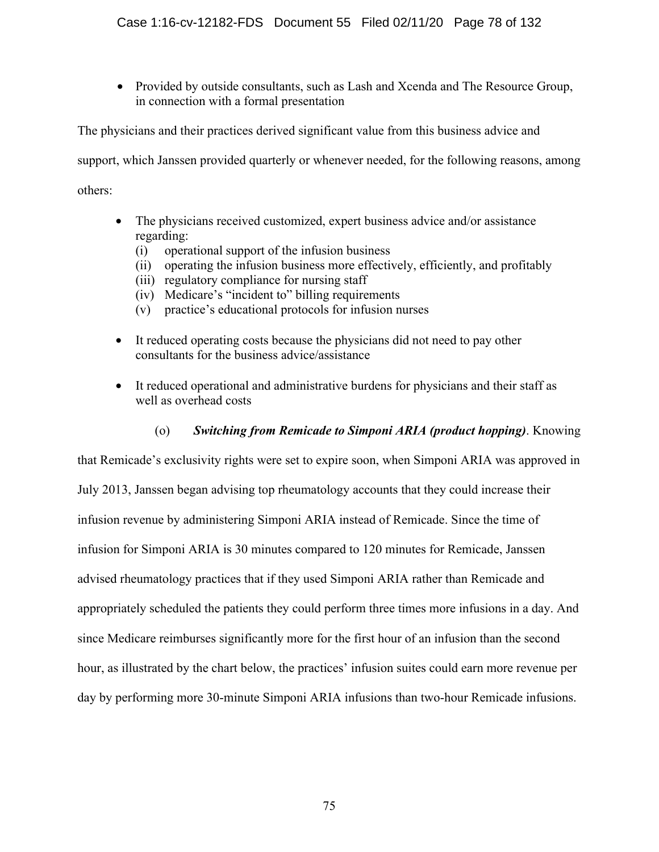• Provided by outside consultants, such as Lash and Xcenda and The Resource Group, in connection with a formal presentation

The physicians and their practices derived significant value from this business advice and support, which Janssen provided quarterly or whenever needed, for the following reasons, among others:

- The physicians received customized, expert business advice and/or assistance regarding:
	- (i) operational support of the infusion business
	- (ii) operating the infusion business more effectively, efficiently, and profitably
	- (iii) regulatory compliance for nursing staff
	- (iv) Medicare's "incident to" billing requirements
	- (v) practice's educational protocols for infusion nurses
- It reduced operating costs because the physicians did not need to pay other consultants for the business advice/assistance
- It reduced operational and administrative burdens for physicians and their staff as well as overhead costs

# (o) *Switching from Remicade to Simponi ARIA (product hopping)*. Knowing

that Remicade's exclusivity rights were set to expire soon, when Simponi ARIA was approved in July 2013, Janssen began advising top rheumatology accounts that they could increase their infusion revenue by administering Simponi ARIA instead of Remicade. Since the time of infusion for Simponi ARIA is 30 minutes compared to 120 minutes for Remicade, Janssen advised rheumatology practices that if they used Simponi ARIA rather than Remicade and appropriately scheduled the patients they could perform three times more infusions in a day. And since Medicare reimburses significantly more for the first hour of an infusion than the second hour, as illustrated by the chart below, the practices' infusion suites could earn more revenue per day by performing more 30-minute Simponi ARIA infusions than two-hour Remicade infusions.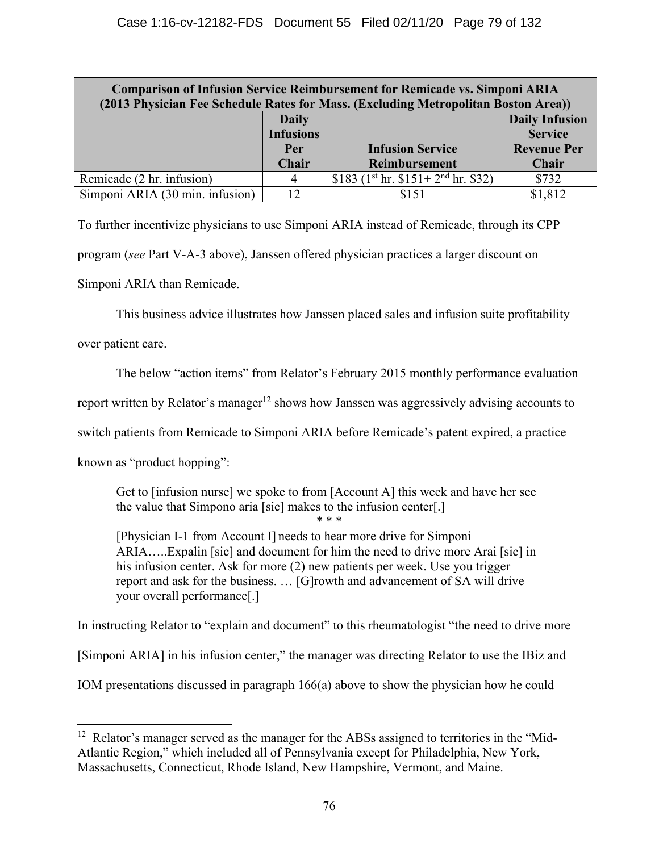| <b>Comparison of Infusion Service Reimbursement for Remicade vs. Simponi ARIA</b><br>(2013 Physician Fee Schedule Rates for Mass. (Excluding Metropolitan Boston Area)) |                  |                                    |                       |  |  |  |  |
|-------------------------------------------------------------------------------------------------------------------------------------------------------------------------|------------------|------------------------------------|-----------------------|--|--|--|--|
|                                                                                                                                                                         | <b>Daily</b>     |                                    | <b>Daily Infusion</b> |  |  |  |  |
|                                                                                                                                                                         | <b>Infusions</b> |                                    | <b>Service</b>        |  |  |  |  |
|                                                                                                                                                                         | Per              | <b>Infusion Service</b>            | <b>Revenue Per</b>    |  |  |  |  |
|                                                                                                                                                                         | Chair            | Reimbursement                      | Chair                 |  |  |  |  |
| Remicade (2 hr. infusion)                                                                                                                                               | 4                | \$183 $(1st hr. $151+2nd hr. $32)$ | \$732                 |  |  |  |  |
| Simponi ARIA (30 min. infusion)                                                                                                                                         | 12               | \$151                              | \$1,812               |  |  |  |  |

To further incentivize physicians to use Simponi ARIA instead of Remicade, through its CPP

program (*see* Part V-A-3 above), Janssen offered physician practices a larger discount on

Simponi ARIA than Remicade.

This business advice illustrates how Janssen placed sales and infusion suite profitability

over patient care.

The below "action items" from Relator's February 2015 monthly performance evaluation

report written by Relator's manager<sup>12</sup> shows how Janssen was aggressively advising accounts to

switch patients from Remicade to Simponi ARIA before Remicade's patent expired, a practice

known as "product hopping":

Get to [infusion nurse] we spoke to from [Account A] this week and have her see the value that Simpono aria [sic] makes to the infusion center[.]

\* \* \*

[Physician I-1 from Account I] needs to hear more drive for Simponi ARIA…..Expalin [sic] and document for him the need to drive more Arai [sic] in his infusion center. Ask for more (2) new patients per week. Use you trigger report and ask for the business. … [G]rowth and advancement of SA will drive your overall performance[.]

In instructing Relator to "explain and document" to this rheumatologist "the need to drive more

[Simponi ARIA] in his infusion center," the manager was directing Relator to use the IBiz and

IOM presentations discussed in paragraph 166(a) above to show the physician how he could

<sup>&</sup>lt;sup>12</sup> Relator's manager served as the manager for the ABSs assigned to territories in the "Mid-Atlantic Region," which included all of Pennsylvania except for Philadelphia, New York, Massachusetts, Connecticut, Rhode Island, New Hampshire, Vermont, and Maine.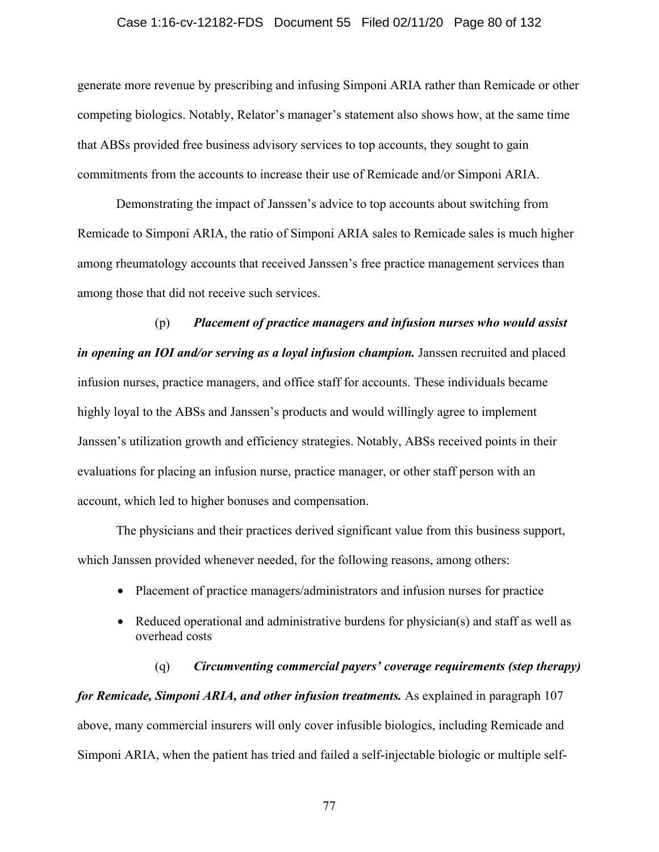### Case 1:16-cv-12182-FDS Document 55 Filed 02/11/20 Page 80 of 132

generate more revenue by prescribing and infusing Simponi ARIA rather than Remicade or other competing biologics. Notably, Relator's manager's statement also shows how, at the same time that ABSs provided free business advisory services to top accounts, they sought to gain commitments from the accounts to increase their use of Remicade and/or Simponi ARIA.

Demonstrating the impact of Janssen's advice to top accounts about switching from Remicade to Simponi ARIA, the ratio of Simponi ARIA sales to Remicade sales is much higher among rheumatology accounts that received Janssen's free practice management services than among those that did not receive such services.

(p) *Placement of practice managers and infusion nurses who would assist in opening an IOI and/or serving as a loyal infusion champion.* Janssen recruited and placed infusion nurses, practice managers, and office staff for accounts. These individuals became highly loyal to the ABSs and Janssen's products and would willingly agree to implement Janssen's utilization growth and efficiency strategies. Notably, ABSs received points in their evaluations for placing an infusion nurse, practice manager, or other staff person with an account, which led to higher bonuses and compensation.

The physicians and their practices derived significant value from this business support, which Janssen provided whenever needed, for the following reasons, among others:

- Placement of practice managers/administrators and infusion nurses for practice
- Reduced operational and administrative burdens for physician(s) and staff as well as overhead costs

(q) *Circumventing commercial payers' coverage requirements (step therapy) for Remicade, Simponi ARIA, and other infusion treatments.* As explained in paragraph 107 above, many commercial insurers will only cover infusible biologics, including Remicade and Simponi ARIA, when the patient has tried and failed a self-injectable biologic or multiple self-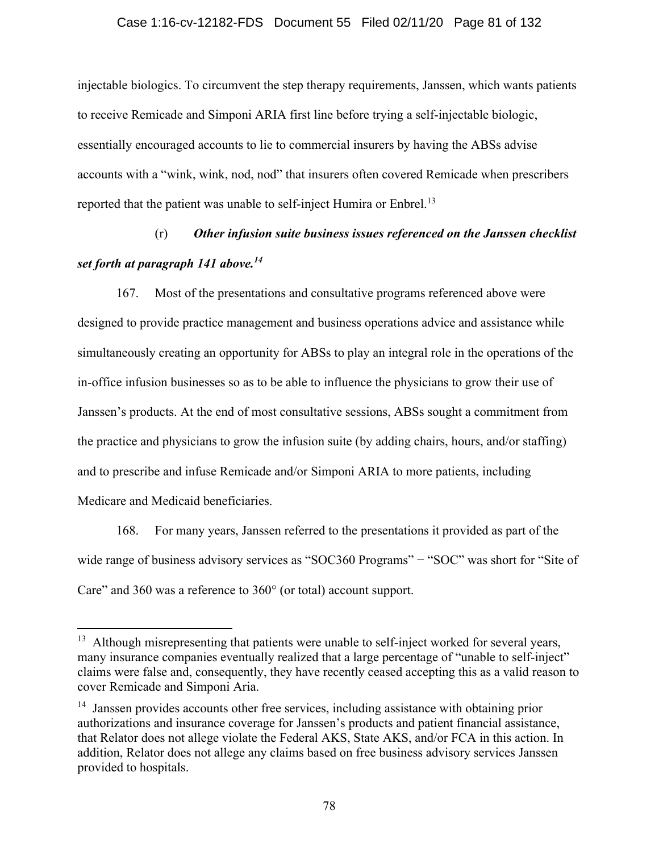### Case 1:16-cv-12182-FDS Document 55 Filed 02/11/20 Page 81 of 132

injectable biologics. To circumvent the step therapy requirements, Janssen, which wants patients to receive Remicade and Simponi ARIA first line before trying a self-injectable biologic, essentially encouraged accounts to lie to commercial insurers by having the ABSs advise accounts with a "wink, wink, nod, nod" that insurers often covered Remicade when prescribers reported that the patient was unable to self-inject Humira or Enbrel.<sup>13</sup>

# (r) *Other infusion suite business issues referenced on the Janssen checklist set forth at paragraph 141 above.<sup>14</sup>*

167. Most of the presentations and consultative programs referenced above were designed to provide practice management and business operations advice and assistance while simultaneously creating an opportunity for ABSs to play an integral role in the operations of the in-office infusion businesses so as to be able to influence the physicians to grow their use of Janssen's products. At the end of most consultative sessions, ABSs sought a commitment from the practice and physicians to grow the infusion suite (by adding chairs, hours, and/or staffing) and to prescribe and infuse Remicade and/or Simponi ARIA to more patients, including Medicare and Medicaid beneficiaries.

168. For many years, Janssen referred to the presentations it provided as part of the wide range of business advisory services as "SOC360 Programs" – "SOC" was short for "Site of Care" and 360 was a reference to 360° (or total) account support.

<sup>&</sup>lt;sup>13</sup> Although misrepresenting that patients were unable to self-inject worked for several years, many insurance companies eventually realized that a large percentage of "unable to self-inject" claims were false and, consequently, they have recently ceased accepting this as a valid reason to cover Remicade and Simponi Aria.

<sup>&</sup>lt;sup>14</sup> Janssen provides accounts other free services, including assistance with obtaining prior authorizations and insurance coverage for Janssen's products and patient financial assistance, that Relator does not allege violate the Federal AKS, State AKS, and/or FCA in this action. In addition, Relator does not allege any claims based on free business advisory services Janssen provided to hospitals.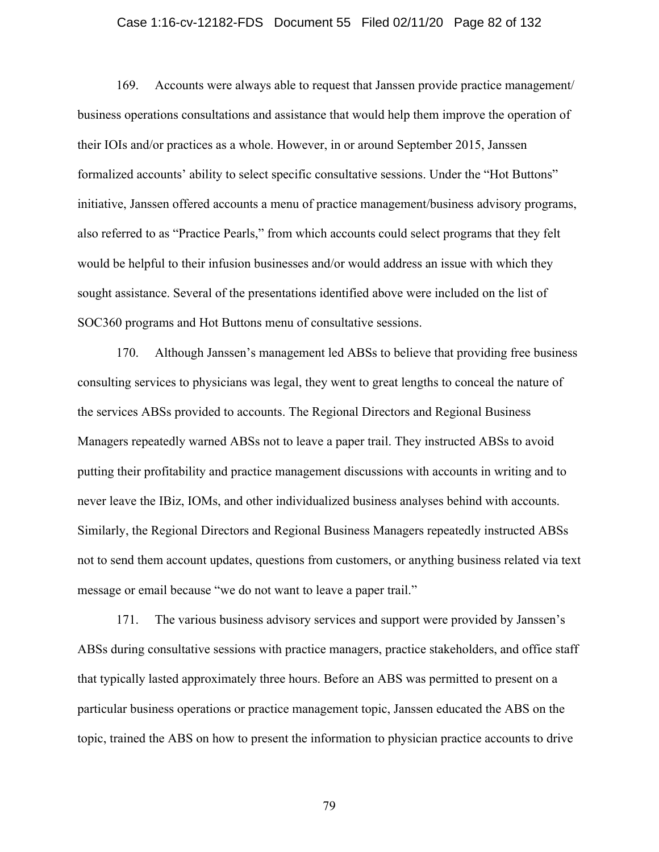### Case 1:16-cv-12182-FDS Document 55 Filed 02/11/20 Page 82 of 132

169. Accounts were always able to request that Janssen provide practice management/ business operations consultations and assistance that would help them improve the operation of their IOIs and/or practices as a whole. However, in or around September 2015, Janssen formalized accounts' ability to select specific consultative sessions. Under the "Hot Buttons" initiative, Janssen offered accounts a menu of practice management/business advisory programs, also referred to as "Practice Pearls," from which accounts could select programs that they felt would be helpful to their infusion businesses and/or would address an issue with which they sought assistance. Several of the presentations identified above were included on the list of SOC360 programs and Hot Buttons menu of consultative sessions.

170. Although Janssen's management led ABSs to believe that providing free business consulting services to physicians was legal, they went to great lengths to conceal the nature of the services ABSs provided to accounts. The Regional Directors and Regional Business Managers repeatedly warned ABSs not to leave a paper trail. They instructed ABSs to avoid putting their profitability and practice management discussions with accounts in writing and to never leave the IBiz, IOMs, and other individualized business analyses behind with accounts. Similarly, the Regional Directors and Regional Business Managers repeatedly instructed ABSs not to send them account updates, questions from customers, or anything business related via text message or email because "we do not want to leave a paper trail."

171. The various business advisory services and support were provided by Janssen's ABSs during consultative sessions with practice managers, practice stakeholders, and office staff that typically lasted approximately three hours. Before an ABS was permitted to present on a particular business operations or practice management topic, Janssen educated the ABS on the topic, trained the ABS on how to present the information to physician practice accounts to drive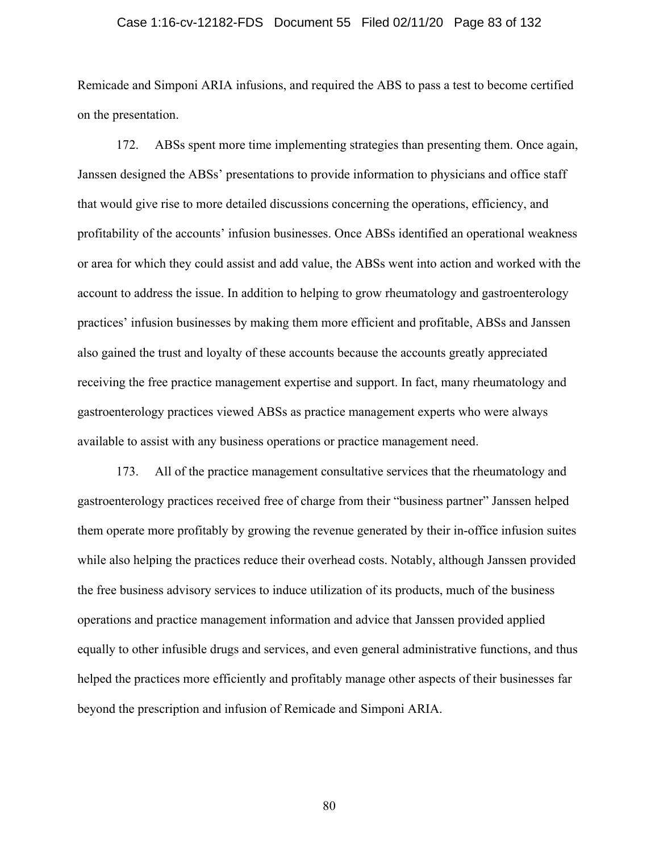### Case 1:16-cv-12182-FDS Document 55 Filed 02/11/20 Page 83 of 132

Remicade and Simponi ARIA infusions, and required the ABS to pass a test to become certified on the presentation.

172. ABSs spent more time implementing strategies than presenting them. Once again, Janssen designed the ABSs' presentations to provide information to physicians and office staff that would give rise to more detailed discussions concerning the operations, efficiency, and profitability of the accounts' infusion businesses. Once ABSs identified an operational weakness or area for which they could assist and add value, the ABSs went into action and worked with the account to address the issue. In addition to helping to grow rheumatology and gastroenterology practices' infusion businesses by making them more efficient and profitable, ABSs and Janssen also gained the trust and loyalty of these accounts because the accounts greatly appreciated receiving the free practice management expertise and support. In fact, many rheumatology and gastroenterology practices viewed ABSs as practice management experts who were always available to assist with any business operations or practice management need.

173. All of the practice management consultative services that the rheumatology and gastroenterology practices received free of charge from their "business partner" Janssen helped them operate more profitably by growing the revenue generated by their in-office infusion suites while also helping the practices reduce their overhead costs. Notably, although Janssen provided the free business advisory services to induce utilization of its products, much of the business operations and practice management information and advice that Janssen provided applied equally to other infusible drugs and services, and even general administrative functions, and thus helped the practices more efficiently and profitably manage other aspects of their businesses far beyond the prescription and infusion of Remicade and Simponi ARIA.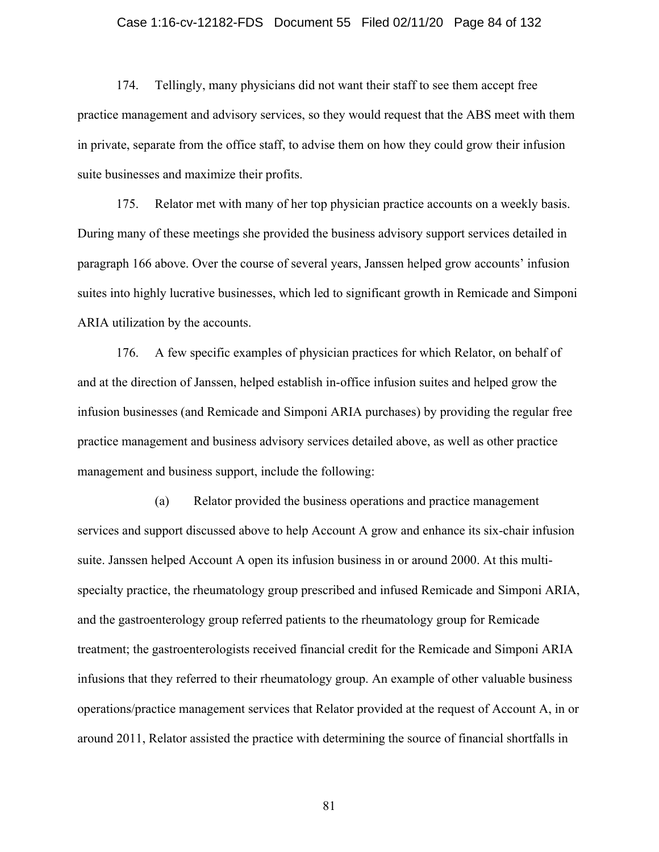### Case 1:16-cv-12182-FDS Document 55 Filed 02/11/20 Page 84 of 132

174. Tellingly, many physicians did not want their staff to see them accept free practice management and advisory services, so they would request that the ABS meet with them in private, separate from the office staff, to advise them on how they could grow their infusion suite businesses and maximize their profits.

175. Relator met with many of her top physician practice accounts on a weekly basis. During many of these meetings she provided the business advisory support services detailed in paragraph 166 above. Over the course of several years, Janssen helped grow accounts' infusion suites into highly lucrative businesses, which led to significant growth in Remicade and Simponi ARIA utilization by the accounts.

176. A few specific examples of physician practices for which Relator, on behalf of and at the direction of Janssen, helped establish in-office infusion suites and helped grow the infusion businesses (and Remicade and Simponi ARIA purchases) by providing the regular free practice management and business advisory services detailed above, as well as other practice management and business support, include the following:

(a) Relator provided the business operations and practice management services and support discussed above to help Account A grow and enhance its six-chair infusion suite. Janssen helped Account A open its infusion business in or around 2000. At this multispecialty practice, the rheumatology group prescribed and infused Remicade and Simponi ARIA, and the gastroenterology group referred patients to the rheumatology group for Remicade treatment; the gastroenterologists received financial credit for the Remicade and Simponi ARIA infusions that they referred to their rheumatology group. An example of other valuable business operations/practice management services that Relator provided at the request of Account A, in or around 2011, Relator assisted the practice with determining the source of financial shortfalls in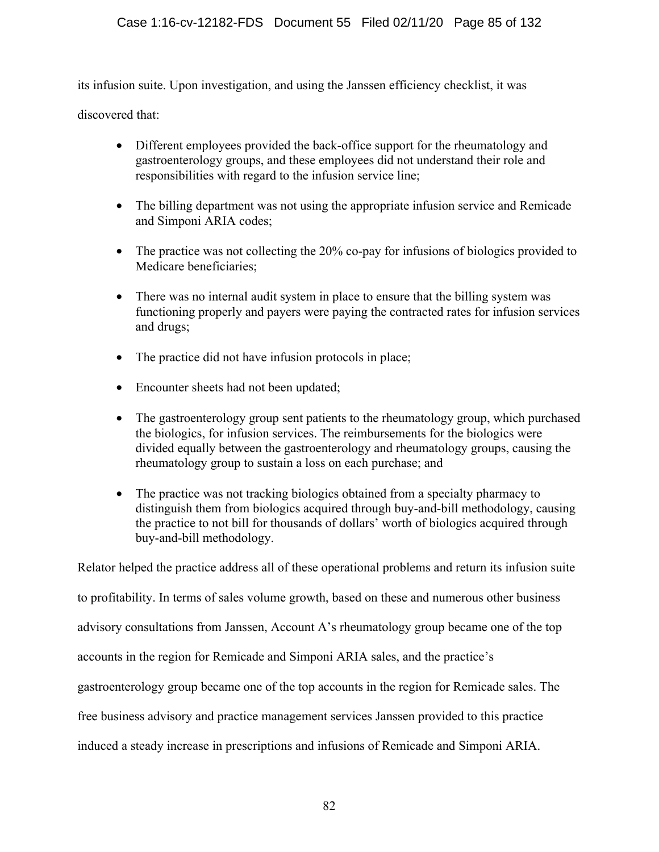its infusion suite. Upon investigation, and using the Janssen efficiency checklist, it was

discovered that:

- Different employees provided the back-office support for the rheumatology and gastroenterology groups, and these employees did not understand their role and responsibilities with regard to the infusion service line;
- The billing department was not using the appropriate infusion service and Remicade and Simponi ARIA codes;
- The practice was not collecting the 20% co-pay for infusions of biologics provided to Medicare beneficiaries;
- There was no internal audit system in place to ensure that the billing system was functioning properly and payers were paying the contracted rates for infusion services and drugs;
- The practice did not have infusion protocols in place;
- Encounter sheets had not been updated;
- The gastroenterology group sent patients to the rheumatology group, which purchased the biologics, for infusion services. The reimbursements for the biologics were divided equally between the gastroenterology and rheumatology groups, causing the rheumatology group to sustain a loss on each purchase; and
- The practice was not tracking biologics obtained from a specialty pharmacy to distinguish them from biologics acquired through buy-and-bill methodology, causing the practice to not bill for thousands of dollars' worth of biologics acquired through buy-and-bill methodology.

Relator helped the practice address all of these operational problems and return its infusion suite to profitability. In terms of sales volume growth, based on these and numerous other business advisory consultations from Janssen, Account A's rheumatology group became one of the top accounts in the region for Remicade and Simponi ARIA sales, and the practice's gastroenterology group became one of the top accounts in the region for Remicade sales. The free business advisory and practice management services Janssen provided to this practice induced a steady increase in prescriptions and infusions of Remicade and Simponi ARIA.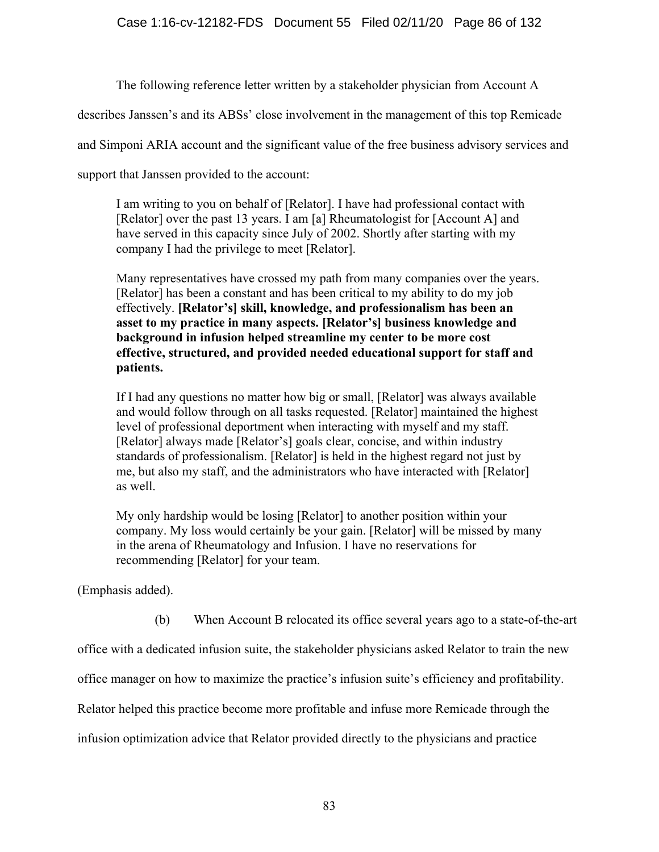The following reference letter written by a stakeholder physician from Account A

describes Janssen's and its ABSs' close involvement in the management of this top Remicade

and Simponi ARIA account and the significant value of the free business advisory services and

support that Janssen provided to the account:

I am writing to you on behalf of [Relator]. I have had professional contact with [Relator] over the past 13 years. I am [a] Rheumatologist for [Account A] and have served in this capacity since July of 2002. Shortly after starting with my company I had the privilege to meet [Relator].

Many representatives have crossed my path from many companies over the years. [Relator] has been a constant and has been critical to my ability to do my job effectively. **[Relator's] skill, knowledge, and professionalism has been an asset to my practice in many aspects. [Relator's] business knowledge and background in infusion helped streamline my center to be more cost effective, structured, and provided needed educational support for staff and patients.**

If I had any questions no matter how big or small, [Relator] was always available and would follow through on all tasks requested. [Relator] maintained the highest level of professional deportment when interacting with myself and my staff. [Relator] always made [Relator's] goals clear, concise, and within industry standards of professionalism. [Relator] is held in the highest regard not just by me, but also my staff, and the administrators who have interacted with [Relator] as well.

My only hardship would be losing [Relator] to another position within your company. My loss would certainly be your gain. [Relator] will be missed by many in the arena of Rheumatology and Infusion. I have no reservations for recommending [Relator] for your team.

(Emphasis added).

(b) When Account B relocated its office several years ago to a state-of-the-art

office with a dedicated infusion suite, the stakeholder physicians asked Relator to train the new

office manager on how to maximize the practice's infusion suite's efficiency and profitability.

Relator helped this practice become more profitable and infuse more Remicade through the

infusion optimization advice that Relator provided directly to the physicians and practice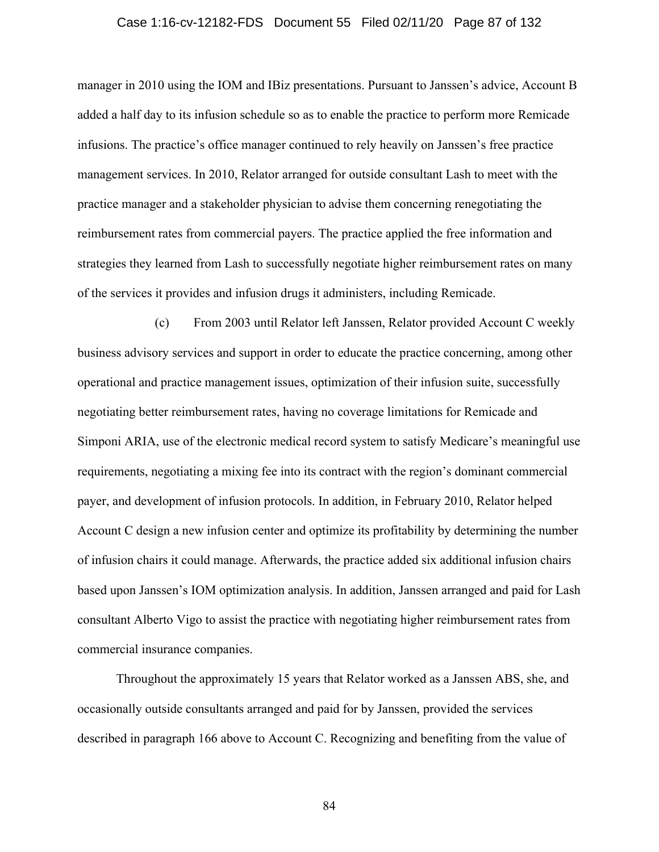### Case 1:16-cv-12182-FDS Document 55 Filed 02/11/20 Page 87 of 132

manager in 2010 using the IOM and IBiz presentations. Pursuant to Janssen's advice, Account B added a half day to its infusion schedule so as to enable the practice to perform more Remicade infusions. The practice's office manager continued to rely heavily on Janssen's free practice management services. In 2010, Relator arranged for outside consultant Lash to meet with the practice manager and a stakeholder physician to advise them concerning renegotiating the reimbursement rates from commercial payers. The practice applied the free information and strategies they learned from Lash to successfully negotiate higher reimbursement rates on many of the services it provides and infusion drugs it administers, including Remicade.

(c) From 2003 until Relator left Janssen, Relator provided Account C weekly business advisory services and support in order to educate the practice concerning, among other operational and practice management issues, optimization of their infusion suite, successfully negotiating better reimbursement rates, having no coverage limitations for Remicade and Simponi ARIA, use of the electronic medical record system to satisfy Medicare's meaningful use requirements, negotiating a mixing fee into its contract with the region's dominant commercial payer, and development of infusion protocols. In addition, in February 2010, Relator helped Account C design a new infusion center and optimize its profitability by determining the number of infusion chairs it could manage. Afterwards, the practice added six additional infusion chairs based upon Janssen's IOM optimization analysis. In addition, Janssen arranged and paid for Lash consultant Alberto Vigo to assist the practice with negotiating higher reimbursement rates from commercial insurance companies.

Throughout the approximately 15 years that Relator worked as a Janssen ABS, she, and occasionally outside consultants arranged and paid for by Janssen, provided the services described in paragraph 166 above to Account C. Recognizing and benefiting from the value of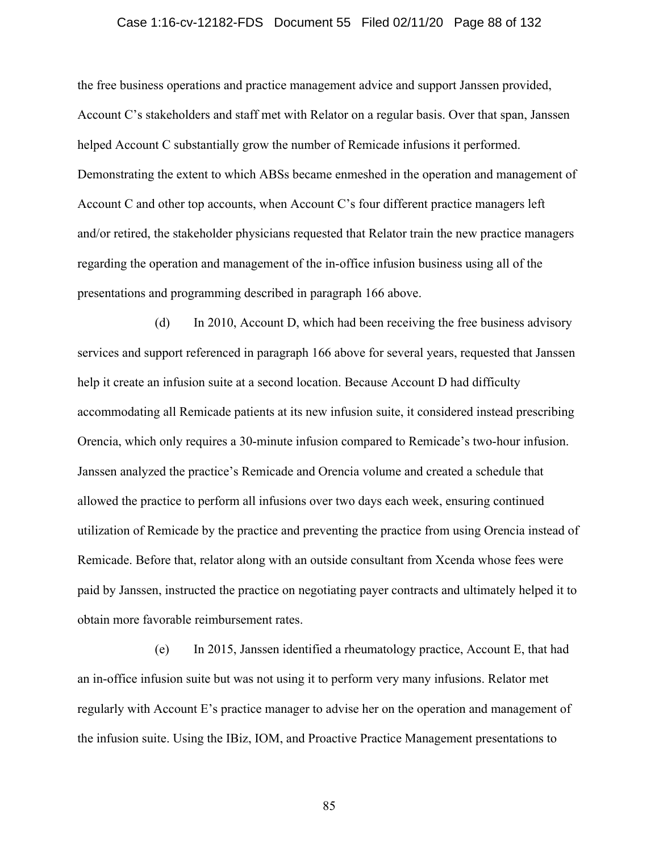### Case 1:16-cv-12182-FDS Document 55 Filed 02/11/20 Page 88 of 132

the free business operations and practice management advice and support Janssen provided, Account C's stakeholders and staff met with Relator on a regular basis. Over that span, Janssen helped Account C substantially grow the number of Remicade infusions it performed. Demonstrating the extent to which ABSs became enmeshed in the operation and management of Account C and other top accounts, when Account C's four different practice managers left and/or retired, the stakeholder physicians requested that Relator train the new practice managers regarding the operation and management of the in-office infusion business using all of the presentations and programming described in paragraph 166 above.

(d) In 2010, Account D, which had been receiving the free business advisory services and support referenced in paragraph 166 above for several years, requested that Janssen help it create an infusion suite at a second location. Because Account D had difficulty accommodating all Remicade patients at its new infusion suite, it considered instead prescribing Orencia, which only requires a 30-minute infusion compared to Remicade's two-hour infusion. Janssen analyzed the practice's Remicade and Orencia volume and created a schedule that allowed the practice to perform all infusions over two days each week, ensuring continued utilization of Remicade by the practice and preventing the practice from using Orencia instead of Remicade. Before that, relator along with an outside consultant from Xcenda whose fees were paid by Janssen, instructed the practice on negotiating payer contracts and ultimately helped it to obtain more favorable reimbursement rates.

 (e) In 2015, Janssen identified a rheumatology practice, Account E, that had an in-office infusion suite but was not using it to perform very many infusions. Relator met regularly with Account E's practice manager to advise her on the operation and management of the infusion suite. Using the IBiz, IOM, and Proactive Practice Management presentations to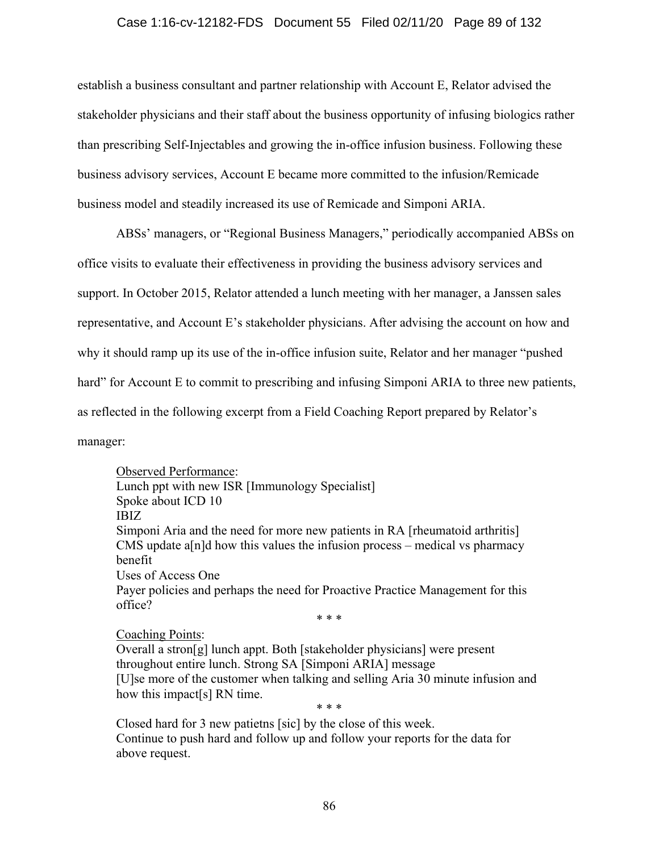### Case 1:16-cv-12182-FDS Document 55 Filed 02/11/20 Page 89 of 132

establish a business consultant and partner relationship with Account E, Relator advised the stakeholder physicians and their staff about the business opportunity of infusing biologics rather than prescribing Self-Injectables and growing the in-office infusion business. Following these business advisory services, Account E became more committed to the infusion/Remicade business model and steadily increased its use of Remicade and Simponi ARIA.

ABSs' managers, or "Regional Business Managers," periodically accompanied ABSs on office visits to evaluate their effectiveness in providing the business advisory services and support. In October 2015, Relator attended a lunch meeting with her manager, a Janssen sales representative, and Account E's stakeholder physicians. After advising the account on how and why it should ramp up its use of the in-office infusion suite, Relator and her manager "pushed hard" for Account E to commit to prescribing and infusing Simponi ARIA to three new patients, as reflected in the following excerpt from a Field Coaching Report prepared by Relator's manager:

Observed Performance: Lunch ppt with new ISR [Immunology Specialist] Spoke about ICD 10 IBIZ Simponi Aria and the need for more new patients in RA [rheumatoid arthritis] CMS update a[n]d how this values the infusion process – medical vs pharmacy benefit Uses of Access One Payer policies and perhaps the need for Proactive Practice Management for this office? \* \* \*

Coaching Points: Overall a stron[g] lunch appt. Both [stakeholder physicians] were present throughout entire lunch. Strong SA [Simponi ARIA] message [U]se more of the customer when talking and selling Aria 30 minute infusion and how this impact[s] RN time. \* \* \*

Closed hard for 3 new patietns [sic] by the close of this week. Continue to push hard and follow up and follow your reports for the data for above request.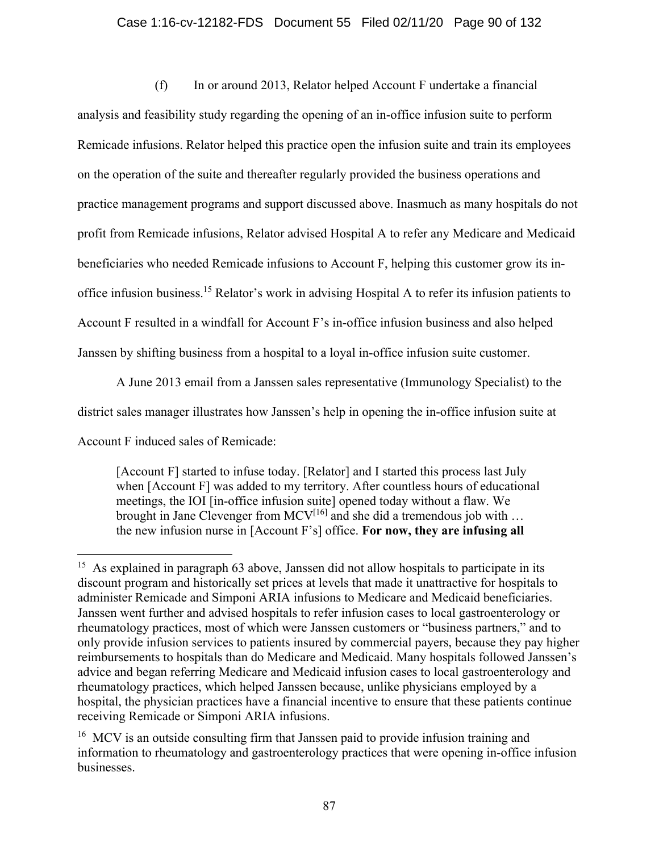### Case 1:16-cv-12182-FDS Document 55 Filed 02/11/20 Page 90 of 132

(f) In or around 2013, Relator helped Account F undertake a financial analysis and feasibility study regarding the opening of an in-office infusion suite to perform Remicade infusions. Relator helped this practice open the infusion suite and train its employees on the operation of the suite and thereafter regularly provided the business operations and practice management programs and support discussed above. Inasmuch as many hospitals do not profit from Remicade infusions, Relator advised Hospital A to refer any Medicare and Medicaid beneficiaries who needed Remicade infusions to Account F, helping this customer grow its inoffice infusion business.15 Relator's work in advising Hospital A to refer its infusion patients to Account F resulted in a windfall for Account F's in-office infusion business and also helped Janssen by shifting business from a hospital to a loyal in-office infusion suite customer.

A June 2013 email from a Janssen sales representative (Immunology Specialist) to the district sales manager illustrates how Janssen's help in opening the in-office infusion suite at Account F induced sales of Remicade:

[Account F] started to infuse today. [Relator] and I started this process last July when [Account F] was added to my territory. After countless hours of educational meetings, the IOI [in-office infusion suite] opened today without a flaw. We brought in Jane Clevenger from  $MCV^{[16]}$  and she did a tremendous job with ... the new infusion nurse in [Account F's] office. **For now, they are infusing all** 

<sup>&</sup>lt;sup>15</sup> As explained in paragraph 63 above, Janssen did not allow hospitals to participate in its discount program and historically set prices at levels that made it unattractive for hospitals to administer Remicade and Simponi ARIA infusions to Medicare and Medicaid beneficiaries. Janssen went further and advised hospitals to refer infusion cases to local gastroenterology or rheumatology practices, most of which were Janssen customers or "business partners," and to only provide infusion services to patients insured by commercial payers, because they pay higher reimbursements to hospitals than do Medicare and Medicaid. Many hospitals followed Janssen's advice and began referring Medicare and Medicaid infusion cases to local gastroenterology and rheumatology practices, which helped Janssen because, unlike physicians employed by a hospital, the physician practices have a financial incentive to ensure that these patients continue receiving Remicade or Simponi ARIA infusions.

<sup>&</sup>lt;sup>16</sup> MCV is an outside consulting firm that Janssen paid to provide infusion training and information to rheumatology and gastroenterology practices that were opening in-office infusion businesses.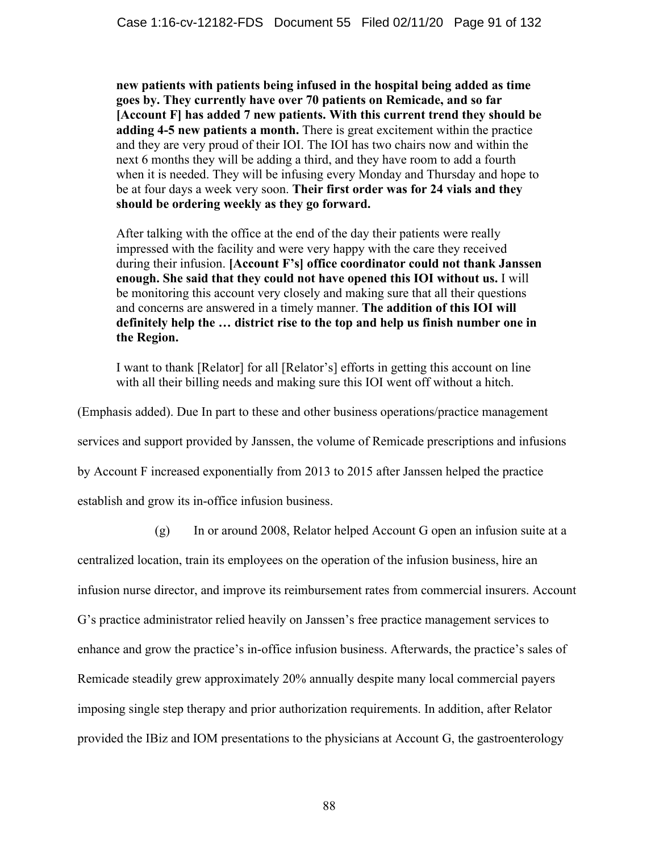**new patients with patients being infused in the hospital being added as time goes by. They currently have over 70 patients on Remicade, and so far [Account F] has added 7 new patients. With this current trend they should be adding 4-5 new patients a month.** There is great excitement within the practice and they are very proud of their IOI. The IOI has two chairs now and within the next 6 months they will be adding a third, and they have room to add a fourth when it is needed. They will be infusing every Monday and Thursday and hope to be at four days a week very soon. **Their first order was for 24 vials and they should be ordering weekly as they go forward.** 

After talking with the office at the end of the day their patients were really impressed with the facility and were very happy with the care they received during their infusion. **[Account F's] office coordinator could not thank Janssen enough. She said that they could not have opened this IOI without us.** I will be monitoring this account very closely and making sure that all their questions and concerns are answered in a timely manner. **The addition of this IOI will definitely help the … district rise to the top and help us finish number one in the Region.** 

I want to thank [Relator] for all [Relator's] efforts in getting this account on line with all their billing needs and making sure this IOI went off without a hitch.

(Emphasis added). Due In part to these and other business operations/practice management

services and support provided by Janssen, the volume of Remicade prescriptions and infusions

by Account F increased exponentially from 2013 to 2015 after Janssen helped the practice

establish and grow its in-office infusion business.

(g) In or around 2008, Relator helped Account G open an infusion suite at a

centralized location, train its employees on the operation of the infusion business, hire an infusion nurse director, and improve its reimbursement rates from commercial insurers. Account G's practice administrator relied heavily on Janssen's free practice management services to enhance and grow the practice's in-office infusion business. Afterwards, the practice's sales of Remicade steadily grew approximately 20% annually despite many local commercial payers imposing single step therapy and prior authorization requirements. In addition, after Relator provided the IBiz and IOM presentations to the physicians at Account G, the gastroenterology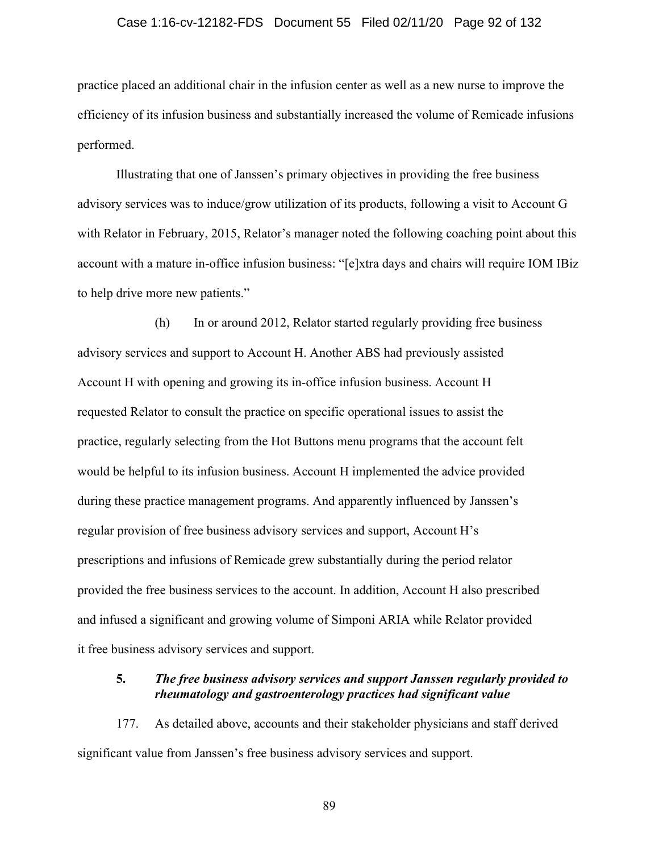#### Case 1:16-cv-12182-FDS Document 55 Filed 02/11/20 Page 92 of 132

practice placed an additional chair in the infusion center as well as a new nurse to improve the efficiency of its infusion business and substantially increased the volume of Remicade infusions performed.

 Illustrating that one of Janssen's primary objectives in providing the free business advisory services was to induce/grow utilization of its products, following a visit to Account G with Relator in February, 2015, Relator's manager noted the following coaching point about this account with a mature in-office infusion business: "[e]xtra days and chairs will require IOM IBiz to help drive more new patients."

 (h) In or around 2012, Relator started regularly providing free business advisory services and support to Account H. Another ABS had previously assisted Account H with opening and growing its in-office infusion business. Account H requested Relator to consult the practice on specific operational issues to assist the practice, regularly selecting from the Hot Buttons menu programs that the account felt would be helpful to its infusion business. Account H implemented the advice provided during these practice management programs. And apparently influenced by Janssen's regular provision of free business advisory services and support, Account H's prescriptions and infusions of Remicade grew substantially during the period relator provided the free business services to the account. In addition, Account H also prescribed and infused a significant and growing volume of Simponi ARIA while Relator provided it free business advisory services and support.

### **5.** *The free business advisory services and support Janssen regularly provided to rheumatology and gastroenterology practices had significant value*

177. As detailed above, accounts and their stakeholder physicians and staff derived significant value from Janssen's free business advisory services and support.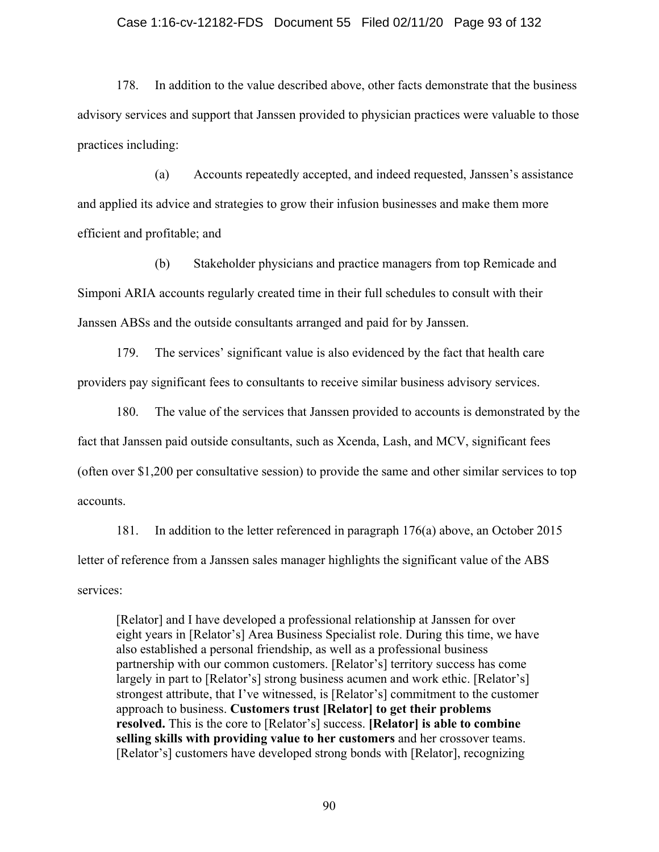#### Case 1:16-cv-12182-FDS Document 55 Filed 02/11/20 Page 93 of 132

178. In addition to the value described above, other facts demonstrate that the business advisory services and support that Janssen provided to physician practices were valuable to those practices including:

(a) Accounts repeatedly accepted, and indeed requested, Janssen's assistance and applied its advice and strategies to grow their infusion businesses and make them more efficient and profitable; and

(b) Stakeholder physicians and practice managers from top Remicade and Simponi ARIA accounts regularly created time in their full schedules to consult with their Janssen ABSs and the outside consultants arranged and paid for by Janssen.

179. The services' significant value is also evidenced by the fact that health care providers pay significant fees to consultants to receive similar business advisory services.

180. The value of the services that Janssen provided to accounts is demonstrated by the fact that Janssen paid outside consultants, such as Xcenda, Lash, and MCV, significant fees (often over \$1,200 per consultative session) to provide the same and other similar services to top accounts.

181. In addition to the letter referenced in paragraph 176(a) above, an October 2015 letter of reference from a Janssen sales manager highlights the significant value of the ABS services:

[Relator] and I have developed a professional relationship at Janssen for over eight years in [Relator's] Area Business Specialist role. During this time, we have also established a personal friendship, as well as a professional business partnership with our common customers. [Relator's] territory success has come largely in part to [Relator's] strong business acumen and work ethic. [Relator's] strongest attribute, that I've witnessed, is [Relator's] commitment to the customer approach to business. **Customers trust [Relator] to get their problems resolved.** This is the core to [Relator's] success. **[Relator] is able to combine selling skills with providing value to her customers** and her crossover teams. [Relator's] customers have developed strong bonds with [Relator], recognizing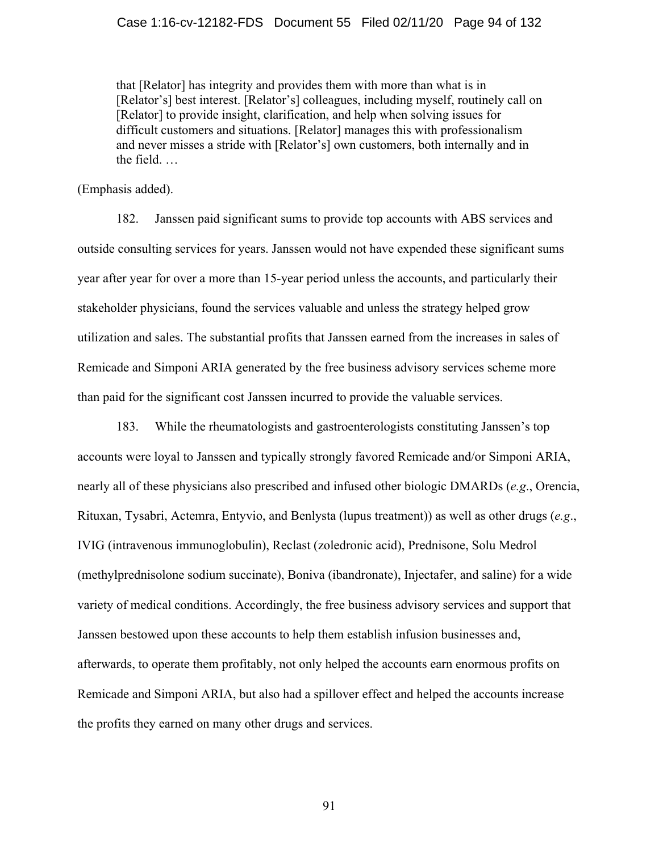that [Relator] has integrity and provides them with more than what is in [Relator's] best interest. [Relator's] colleagues, including myself, routinely call on [Relator] to provide insight, clarification, and help when solving issues for difficult customers and situations. [Relator] manages this with professionalism and never misses a stride with [Relator's] own customers, both internally and in the field. …

(Emphasis added).

182. Janssen paid significant sums to provide top accounts with ABS services and outside consulting services for years. Janssen would not have expended these significant sums year after year for over a more than 15-year period unless the accounts, and particularly their stakeholder physicians, found the services valuable and unless the strategy helped grow utilization and sales. The substantial profits that Janssen earned from the increases in sales of Remicade and Simponi ARIA generated by the free business advisory services scheme more than paid for the significant cost Janssen incurred to provide the valuable services.

183. While the rheumatologists and gastroenterologists constituting Janssen's top accounts were loyal to Janssen and typically strongly favored Remicade and/or Simponi ARIA, nearly all of these physicians also prescribed and infused other biologic DMARDs (*e.g*., Orencia, Rituxan, Tysabri, Actemra, Entyvio, and Benlysta (lupus treatment)) as well as other drugs (*e.g*., IVIG (intravenous immunoglobulin), Reclast (zoledronic acid), Prednisone, Solu Medrol (methylprednisolone sodium succinate), Boniva (ibandronate), Injectafer, and saline) for a wide variety of medical conditions. Accordingly, the free business advisory services and support that Janssen bestowed upon these accounts to help them establish infusion businesses and, afterwards, to operate them profitably, not only helped the accounts earn enormous profits on Remicade and Simponi ARIA, but also had a spillover effect and helped the accounts increase the profits they earned on many other drugs and services.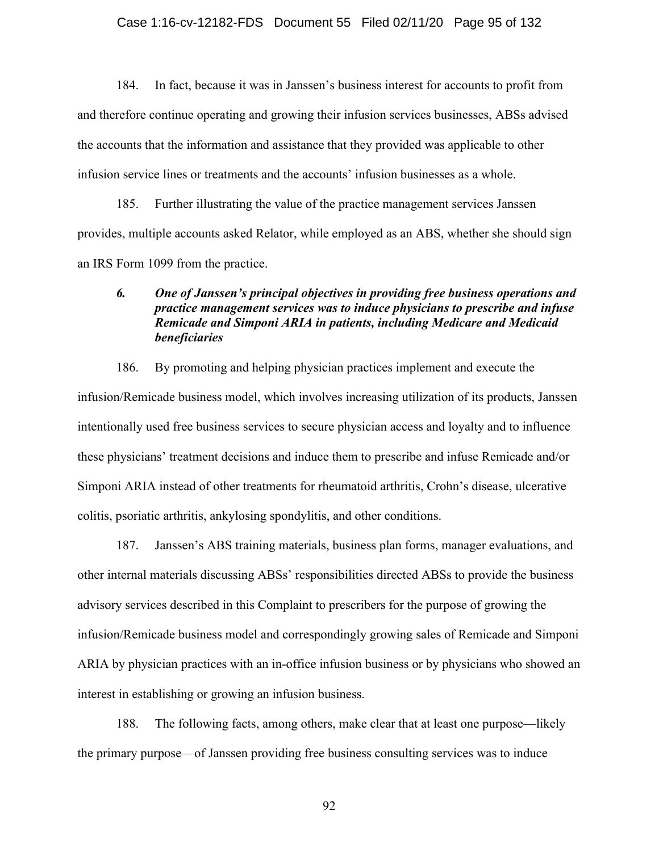### Case 1:16-cv-12182-FDS Document 55 Filed 02/11/20 Page 95 of 132

184. In fact, because it was in Janssen's business interest for accounts to profit from and therefore continue operating and growing their infusion services businesses, ABSs advised the accounts that the information and assistance that they provided was applicable to other infusion service lines or treatments and the accounts' infusion businesses as a whole.

185. Further illustrating the value of the practice management services Janssen provides, multiple accounts asked Relator, while employed as an ABS, whether she should sign an IRS Form 1099 from the practice.

### *6. One of Janssen's principal objectives in providing free business operations and practice management services was to induce physicians to prescribe and infuse Remicade and Simponi ARIA in patients, including Medicare and Medicaid beneficiaries*

186. By promoting and helping physician practices implement and execute the infusion/Remicade business model, which involves increasing utilization of its products, Janssen intentionally used free business services to secure physician access and loyalty and to influence these physicians' treatment decisions and induce them to prescribe and infuse Remicade and/or Simponi ARIA instead of other treatments for rheumatoid arthritis, Crohn's disease, ulcerative colitis, psoriatic arthritis, ankylosing spondylitis, and other conditions.

187. Janssen's ABS training materials, business plan forms, manager evaluations, and other internal materials discussing ABSs' responsibilities directed ABSs to provide the business advisory services described in this Complaint to prescribers for the purpose of growing the infusion/Remicade business model and correspondingly growing sales of Remicade and Simponi ARIA by physician practices with an in-office infusion business or by physicians who showed an interest in establishing or growing an infusion business.

188. The following facts, among others, make clear that at least one purpose—likely the primary purpose—of Janssen providing free business consulting services was to induce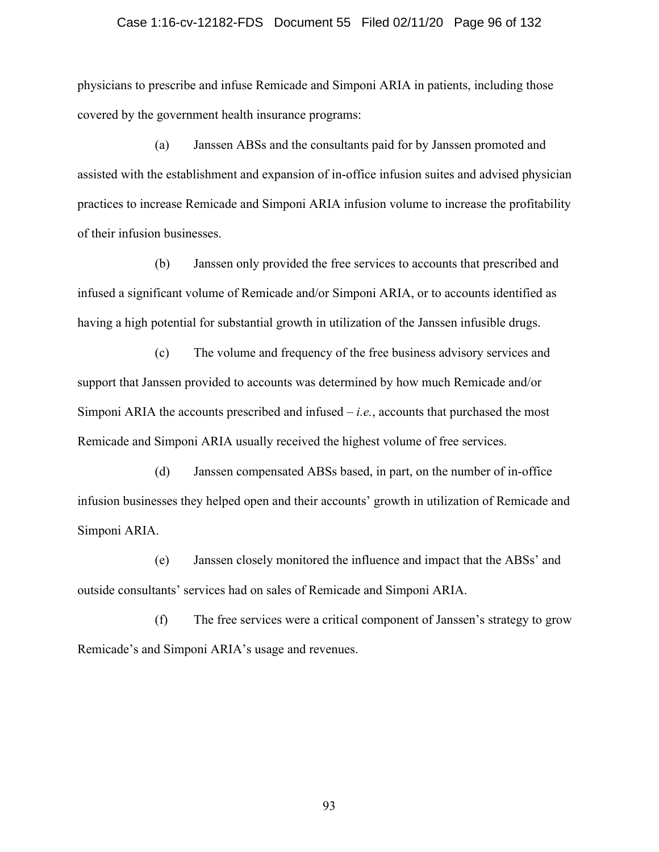#### Case 1:16-cv-12182-FDS Document 55 Filed 02/11/20 Page 96 of 132

physicians to prescribe and infuse Remicade and Simponi ARIA in patients, including those covered by the government health insurance programs:

(a) Janssen ABSs and the consultants paid for by Janssen promoted and assisted with the establishment and expansion of in-office infusion suites and advised physician practices to increase Remicade and Simponi ARIA infusion volume to increase the profitability of their infusion businesses.

(b) Janssen only provided the free services to accounts that prescribed and infused a significant volume of Remicade and/or Simponi ARIA, or to accounts identified as having a high potential for substantial growth in utilization of the Janssen infusible drugs.

(c) The volume and frequency of the free business advisory services and support that Janssen provided to accounts was determined by how much Remicade and/or Simponi ARIA the accounts prescribed and infused – *i.e.*, accounts that purchased the most Remicade and Simponi ARIA usually received the highest volume of free services.

(d) Janssen compensated ABSs based, in part, on the number of in-office infusion businesses they helped open and their accounts' growth in utilization of Remicade and Simponi ARIA.

(e) Janssen closely monitored the influence and impact that the ABSs' and outside consultants' services had on sales of Remicade and Simponi ARIA.

(f) The free services were a critical component of Janssen's strategy to grow Remicade's and Simponi ARIA's usage and revenues.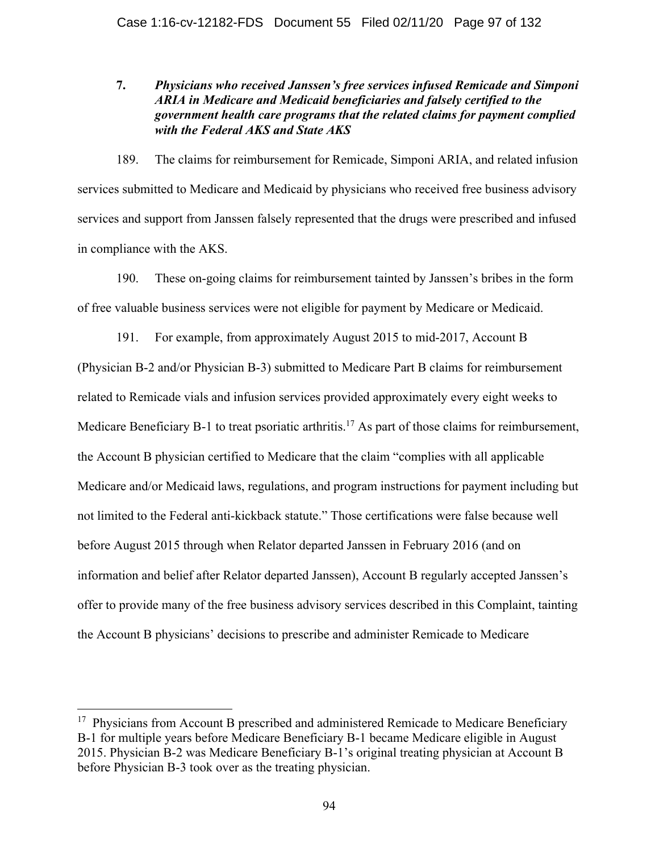### **7.** *Physicians who received Janssen's free services infused Remicade and Simponi ARIA in Medicare and Medicaid beneficiaries and falsely certified to the government health care programs that the related claims for payment complied with the Federal AKS and State AKS*

189. The claims for reimbursement for Remicade, Simponi ARIA, and related infusion services submitted to Medicare and Medicaid by physicians who received free business advisory services and support from Janssen falsely represented that the drugs were prescribed and infused in compliance with the AKS.

190. These on-going claims for reimbursement tainted by Janssen's bribes in the form of free valuable business services were not eligible for payment by Medicare or Medicaid.

191. For example, from approximately August 2015 to mid-2017, Account B (Physician B-2 and/or Physician B-3) submitted to Medicare Part B claims for reimbursement related to Remicade vials and infusion services provided approximately every eight weeks to Medicare Beneficiary B-1 to treat psoriatic arthritis.<sup>17</sup> As part of those claims for reimbursement, the Account B physician certified to Medicare that the claim "complies with all applicable Medicare and/or Medicaid laws, regulations, and program instructions for payment including but not limited to the Federal anti-kickback statute." Those certifications were false because well before August 2015 through when Relator departed Janssen in February 2016 (and on information and belief after Relator departed Janssen), Account B regularly accepted Janssen's offer to provide many of the free business advisory services described in this Complaint, tainting the Account B physicians' decisions to prescribe and administer Remicade to Medicare

 $17$  Physicians from Account B prescribed and administered Remicade to Medicare Beneficiary B-1 for multiple years before Medicare Beneficiary B-1 became Medicare eligible in August 2015. Physician B-2 was Medicare Beneficiary B-1's original treating physician at Account B before Physician B-3 took over as the treating physician.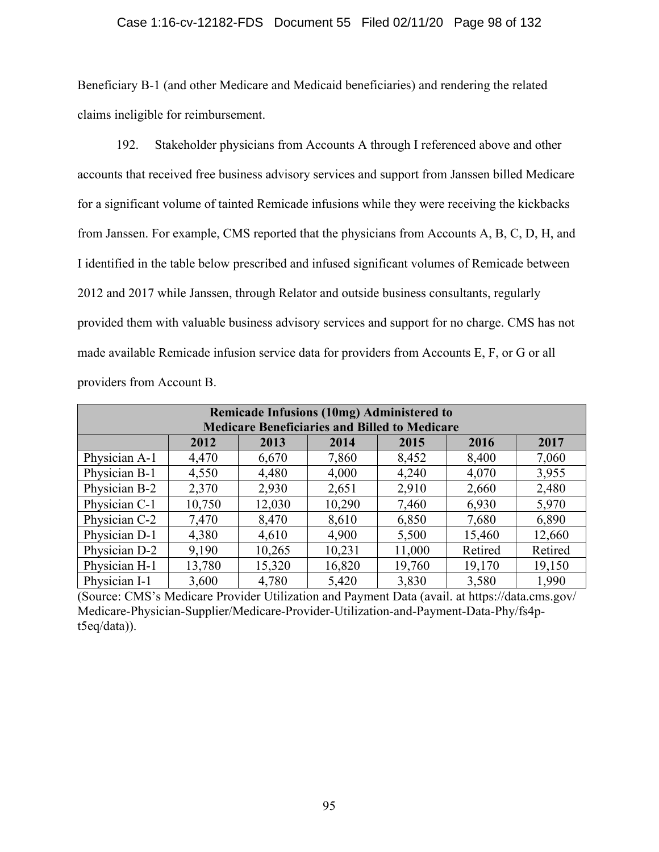### Case 1:16-cv-12182-FDS Document 55 Filed 02/11/20 Page 98 of 132

Beneficiary B-1 (and other Medicare and Medicaid beneficiaries) and rendering the related claims ineligible for reimbursement.

192. Stakeholder physicians from Accounts A through I referenced above and other accounts that received free business advisory services and support from Janssen billed Medicare for a significant volume of tainted Remicade infusions while they were receiving the kickbacks from Janssen. For example, CMS reported that the physicians from Accounts A, B, C, D, H, and I identified in the table below prescribed and infused significant volumes of Remicade between 2012 and 2017 while Janssen, through Relator and outside business consultants, regularly provided them with valuable business advisory services and support for no charge. CMS has not made available Remicade infusion service data for providers from Accounts E, F, or G or all providers from Account B.

| <b>Remicade Infusions (10mg) Administered to</b>     |        |        |        |        |         |         |  |  |  |
|------------------------------------------------------|--------|--------|--------|--------|---------|---------|--|--|--|
| <b>Medicare Beneficiaries and Billed to Medicare</b> |        |        |        |        |         |         |  |  |  |
|                                                      | 2012   | 2013   | 2014   | 2015   | 2016    | 2017    |  |  |  |
| Physician A-1                                        | 4,470  | 6,670  | 7,860  | 8,452  | 8,400   | 7,060   |  |  |  |
| Physician B-1                                        | 4,550  | 4,480  | 4,000  | 4,240  | 4,070   | 3,955   |  |  |  |
| Physician B-2                                        | 2,370  | 2,930  | 2,651  | 2,910  | 2,660   | 2,480   |  |  |  |
| Physician C-1                                        | 10,750 | 12,030 | 10,290 | 7,460  | 6,930   | 5,970   |  |  |  |
| Physician C-2                                        | 7,470  | 8,470  | 8,610  | 6,850  | 7,680   | 6,890   |  |  |  |
| Physician D-1                                        | 4,380  | 4,610  | 4,900  | 5,500  | 15,460  | 12,660  |  |  |  |
| Physician D-2                                        | 9,190  | 10,265 | 10,231 | 11,000 | Retired | Retired |  |  |  |
| Physician H-1                                        | 13,780 | 15,320 | 16,820 | 19,760 | 19,170  | 19,150  |  |  |  |
| Physician I-1                                        | 3,600  | 4,780  | 5,420  | 3,830  | 3,580   | 1,990   |  |  |  |

(Source: CMS's Medicare Provider Utilization and Payment Data (avail. at https://data.cms.gov/ Medicare-Physician-Supplier/Medicare-Provider-Utilization-and-Payment-Data-Phy/fs4pt5eq/data)).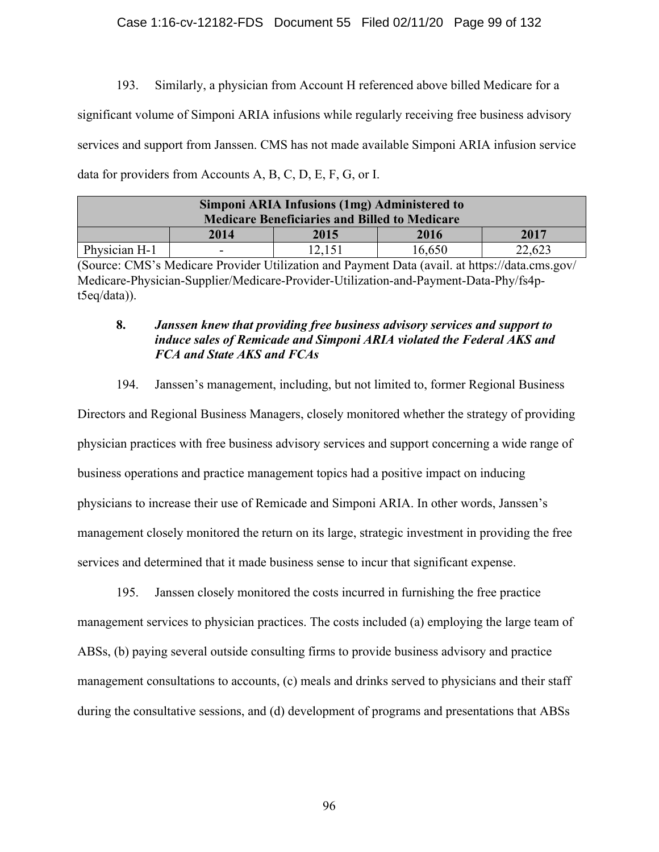### Case 1:16-cv-12182-FDS Document 55 Filed 02/11/20 Page 99 of 132

193. Similarly, a physician from Account H referenced above billed Medicare for a significant volume of Simponi ARIA infusions while regularly receiving free business advisory services and support from Janssen. CMS has not made available Simponi ARIA infusion service data for providers from Accounts A, B, C, D, E, F, G, or I.

| Simponi ARIA Infusions (1mg) Administered to<br><b>Medicare Beneficiaries and Billed to Medicare</b> |      |      |        |        |  |  |  |  |
|------------------------------------------------------------------------------------------------------|------|------|--------|--------|--|--|--|--|
|                                                                                                      | 2014 | 2015 | 2016   | 2017   |  |  |  |  |
| Physician H-1                                                                                        | -    |      | 16,650 | 22,623 |  |  |  |  |

(Source: CMS's Medicare Provider Utilization and Payment Data (avail. at https://data.cms.gov/ Medicare-Physician-Supplier/Medicare-Provider-Utilization-and-Payment-Data-Phy/fs4pt5eq/data)).

### **8.** *Janssen knew that providing free business advisory services and support to induce sales of Remicade and Simponi ARIA violated the Federal AKS and FCA and State AKS and FCAs*

194. Janssen's management, including, but not limited to, former Regional Business

Directors and Regional Business Managers, closely monitored whether the strategy of providing physician practices with free business advisory services and support concerning a wide range of business operations and practice management topics had a positive impact on inducing physicians to increase their use of Remicade and Simponi ARIA. In other words, Janssen's management closely monitored the return on its large, strategic investment in providing the free services and determined that it made business sense to incur that significant expense.

195. Janssen closely monitored the costs incurred in furnishing the free practice management services to physician practices. The costs included (a) employing the large team of ABSs, (b) paying several outside consulting firms to provide business advisory and practice management consultations to accounts, (c) meals and drinks served to physicians and their staff during the consultative sessions, and (d) development of programs and presentations that ABSs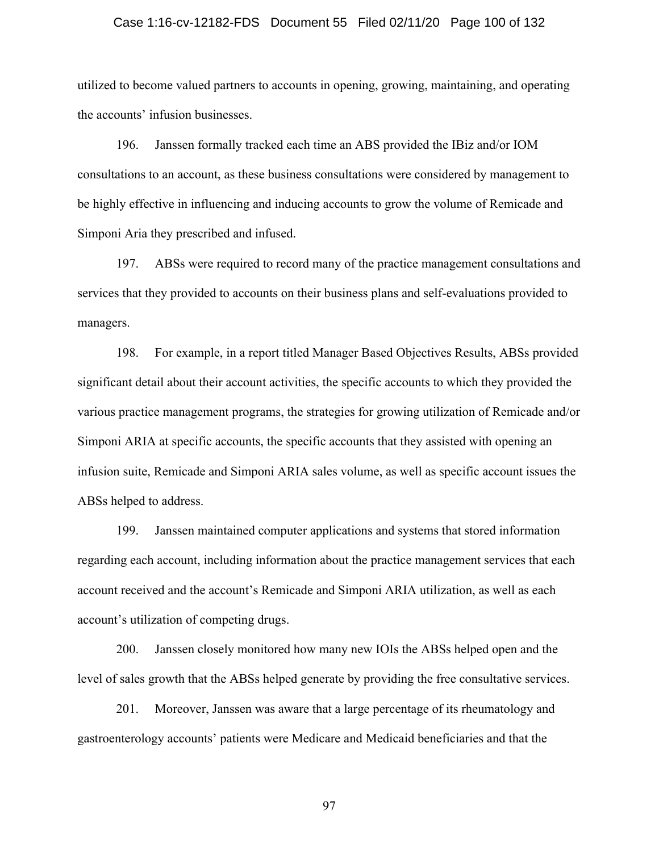### Case 1:16-cv-12182-FDS Document 55 Filed 02/11/20 Page 100 of 132

utilized to become valued partners to accounts in opening, growing, maintaining, and operating the accounts' infusion businesses.

196. Janssen formally tracked each time an ABS provided the IBiz and/or IOM consultations to an account, as these business consultations were considered by management to be highly effective in influencing and inducing accounts to grow the volume of Remicade and Simponi Aria they prescribed and infused.

197. ABSs were required to record many of the practice management consultations and services that they provided to accounts on their business plans and self-evaluations provided to managers.

198. For example, in a report titled Manager Based Objectives Results, ABSs provided significant detail about their account activities, the specific accounts to which they provided the various practice management programs, the strategies for growing utilization of Remicade and/or Simponi ARIA at specific accounts, the specific accounts that they assisted with opening an infusion suite, Remicade and Simponi ARIA sales volume, as well as specific account issues the ABSs helped to address.

199. Janssen maintained computer applications and systems that stored information regarding each account, including information about the practice management services that each account received and the account's Remicade and Simponi ARIA utilization, as well as each account's utilization of competing drugs.

200. Janssen closely monitored how many new IOIs the ABSs helped open and the level of sales growth that the ABSs helped generate by providing the free consultative services.

201. Moreover, Janssen was aware that a large percentage of its rheumatology and gastroenterology accounts' patients were Medicare and Medicaid beneficiaries and that the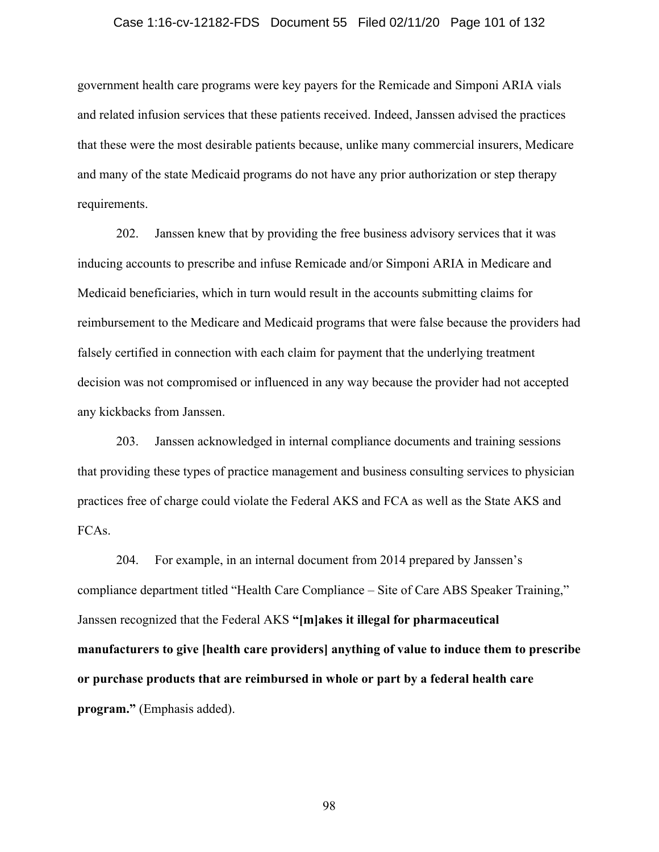#### Case 1:16-cv-12182-FDS Document 55 Filed 02/11/20 Page 101 of 132

government health care programs were key payers for the Remicade and Simponi ARIA vials and related infusion services that these patients received. Indeed, Janssen advised the practices that these were the most desirable patients because, unlike many commercial insurers, Medicare and many of the state Medicaid programs do not have any prior authorization or step therapy requirements.

202. Janssen knew that by providing the free business advisory services that it was inducing accounts to prescribe and infuse Remicade and/or Simponi ARIA in Medicare and Medicaid beneficiaries, which in turn would result in the accounts submitting claims for reimbursement to the Medicare and Medicaid programs that were false because the providers had falsely certified in connection with each claim for payment that the underlying treatment decision was not compromised or influenced in any way because the provider had not accepted any kickbacks from Janssen.

203. Janssen acknowledged in internal compliance documents and training sessions that providing these types of practice management and business consulting services to physician practices free of charge could violate the Federal AKS and FCA as well as the State AKS and FCAs.

204. For example, in an internal document from 2014 prepared by Janssen's compliance department titled "Health Care Compliance – Site of Care ABS Speaker Training," Janssen recognized that the Federal AKS **"[m]akes it illegal for pharmaceutical manufacturers to give [health care providers] anything of value to induce them to prescribe or purchase products that are reimbursed in whole or part by a federal health care program."** (Emphasis added).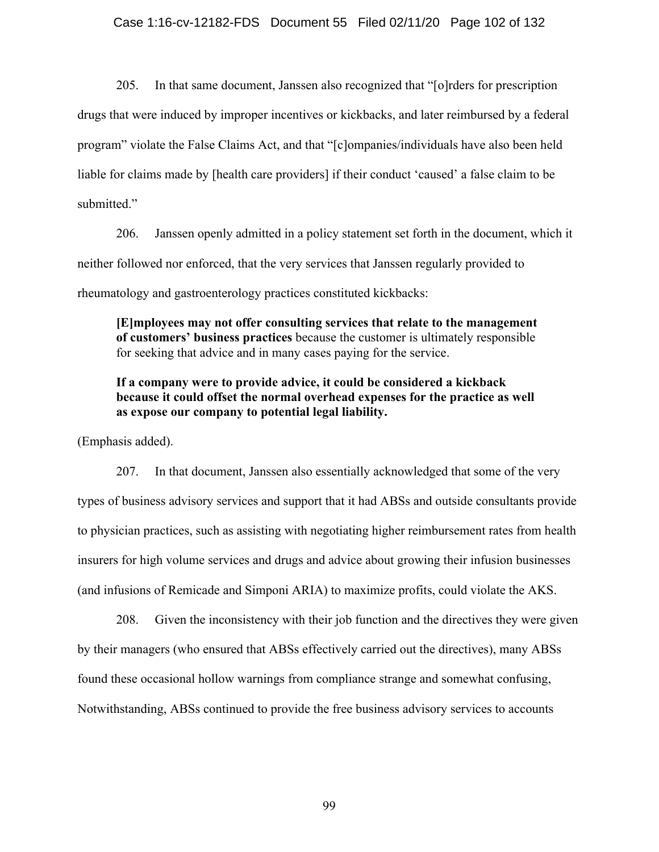205. In that same document, Janssen also recognized that "[o]rders for prescription drugs that were induced by improper incentives or kickbacks, and later reimbursed by a federal program" violate the False Claims Act, and that "[c]ompanies/individuals have also been held liable for claims made by [health care providers] if their conduct 'caused' a false claim to be submitted."

206. Janssen openly admitted in a policy statement set forth in the document, which it neither followed nor enforced, that the very services that Janssen regularly provided to rheumatology and gastroenterology practices constituted kickbacks:

**[E]mployees may not offer consulting services that relate to the management of customers' business practices** because the customer is ultimately responsible for seeking that advice and in many cases paying for the service.

### **If a company were to provide advice, it could be considered a kickback because it could offset the normal overhead expenses for the practice as well as expose our company to potential legal liability.**

(Emphasis added).

207. In that document, Janssen also essentially acknowledged that some of the very types of business advisory services and support that it had ABSs and outside consultants provide to physician practices, such as assisting with negotiating higher reimbursement rates from health insurers for high volume services and drugs and advice about growing their infusion businesses (and infusions of Remicade and Simponi ARIA) to maximize profits, could violate the AKS.

208. Given the inconsistency with their job function and the directives they were given by their managers (who ensured that ABSs effectively carried out the directives), many ABSs found these occasional hollow warnings from compliance strange and somewhat confusing, Notwithstanding, ABSs continued to provide the free business advisory services to accounts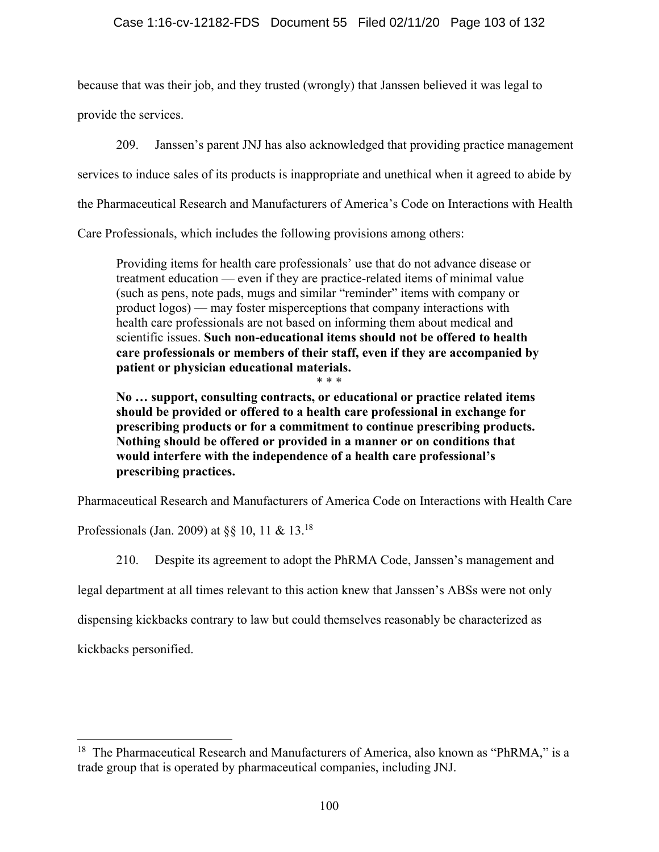because that was their job, and they trusted (wrongly) that Janssen believed it was legal to

provide the services.

209. Janssen's parent JNJ has also acknowledged that providing practice management

services to induce sales of its products is inappropriate and unethical when it agreed to abide by

the Pharmaceutical Research and Manufacturers of America's Code on Interactions with Health

Care Professionals, which includes the following provisions among others:

Providing items for health care professionals' use that do not advance disease or treatment education — even if they are practice-related items of minimal value (such as pens, note pads, mugs and similar "reminder" items with company or product logos) — may foster misperceptions that company interactions with health care professionals are not based on informing them about medical and scientific issues. **Such non-educational items should not be offered to health care professionals or members of their staff, even if they are accompanied by patient or physician educational materials.**

\* \* \* **No … support, consulting contracts, or educational or practice related items should be provided or offered to a health care professional in exchange for prescribing products or for a commitment to continue prescribing products. Nothing should be offered or provided in a manner or on conditions that would interfere with the independence of a health care professional's prescribing practices.**

Pharmaceutical Research and Manufacturers of America Code on Interactions with Health Care

Professionals (Jan. 2009) at §§ 10, 11 & 13.18

210. Despite its agreement to adopt the PhRMA Code, Janssen's management and

legal department at all times relevant to this action knew that Janssen's ABSs were not only

dispensing kickbacks contrary to law but could themselves reasonably be characterized as

kickbacks personified.

<sup>&</sup>lt;sup>18</sup> The Pharmaceutical Research and Manufacturers of America, also known as "PhRMA," is a trade group that is operated by pharmaceutical companies, including JNJ.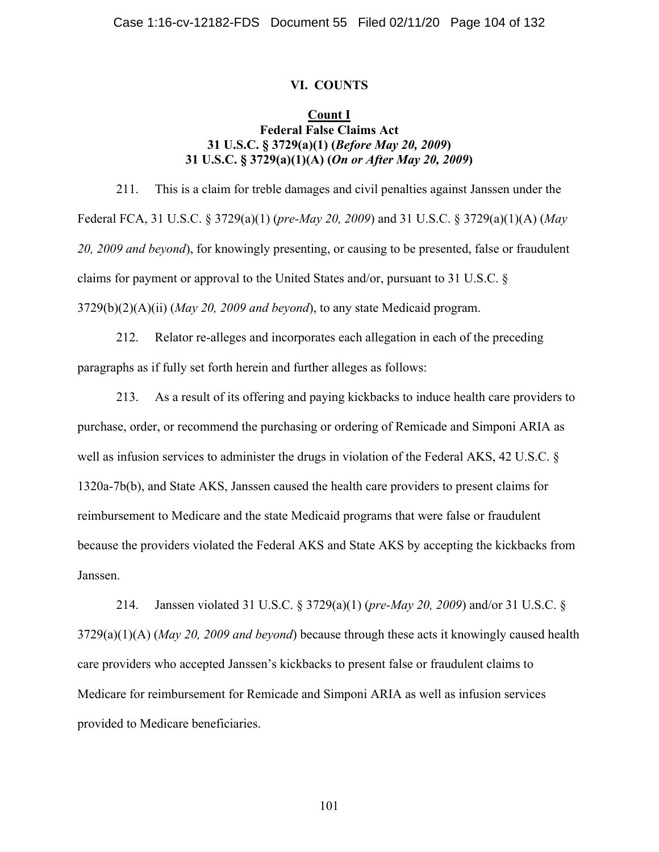### **VI. COUNTS**

### **Count I Federal False Claims Act 31 U.S.C. § 3729(a)(1) (***Before May 20, 2009***) 31 U.S.C. § 3729(a)(1)(A) (***On or After May 20, 2009***)**

211. This is a claim for treble damages and civil penalties against Janssen under the Federal FCA, 31 U.S.C. § 3729(a)(1) (*pre-May 20, 2009*) and 31 U.S.C. § 3729(a)(1)(A) (*May 20, 2009 and beyond*), for knowingly presenting, or causing to be presented, false or fraudulent claims for payment or approval to the United States and/or, pursuant to 31 U.S.C. § 3729(b)(2)(A)(ii) (*May 20, 2009 and beyond*), to any state Medicaid program.

212. Relator re-alleges and incorporates each allegation in each of the preceding paragraphs as if fully set forth herein and further alleges as follows:

213. As a result of its offering and paying kickbacks to induce health care providers to purchase, order, or recommend the purchasing or ordering of Remicade and Simponi ARIA as well as infusion services to administer the drugs in violation of the Federal AKS, 42 U.S.C. § 1320a-7b(b), and State AKS, Janssen caused the health care providers to present claims for reimbursement to Medicare and the state Medicaid programs that were false or fraudulent because the providers violated the Federal AKS and State AKS by accepting the kickbacks from Janssen.

214. Janssen violated 31 U.S.C. § 3729(a)(1) (*pre-May 20, 2009*) and/or 31 U.S.C. § 3729(a)(1)(A) (*May 20, 2009 and beyond*) because through these acts it knowingly caused health care providers who accepted Janssen's kickbacks to present false or fraudulent claims to Medicare for reimbursement for Remicade and Simponi ARIA as well as infusion services provided to Medicare beneficiaries.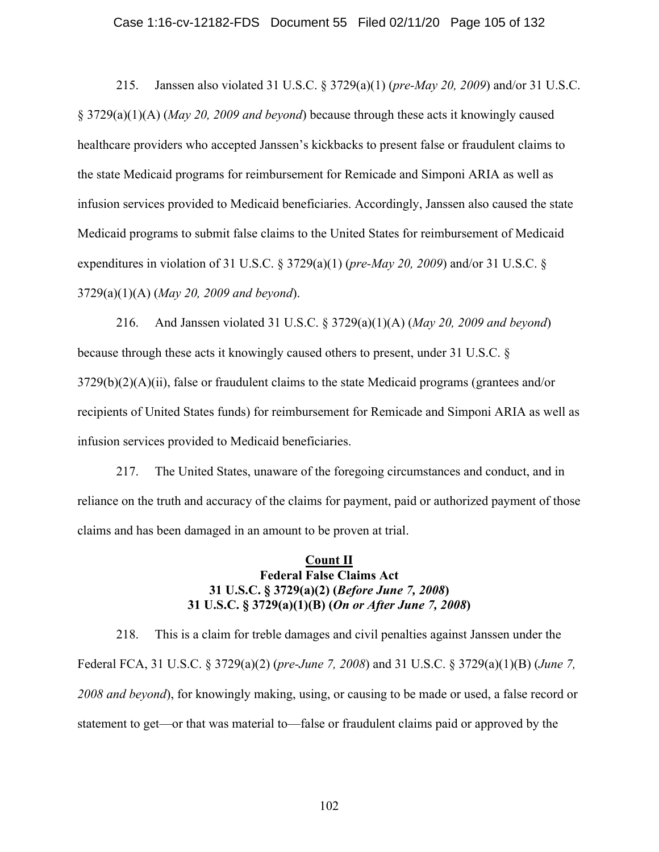### Case 1:16-cv-12182-FDS Document 55 Filed 02/11/20 Page 105 of 132

215. Janssen also violated 31 U.S.C. § 3729(a)(1) (*pre-May 20, 2009*) and/or 31 U.S.C. § 3729(a)(1)(A) (*May 20, 2009 and beyond*) because through these acts it knowingly caused healthcare providers who accepted Janssen's kickbacks to present false or fraudulent claims to the state Medicaid programs for reimbursement for Remicade and Simponi ARIA as well as infusion services provided to Medicaid beneficiaries. Accordingly, Janssen also caused the state Medicaid programs to submit false claims to the United States for reimbursement of Medicaid expenditures in violation of 31 U.S.C. § 3729(a)(1) (*pre-May 20, 2009*) and/or 31 U.S.C. § 3729(a)(1)(A) (*May 20, 2009 and beyond*).

216. And Janssen violated 31 U.S.C. § 3729(a)(1)(A) (*May 20, 2009 and beyond*) because through these acts it knowingly caused others to present, under 31 U.S.C. §  $3729(b)(2)(A)(ii)$ , false or fraudulent claims to the state Medicaid programs (grantees and/or recipients of United States funds) for reimbursement for Remicade and Simponi ARIA as well as infusion services provided to Medicaid beneficiaries.

217. The United States, unaware of the foregoing circumstances and conduct, and in reliance on the truth and accuracy of the claims for payment, paid or authorized payment of those claims and has been damaged in an amount to be proven at trial.

### **Count II Federal False Claims Act 31 U.S.C. § 3729(a)(2) (***Before June 7, 2008***) 31 U.S.C. § 3729(a)(1)(B) (***On or After June 7, 2008***)**

218. This is a claim for treble damages and civil penalties against Janssen under the Federal FCA, 31 U.S.C. § 3729(a)(2) (*pre-June 7, 2008*) and 31 U.S.C. § 3729(a)(1)(B) (*June 7, 2008 and beyond*), for knowingly making, using, or causing to be made or used, a false record or statement to get—or that was material to—false or fraudulent claims paid or approved by the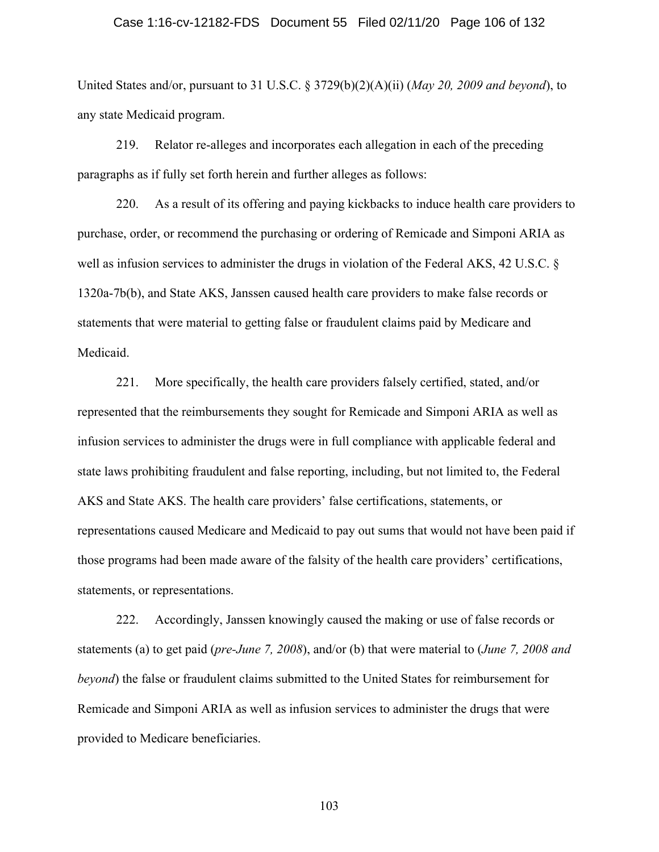### Case 1:16-cv-12182-FDS Document 55 Filed 02/11/20 Page 106 of 132

United States and/or, pursuant to 31 U.S.C. § 3729(b)(2)(A)(ii) (*May 20, 2009 and beyond*), to any state Medicaid program.

219. Relator re-alleges and incorporates each allegation in each of the preceding paragraphs as if fully set forth herein and further alleges as follows:

220. As a result of its offering and paying kickbacks to induce health care providers to purchase, order, or recommend the purchasing or ordering of Remicade and Simponi ARIA as well as infusion services to administer the drugs in violation of the Federal AKS, 42 U.S.C. § 1320a-7b(b), and State AKS, Janssen caused health care providers to make false records or statements that were material to getting false or fraudulent claims paid by Medicare and Medicaid.

221. More specifically, the health care providers falsely certified, stated, and/or represented that the reimbursements they sought for Remicade and Simponi ARIA as well as infusion services to administer the drugs were in full compliance with applicable federal and state laws prohibiting fraudulent and false reporting, including, but not limited to, the Federal AKS and State AKS. The health care providers' false certifications, statements, or representations caused Medicare and Medicaid to pay out sums that would not have been paid if those programs had been made aware of the falsity of the health care providers' certifications, statements, or representations.

222. Accordingly, Janssen knowingly caused the making or use of false records or statements (a) to get paid (*pre-June 7, 2008*), and/or (b) that were material to (*June 7, 2008 and beyond*) the false or fraudulent claims submitted to the United States for reimbursement for Remicade and Simponi ARIA as well as infusion services to administer the drugs that were provided to Medicare beneficiaries.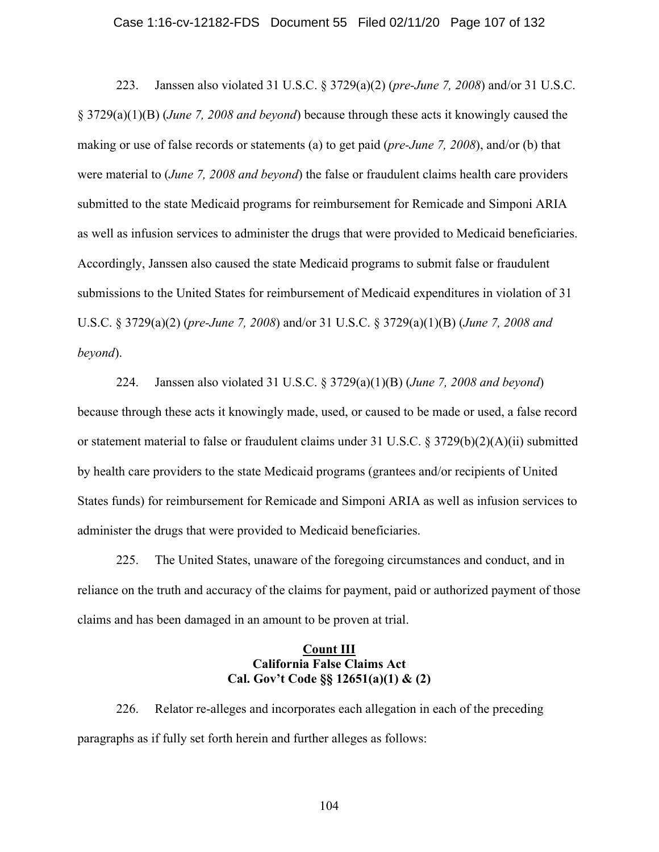#### Case 1:16-cv-12182-FDS Document 55 Filed 02/11/20 Page 107 of 132

223. Janssen also violated 31 U.S.C. § 3729(a)(2) (*pre-June 7, 2008*) and/or 31 U.S.C. § 3729(a)(1)(B) (*June 7, 2008 and beyond*) because through these acts it knowingly caused the making or use of false records or statements (a) to get paid (*pre-June 7, 2008*), and/or (b) that were material to (*June 7, 2008 and beyond*) the false or fraudulent claims health care providers submitted to the state Medicaid programs for reimbursement for Remicade and Simponi ARIA as well as infusion services to administer the drugs that were provided to Medicaid beneficiaries. Accordingly, Janssen also caused the state Medicaid programs to submit false or fraudulent submissions to the United States for reimbursement of Medicaid expenditures in violation of 31 U.S.C. § 3729(a)(2) (*pre-June 7, 2008*) and/or 31 U.S.C. § 3729(a)(1)(B) (*June 7, 2008 and beyond*).

224. Janssen also violated 31 U.S.C. § 3729(a)(1)(B) (*June 7, 2008 and beyond*) because through these acts it knowingly made, used, or caused to be made or used, a false record or statement material to false or fraudulent claims under 31 U.S.C. § 3729(b)(2)(A)(ii) submitted by health care providers to the state Medicaid programs (grantees and/or recipients of United States funds) for reimbursement for Remicade and Simponi ARIA as well as infusion services to administer the drugs that were provided to Medicaid beneficiaries.

225. The United States, unaware of the foregoing circumstances and conduct, and in reliance on the truth and accuracy of the claims for payment, paid or authorized payment of those claims and has been damaged in an amount to be proven at trial.

### **Count III California False Claims Act Cal. Gov't Code §§ 12651(a)(1) & (2)**

226. Relator re-alleges and incorporates each allegation in each of the preceding paragraphs as if fully set forth herein and further alleges as follows: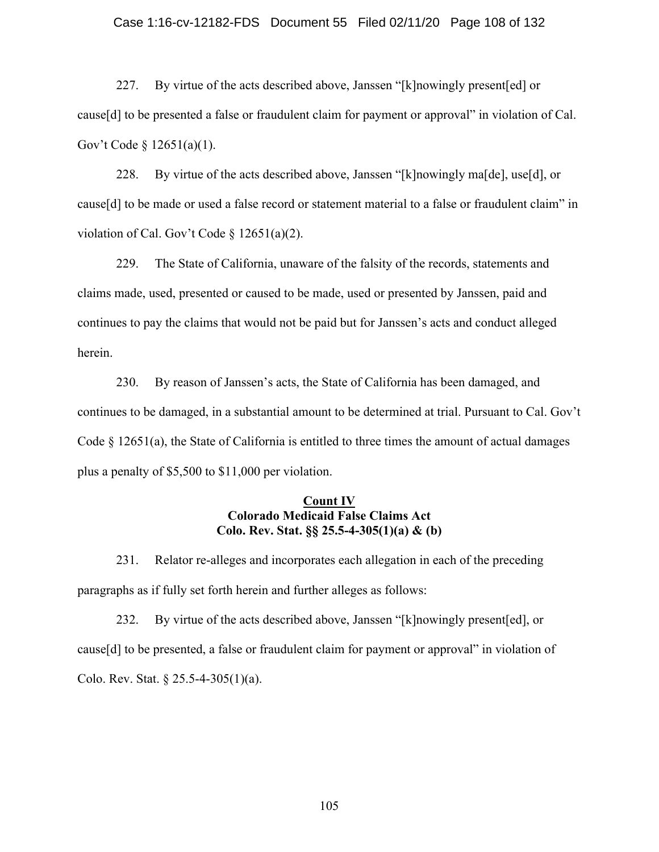#### Case 1:16-cv-12182-FDS Document 55 Filed 02/11/20 Page 108 of 132

227. By virtue of the acts described above, Janssen "[k]nowingly present[ed] or cause[d] to be presented a false or fraudulent claim for payment or approval" in violation of Cal. Gov't Code § 12651(a)(1).

228. By virtue of the acts described above, Janssen "[k]nowingly ma[de], use[d], or cause[d] to be made or used a false record or statement material to a false or fraudulent claim" in violation of Cal. Gov't Code § 12651(a)(2).

229. The State of California, unaware of the falsity of the records, statements and claims made, used, presented or caused to be made, used or presented by Janssen, paid and continues to pay the claims that would not be paid but for Janssen's acts and conduct alleged herein.

230. By reason of Janssen's acts, the State of California has been damaged, and continues to be damaged, in a substantial amount to be determined at trial. Pursuant to Cal. Gov't Code  $\S$  12651(a), the State of California is entitled to three times the amount of actual damages plus a penalty of \$5,500 to \$11,000 per violation.

### **Count IV Colorado Medicaid False Claims Act Colo. Rev. Stat. §§ 25.5-4-305(1)(a) & (b)**

231. Relator re-alleges and incorporates each allegation in each of the preceding paragraphs as if fully set forth herein and further alleges as follows:

232. By virtue of the acts described above, Janssen "[k]nowingly present[ed], or cause[d] to be presented, a false or fraudulent claim for payment or approval" in violation of Colo. Rev. Stat. § 25.5-4-305(1)(a).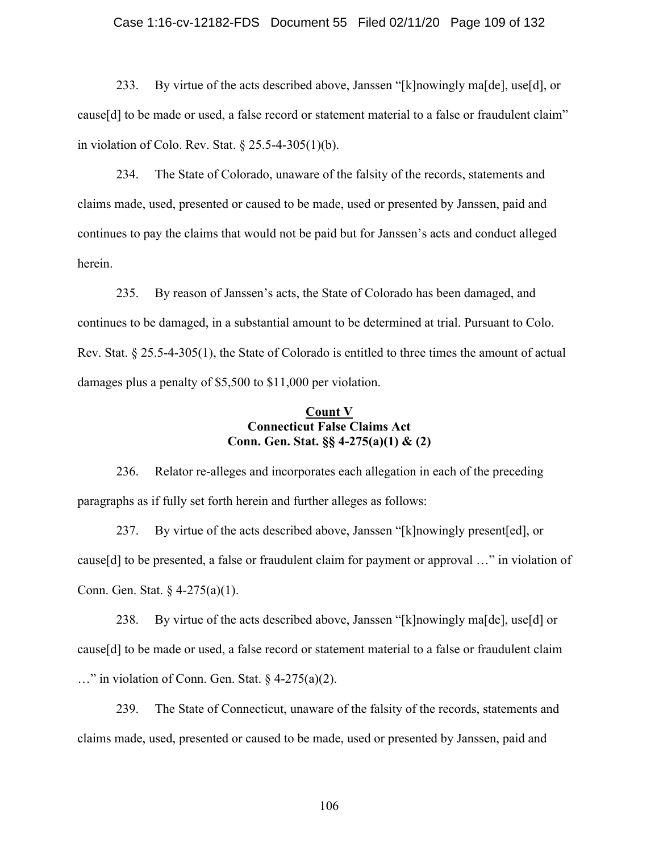### Case 1:16-cv-12182-FDS Document 55 Filed 02/11/20 Page 109 of 132

233. By virtue of the acts described above, Janssen "[k]nowingly ma[de], use[d], or cause[d] to be made or used, a false record or statement material to a false or fraudulent claim" in violation of Colo. Rev. Stat. § 25.5-4-305(1)(b).

234. The State of Colorado, unaware of the falsity of the records, statements and claims made, used, presented or caused to be made, used or presented by Janssen, paid and continues to pay the claims that would not be paid but for Janssen's acts and conduct alleged herein.

235. By reason of Janssen's acts, the State of Colorado has been damaged, and continues to be damaged, in a substantial amount to be determined at trial. Pursuant to Colo. Rev. Stat. § 25.5-4-305(1), the State of Colorado is entitled to three times the amount of actual damages plus a penalty of \$5,500 to \$11,000 per violation.

### **Count V Connecticut False Claims Act Conn. Gen. Stat. §§ 4-275(a)(1) & (2)**

236. Relator re-alleges and incorporates each allegation in each of the preceding paragraphs as if fully set forth herein and further alleges as follows:

237. By virtue of the acts described above, Janssen "[k]nowingly present[ed], or cause[d] to be presented, a false or fraudulent claim for payment or approval …" in violation of Conn. Gen. Stat. § 4-275(a)(1).

238. By virtue of the acts described above, Janssen "[k]nowingly ma[de], use[d] or cause[d] to be made or used, a false record or statement material to a false or fraudulent claim …" in violation of Conn. Gen. Stat. § 4-275(a)(2).

239. The State of Connecticut, unaware of the falsity of the records, statements and claims made, used, presented or caused to be made, used or presented by Janssen, paid and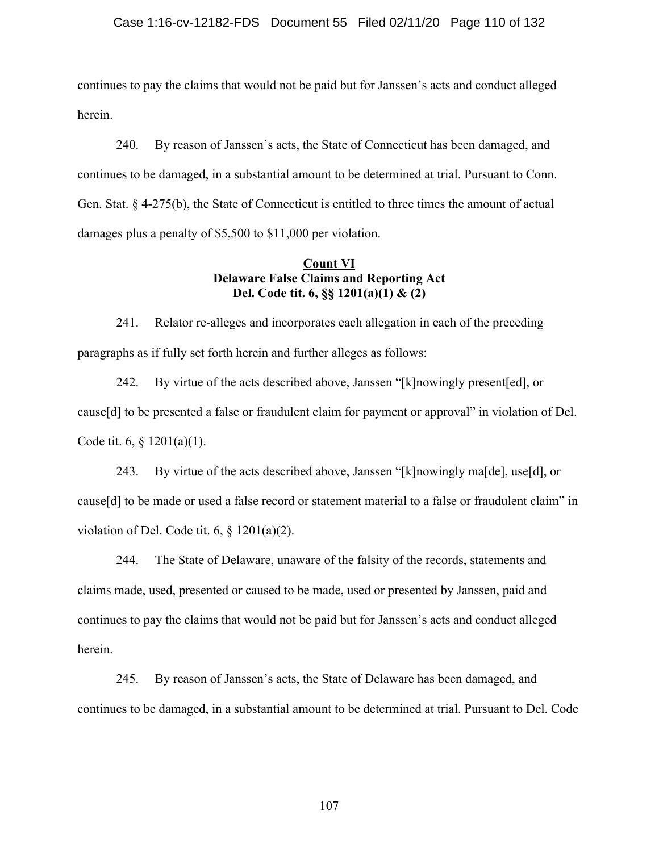### Case 1:16-cv-12182-FDS Document 55 Filed 02/11/20 Page 110 of 132

continues to pay the claims that would not be paid but for Janssen's acts and conduct alleged herein.

240. By reason of Janssen's acts, the State of Connecticut has been damaged, and continues to be damaged, in a substantial amount to be determined at trial. Pursuant to Conn. Gen. Stat. § 4-275(b), the State of Connecticut is entitled to three times the amount of actual damages plus a penalty of \$5,500 to \$11,000 per violation.

## **Count VI Delaware False Claims and Reporting Act Del. Code tit. 6, §§ 1201(a)(1) & (2)**

241. Relator re-alleges and incorporates each allegation in each of the preceding paragraphs as if fully set forth herein and further alleges as follows:

242. By virtue of the acts described above, Janssen "[k]nowingly present[ed], or cause[d] to be presented a false or fraudulent claim for payment or approval" in violation of Del. Code tit. 6, § 1201(a)(1).

243. By virtue of the acts described above, Janssen "[k]nowingly ma[de], use[d], or cause[d] to be made or used a false record or statement material to a false or fraudulent claim" in violation of Del. Code tit.  $6, \S 1201(a)(2)$ .

244. The State of Delaware, unaware of the falsity of the records, statements and claims made, used, presented or caused to be made, used or presented by Janssen, paid and continues to pay the claims that would not be paid but for Janssen's acts and conduct alleged herein.

245. By reason of Janssen's acts, the State of Delaware has been damaged, and continues to be damaged, in a substantial amount to be determined at trial. Pursuant to Del. Code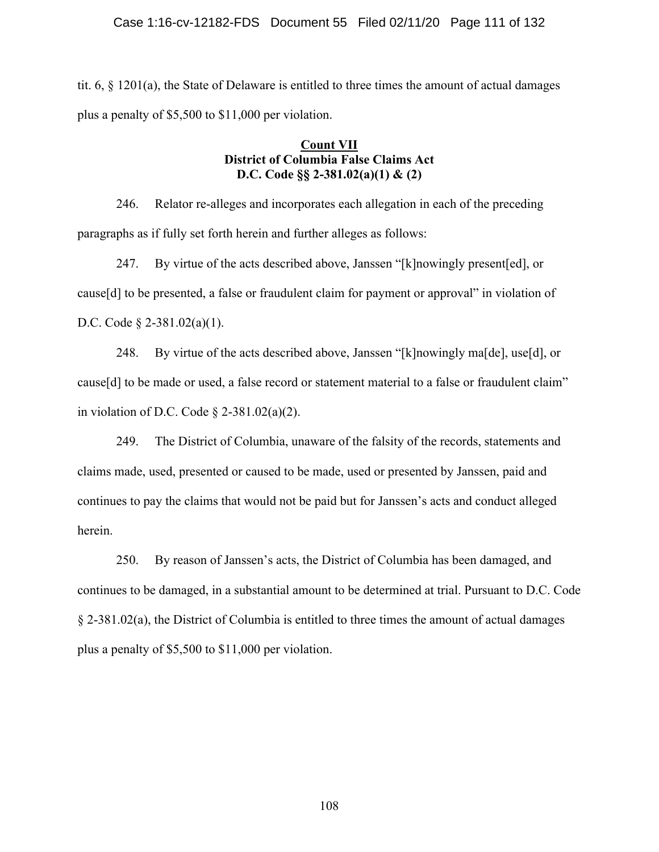tit. 6, § 1201(a), the State of Delaware is entitled to three times the amount of actual damages plus a penalty of \$5,500 to \$11,000 per violation.

## **Count VII District of Columbia False Claims Act D.C. Code §§ 2-381.02(a)(1) & (2)**

246. Relator re-alleges and incorporates each allegation in each of the preceding paragraphs as if fully set forth herein and further alleges as follows:

247. By virtue of the acts described above, Janssen "[k]nowingly present[ed], or cause[d] to be presented, a false or fraudulent claim for payment or approval" in violation of D.C. Code § 2-381.02(a)(1).

248. By virtue of the acts described above, Janssen "[k]nowingly ma[de], use[d], or cause[d] to be made or used, a false record or statement material to a false or fraudulent claim" in violation of D.C. Code  $\S$  2-381.02(a)(2).

249. The District of Columbia, unaware of the falsity of the records, statements and claims made, used, presented or caused to be made, used or presented by Janssen, paid and continues to pay the claims that would not be paid but for Janssen's acts and conduct alleged herein.

250. By reason of Janssen's acts, the District of Columbia has been damaged, and continues to be damaged, in a substantial amount to be determined at trial. Pursuant to D.C. Code § 2-381.02(a), the District of Columbia is entitled to three times the amount of actual damages plus a penalty of \$5,500 to \$11,000 per violation.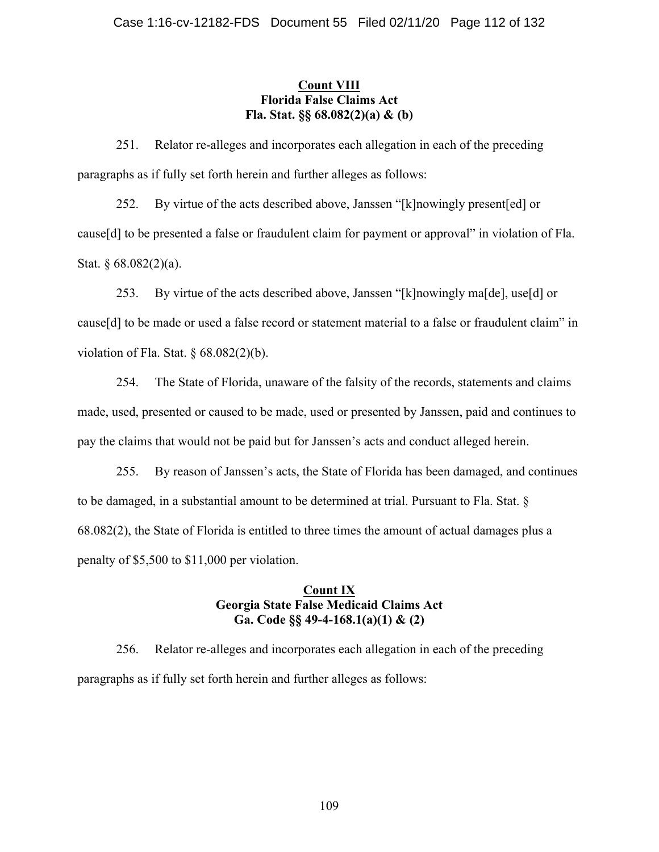## **Count VIII Florida False Claims Act Fla. Stat. §§ 68.082(2)(a) & (b)**

251. Relator re-alleges and incorporates each allegation in each of the preceding paragraphs as if fully set forth herein and further alleges as follows:

252. By virtue of the acts described above, Janssen "[k]nowingly present[ed] or cause[d] to be presented a false or fraudulent claim for payment or approval" in violation of Fla. Stat. § 68.082(2)(a).

253. By virtue of the acts described above, Janssen "[k]nowingly ma[de], use[d] or cause[d] to be made or used a false record or statement material to a false or fraudulent claim" in violation of Fla. Stat.  $\S$  68.082(2)(b).

254. The State of Florida, unaware of the falsity of the records, statements and claims made, used, presented or caused to be made, used or presented by Janssen, paid and continues to pay the claims that would not be paid but for Janssen's acts and conduct alleged herein.

255. By reason of Janssen's acts, the State of Florida has been damaged, and continues to be damaged, in a substantial amount to be determined at trial. Pursuant to Fla. Stat. § 68.082(2), the State of Florida is entitled to three times the amount of actual damages plus a penalty of \$5,500 to \$11,000 per violation.

## **Count IX Georgia State False Medicaid Claims Act Ga. Code §§ 49-4-168.1(a)(1) & (2)**

256. Relator re-alleges and incorporates each allegation in each of the preceding paragraphs as if fully set forth herein and further alleges as follows: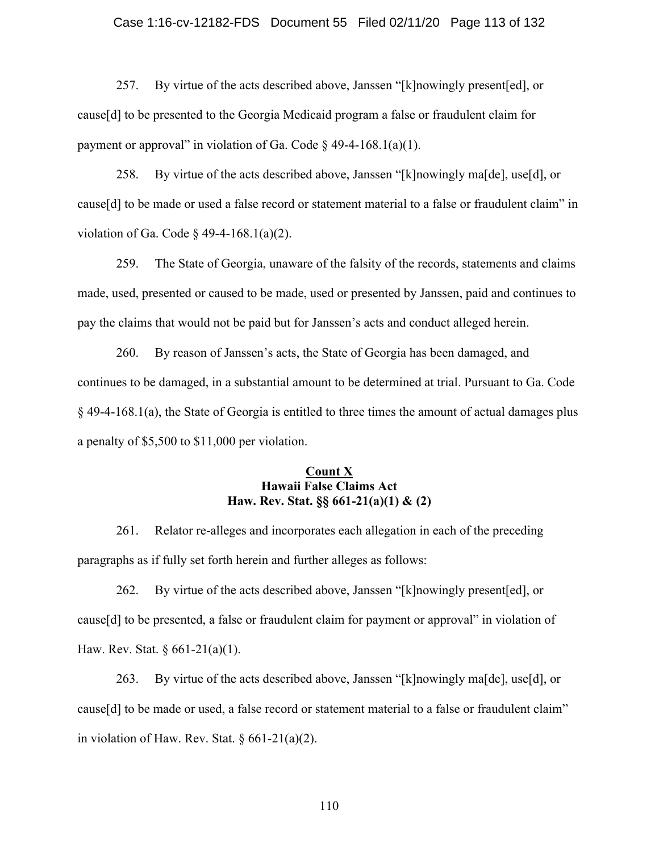#### Case 1:16-cv-12182-FDS Document 55 Filed 02/11/20 Page 113 of 132

257. By virtue of the acts described above, Janssen "[k]nowingly present[ed], or cause[d] to be presented to the Georgia Medicaid program a false or fraudulent claim for payment or approval" in violation of Ga. Code  $\S$  49-4-168.1(a)(1).

258. By virtue of the acts described above, Janssen "[k]nowingly ma[de], use[d], or cause[d] to be made or used a false record or statement material to a false or fraudulent claim" in violation of Ga. Code  $\frac{6}{9}$  49-4-168.1(a)(2).

259. The State of Georgia, unaware of the falsity of the records, statements and claims made, used, presented or caused to be made, used or presented by Janssen, paid and continues to pay the claims that would not be paid but for Janssen's acts and conduct alleged herein.

260. By reason of Janssen's acts, the State of Georgia has been damaged, and continues to be damaged, in a substantial amount to be determined at trial. Pursuant to Ga. Code § 49-4-168.1(a), the State of Georgia is entitled to three times the amount of actual damages plus a penalty of \$5,500 to \$11,000 per violation.

### **Count X Hawaii False Claims Act Haw. Rev. Stat. §§ 661-21(a)(1) & (2)**

261. Relator re-alleges and incorporates each allegation in each of the preceding paragraphs as if fully set forth herein and further alleges as follows:

262. By virtue of the acts described above, Janssen "[k]nowingly present[ed], or cause[d] to be presented, a false or fraudulent claim for payment or approval" in violation of Haw. Rev. Stat. § 661-21(a)(1).

263. By virtue of the acts described above, Janssen "[k]nowingly ma[de], use[d], or cause[d] to be made or used, a false record or statement material to a false or fraudulent claim" in violation of Haw. Rev. Stat.  $\S 661-21(a)(2)$ .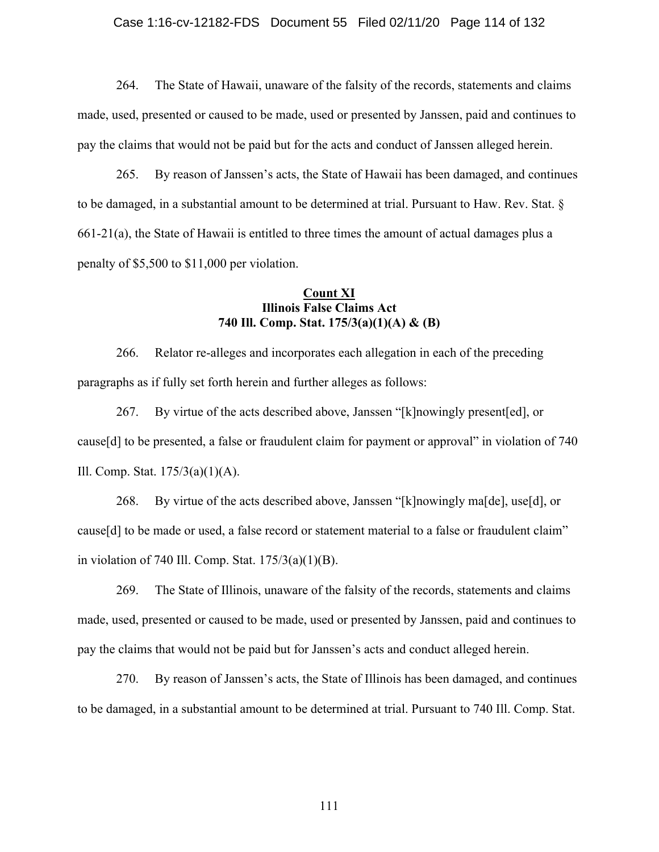#### Case 1:16-cv-12182-FDS Document 55 Filed 02/11/20 Page 114 of 132

264. The State of Hawaii, unaware of the falsity of the records, statements and claims made, used, presented or caused to be made, used or presented by Janssen, paid and continues to pay the claims that would not be paid but for the acts and conduct of Janssen alleged herein.

265. By reason of Janssen's acts, the State of Hawaii has been damaged, and continues to be damaged, in a substantial amount to be determined at trial. Pursuant to Haw. Rev. Stat. § 661-21(a), the State of Hawaii is entitled to three times the amount of actual damages plus a penalty of \$5,500 to \$11,000 per violation.

### **Count XI Illinois False Claims Act 740 Ill. Comp. Stat. 175/3(a)(1)(A) & (B)**

266. Relator re-alleges and incorporates each allegation in each of the preceding paragraphs as if fully set forth herein and further alleges as follows:

267. By virtue of the acts described above, Janssen "[k]nowingly present[ed], or cause[d] to be presented, a false or fraudulent claim for payment or approval" in violation of 740 Ill. Comp. Stat. 175/3(a)(1)(A).

268. By virtue of the acts described above, Janssen "[k]nowingly ma[de], use[d], or cause[d] to be made or used, a false record or statement material to a false or fraudulent claim" in violation of 740 Ill. Comp. Stat.  $175/3(a)(1)(B)$ .

269. The State of Illinois, unaware of the falsity of the records, statements and claims made, used, presented or caused to be made, used or presented by Janssen, paid and continues to pay the claims that would not be paid but for Janssen's acts and conduct alleged herein.

270. By reason of Janssen's acts, the State of Illinois has been damaged, and continues to be damaged, in a substantial amount to be determined at trial. Pursuant to 740 Ill. Comp. Stat.

111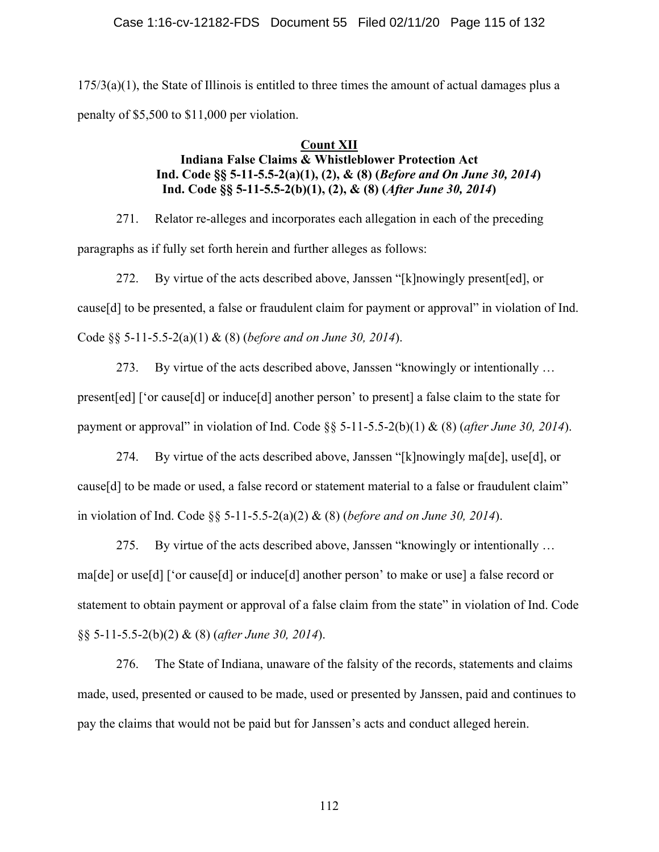$175/3$ (a)(1), the State of Illinois is entitled to three times the amount of actual damages plus a penalty of \$5,500 to \$11,000 per violation.

## **Count XII**

# **Indiana False Claims & Whistleblower Protection Act Ind. Code §§ 5-11-5.5-2(a)(1), (2), & (8) (***Before and On June 30, 2014***) Ind. Code §§ 5-11-5.5-2(b)(1), (2), & (8) (***After June 30, 2014***)**

271. Relator re-alleges and incorporates each allegation in each of the preceding paragraphs as if fully set forth herein and further alleges as follows:

272. By virtue of the acts described above, Janssen "[k]nowingly present[ed], or cause[d] to be presented, a false or fraudulent claim for payment or approval" in violation of Ind. Code §§ 5-11-5.5-2(a)(1) & (8) (*before and on June 30, 2014*).

273. By virtue of the acts described above, Janssen "knowingly or intentionally … present[ed] ['or cause[d] or induce[d] another person' to present] a false claim to the state for payment or approval" in violation of Ind. Code §§ 5-11-5.5-2(b)(1) & (8) (*after June 30, 2014*).

274. By virtue of the acts described above, Janssen "[k]nowingly ma[de], use[d], or cause[d] to be made or used, a false record or statement material to a false or fraudulent claim" in violation of Ind. Code §§ 5-11-5.5-2(a)(2) & (8) (*before and on June 30, 2014*).

275. By virtue of the acts described above, Janssen "knowingly or intentionally … ma[de] or use[d] ['or cause[d] or induce[d] another person' to make or use] a false record or statement to obtain payment or approval of a false claim from the state" in violation of Ind. Code §§ 5-11-5.5-2(b)(2) & (8) (*after June 30, 2014*).

276. The State of Indiana, unaware of the falsity of the records, statements and claims made, used, presented or caused to be made, used or presented by Janssen, paid and continues to pay the claims that would not be paid but for Janssen's acts and conduct alleged herein.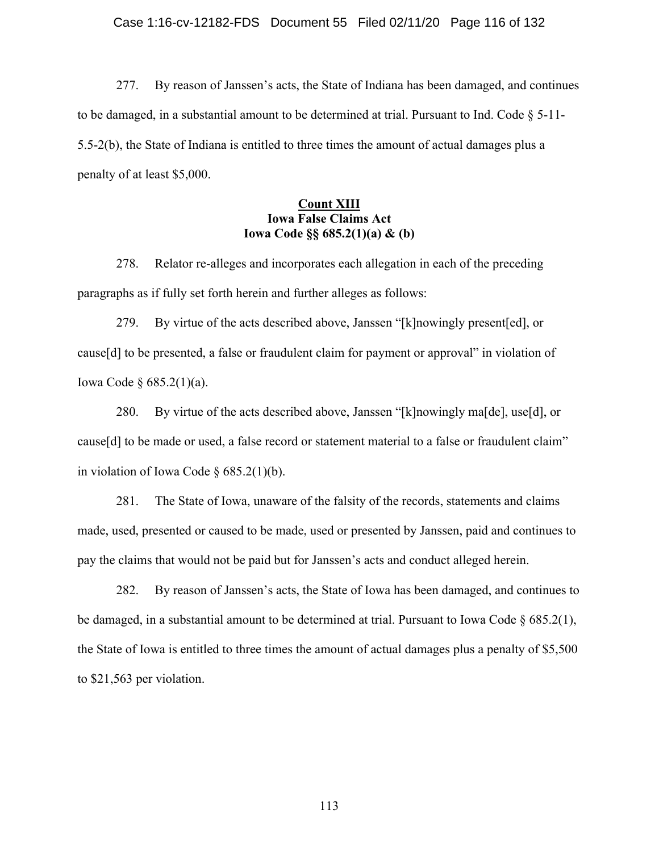277. By reason of Janssen's acts, the State of Indiana has been damaged, and continues to be damaged, in a substantial amount to be determined at trial. Pursuant to Ind. Code  $\S$  5-11-5.5-2(b), the State of Indiana is entitled to three times the amount of actual damages plus a penalty of at least \$5,000.

## **Count XIII Iowa False Claims Act Iowa Code §§ 685.2(1)(a) & (b)**

278. Relator re-alleges and incorporates each allegation in each of the preceding paragraphs as if fully set forth herein and further alleges as follows:

279. By virtue of the acts described above, Janssen "[k]nowingly present[ed], or cause[d] to be presented, a false or fraudulent claim for payment or approval" in violation of Iowa Code § 685.2(1)(a).

280. By virtue of the acts described above, Janssen "[k]nowingly ma[de], use[d], or cause[d] to be made or used, a false record or statement material to a false or fraudulent claim" in violation of Iowa Code § 685.2(1)(b).

281. The State of Iowa, unaware of the falsity of the records, statements and claims made, used, presented or caused to be made, used or presented by Janssen, paid and continues to pay the claims that would not be paid but for Janssen's acts and conduct alleged herein.

282. By reason of Janssen's acts, the State of Iowa has been damaged, and continues to be damaged, in a substantial amount to be determined at trial. Pursuant to Iowa Code § 685.2(1), the State of Iowa is entitled to three times the amount of actual damages plus a penalty of \$5,500 to \$21,563 per violation.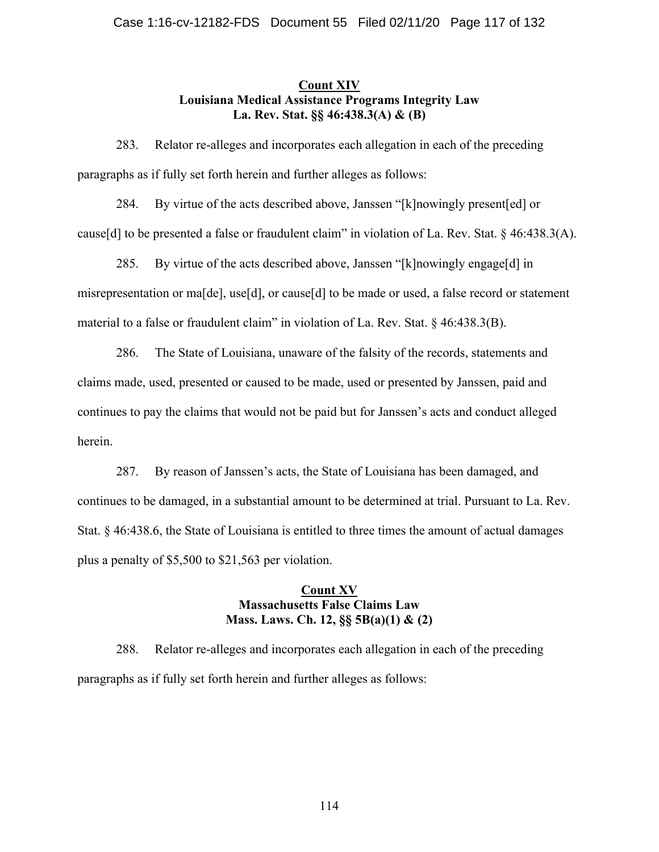## **Count XIV Louisiana Medical Assistance Programs Integrity Law La. Rev. Stat. §§ 46:438.3(A) & (B)**

283. Relator re-alleges and incorporates each allegation in each of the preceding paragraphs as if fully set forth herein and further alleges as follows:

284. By virtue of the acts described above, Janssen "[k]nowingly present[ed] or cause[d] to be presented a false or fraudulent claim" in violation of La. Rev. Stat. § 46:438.3(A).

285. By virtue of the acts described above, Janssen "[k]nowingly engage[d] in misrepresentation or ma[de], use[d], or cause[d] to be made or used, a false record or statement material to a false or fraudulent claim" in violation of La. Rev. Stat. § 46:438.3(B).

286. The State of Louisiana, unaware of the falsity of the records, statements and claims made, used, presented or caused to be made, used or presented by Janssen, paid and continues to pay the claims that would not be paid but for Janssen's acts and conduct alleged herein.

287. By reason of Janssen's acts, the State of Louisiana has been damaged, and continues to be damaged, in a substantial amount to be determined at trial. Pursuant to La. Rev. Stat. § 46:438.6, the State of Louisiana is entitled to three times the amount of actual damages plus a penalty of \$5,500 to \$21,563 per violation.

## **Count XV Massachusetts False Claims Law Mass. Laws. Ch. 12, §§ 5B(a)(1) & (2)**

288. Relator re-alleges and incorporates each allegation in each of the preceding paragraphs as if fully set forth herein and further alleges as follows: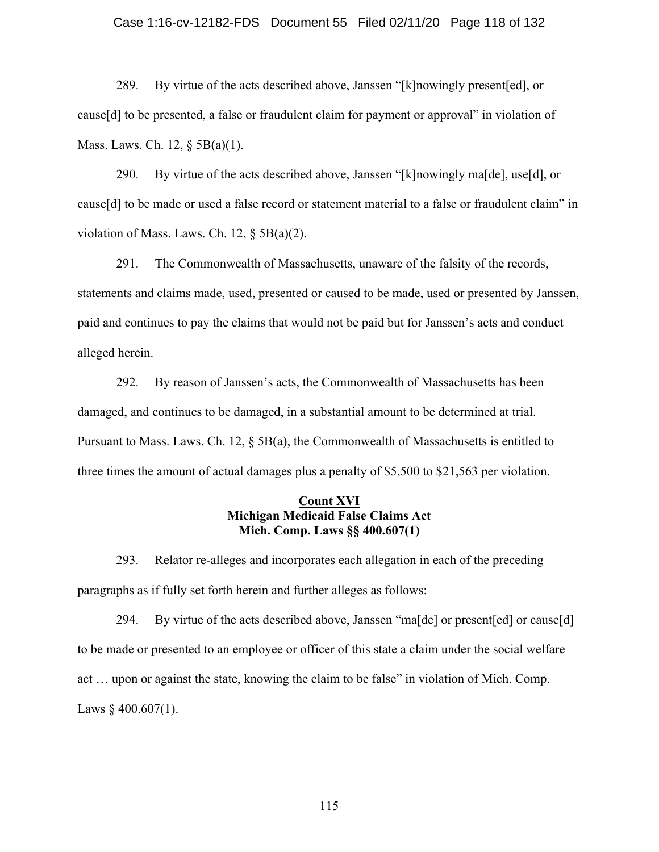#### Case 1:16-cv-12182-FDS Document 55 Filed 02/11/20 Page 118 of 132

289. By virtue of the acts described above, Janssen "[k]nowingly present[ed], or cause[d] to be presented, a false or fraudulent claim for payment or approval" in violation of Mass. Laws. Ch. 12, § 5B(a)(1).

290. By virtue of the acts described above, Janssen "[k]nowingly ma[de], use[d], or cause[d] to be made or used a false record or statement material to a false or fraudulent claim" in violation of Mass. Laws. Ch. 12,  $\S$  5B(a)(2).

291. The Commonwealth of Massachusetts, unaware of the falsity of the records, statements and claims made, used, presented or caused to be made, used or presented by Janssen, paid and continues to pay the claims that would not be paid but for Janssen's acts and conduct alleged herein.

292. By reason of Janssen's acts, the Commonwealth of Massachusetts has been damaged, and continues to be damaged, in a substantial amount to be determined at trial. Pursuant to Mass. Laws. Ch. 12,  $\S$  5B(a), the Commonwealth of Massachusetts is entitled to three times the amount of actual damages plus a penalty of \$5,500 to \$21,563 per violation.

## **Count XVI Michigan Medicaid False Claims Act Mich. Comp. Laws §§ 400.607(1)**

293. Relator re-alleges and incorporates each allegation in each of the preceding paragraphs as if fully set forth herein and further alleges as follows:

294. By virtue of the acts described above, Janssen "ma[de] or present[ed] or cause[d] to be made or presented to an employee or officer of this state a claim under the social welfare act … upon or against the state, knowing the claim to be false" in violation of Mich. Comp. Laws  $§$  400.607(1).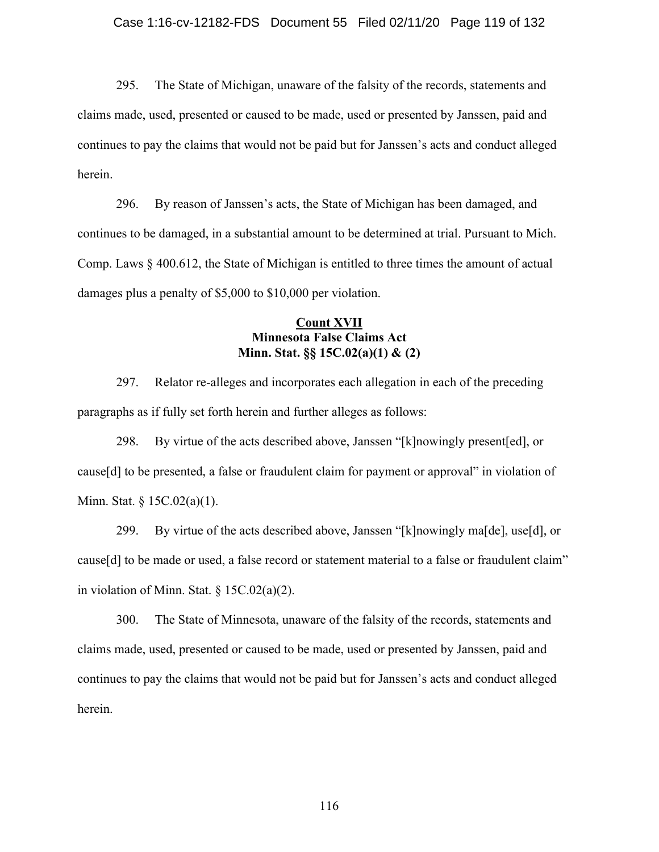295. The State of Michigan, unaware of the falsity of the records, statements and claims made, used, presented or caused to be made, used or presented by Janssen, paid and continues to pay the claims that would not be paid but for Janssen's acts and conduct alleged herein.

296. By reason of Janssen's acts, the State of Michigan has been damaged, and continues to be damaged, in a substantial amount to be determined at trial. Pursuant to Mich. Comp. Laws § 400.612, the State of Michigan is entitled to three times the amount of actual damages plus a penalty of \$5,000 to \$10,000 per violation.

## **Count XVII Minnesota False Claims Act Minn. Stat. §§ 15C.02(a)(1) & (2)**

297. Relator re-alleges and incorporates each allegation in each of the preceding paragraphs as if fully set forth herein and further alleges as follows:

298. By virtue of the acts described above, Janssen "[k]nowingly present[ed], or cause[d] to be presented, a false or fraudulent claim for payment or approval" in violation of Minn. Stat. § 15C.02(a)(1).

299. By virtue of the acts described above, Janssen "[k]nowingly ma[de], use[d], or cause[d] to be made or used, a false record or statement material to a false or fraudulent claim" in violation of Minn. Stat.  $\S 15C.02(a)(2)$ .

300. The State of Minnesota, unaware of the falsity of the records, statements and claims made, used, presented or caused to be made, used or presented by Janssen, paid and continues to pay the claims that would not be paid but for Janssen's acts and conduct alleged herein.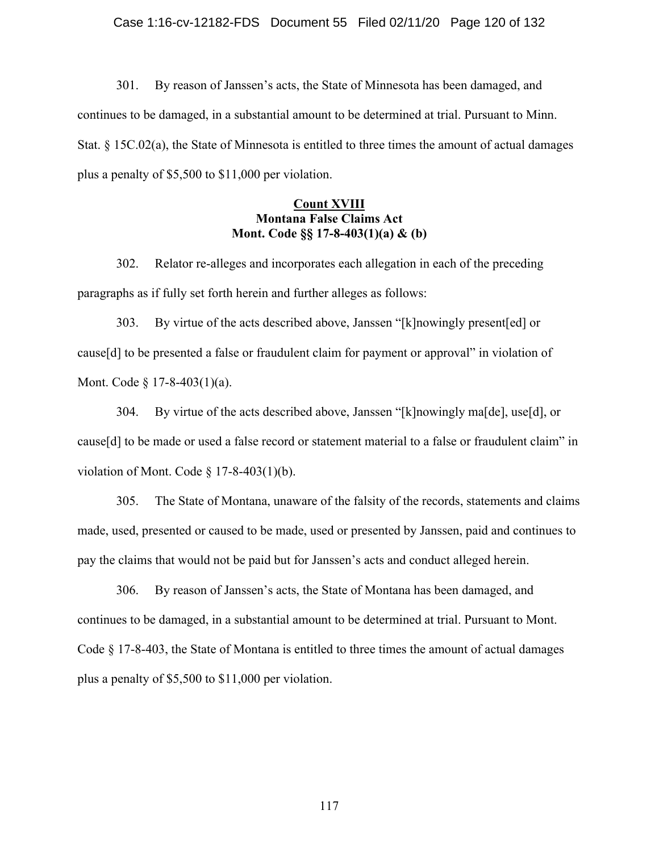301. By reason of Janssen's acts, the State of Minnesota has been damaged, and continues to be damaged, in a substantial amount to be determined at trial. Pursuant to Minn. Stat. § 15C.02(a), the State of Minnesota is entitled to three times the amount of actual damages plus a penalty of \$5,500 to \$11,000 per violation.

## **Count XVIII Montana False Claims Act Mont. Code §§ 17-8-403(1)(a) & (b)**

302. Relator re-alleges and incorporates each allegation in each of the preceding paragraphs as if fully set forth herein and further alleges as follows:

303. By virtue of the acts described above, Janssen "[k]nowingly present[ed] or cause[d] to be presented a false or fraudulent claim for payment or approval" in violation of Mont. Code § 17-8-403(1)(a).

304. By virtue of the acts described above, Janssen "[k]nowingly ma[de], use[d], or cause[d] to be made or used a false record or statement material to a false or fraudulent claim" in violation of Mont. Code  $\S$  17-8-403(1)(b).

305. The State of Montana, unaware of the falsity of the records, statements and claims made, used, presented or caused to be made, used or presented by Janssen, paid and continues to pay the claims that would not be paid but for Janssen's acts and conduct alleged herein.

306. By reason of Janssen's acts, the State of Montana has been damaged, and continues to be damaged, in a substantial amount to be determined at trial. Pursuant to Mont. Code § 17-8-403, the State of Montana is entitled to three times the amount of actual damages plus a penalty of \$5,500 to \$11,000 per violation.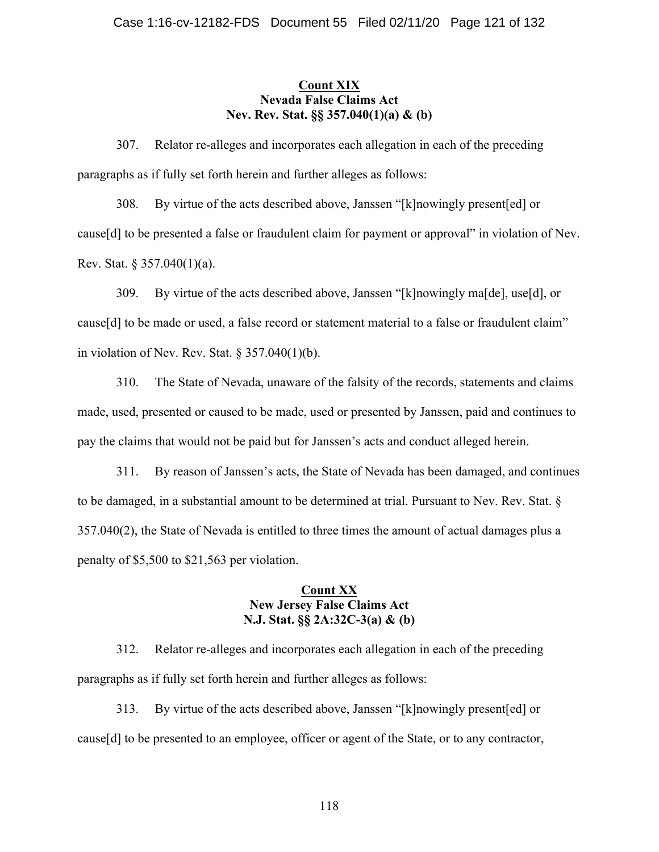## **Count XIX Nevada False Claims Act Nev. Rev. Stat. §§ 357.040(1)(a) & (b)**

307. Relator re-alleges and incorporates each allegation in each of the preceding paragraphs as if fully set forth herein and further alleges as follows:

308. By virtue of the acts described above, Janssen "[k]nowingly present[ed] or cause[d] to be presented a false or fraudulent claim for payment or approval" in violation of Nev. Rev. Stat. § 357.040(1)(a).

309. By virtue of the acts described above, Janssen "[k]nowingly ma[de], use[d], or cause[d] to be made or used, a false record or statement material to a false or fraudulent claim" in violation of Nev. Rev. Stat.  $\S 357.040(1)(b)$ .

310. The State of Nevada, unaware of the falsity of the records, statements and claims made, used, presented or caused to be made, used or presented by Janssen, paid and continues to pay the claims that would not be paid but for Janssen's acts and conduct alleged herein.

311. By reason of Janssen's acts, the State of Nevada has been damaged, and continues to be damaged, in a substantial amount to be determined at trial. Pursuant to Nev. Rev. Stat. § 357.040(2), the State of Nevada is entitled to three times the amount of actual damages plus a penalty of \$5,500 to \$21,563 per violation.

## **Count XX New Jersey False Claims Act N.J. Stat. §§ 2A:32C-3(a) & (b)**

312. Relator re-alleges and incorporates each allegation in each of the preceding paragraphs as if fully set forth herein and further alleges as follows:

313. By virtue of the acts described above, Janssen "[k]nowingly present[ed] or cause[d] to be presented to an employee, officer or agent of the State, or to any contractor,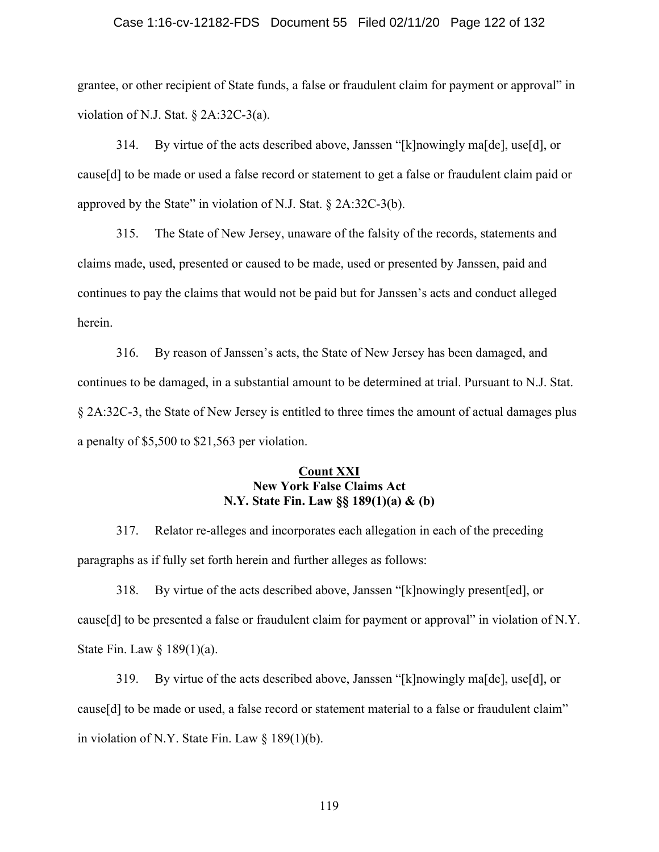#### Case 1:16-cv-12182-FDS Document 55 Filed 02/11/20 Page 122 of 132

grantee, or other recipient of State funds, a false or fraudulent claim for payment or approval" in violation of N.J. Stat. § 2A:32C-3(a).

314. By virtue of the acts described above, Janssen "[k]nowingly ma[de], use[d], or cause[d] to be made or used a false record or statement to get a false or fraudulent claim paid or approved by the State" in violation of N.J. Stat.  $\S$  2A:32C-3(b).

315. The State of New Jersey, unaware of the falsity of the records, statements and claims made, used, presented or caused to be made, used or presented by Janssen, paid and continues to pay the claims that would not be paid but for Janssen's acts and conduct alleged herein.

316. By reason of Janssen's acts, the State of New Jersey has been damaged, and continues to be damaged, in a substantial amount to be determined at trial. Pursuant to N.J. Stat. § 2A:32C-3, the State of New Jersey is entitled to three times the amount of actual damages plus a penalty of \$5,500 to \$21,563 per violation.

### **Count XXI New York False Claims Act N.Y. State Fin. Law §§ 189(1)(a) & (b)**

317. Relator re-alleges and incorporates each allegation in each of the preceding paragraphs as if fully set forth herein and further alleges as follows:

318. By virtue of the acts described above, Janssen "[k]nowingly present[ed], or cause[d] to be presented a false or fraudulent claim for payment or approval" in violation of N.Y. State Fin. Law § 189(1)(a).

319. By virtue of the acts described above, Janssen "[k]nowingly ma[de], use[d], or cause[d] to be made or used, a false record or statement material to a false or fraudulent claim" in violation of N.Y. State Fin. Law § 189(1)(b).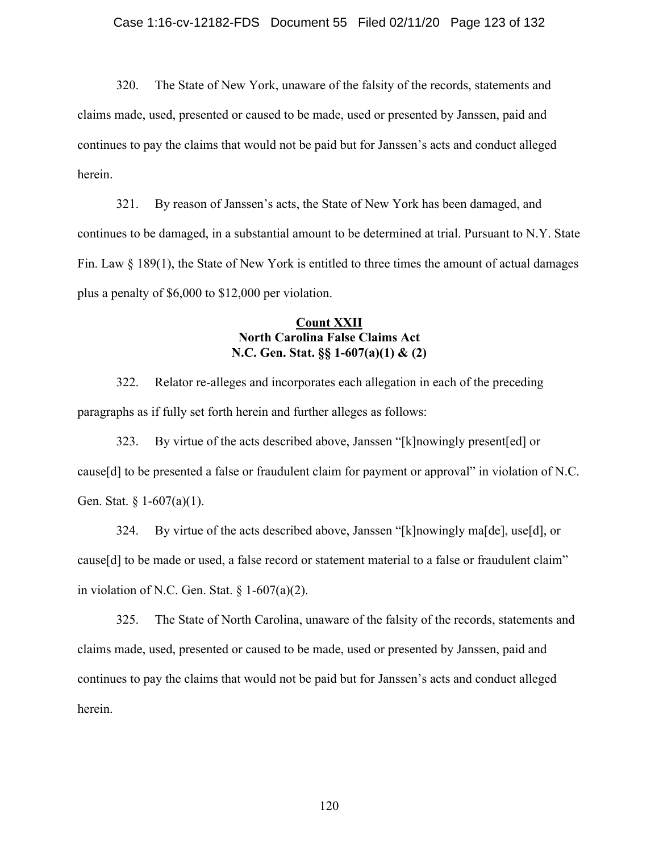320. The State of New York, unaware of the falsity of the records, statements and claims made, used, presented or caused to be made, used or presented by Janssen, paid and continues to pay the claims that would not be paid but for Janssen's acts and conduct alleged herein.

321. By reason of Janssen's acts, the State of New York has been damaged, and continues to be damaged, in a substantial amount to be determined at trial. Pursuant to N.Y. State Fin. Law  $\S$  189(1), the State of New York is entitled to three times the amount of actual damages plus a penalty of \$6,000 to \$12,000 per violation.

## **Count XXII North Carolina False Claims Act N.C. Gen. Stat. §§ 1-607(a)(1) & (2)**

322. Relator re-alleges and incorporates each allegation in each of the preceding paragraphs as if fully set forth herein and further alleges as follows:

323. By virtue of the acts described above, Janssen "[k]nowingly present[ed] or cause[d] to be presented a false or fraudulent claim for payment or approval" in violation of N.C. Gen. Stat. § 1-607(a)(1).

324. By virtue of the acts described above, Janssen "[k]nowingly ma[de], use[d], or cause[d] to be made or used, a false record or statement material to a false or fraudulent claim" in violation of N.C. Gen. Stat.  $\S 1-607(a)(2)$ .

325. The State of North Carolina, unaware of the falsity of the records, statements and claims made, used, presented or caused to be made, used or presented by Janssen, paid and continues to pay the claims that would not be paid but for Janssen's acts and conduct alleged herein.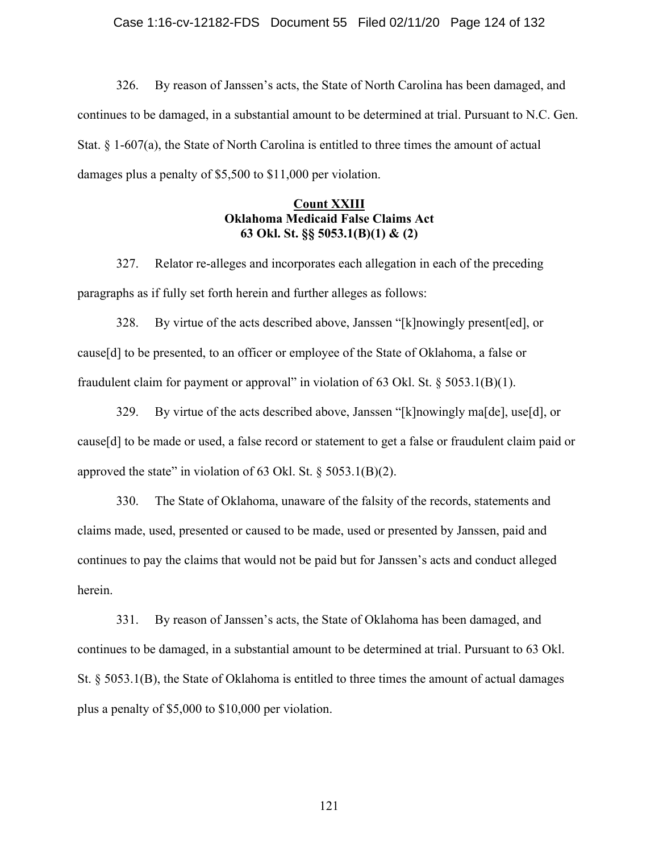326. By reason of Janssen's acts, the State of North Carolina has been damaged, and continues to be damaged, in a substantial amount to be determined at trial. Pursuant to N.C. Gen. Stat. § 1-607(a), the State of North Carolina is entitled to three times the amount of actual damages plus a penalty of \$5,500 to \$11,000 per violation.

## **Count XXIII Oklahoma Medicaid False Claims Act 63 Okl. St. §§ 5053.1(B)(1) & (2)**

327. Relator re-alleges and incorporates each allegation in each of the preceding paragraphs as if fully set forth herein and further alleges as follows:

328. By virtue of the acts described above, Janssen "[k]nowingly present[ed], or cause[d] to be presented, to an officer or employee of the State of Oklahoma, a false or fraudulent claim for payment or approval" in violation of 63 Okl. St.  $\S$  5053.1(B)(1).

329. By virtue of the acts described above, Janssen "[k]nowingly ma[de], use[d], or cause[d] to be made or used, a false record or statement to get a false or fraudulent claim paid or approved the state" in violation of 63 Okl. St.  $\S$  5053.1(B)(2).

330. The State of Oklahoma, unaware of the falsity of the records, statements and claims made, used, presented or caused to be made, used or presented by Janssen, paid and continues to pay the claims that would not be paid but for Janssen's acts and conduct alleged herein.

331. By reason of Janssen's acts, the State of Oklahoma has been damaged, and continues to be damaged, in a substantial amount to be determined at trial. Pursuant to 63 Okl. St. § 5053.1(B), the State of Oklahoma is entitled to three times the amount of actual damages plus a penalty of \$5,000 to \$10,000 per violation.

121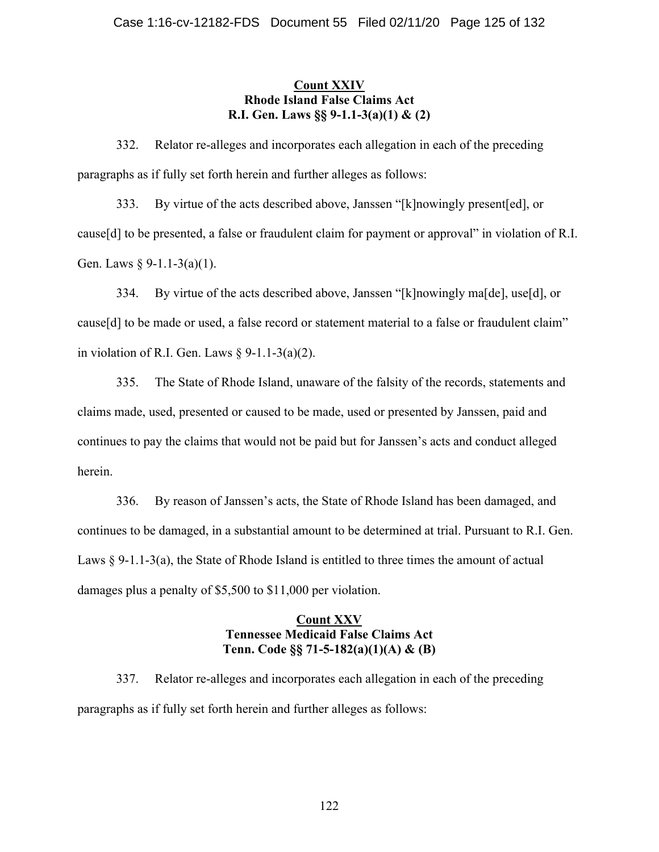## **Count XXIV Rhode Island False Claims Act R.I. Gen. Laws §§ 9-1.1-3(a)(1) & (2)**

332. Relator re-alleges and incorporates each allegation in each of the preceding paragraphs as if fully set forth herein and further alleges as follows:

333. By virtue of the acts described above, Janssen "[k]nowingly present[ed], or cause[d] to be presented, a false or fraudulent claim for payment or approval" in violation of R.I. Gen. Laws  $\S 9-1.1-3(a)(1)$ .

334. By virtue of the acts described above, Janssen "[k]nowingly ma[de], use[d], or cause[d] to be made or used, a false record or statement material to a false or fraudulent claim" in violation of R.I. Gen. Laws  $\S$  9-1.1-3(a)(2).

335. The State of Rhode Island, unaware of the falsity of the records, statements and claims made, used, presented or caused to be made, used or presented by Janssen, paid and continues to pay the claims that would not be paid but for Janssen's acts and conduct alleged herein.

336. By reason of Janssen's acts, the State of Rhode Island has been damaged, and continues to be damaged, in a substantial amount to be determined at trial. Pursuant to R.I. Gen. Laws § 9-1.1-3(a), the State of Rhode Island is entitled to three times the amount of actual damages plus a penalty of \$5,500 to \$11,000 per violation.

## **Count XXV Tennessee Medicaid False Claims Act Tenn. Code §§ 71-5-182(a)(1)(A) & (B)**

337. Relator re-alleges and incorporates each allegation in each of the preceding paragraphs as if fully set forth herein and further alleges as follows: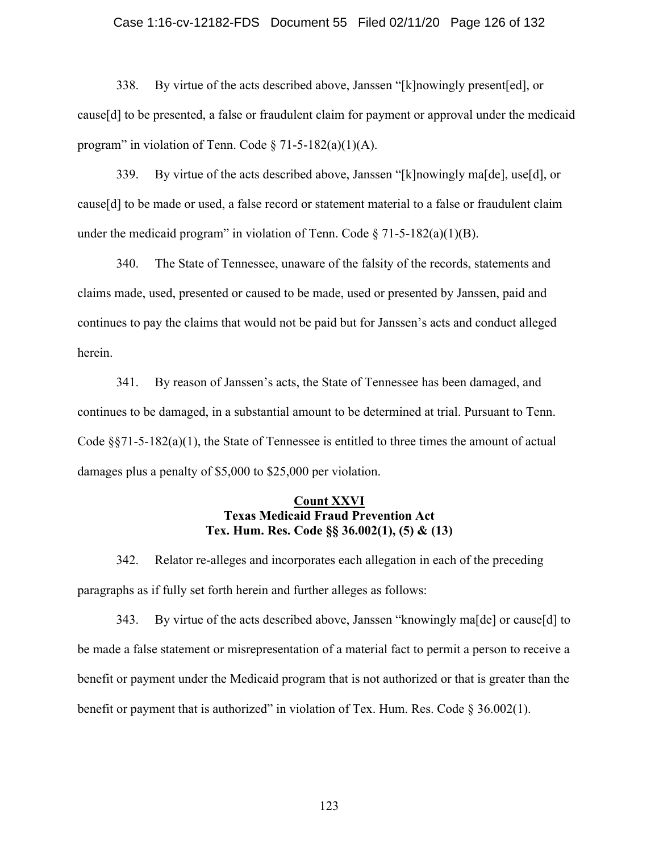#### Case 1:16-cv-12182-FDS Document 55 Filed 02/11/20 Page 126 of 132

338. By virtue of the acts described above, Janssen "[k]nowingly present[ed], or cause[d] to be presented, a false or fraudulent claim for payment or approval under the medicaid program" in violation of Tenn. Code  $\S 71-5-182(a)(1)(A)$ .

339. By virtue of the acts described above, Janssen "[k]nowingly ma[de], use[d], or cause[d] to be made or used, a false record or statement material to a false or fraudulent claim under the medicaid program" in violation of Tenn. Code  $\S$  71-5-182(a)(1)(B).

340. The State of Tennessee, unaware of the falsity of the records, statements and claims made, used, presented or caused to be made, used or presented by Janssen, paid and continues to pay the claims that would not be paid but for Janssen's acts and conduct alleged herein.

341. By reason of Janssen's acts, the State of Tennessee has been damaged, and continues to be damaged, in a substantial amount to be determined at trial. Pursuant to Tenn. Code  $\S$ §71-5-182(a)(1), the State of Tennessee is entitled to three times the amount of actual damages plus a penalty of \$5,000 to \$25,000 per violation.

## **Count XXVI Texas Medicaid Fraud Prevention Act Tex. Hum. Res. Code §§ 36.002(1), (5) & (13)**

342. Relator re-alleges and incorporates each allegation in each of the preceding paragraphs as if fully set forth herein and further alleges as follows:

343. By virtue of the acts described above, Janssen "knowingly ma[de] or cause[d] to be made a false statement or misrepresentation of a material fact to permit a person to receive a benefit or payment under the Medicaid program that is not authorized or that is greater than the benefit or payment that is authorized" in violation of Tex. Hum. Res. Code  $\S 36.002(1)$ .

123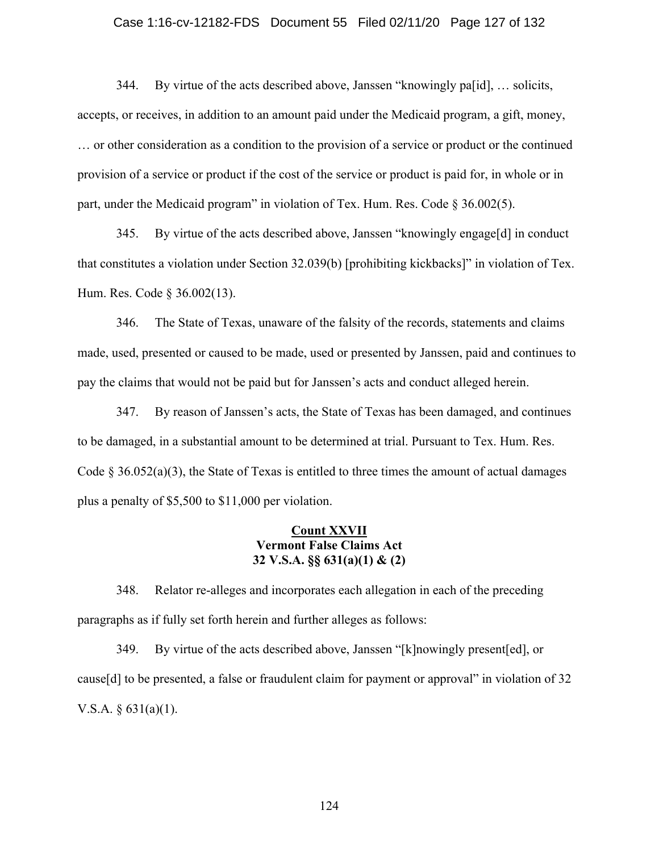### Case 1:16-cv-12182-FDS Document 55 Filed 02/11/20 Page 127 of 132

344. By virtue of the acts described above, Janssen "knowingly pa[id], … solicits, accepts, or receives, in addition to an amount paid under the Medicaid program, a gift, money, … or other consideration as a condition to the provision of a service or product or the continued provision of a service or product if the cost of the service or product is paid for, in whole or in part, under the Medicaid program" in violation of Tex. Hum. Res. Code § 36.002(5).

345. By virtue of the acts described above, Janssen "knowingly engage[d] in conduct that constitutes a violation under Section 32.039(b) [prohibiting kickbacks]" in violation of Tex. Hum. Res. Code § 36.002(13).

346. The State of Texas, unaware of the falsity of the records, statements and claims made, used, presented or caused to be made, used or presented by Janssen, paid and continues to pay the claims that would not be paid but for Janssen's acts and conduct alleged herein.

347. By reason of Janssen's acts, the State of Texas has been damaged, and continues to be damaged, in a substantial amount to be determined at trial. Pursuant to Tex. Hum. Res. Code  $\S$  36.052(a)(3), the State of Texas is entitled to three times the amount of actual damages plus a penalty of \$5,500 to \$11,000 per violation.

### **Count XXVII Vermont False Claims Act 32 V.S.A. §§ 631(a)(1) & (2)**

348. Relator re-alleges and incorporates each allegation in each of the preceding paragraphs as if fully set forth herein and further alleges as follows:

349. By virtue of the acts described above, Janssen "[k]nowingly present[ed], or cause[d] to be presented, a false or fraudulent claim for payment or approval" in violation of 32 V.S.A.  $\S$  631(a)(1).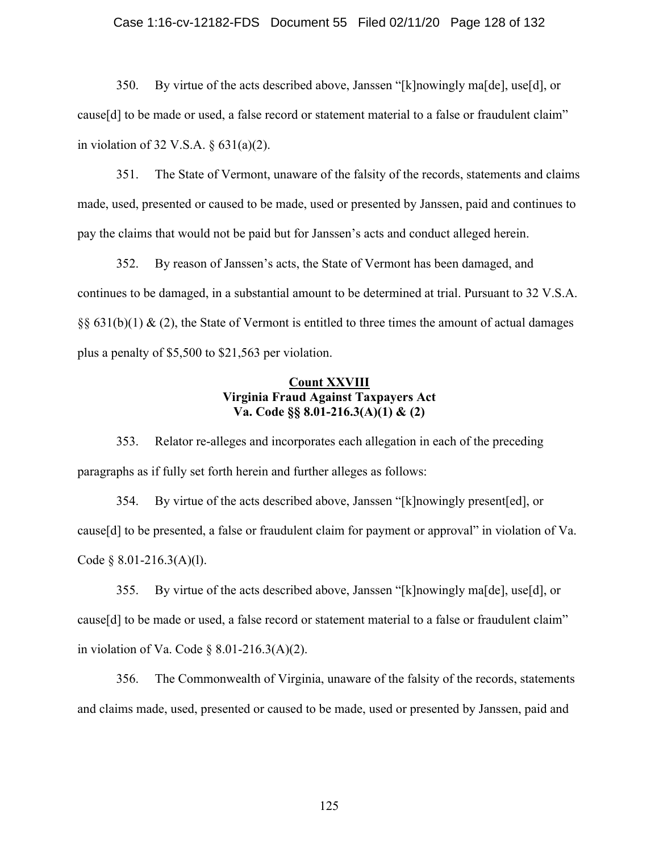#### Case 1:16-cv-12182-FDS Document 55 Filed 02/11/20 Page 128 of 132

350. By virtue of the acts described above, Janssen "[k]nowingly ma[de], use[d], or cause[d] to be made or used, a false record or statement material to a false or fraudulent claim" in violation of 32 V.S.A. § 631(a)(2).

351. The State of Vermont, unaware of the falsity of the records, statements and claims made, used, presented or caused to be made, used or presented by Janssen, paid and continues to pay the claims that would not be paid but for Janssen's acts and conduct alleged herein.

352. By reason of Janssen's acts, the State of Vermont has been damaged, and continues to be damaged, in a substantial amount to be determined at trial. Pursuant to 32 V.S.A.  $\S$ § 631(b)(1) & (2), the State of Vermont is entitled to three times the amount of actual damages plus a penalty of \$5,500 to \$21,563 per violation.

## **Count XXVIII Virginia Fraud Against Taxpayers Act Va. Code §§ 8.01-216.3(A)(1) & (2)**

353. Relator re-alleges and incorporates each allegation in each of the preceding paragraphs as if fully set forth herein and further alleges as follows:

354. By virtue of the acts described above, Janssen "[k]nowingly present[ed], or cause[d] to be presented, a false or fraudulent claim for payment or approval" in violation of Va. Code § 8.01-216.3(A)(l).

355. By virtue of the acts described above, Janssen "[k]nowingly ma[de], use[d], or cause[d] to be made or used, a false record or statement material to a false or fraudulent claim" in violation of Va. Code  $\S$  8.01-216.3(A)(2).

356. The Commonwealth of Virginia, unaware of the falsity of the records, statements and claims made, used, presented or caused to be made, used or presented by Janssen, paid and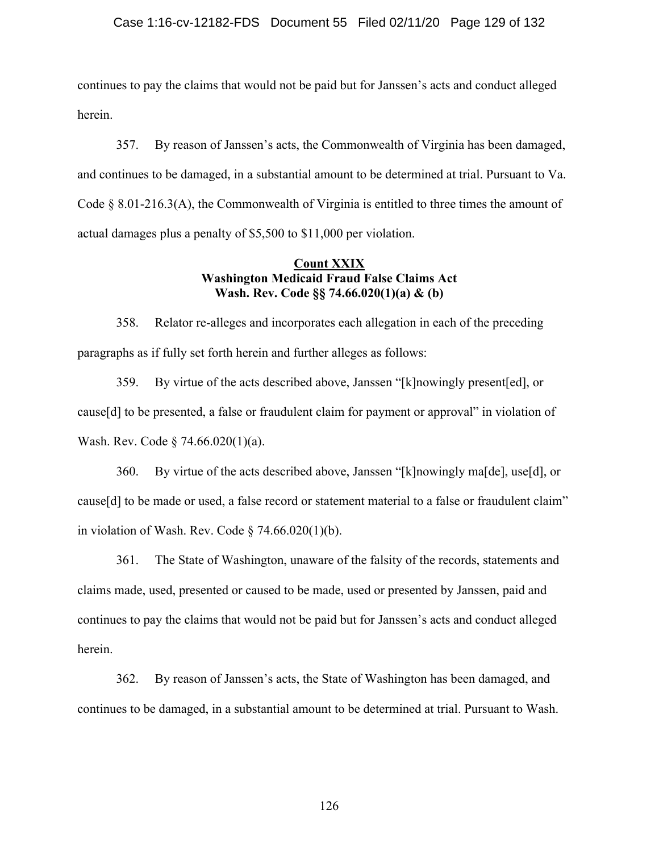### Case 1:16-cv-12182-FDS Document 55 Filed 02/11/20 Page 129 of 132

continues to pay the claims that would not be paid but for Janssen's acts and conduct alleged herein.

357. By reason of Janssen's acts, the Commonwealth of Virginia has been damaged, and continues to be damaged, in a substantial amount to be determined at trial. Pursuant to Va. Code  $\S$  8.01-216.3(A), the Commonwealth of Virginia is entitled to three times the amount of actual damages plus a penalty of \$5,500 to \$11,000 per violation.

### **Count XXIX Washington Medicaid Fraud False Claims Act Wash. Rev. Code §§ 74.66.020(1)(a) & (b)**

358. Relator re-alleges and incorporates each allegation in each of the preceding paragraphs as if fully set forth herein and further alleges as follows:

359. By virtue of the acts described above, Janssen "[k]nowingly present[ed], or cause[d] to be presented, a false or fraudulent claim for payment or approval" in violation of Wash. Rev. Code § 74.66.020(1)(a).

360. By virtue of the acts described above, Janssen "[k]nowingly ma[de], use[d], or cause[d] to be made or used, a false record or statement material to a false or fraudulent claim" in violation of Wash. Rev. Code  $\S$  74.66.020(1)(b).

361. The State of Washington, unaware of the falsity of the records, statements and claims made, used, presented or caused to be made, used or presented by Janssen, paid and continues to pay the claims that would not be paid but for Janssen's acts and conduct alleged herein.

362. By reason of Janssen's acts, the State of Washington has been damaged, and continues to be damaged, in a substantial amount to be determined at trial. Pursuant to Wash.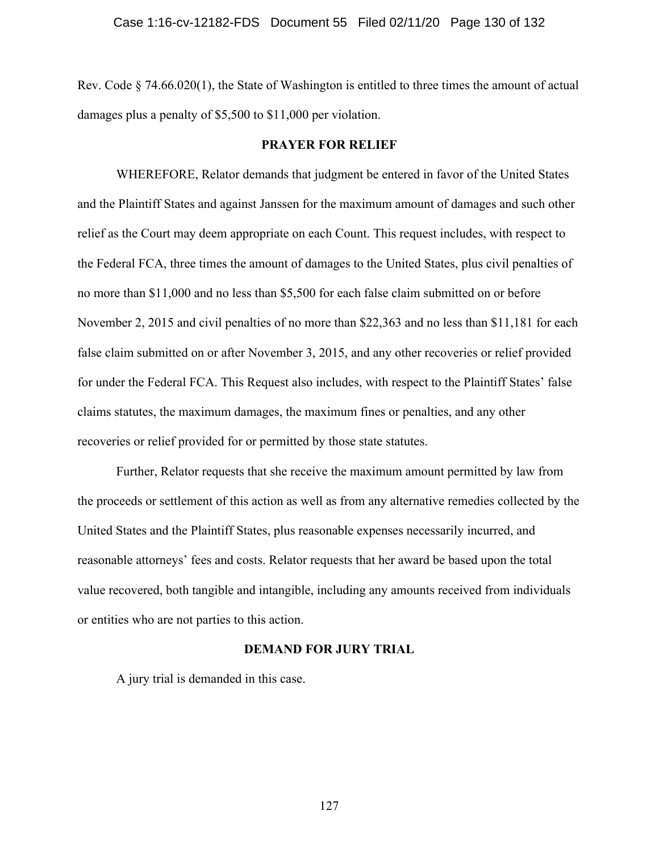Rev. Code § 74.66.020(1), the State of Washington is entitled to three times the amount of actual damages plus a penalty of \$5,500 to \$11,000 per violation.

### **PRAYER FOR RELIEF**

 WHEREFORE, Relator demands that judgment be entered in favor of the United States and the Plaintiff States and against Janssen for the maximum amount of damages and such other relief as the Court may deem appropriate on each Count. This request includes, with respect to the Federal FCA, three times the amount of damages to the United States, plus civil penalties of no more than \$11,000 and no less than \$5,500 for each false claim submitted on or before November 2, 2015 and civil penalties of no more than \$22,363 and no less than \$11,181 for each false claim submitted on or after November 3, 2015, and any other recoveries or relief provided for under the Federal FCA. This Request also includes, with respect to the Plaintiff States' false claims statutes, the maximum damages, the maximum fines or penalties, and any other recoveries or relief provided for or permitted by those state statutes.

 Further, Relator requests that she receive the maximum amount permitted by law from the proceeds or settlement of this action as well as from any alternative remedies collected by the United States and the Plaintiff States, plus reasonable expenses necessarily incurred, and reasonable attorneys' fees and costs. Relator requests that her award be based upon the total value recovered, both tangible and intangible, including any amounts received from individuals or entities who are not parties to this action.

### **DEMAND FOR JURY TRIAL**

A jury trial is demanded in this case.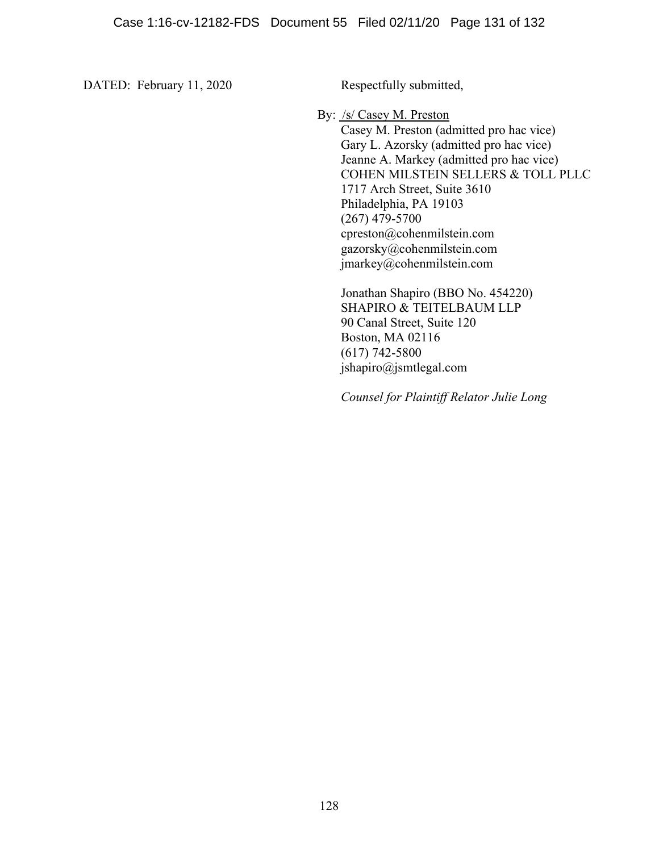DATED: February 11, 2020 Respectfully submitted,

By: /s/ Casey M. Preston

 Casey M. Preston (admitted pro hac vice) Gary L. Azorsky (admitted pro hac vice) Jeanne A. Markey (admitted pro hac vice) COHEN MILSTEIN SELLERS & TOLL PLLC 1717 Arch Street, Suite 3610 Philadelphia, PA 19103 (267) 479-5700 cpreston@cohenmilstein.com gazorsky@cohenmilstein.com jmarkey@cohenmilstein.com

Jonathan Shapiro (BBO No. 454220) SHAPIRO & TEITELBAUM LLP 90 Canal Street, Suite 120 Boston, MA 02116 (617) 742-5800 jshapiro@jsmtlegal.com

*Counsel for Plaintiff Relator Julie Long*